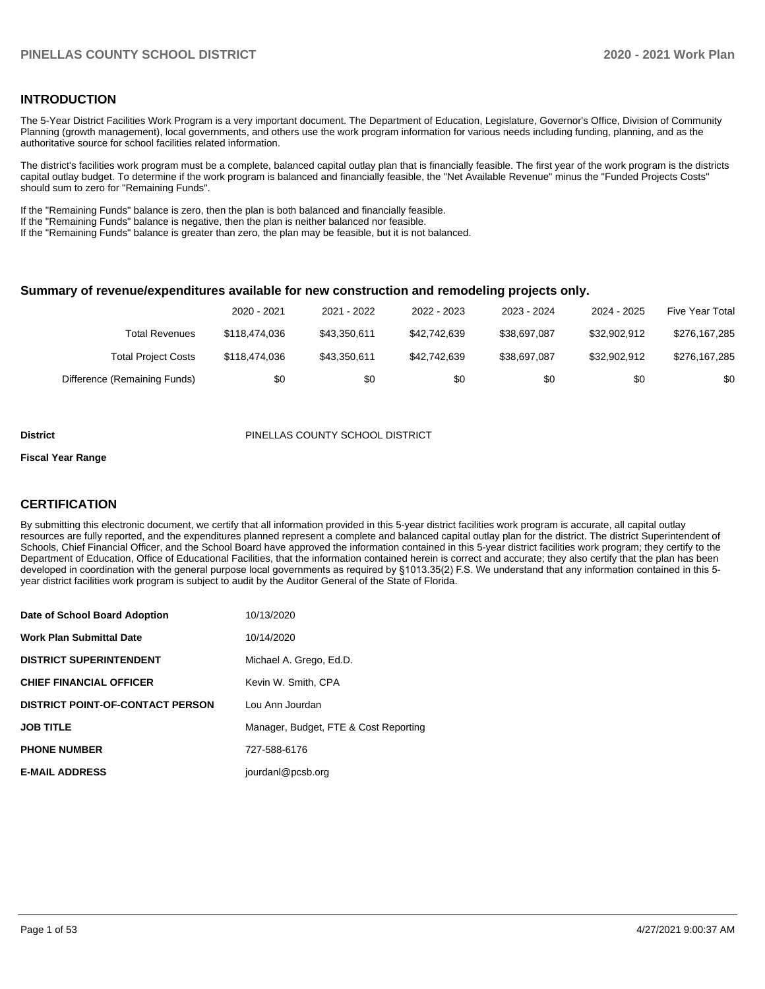### **INTRODUCTION**

The 5-Year District Facilities Work Program is a very important document. The Department of Education, Legislature, Governor's Office, Division of Community Planning (growth management), local governments, and others use the work program information for various needs including funding, planning, and as the authoritative source for school facilities related information.

The district's facilities work program must be a complete, balanced capital outlay plan that is financially feasible. The first year of the work program is the districts capital outlay budget. To determine if the work program is balanced and financially feasible, the "Net Available Revenue" minus the "Funded Projects Costs" should sum to zero for "Remaining Funds".

If the "Remaining Funds" balance is zero, then the plan is both balanced and financially feasible.

If the "Remaining Funds" balance is negative, then the plan is neither balanced nor feasible.

If the "Remaining Funds" balance is greater than zero, the plan may be feasible, but it is not balanced.

### **Summary of revenue/expenditures available for new construction and remodeling projects only.**

|                              | 2020 - 2021   | 2021 - 2022  | 2022 - 2023  | 2023 - 2024  | 2024 - 2025  | <b>Five Year Total</b> |
|------------------------------|---------------|--------------|--------------|--------------|--------------|------------------------|
| Total Revenues               | \$118,474,036 | \$43.350.611 | \$42.742.639 | \$38.697.087 | \$32.902.912 | \$276,167,285          |
| <b>Total Project Costs</b>   | \$118,474,036 | \$43.350.611 | \$42.742.639 | \$38.697.087 | \$32.902.912 | \$276,167,285          |
| Difference (Remaining Funds) | \$0           | \$0          | \$0          | \$0          | \$0          | \$0                    |

#### **District** PINELLAS COUNTY SCHOOL DISTRICT

#### **Fiscal Year Range**

### **CERTIFICATION**

By submitting this electronic document, we certify that all information provided in this 5-year district facilities work program is accurate, all capital outlay resources are fully reported, and the expenditures planned represent a complete and balanced capital outlay plan for the district. The district Superintendent of Schools, Chief Financial Officer, and the School Board have approved the information contained in this 5-year district facilities work program; they certify to the Department of Education, Office of Educational Facilities, that the information contained herein is correct and accurate; they also certify that the plan has been developed in coordination with the general purpose local governments as required by §1013.35(2) F.S. We understand that any information contained in this 5 year district facilities work program is subject to audit by the Auditor General of the State of Florida.

| Date of School Board Adoption           | 10/13/2020                            |
|-----------------------------------------|---------------------------------------|
| <b>Work Plan Submittal Date</b>         | 10/14/2020                            |
| <b>DISTRICT SUPERINTENDENT</b>          | Michael A. Grego, Ed.D.               |
| <b>CHIEF FINANCIAL OFFICER</b>          | Kevin W. Smith, CPA                   |
| <b>DISTRICT POINT-OF-CONTACT PERSON</b> | Lou Ann Jourdan                       |
| <b>JOB TITLE</b>                        | Manager, Budget, FTE & Cost Reporting |
| <b>PHONE NUMBER</b>                     | 727-588-6176                          |
| <b>E-MAIL ADDRESS</b>                   | jourdanl@pcsb.org                     |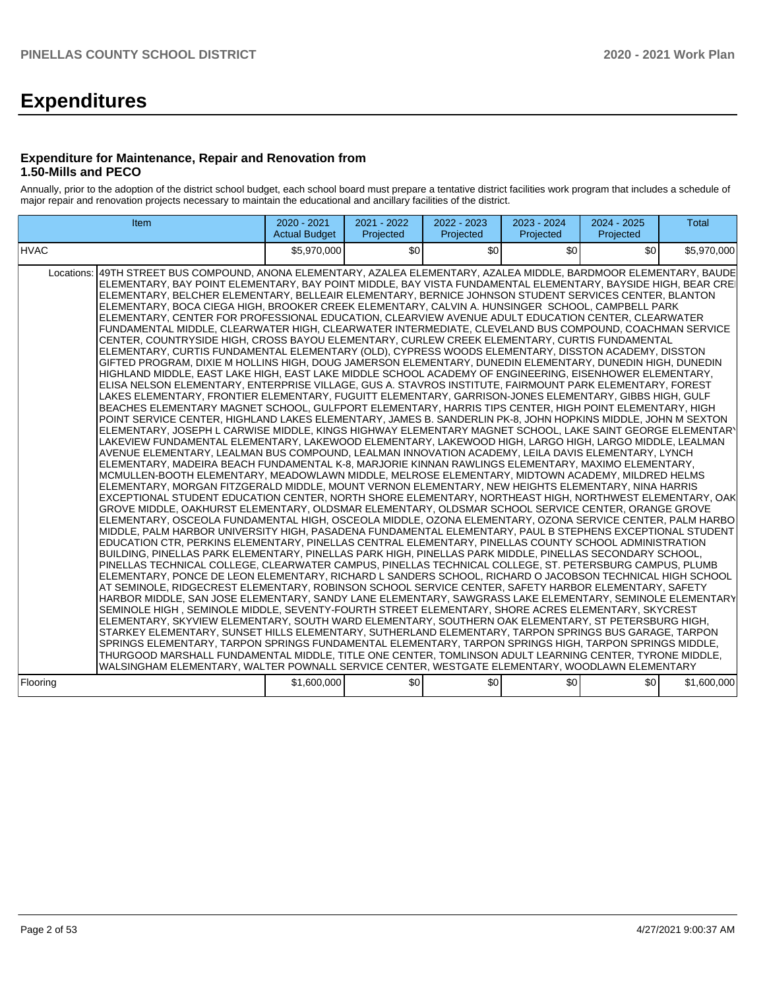# **Expenditures**

### **Expenditure for Maintenance, Repair and Renovation from 1.50-Mills and PECO**

Annually, prior to the adoption of the district school budget, each school board must prepare a tentative district facilities work program that includes a schedule of major repair and renovation projects necessary to maintain the educational and ancillary facilities of the district.

| Item                                                                                                                                                                                                                                                                                                                                                                                                                                                                                                                                                                                                                                                                                                                                                                                                                                                                                                                                                                                                                                                                                                                                                                                                                                                                                                                                                                                                                                                                                                                                                                                                                                                                                                                                                                                                                                                                                                                                                                                                                                                                                                                                                                                                                                                                                                                                                                                                                                                                                                                                                                                                                                                                                                                                                                                                                                                                                                                                                                                                                                                                                                                                                                                                                                                                                                                                                                                                                                                                                                                                                                                                                                                                                                                                                                                                                                                                                                                                                     | 2020 - 2021<br><b>Actual Budget</b> | 2021 - 2022<br>Projected | 2022 - 2023<br>Projected | 2023 - 2024<br>Projected | 2024 - 2025<br>Projected | <b>Total</b> |
|----------------------------------------------------------------------------------------------------------------------------------------------------------------------------------------------------------------------------------------------------------------------------------------------------------------------------------------------------------------------------------------------------------------------------------------------------------------------------------------------------------------------------------------------------------------------------------------------------------------------------------------------------------------------------------------------------------------------------------------------------------------------------------------------------------------------------------------------------------------------------------------------------------------------------------------------------------------------------------------------------------------------------------------------------------------------------------------------------------------------------------------------------------------------------------------------------------------------------------------------------------------------------------------------------------------------------------------------------------------------------------------------------------------------------------------------------------------------------------------------------------------------------------------------------------------------------------------------------------------------------------------------------------------------------------------------------------------------------------------------------------------------------------------------------------------------------------------------------------------------------------------------------------------------------------------------------------------------------------------------------------------------------------------------------------------------------------------------------------------------------------------------------------------------------------------------------------------------------------------------------------------------------------------------------------------------------------------------------------------------------------------------------------------------------------------------------------------------------------------------------------------------------------------------------------------------------------------------------------------------------------------------------------------------------------------------------------------------------------------------------------------------------------------------------------------------------------------------------------------------------------------------------------------------------------------------------------------------------------------------------------------------------------------------------------------------------------------------------------------------------------------------------------------------------------------------------------------------------------------------------------------------------------------------------------------------------------------------------------------------------------------------------------------------------------------------------------------------------------------------------------------------------------------------------------------------------------------------------------------------------------------------------------------------------------------------------------------------------------------------------------------------------------------------------------------------------------------------------------------------------------------------------------------------------------------------------------|-------------------------------------|--------------------------|--------------------------|--------------------------|--------------------------|--------------|
| <b>HVAC</b>                                                                                                                                                                                                                                                                                                                                                                                                                                                                                                                                                                                                                                                                                                                                                                                                                                                                                                                                                                                                                                                                                                                                                                                                                                                                                                                                                                                                                                                                                                                                                                                                                                                                                                                                                                                                                                                                                                                                                                                                                                                                                                                                                                                                                                                                                                                                                                                                                                                                                                                                                                                                                                                                                                                                                                                                                                                                                                                                                                                                                                                                                                                                                                                                                                                                                                                                                                                                                                                                                                                                                                                                                                                                                                                                                                                                                                                                                                                                              | \$5,970,000                         | \$0                      | \$0                      | \$0                      | \$0                      | \$5,970,000  |
| 49TH STREET BUS COMPOUND, ANONA ELEMENTARY, AZALEA ELEMENTARY, AZALEA MIDDLE, BARDMOOR ELEMENTARY, BAUDE<br>Locations:<br>ELEMENTARY, BAY POINT ELEMENTARY, BAY POINT MIDDLE, BAY VISTA FUNDAMENTAL ELEMENTARY, BAYSIDE HIGH, BEAR CREI<br>ELEMENTARY, BELCHER ELEMENTARY, BELLEAIR ELEMENTARY, BERNICE JOHNSON STUDENT SERVICES CENTER, BLANTON<br>ELEMENTARY, BOCA CIEGA HIGH, BROOKER CREEK ELEMENTARY, CALVIN A. HUNSINGER SCHOOL, CAMPBELL PARK<br>ELEMENTARY, CENTER FOR PROFESSIONAL EDUCATION, CLEARVIEW AVENUE ADULT EDUCATION CENTER, CLEARWATER<br>FUNDAMENTAL MIDDLE, CLEARWATER HIGH, CLEARWATER INTERMEDIATE, CLEVELAND BUS COMPOUND, COACHMAN SERVICE<br>CENTER, COUNTRYSIDE HIGH, CROSS BAYOU ELEMENTARY, CURLEW CREEK ELEMENTARY, CURTIS FUNDAMENTAL<br>ELEMENTARY, CURTIS FUNDAMENTAL ELEMENTARY (OLD), CYPRESS WOODS ELEMENTARY, DISSTON ACADEMY, DISSTON<br>GIFTED PROGRAM, DIXIE M HOLLINS HIGH, DOUG JAMERSON ELEMENTARY, DUNEDIN ELEMENTARY, DUNEDIN HIGH, DUNEDIN<br>HIGHLAND MIDDLE, EAST LAKE HIGH, EAST LAKE MIDDLE SCHOOL ACADEMY OF ENGINEERING, EISENHOWER ELEMENTARY,<br>ELISA NELSON ELEMENTARY, ENTERPRISE VILLAGE, GUS A. STAVROS INSTITUTE, FAIRMOUNT PARK ELEMENTARY, FOREST<br>LAKES ELEMENTARY, FRONTIER ELEMENTARY, FUGUITT ELEMENTARY, GARRISON-JONES ELEMENTARY, GIBBS HIGH, GULF<br>BEACHES ELEMENTARY MAGNET SCHOOL, GULFPORT ELEMENTARY, HARRIS TIPS CENTER, HIGH POINT ELEMENTARY, HIGH<br>POINT SERVICE CENTER, HIGHLAND LAKES ELEMENTARY, JAMES B. SANDERLIN PK-8, JOHN HOPKINS MIDDLE, JOHN M SEXTON<br>ELEMENTARY. JOSEPH L CARWISE MIDDLE. KINGS HIGHWAY ELEMENTARY MAGNET SCHOOL. LAKE SAINT GEORGE ELEMENTARY<br>LAKEVIEW FUNDAMENTAL ELEMENTARY, LAKEWOOD ELEMENTARY, LAKEWOOD HIGH, LARGO HIGH, LARGO MIDDLE, LEALMAN<br>AVENUE ELEMENTARY, LEALMAN BUS COMPOUND, LEALMAN INNOVATION ACADEMY, LEILA DAVIS ELEMENTARY, LYNCH<br>ELEMENTARY, MADEIRA BEACH FUNDAMENTAL K-8, MARJORIE KINNAN RAWLINGS ELEMENTARY, MAXIMO ELEMENTARY,<br>MCMULLEN-BOOTH ELEMENTARY, MEADOWLAWN MIDDLE, MELROSE ELEMENTARY, MIDTOWN ACADEMY, MILDRED HELMS<br>ELEMENTARY, MORGAN FITZGERALD MIDDLE, MOUNT VERNON ELEMENTARY, NEW HEIGHTS ELEMENTARY, NINA HARRIS<br>EXCEPTIONAL STUDENT EDUCATION CENTER, NORTH SHORE ELEMENTARY, NORTHEAST HIGH, NORTHWEST ELEMENTARY, OAK<br>GROVE MIDDLE, OAKHURST ELEMENTARY, OLDSMAR ELEMENTARY, OLDSMAR SCHOOL SERVICE CENTER, ORANGE GROVE<br>ELEMENTARY, OSCEOLA FUNDAMENTAL HIGH, OSCEOLA MIDDLE, OZONA ELEMENTARY, OZONA SERVICE CENTER, PALM HARBO<br>MIDDLE, PALM HARBOR UNIVERSITY HIGH, PASADENA FUNDAMENTAL ELEMENTARY, PAUL B STEPHENS EXCEPTIONAL STUDENT<br>EDUCATION CTR, PERKINS ELEMENTARY, PINELLAS CENTRAL ELEMENTARY, PINELLAS COUNTY SCHOOL ADMINISTRATION<br>BUILDING, PINELLAS PARK ELEMENTARY, PINELLAS PARK HIGH, PINELLAS PARK MIDDLE, PINELLAS SECONDARY SCHOOL,<br>PINELLAS TECHNICAL COLLEGE, CLEARWATER CAMPUS, PINELLAS TECHNICAL COLLEGE, ST. PETERSBURG CAMPUS, PLUMB<br>ELEMENTARY, PONCE DE LEON ELEMENTARY, RICHARD L SANDERS SCHOOL, RICHARD O JACOBSON TECHNICAL HIGH SCHOOL<br>AT SEMINOLE, RIDGECREST ELEMENTARY, ROBINSON SCHOOL SERVICE CENTER, SAFETY HARBOR ELEMENTARY, SAFETY<br>HARBOR MIDDLE, SAN JOSE ELEMENTARY, SANDY LANE ELEMENTARY, SAWGRASS LAKE ELEMENTARY, SEMINOLE ELEMENTARY<br>SEMINOLE HIGH, SEMINOLE MIDDLE, SEVENTY-FOURTH STREET ELEMENTARY, SHORE ACRES ELEMENTARY, SKYCREST<br>ELEMENTARY, SKYVIEW ELEMENTARY, SOUTH WARD ELEMENTARY, SOUTHERN OAK ELEMENTARY, ST PETERSBURG HIGH,<br>STARKEY ELEMENTARY, SUNSET HILLS ELEMENTARY, SUTHERLAND ELEMENTARY, TARPON SPRINGS BUS GARAGE, TARPON<br>SPRINGS ELEMENTARY, TARPON SPRINGS FUNDAMENTAL ELEMENTARY, TARPON SPRINGS HIGH, TARPON SPRINGS MIDDLE,<br>THURGOOD MARSHALL FUNDAMENTAL MIDDLE, TITLE ONE CENTER, TOMLINSON ADULT LEARNING CENTER, TYRONE MIDDLE,<br>WALSINGHAM ELEMENTARY, WALTER POWNALL SERVICE CENTER, WESTGATE ELEMENTARY, WOODLAWN ELEMENTARY |                                     |                          |                          |                          |                          |              |
| Flooring                                                                                                                                                                                                                                                                                                                                                                                                                                                                                                                                                                                                                                                                                                                                                                                                                                                                                                                                                                                                                                                                                                                                                                                                                                                                                                                                                                                                                                                                                                                                                                                                                                                                                                                                                                                                                                                                                                                                                                                                                                                                                                                                                                                                                                                                                                                                                                                                                                                                                                                                                                                                                                                                                                                                                                                                                                                                                                                                                                                                                                                                                                                                                                                                                                                                                                                                                                                                                                                                                                                                                                                                                                                                                                                                                                                                                                                                                                                                                 | \$1,600,000                         | \$0                      | \$0                      | \$0                      | \$0                      | \$1,600,000  |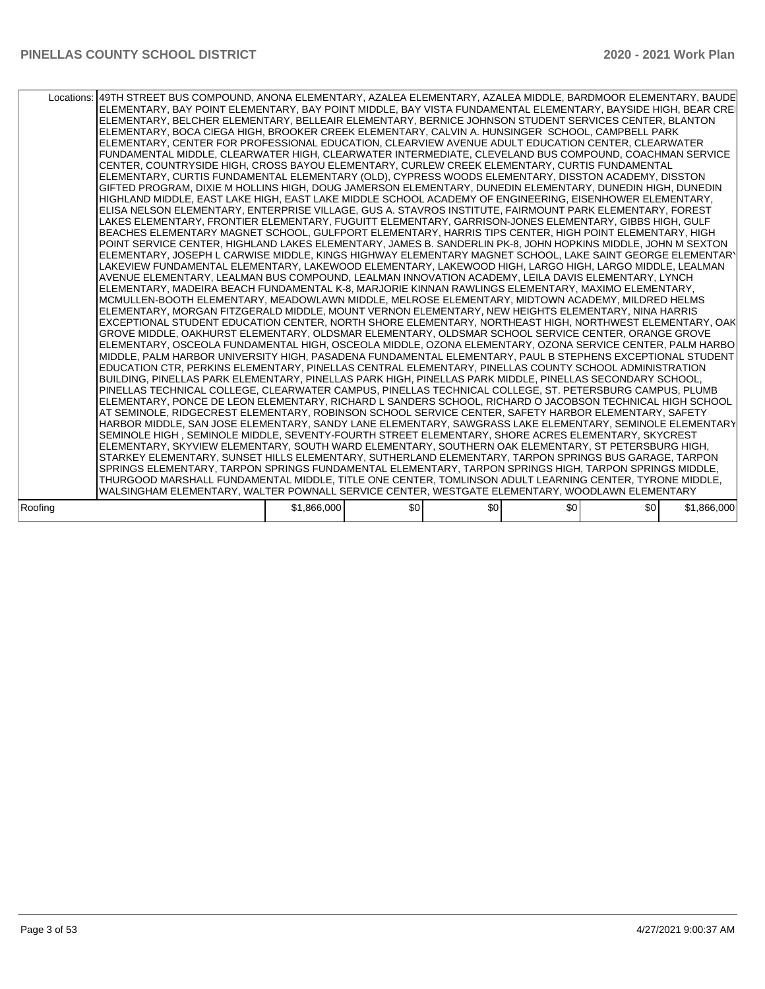| Locations: 49TH STREET BUS COMPOUND, ANONA ELEMENTARY, AZALEA ELEMENTARY, AZALEA MIDDLE, BARDMOOR ELEMENTARY, BAUDE<br>ELEMENTARY, BAY POINT ELEMENTARY, BAY POINT MIDDLE, BAY VISTA FUNDAMENTAL ELEMENTARY, BAYSIDE HIGH, BEAR CREI<br>ELEMENTARY, BELCHER ELEMENTARY, BELLEAIR ELEMENTARY, BERNICE JOHNSON STUDENT SERVICES CENTER, BLANTON<br>ELEMENTARY, BOCA CIEGA HIGH, BROOKER CREEK ELEMENTARY, CALVIN A. HUNSINGER SCHOOL, CAMPBELL PARK<br>ELEMENTARY, CENTER FOR PROFESSIONAL EDUCATION, CLEARVIEW AVENUE ADULT EDUCATION CENTER, CLEARWATER<br>FUNDAMENTAL MIDDLE, CLEARWATER HIGH, CLEARWATER INTERMEDIATE, CLEVELAND BUS COMPOUND, COACHMAN SERVICE<br>CENTER, COUNTRYSIDE HIGH, CROSS BAYOU ELEMENTARY, CURLEW CREEK ELEMENTARY, CURTIS FUNDAMENTAL<br>ELEMENTARY, CURTIS FUNDAMENTAL ELEMENTARY (OLD), CYPRESS WOODS ELEMENTARY, DISSTON ACADEMY, DISSTON<br>GIFTED PROGRAM, DIXIE M HOLLINS HIGH, DOUG JAMERSON ELEMENTARY, DUNEDIN ELEMENTARY, DUNEDIN HIGH, DUNEDIN<br>HIGHLAND MIDDLE. EAST LAKE HIGH. EAST LAKE MIDDLE SCHOOL ACADEMY OF ENGINEERING. EISENHOWER ELEMENTARY.<br>ELISA NELSON ELEMENTARY, ENTERPRISE VILLAGE, GUS A. STAVROS INSTITUTE, FAIRMOUNT PARK ELEMENTARY, FOREST<br>LAKES ELEMENTARY, FRONTIER ELEMENTARY, FUGUITT ELEMENTARY, GARRISON-JONES ELEMENTARY, GIBBS HIGH, GULF<br>BEACHES ELEMENTARY MAGNET SCHOOL, GULFPORT ELEMENTARY, HARRIS TIPS CENTER, HIGH POINT ELEMENTARY, HIGH<br>POINT SERVICE CENTER, HIGHLAND LAKES ELEMENTARY, JAMES B. SANDERLIN PK-8, JOHN HOPKINS MIDDLE, JOHN M SEXTON<br>ELEMENTARY, JOSEPH L CARWISE MIDDLE, KINGS HIGHWAY ELEMENTARY MAGNET SCHOOL, LAKE SAINT GEORGE ELEMENTARY<br>LAKEVIEW FUNDAMENTAL ELEMENTARY, LAKEWOOD ELEMENTARY, LAKEWOOD HIGH, LARGO HIGH, LARGO MIDDLE, LEALMAN<br>AVENUE ELEMENTARY, LEALMAN BUS COMPOUND, LEALMAN INNOVATION ACADEMY, LEILA DAVIS ELEMENTARY, LYNCH<br>ELEMENTARY, MADEIRA BEACH FUNDAMENTAL K-8, MARJORIE KINNAN RAWLINGS ELEMENTARY, MAXIMO ELEMENTARY,<br>MCMULLEN-BOOTH ELEMENTARY, MEADOWLAWN MIDDLE, MELROSE ELEMENTARY, MIDTOWN ACADEMY, MILDRED HELMS<br>ELEMENTARY, MORGAN FITZGERALD MIDDLE, MOUNT VERNON ELEMENTARY, NEW HEIGHTS ELEMENTARY, NINA HARRIS<br>EXCEPTIONAL STUDENT EDUCATION CENTER, NORTH SHORE ELEMENTARY, NORTHEAST HIGH, NORTHWEST ELEMENTARY, OAK<br>GROVE MIDDLE, OAKHURST ELEMENTARY, OLDSMAR ELEMENTARY, OLDSMAR SCHOOL SERVICE CENTER, ORANGE GROVE<br>ELEMENTARY, OSCEOLA FUNDAMENTAL HIGH, OSCEOLA MIDDLE, OZONA ELEMENTARY, OZONA SERVICE CENTER, PALM HARBO<br>MIDDLE, PALM HARBOR UNIVERSITY HIGH, PASADENA FUNDAMENTAL ELEMENTARY, PAUL B STEPHENS EXCEPTIONAL STUDENT<br>EDUCATION CTR. PERKINS ELEMENTARY, PINELLAS CENTRAL ELEMENTARY, PINELLAS COUNTY SCHOOL ADMINISTRATION<br>BUILDING, PINELLAS PARK ELEMENTARY, PINELLAS PARK HIGH, PINELLAS PARK MIDDLE, PINELLAS SECONDARY SCHOOL,<br>PINELLAS TECHNICAL COLLEGE, CLEARWATER CAMPUS, PINELLAS TECHNICAL COLLEGE, ST. PETERSBURG CAMPUS, PLUMB<br>ELEMENTARY, PONCE DE LEON ELEMENTARY, RICHARD L SANDERS SCHOOL, RICHARD O JACOBSON TECHNICAL HIGH SCHOOL<br>AT SEMINOLE, RIDGECREST ELEMENTARY, ROBINSON SCHOOL SERVICE CENTER, SAFETY HARBOR ELEMENTARY, SAFETY<br>HARBOR MIDDLE, SAN JOSE ELEMENTARY, SANDY LANE ELEMENTARY, SAWGRASS LAKE ELEMENTARY, SEMINOLE ELEMENTARY<br>SEMINOLE HIGH , SEMINOLE MIDDLE, SEVENTY-FOURTH STREET ELEMENTARY, SHORE ACRES ELEMENTARY, SKYCREST<br>ELEMENTARY, SKYVIEW ELEMENTARY, SOUTH WARD ELEMENTARY, SOUTHERN OAK ELEMENTARY, ST PETERSBURG HIGH,<br>STARKEY ELEMENTARY, SUNSET HILLS ELEMENTARY, SUTHERLAND ELEMENTARY, TARPON SPRINGS BUS GARAGE, TARPON<br>SPRINGS ELEMENTARY, TARPON SPRINGS FUNDAMENTAL ELEMENTARY, TARPON SPRINGS HIGH, TARPON SPRINGS MIDDLE,<br>THURGOOD MARSHALL FUNDAMENTAL MIDDLE, TITLE ONE CENTER, TOMLINSON ADULT LEARNING CENTER, TYRONE MIDDLE, |             |     |     |     |     |             |
|------------------------------------------------------------------------------------------------------------------------------------------------------------------------------------------------------------------------------------------------------------------------------------------------------------------------------------------------------------------------------------------------------------------------------------------------------------------------------------------------------------------------------------------------------------------------------------------------------------------------------------------------------------------------------------------------------------------------------------------------------------------------------------------------------------------------------------------------------------------------------------------------------------------------------------------------------------------------------------------------------------------------------------------------------------------------------------------------------------------------------------------------------------------------------------------------------------------------------------------------------------------------------------------------------------------------------------------------------------------------------------------------------------------------------------------------------------------------------------------------------------------------------------------------------------------------------------------------------------------------------------------------------------------------------------------------------------------------------------------------------------------------------------------------------------------------------------------------------------------------------------------------------------------------------------------------------------------------------------------------------------------------------------------------------------------------------------------------------------------------------------------------------------------------------------------------------------------------------------------------------------------------------------------------------------------------------------------------------------------------------------------------------------------------------------------------------------------------------------------------------------------------------------------------------------------------------------------------------------------------------------------------------------------------------------------------------------------------------------------------------------------------------------------------------------------------------------------------------------------------------------------------------------------------------------------------------------------------------------------------------------------------------------------------------------------------------------------------------------------------------------------------------------------------------------------------------------------------------------------------------------------------------------------------------------------------------------------------------------------------------------------------------------------------------------------------------------------------------------------------------------------------------------------------------------------------------------------------------------------------------------------------------------------------------------------------------------------------------------------------------------------------------------------------------------------------------------------------------|-------------|-----|-----|-----|-----|-------------|
| WALSINGHAM ELEMENTARY. WALTER POWNALL SERVICE CENTER. WESTGATE ELEMENTARY. WOODLAWN ELEMENTARY                                                                                                                                                                                                                                                                                                                                                                                                                                                                                                                                                                                                                                                                                                                                                                                                                                                                                                                                                                                                                                                                                                                                                                                                                                                                                                                                                                                                                                                                                                                                                                                                                                                                                                                                                                                                                                                                                                                                                                                                                                                                                                                                                                                                                                                                                                                                                                                                                                                                                                                                                                                                                                                                                                                                                                                                                                                                                                                                                                                                                                                                                                                                                                                                                                                                                                                                                                                                                                                                                                                                                                                                                                                                                                                                                       |             |     |     |     |     |             |
| Roofing                                                                                                                                                                                                                                                                                                                                                                                                                                                                                                                                                                                                                                                                                                                                                                                                                                                                                                                                                                                                                                                                                                                                                                                                                                                                                                                                                                                                                                                                                                                                                                                                                                                                                                                                                                                                                                                                                                                                                                                                                                                                                                                                                                                                                                                                                                                                                                                                                                                                                                                                                                                                                                                                                                                                                                                                                                                                                                                                                                                                                                                                                                                                                                                                                                                                                                                                                                                                                                                                                                                                                                                                                                                                                                                                                                                                                                              | \$1,866,000 | \$0 | \$0 | \$0 | \$0 | \$1,866,000 |
|                                                                                                                                                                                                                                                                                                                                                                                                                                                                                                                                                                                                                                                                                                                                                                                                                                                                                                                                                                                                                                                                                                                                                                                                                                                                                                                                                                                                                                                                                                                                                                                                                                                                                                                                                                                                                                                                                                                                                                                                                                                                                                                                                                                                                                                                                                                                                                                                                                                                                                                                                                                                                                                                                                                                                                                                                                                                                                                                                                                                                                                                                                                                                                                                                                                                                                                                                                                                                                                                                                                                                                                                                                                                                                                                                                                                                                                      |             |     |     |     |     |             |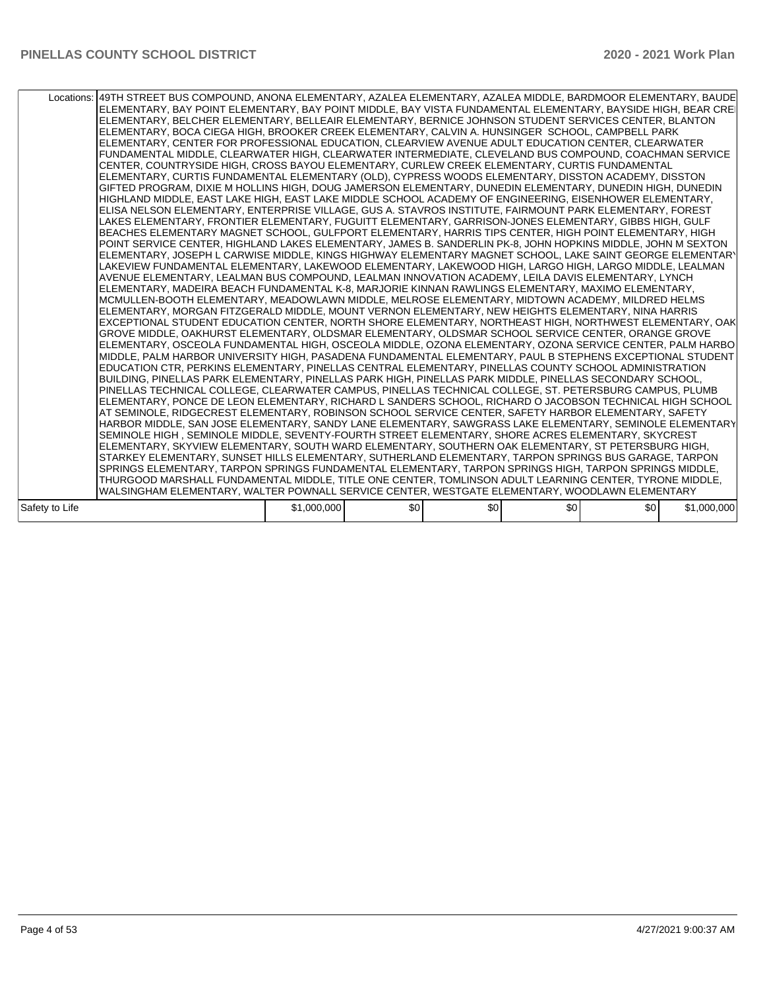|                | Locations:   49TH STREET BUS COMPOUND, ANONA ELEMENTARY, AZALEA ELEMENTARY, AZALEA MIDDLE, BARDMOOR ELEMENTARY, BAUDE<br>ELEMENTARY, BAY POINT ELEMENTARY, BAY POINT MIDDLE, BAY VISTA FUNDAMENTAL ELEMENTARY, BAYSIDE HIGH, BEAR CREI<br>ELEMENTARY, BELCHER ELEMENTARY, BELLEAIR ELEMENTARY, BERNICE JOHNSON STUDENT SERVICES CENTER, BLANTON<br>ELEMENTARY, BOCA CIEGA HIGH, BROOKER CREEK ELEMENTARY, CALVIN A. HUNSINGER SCHOOL, CAMPBELL PARK<br>ELEMENTARY, CENTER FOR PROFESSIONAL EDUCATION, CLEARVIEW AVENUE ADULT EDUCATION CENTER, CLEARWATER<br>FUNDAMENTAL MIDDLE, CLEARWATER HIGH, CLEARWATER INTERMEDIATE, CLEVELAND BUS COMPOUND, COACHMAN SERVICE<br>CENTER, COUNTRYSIDE HIGH, CROSS BAYOU ELEMENTARY, CURLEW CREEK ELEMENTARY, CURTIS FUNDAMENTAL<br>ELEMENTARY, CURTIS FUNDAMENTAL ELEMENTARY (OLD), CYPRESS WOODS ELEMENTARY, DISSTON ACADEMY, DISSTON<br>GIFTED PROGRAM, DIXIE M HOLLINS HIGH, DOUG JAMERSON ELEMENTARY, DUNEDIN ELEMENTARY, DUNEDIN HIGH, DUNEDIN<br>HIGHLAND MIDDLE, EAST LAKE HIGH, EAST LAKE MIDDLE SCHOOL ACADEMY OF ENGINEERING, EISENHOWER ELEMENTARY,<br>ELISA NELSON ELEMENTARY, ENTERPRISE VILLAGE, GUS A. STAVROS INSTITUTE, FAIRMOUNT PARK ELEMENTARY, FOREST<br>LAKES ELEMENTARY, FRONTIER ELEMENTARY, FUGUITT ELEMENTARY, GARRISON-JONES ELEMENTARY, GIBBS HIGH, GULF<br>BEACHES ELEMENTARY MAGNET SCHOOL. GULFPORT ELEMENTARY. HARRIS TIPS CENTER. HIGH POINT ELEMENTARY. HIGH<br>POINT SERVICE CENTER, HIGHLAND LAKES ELEMENTARY, JAMES B. SANDERLIN PK-8, JOHN HOPKINS MIDDLE, JOHN M SEXTON<br>ELEMENTARY, JOSEPH L CARWISE MIDDLE, KINGS HIGHWAY ELEMENTARY MAGNET SCHOOL, LAKE SAINT GEORGE ELEMENTARY<br>LAKEVIEW FUNDAMENTAL ELEMENTARY, LAKEWOOD ELEMENTARY, LAKEWOOD HIGH, LARGO HIGH, LARGO MIDDLE, LEALMAN<br>AVENUE ELEMENTARY, LEALMAN BUS COMPOUND, LEALMAN INNOVATION ACADEMY, LEILA DAVIS ELEMENTARY, LYNCH<br>ELEMENTARY, MADEIRA BEACH FUNDAMENTAL K-8, MARJORIE KINNAN RAWLINGS ELEMENTARY, MAXIMO ELEMENTARY,<br>MCMULLEN-BOOTH ELEMENTARY, MEADOWLAWN MIDDLE, MELROSE ELEMENTARY, MIDTOWN ACADEMY, MILDRED HELMS<br>ELEMENTARY, MORGAN FITZGERALD MIDDLE, MOUNT VERNON ELEMENTARY, NEW HEIGHTS ELEMENTARY, NINA HARRIS<br>EXCEPTIONAL STUDENT EDUCATION CENTER, NORTH SHORE ELEMENTARY, NORTHEAST HIGH, NORTHWEST ELEMENTARY, OAK<br>GROVE MIDDLE, OAKHURST ELEMENTARY, OLDSMAR ELEMENTARY, OLDSMAR SCHOOL SERVICE CENTER, ORANGE GROVE<br>ELEMENTARY, OSCEOLA FUNDAMENTAL HIGH, OSCEOLA MIDDLE, OZONA ELEMENTARY, OZONA SERVICE CENTER, PALM HARBO<br>MIDDLE, PALM HARBOR UNIVERSITY HIGH, PASADENA FUNDAMENTAL ELEMENTARY, PAUL B STEPHENS EXCEPTIONAL STUDENT<br>EDUCATION CTR, PERKINS ELEMENTARY, PINELLAS CENTRAL ELEMENTARY, PINELLAS COUNTY SCHOOL ADMINISTRATION<br>BUILDING, PINELLAS PARK ELEMENTARY, PINELLAS PARK HIGH, PINELLAS PARK MIDDLE, PINELLAS SECONDARY SCHOOL,<br>PINELLAS TECHNICAL COLLEGE, CLEARWATER CAMPUS, PINELLAS TECHNICAL COLLEGE, ST. PETERSBURG CAMPUS, PLUMB<br>ELEMENTARY, PONCE DE LEON ELEMENTARY, RICHARD L SANDERS SCHOOL, RICHARD O JACOBSON TECHNICAL HIGH SCHOOL<br>AT SEMINOLE, RIDGECREST ELEMENTARY, ROBINSON SCHOOL SERVICE CENTER, SAFETY HARBOR ELEMENTARY, SAFETY<br>HARBOR MIDDLE, SAN JOSE ELEMENTARY, SANDY LANE ELEMENTARY, SAWGRASS LAKE ELEMENTARY, SEMINOLE ELEMENTARY<br>SEMINOLE HIGH , SEMINOLE MIDDLE, SEVENTY-FOURTH STREET ELEMENTARY, SHORE ACRES ELEMENTARY, SKYCREST<br>ELEMENTARY, SKYVIEW ELEMENTARY, SOUTH WARD ELEMENTARY, SOUTHERN OAK ELEMENTARY, ST PETERSBURG HIGH,<br>STARKEY ELEMENTARY, SUNSET HILLS ELEMENTARY, SUTHERLAND ELEMENTARY, TARPON SPRINGS BUS GARAGE, TARPON<br>SPRINGS ELEMENTARY, TARPON SPRINGS FUNDAMENTAL ELEMENTARY, TARPON SPRINGS HIGH, TARPON SPRINGS MIDDLE,<br>THURGOOD MARSHALL FUNDAMENTAL MIDDLE, TITLE ONE CENTER, TOMLINSON ADULT LEARNING CENTER, TYRONE MIDDLE, |             |     |     |                  |     |             |
|----------------|--------------------------------------------------------------------------------------------------------------------------------------------------------------------------------------------------------------------------------------------------------------------------------------------------------------------------------------------------------------------------------------------------------------------------------------------------------------------------------------------------------------------------------------------------------------------------------------------------------------------------------------------------------------------------------------------------------------------------------------------------------------------------------------------------------------------------------------------------------------------------------------------------------------------------------------------------------------------------------------------------------------------------------------------------------------------------------------------------------------------------------------------------------------------------------------------------------------------------------------------------------------------------------------------------------------------------------------------------------------------------------------------------------------------------------------------------------------------------------------------------------------------------------------------------------------------------------------------------------------------------------------------------------------------------------------------------------------------------------------------------------------------------------------------------------------------------------------------------------------------------------------------------------------------------------------------------------------------------------------------------------------------------------------------------------------------------------------------------------------------------------------------------------------------------------------------------------------------------------------------------------------------------------------------------------------------------------------------------------------------------------------------------------------------------------------------------------------------------------------------------------------------------------------------------------------------------------------------------------------------------------------------------------------------------------------------------------------------------------------------------------------------------------------------------------------------------------------------------------------------------------------------------------------------------------------------------------------------------------------------------------------------------------------------------------------------------------------------------------------------------------------------------------------------------------------------------------------------------------------------------------------------------------------------------------------------------------------------------------------------------------------------------------------------------------------------------------------------------------------------------------------------------------------------------------------------------------------------------------------------------------------------------------------------------------------------------------------------------------------------------------------------------------------------------------------------------------------------------------|-------------|-----|-----|------------------|-----|-------------|
| Safety to Life | WALSINGHAM ELEMENTARY, WALTER POWNALL SERVICE CENTER, WESTGATE ELEMENTARY, WOODLAWN ELEMENTARY                                                                                                                                                                                                                                                                                                                                                                                                                                                                                                                                                                                                                                                                                                                                                                                                                                                                                                                                                                                                                                                                                                                                                                                                                                                                                                                                                                                                                                                                                                                                                                                                                                                                                                                                                                                                                                                                                                                                                                                                                                                                                                                                                                                                                                                                                                                                                                                                                                                                                                                                                                                                                                                                                                                                                                                                                                                                                                                                                                                                                                                                                                                                                                                                                                                                                                                                                                                                                                                                                                                                                                                                                                                                                                                                                         | \$1,000,000 | \$0 | \$0 | \$0 <sub>1</sub> | \$0 | \$1,000,000 |
|                |                                                                                                                                                                                                                                                                                                                                                                                                                                                                                                                                                                                                                                                                                                                                                                                                                                                                                                                                                                                                                                                                                                                                                                                                                                                                                                                                                                                                                                                                                                                                                                                                                                                                                                                                                                                                                                                                                                                                                                                                                                                                                                                                                                                                                                                                                                                                                                                                                                                                                                                                                                                                                                                                                                                                                                                                                                                                                                                                                                                                                                                                                                                                                                                                                                                                                                                                                                                                                                                                                                                                                                                                                                                                                                                                                                                                                                                        |             |     |     |                  |     |             |
|                |                                                                                                                                                                                                                                                                                                                                                                                                                                                                                                                                                                                                                                                                                                                                                                                                                                                                                                                                                                                                                                                                                                                                                                                                                                                                                                                                                                                                                                                                                                                                                                                                                                                                                                                                                                                                                                                                                                                                                                                                                                                                                                                                                                                                                                                                                                                                                                                                                                                                                                                                                                                                                                                                                                                                                                                                                                                                                                                                                                                                                                                                                                                                                                                                                                                                                                                                                                                                                                                                                                                                                                                                                                                                                                                                                                                                                                                        |             |     |     |                  |     |             |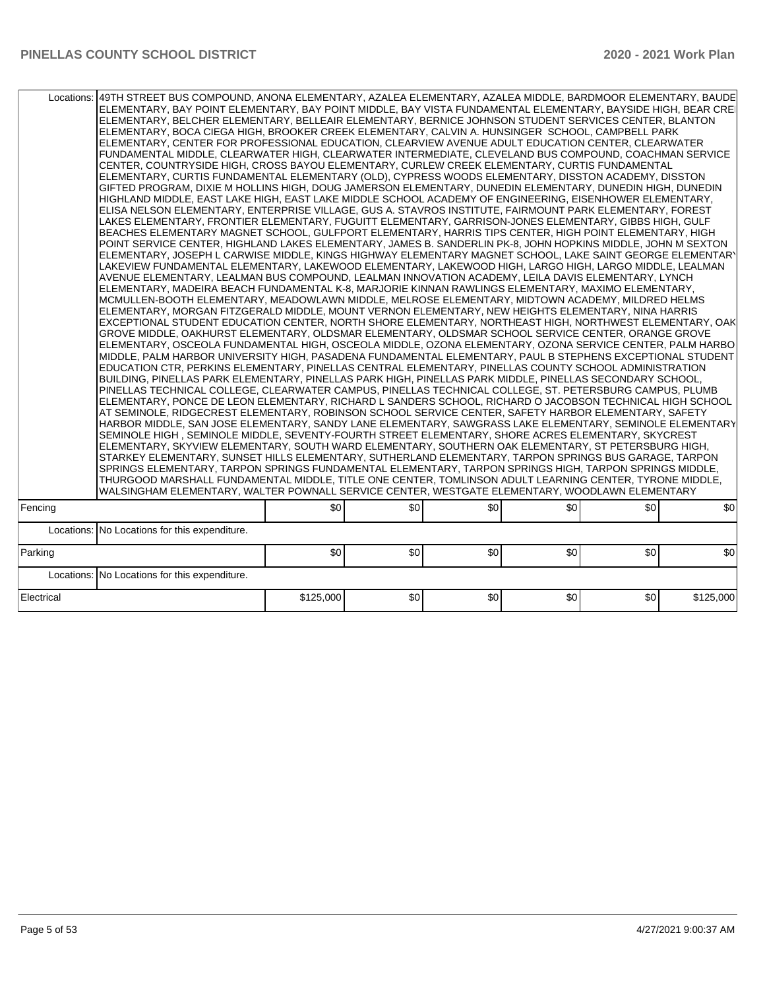| \$0<br>\$0<br>\$0<br>\$0<br>\$0<br>\$0<br>Fencing<br>Locations: No Locations for this expenditure.<br>\$0<br>\$0<br>\$0<br>Parking<br>\$0<br>\$0<br>\$0<br>Locations: No Locations for this expenditure.<br>Electrical<br>\$125,000<br>\$0<br>\$0<br>\$0<br>\$0<br>\$125,000 | Locations:   49TH STREET BUS COMPOUND, ANONA ELEMENTARY, AZALEA ELEMENTARY, AZALEA MIDDLE, BARDMOOR ELEMENTARY, BAUDE<br>ELEMENTARY, BAY POINT ELEMENTARY, BAY POINT MIDDLE, BAY VISTA FUNDAMENTAL ELEMENTARY, BAYSIDE HIGH, BEAR CREI<br>ELEMENTARY, BELCHER ELEMENTARY, BELLEAIR ELEMENTARY, BERNICE JOHNSON STUDENT SERVICES CENTER, BLANTON<br>ELEMENTARY, BOCA CIEGA HIGH, BROOKER CREEK ELEMENTARY, CALVIN A. HUNSINGER SCHOOL, CAMPBELL PARK<br>ELEMENTARY, CENTER FOR PROFESSIONAL EDUCATION, CLEARVIEW AVENUE ADULT EDUCATION CENTER, CLEARWATER<br>FUNDAMENTAL MIDDLE, CLEARWATER HIGH, CLEARWATER INTERMEDIATE, CLEVELAND BUS COMPOUND, COACHMAN SERVICE<br>CENTER, COUNTRYSIDE HIGH, CROSS BAYOU ELEMENTARY, CURLEW CREEK ELEMENTARY, CURTIS FUNDAMENTAL<br>ELEMENTARY, CURTIS FUNDAMENTAL ELEMENTARY (OLD), CYPRESS WOODS ELEMENTARY, DISSTON ACADEMY, DISSTON<br>GIFTED PROGRAM, DIXIE M HOLLINS HIGH, DOUG JAMERSON ELEMENTARY, DUNEDIN ELEMENTARY, DUNEDIN HIGH, DUNEDIN<br>HIGHLAND MIDDLE, EAST LAKE HIGH, EAST LAKE MIDDLE SCHOOL ACADEMY OF ENGINEERING, EISENHOWER ELEMENTARY,<br>ELISA NELSON ELEMENTARY, ENTERPRISE VILLAGE, GUS A. STAVROS INSTITUTE, FAIRMOUNT PARK ELEMENTARY, FOREST<br>LAKES ELEMENTARY, FRONTIER ELEMENTARY, FUGUITT ELEMENTARY, GARRISON-JONES ELEMENTARY, GIBBS HIGH, GULF<br>BEACHES ELEMENTARY MAGNET SCHOOL, GULFPORT ELEMENTARY, HARRIS TIPS CENTER, HIGH POINT ELEMENTARY, HIGH<br>POINT SERVICE CENTER, HIGHLAND LAKES ELEMENTARY, JAMES B. SANDERLIN PK-8, JOHN HOPKINS MIDDLE, JOHN M SEXTON<br>ELEMENTARY. JOSEPH L CARWISE MIDDLE. KINGS HIGHWAY ELEMENTARY MAGNET SCHOOL. LAKE SAINT GEORGE ELEMENTARY<br>LAKEVIEW FUNDAMENTAL ELEMENTARY, LAKEWOOD ELEMENTARY, LAKEWOOD HIGH, LARGO HIGH, LARGO MIDDLE, LEALMAN<br>AVENUE ELEMENTARY, LEALMAN BUS COMPOUND, LEALMAN INNOVATION ACADEMY, LEILA DAVIS ELEMENTARY, LYNCH<br>ELEMENTARY, MADEIRA BEACH FUNDAMENTAL K-8, MARJORIE KINNAN RAWLINGS ELEMENTARY, MAXIMO ELEMENTARY,<br>MCMULLEN-BOOTH ELEMENTARY, MEADOWLAWN MIDDLE, MELROSE ELEMENTARY, MIDTOWN ACADEMY, MILDRED HELMS<br>ELEMENTARY, MORGAN FITZGERALD MIDDLE, MOUNT VERNON ELEMENTARY, NEW HEIGHTS ELEMENTARY, NINA HARRIS<br>EXCEPTIONAL STUDENT EDUCATION CENTER, NORTH SHORE ELEMENTARY, NORTHEAST HIGH, NORTHWEST ELEMENTARY, OAK<br>GROVE MIDDLE, OAKHURST ELEMENTARY, OLDSMAR ELEMENTARY, OLDSMAR SCHOOL SERVICE CENTER, ORANGE GROVE<br>ELEMENTARY, OSCEOLA FUNDAMENTAL HIGH, OSCEOLA MIDDLE, OZONA ELEMENTARY, OZONA SERVICE CENTER, PALM HARBO<br>MIDDLE, PALM HARBOR UNIVERSITY HIGH, PASADENA FUNDAMENTAL ELEMENTARY, PAUL B STEPHENS EXCEPTIONAL STUDENT<br>EDUCATION CTR, PERKINS ELEMENTARY, PINELLAS CENTRAL ELEMENTARY, PINELLAS COUNTY SCHOOL ADMINISTRATION<br>BUILDING, PINELLAS PARK ELEMENTARY, PINELLAS PARK HIGH, PINELLAS PARK MIDDLE, PINELLAS SECONDARY SCHOOL,<br>PINELLAS TECHNICAL COLLEGE, CLEARWATER CAMPUS, PINELLAS TECHNICAL COLLEGE, ST. PETERSBURG CAMPUS, PLUMB<br>ELEMENTARY, PONCE DE LEON ELEMENTARY, RICHARD L SANDERS SCHOOL, RICHARD O JACOBSON TECHNICAL HIGH SCHOOL<br>AT SEMINOLE, RIDGECREST ELEMENTARY, ROBINSON SCHOOL SERVICE CENTER, SAFETY HARBOR ELEMENTARY, SAFETY<br>HARBOR MIDDLE, SAN JOSE ELEMENTARY, SANDY LANE ELEMENTARY, SAWGRASS LAKE ELEMENTARY, SEMINOLE ELEMENTARY<br>SEMINOLE HIGH , SEMINOLE MIDDLE, SEVENTY-FOURTH STREET ELEMENTARY, SHORE ACRES ELEMENTARY, SKYCREST<br>ELEMENTARY, SKYVIEW ELEMENTARY, SOUTH WARD ELEMENTARY, SOUTHERN OAK ELEMENTARY, ST PETERSBURG HIGH,<br>STARKEY ELEMENTARY, SUNSET HILLS ELEMENTARY, SUTHERLAND ELEMENTARY, TARPON SPRINGS BUS GARAGE, TARPON<br>SPRINGS ELEMENTARY, TARPON SPRINGS FUNDAMENTAL ELEMENTARY, TARPON SPRINGS HIGH, TARPON SPRINGS MIDDLE,<br>THURGOOD MARSHALL FUNDAMENTAL MIDDLE, TITLE ONE CENTER, TOMLINSON ADULT LEARNING CENTER, TYRONE MIDDLE,<br>WALSINGHAM ELEMENTARY, WALTER POWNALL SERVICE CENTER, WESTGATE ELEMENTARY, WOODLAWN ELEMENTARY |  |  |  |
|------------------------------------------------------------------------------------------------------------------------------------------------------------------------------------------------------------------------------------------------------------------------------|----------------------------------------------------------------------------------------------------------------------------------------------------------------------------------------------------------------------------------------------------------------------------------------------------------------------------------------------------------------------------------------------------------------------------------------------------------------------------------------------------------------------------------------------------------------------------------------------------------------------------------------------------------------------------------------------------------------------------------------------------------------------------------------------------------------------------------------------------------------------------------------------------------------------------------------------------------------------------------------------------------------------------------------------------------------------------------------------------------------------------------------------------------------------------------------------------------------------------------------------------------------------------------------------------------------------------------------------------------------------------------------------------------------------------------------------------------------------------------------------------------------------------------------------------------------------------------------------------------------------------------------------------------------------------------------------------------------------------------------------------------------------------------------------------------------------------------------------------------------------------------------------------------------------------------------------------------------------------------------------------------------------------------------------------------------------------------------------------------------------------------------------------------------------------------------------------------------------------------------------------------------------------------------------------------------------------------------------------------------------------------------------------------------------------------------------------------------------------------------------------------------------------------------------------------------------------------------------------------------------------------------------------------------------------------------------------------------------------------------------------------------------------------------------------------------------------------------------------------------------------------------------------------------------------------------------------------------------------------------------------------------------------------------------------------------------------------------------------------------------------------------------------------------------------------------------------------------------------------------------------------------------------------------------------------------------------------------------------------------------------------------------------------------------------------------------------------------------------------------------------------------------------------------------------------------------------------------------------------------------------------------------------------------------------------------------------------------------------------------------------------------------------------------------------------------------------------------------------------------------------------------------------------------------------------------------------------|--|--|--|
|                                                                                                                                                                                                                                                                              |                                                                                                                                                                                                                                                                                                                                                                                                                                                                                                                                                                                                                                                                                                                                                                                                                                                                                                                                                                                                                                                                                                                                                                                                                                                                                                                                                                                                                                                                                                                                                                                                                                                                                                                                                                                                                                                                                                                                                                                                                                                                                                                                                                                                                                                                                                                                                                                                                                                                                                                                                                                                                                                                                                                                                                                                                                                                                                                                                                                                                                                                                                                                                                                                                                                                                                                                                                                                                                                                                                                                                                                                                                                                                                                                                                                                                                                                                                                                                          |  |  |  |
|                                                                                                                                                                                                                                                                              |                                                                                                                                                                                                                                                                                                                                                                                                                                                                                                                                                                                                                                                                                                                                                                                                                                                                                                                                                                                                                                                                                                                                                                                                                                                                                                                                                                                                                                                                                                                                                                                                                                                                                                                                                                                                                                                                                                                                                                                                                                                                                                                                                                                                                                                                                                                                                                                                                                                                                                                                                                                                                                                                                                                                                                                                                                                                                                                                                                                                                                                                                                                                                                                                                                                                                                                                                                                                                                                                                                                                                                                                                                                                                                                                                                                                                                                                                                                                                          |  |  |  |
|                                                                                                                                                                                                                                                                              |                                                                                                                                                                                                                                                                                                                                                                                                                                                                                                                                                                                                                                                                                                                                                                                                                                                                                                                                                                                                                                                                                                                                                                                                                                                                                                                                                                                                                                                                                                                                                                                                                                                                                                                                                                                                                                                                                                                                                                                                                                                                                                                                                                                                                                                                                                                                                                                                                                                                                                                                                                                                                                                                                                                                                                                                                                                                                                                                                                                                                                                                                                                                                                                                                                                                                                                                                                                                                                                                                                                                                                                                                                                                                                                                                                                                                                                                                                                                                          |  |  |  |
|                                                                                                                                                                                                                                                                              |                                                                                                                                                                                                                                                                                                                                                                                                                                                                                                                                                                                                                                                                                                                                                                                                                                                                                                                                                                                                                                                                                                                                                                                                                                                                                                                                                                                                                                                                                                                                                                                                                                                                                                                                                                                                                                                                                                                                                                                                                                                                                                                                                                                                                                                                                                                                                                                                                                                                                                                                                                                                                                                                                                                                                                                                                                                                                                                                                                                                                                                                                                                                                                                                                                                                                                                                                                                                                                                                                                                                                                                                                                                                                                                                                                                                                                                                                                                                                          |  |  |  |
|                                                                                                                                                                                                                                                                              |                                                                                                                                                                                                                                                                                                                                                                                                                                                                                                                                                                                                                                                                                                                                                                                                                                                                                                                                                                                                                                                                                                                                                                                                                                                                                                                                                                                                                                                                                                                                                                                                                                                                                                                                                                                                                                                                                                                                                                                                                                                                                                                                                                                                                                                                                                                                                                                                                                                                                                                                                                                                                                                                                                                                                                                                                                                                                                                                                                                                                                                                                                                                                                                                                                                                                                                                                                                                                                                                                                                                                                                                                                                                                                                                                                                                                                                                                                                                                          |  |  |  |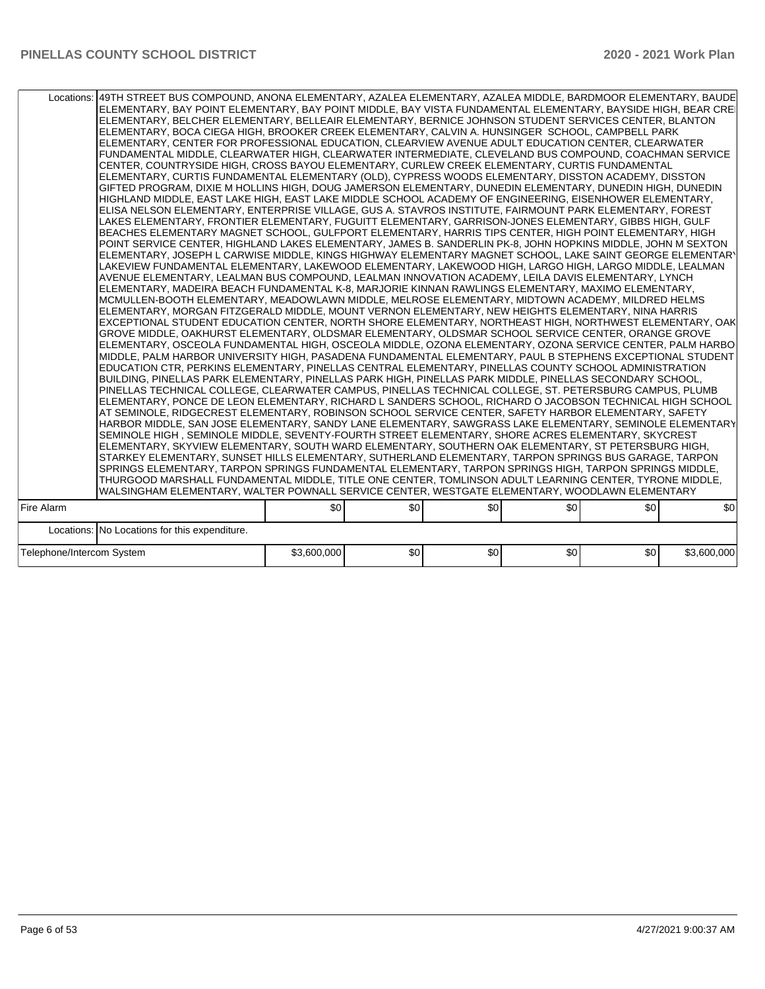|                           | Locations:   49TH STREET BUS COMPOUND, ANONA ELEMENTARY, AZALEA ELEMENTARY, AZALEA MIDDLE, BARDMOOR ELEMENTARY, BAUDE<br>ELEMENTARY, BAY POINT ELEMENTARY, BAY POINT MIDDLE, BAY VISTA FUNDAMENTAL ELEMENTARY, BAYSIDE HIGH, BEAR CREI<br>ELEMENTARY, BELCHER ELEMENTARY, BELLEAIR ELEMENTARY, BERNICE JOHNSON STUDENT SERVICES CENTER, BLANTON<br>ELEMENTARY, BOCA CIEGA HIGH, BROOKER CREEK ELEMENTARY, CALVIN A. HUNSINGER SCHOOL, CAMPBELL PARK<br>ELEMENTARY, CENTER FOR PROFESSIONAL EDUCATION, CLEARVIEW AVENUE ADULT EDUCATION CENTER, CLEARWATER<br>FUNDAMENTAL MIDDLE, CLEARWATER HIGH, CLEARWATER INTERMEDIATE, CLEVELAND BUS COMPOUND, COACHMAN SERVICE<br>CENTER, COUNTRYSIDE HIGH, CROSS BAYOU ELEMENTARY, CURLEW CREEK ELEMENTARY, CURTIS FUNDAMENTAL<br>ELEMENTARY, CURTIS FUNDAMENTAL ELEMENTARY (OLD), CYPRESS WOODS ELEMENTARY, DISSTON ACADEMY, DISSTON<br>GIFTED PROGRAM, DIXIE M HOLLINS HIGH, DOUG JAMERSON ELEMENTARY, DUNEDIN ELEMENTARY, DUNEDIN HIGH, DUNEDIN<br>HIGHLAND MIDDLE, EAST LAKE HIGH, EAST LAKE MIDDLE SCHOOL ACADEMY OF ENGINEERING, EISENHOWER ELEMENTARY,<br>ELISA NELSON ELEMENTARY, ENTERPRISE VILLAGE, GUS A. STAVROS INSTITUTE, FAIRMOUNT PARK ELEMENTARY, FOREST<br>LAKES ELEMENTARY, FRONTIER ELEMENTARY, FUGUITT ELEMENTARY, GARRISON-JONES ELEMENTARY, GIBBS HIGH, GULF<br>BEACHES ELEMENTARY MAGNET SCHOOL, GULFPORT ELEMENTARY, HARRIS TIPS CENTER, HIGH POINT ELEMENTARY, HIGH<br>POINT SERVICE CENTER, HIGHLAND LAKES ELEMENTARY, JAMES B. SANDERLIN PK-8, JOHN HOPKINS MIDDLE, JOHN M SEXTON<br>ELEMENTARY, JOSEPH L CARWISE MIDDLE, KINGS HIGHWAY ELEMENTARY MAGNET SCHOOL, LAKE SAINT GEORGE ELEMENTARY<br>LAKEVIEW FUNDAMENTAL ELEMENTARY, LAKEWOOD ELEMENTARY, LAKEWOOD HIGH, LARGO HIGH, LARGO MIDDLE, LEALMAN<br>AVENUE ELEMENTARY, LEALMAN BUS COMPOUND, LEALMAN INNOVATION ACADEMY, LEILA DAVIS ELEMENTARY, LYNCH<br>ELEMENTARY, MADEIRA BEACH FUNDAMENTAL K-8, MARJORIE KINNAN RAWLINGS ELEMENTARY, MAXIMO ELEMENTARY,<br>MCMULLEN-BOOTH ELEMENTARY, MEADOWLAWN MIDDLE, MELROSE ELEMENTARY, MIDTOWN ACADEMY, MILDRED HELMS<br>ELEMENTARY, MORGAN FITZGERALD MIDDLE, MOUNT VERNON ELEMENTARY, NEW HEIGHTS ELEMENTARY, NINA HARRIS<br>EXCEPTIONAL STUDENT EDUCATION CENTER, NORTH SHORE ELEMENTARY, NORTHEAST HIGH, NORTHWEST ELEMENTARY, OAK<br>GROVE MIDDLE, OAKHURST ELEMENTARY, OLDSMAR ELEMENTARY, OLDSMAR SCHOOL SERVICE CENTER, ORANGE GROVE<br>ELEMENTARY, OSCEOLA FUNDAMENTAL HIGH, OSCEOLA MIDDLE, OZONA ELEMENTARY, OZONA SERVICE CENTER, PALM HARBO<br>MIDDLE, PALM HARBOR UNIVERSITY HIGH, PASADENA FUNDAMENTAL ELEMENTARY, PAUL B STEPHENS EXCEPTIONAL STUDENT<br>EDUCATION CTR, PERKINS ELEMENTARY, PINELLAS CENTRAL ELEMENTARY, PINELLAS COUNTY SCHOOL ADMINISTRATION<br>BUILDING, PINELLAS PARK ELEMENTARY, PINELLAS PARK HIGH, PINELLAS PARK MIDDLE, PINELLAS SECONDARY SCHOOL,<br>PINELLAS TECHNICAL COLLEGE, CLEARWATER CAMPUS, PINELLAS TECHNICAL COLLEGE, ST. PETERSBURG CAMPUS, PLUMB<br>ELEMENTARY, PONCE DE LEON ELEMENTARY, RICHARD L SANDERS SCHOOL, RICHARD O JACOBSON TECHNICAL HIGH SCHOOL<br>AT SEMINOLE, RIDGECREST ELEMENTARY, ROBINSON SCHOOL SERVICE CENTER, SAFETY HARBOR ELEMENTARY, SAFETY<br>HARBOR MIDDLE, SAN JOSE ELEMENTARY, SANDY LANE ELEMENTARY, SAWGRASS LAKE ELEMENTARY, SEMINOLE ELEMENTARY<br>SEMINOLE HIGH, SEMINOLE MIDDLE, SEVENTY-FOURTH STREET ELEMENTARY, SHORE ACRES ELEMENTARY, SKYCREST<br>ELEMENTARY, SKYVIEW ELEMENTARY, SOUTH WARD ELEMENTARY, SOUTHERN OAK ELEMENTARY, ST PETERSBURG HIGH,<br>STARKEY ELEMENTARY, SUNSET HILLS ELEMENTARY, SUTHERLAND ELEMENTARY, TARPON SPRINGS BUS GARAGE, TARPON<br>SPRINGS ELEMENTARY, TARPON SPRINGS FUNDAMENTAL ELEMENTARY, TARPON SPRINGS HIGH, TARPON SPRINGS MIDDLE,<br>THURGOOD MARSHALL FUNDAMENTAL MIDDLE, TITLE ONE CENTER, TOMLINSON ADULT LEARNING CENTER, TYRONE MIDDLE,<br>WALSINGHAM ELEMENTARY, WALTER POWNALL SERVICE CENTER, WESTGATE ELEMENTARY, WOODLAWN ELEMENTARY |             |     |     |     |     |             |
|---------------------------|---------------------------------------------------------------------------------------------------------------------------------------------------------------------------------------------------------------------------------------------------------------------------------------------------------------------------------------------------------------------------------------------------------------------------------------------------------------------------------------------------------------------------------------------------------------------------------------------------------------------------------------------------------------------------------------------------------------------------------------------------------------------------------------------------------------------------------------------------------------------------------------------------------------------------------------------------------------------------------------------------------------------------------------------------------------------------------------------------------------------------------------------------------------------------------------------------------------------------------------------------------------------------------------------------------------------------------------------------------------------------------------------------------------------------------------------------------------------------------------------------------------------------------------------------------------------------------------------------------------------------------------------------------------------------------------------------------------------------------------------------------------------------------------------------------------------------------------------------------------------------------------------------------------------------------------------------------------------------------------------------------------------------------------------------------------------------------------------------------------------------------------------------------------------------------------------------------------------------------------------------------------------------------------------------------------------------------------------------------------------------------------------------------------------------------------------------------------------------------------------------------------------------------------------------------------------------------------------------------------------------------------------------------------------------------------------------------------------------------------------------------------------------------------------------------------------------------------------------------------------------------------------------------------------------------------------------------------------------------------------------------------------------------------------------------------------------------------------------------------------------------------------------------------------------------------------------------------------------------------------------------------------------------------------------------------------------------------------------------------------------------------------------------------------------------------------------------------------------------------------------------------------------------------------------------------------------------------------------------------------------------------------------------------------------------------------------------------------------------------------------------------------------------------------------------------------------------------------------------------------------------------------------------------------------------------------------------|-------------|-----|-----|-----|-----|-------------|
| Fire Alarm                |                                                                                                                                                                                                                                                                                                                                                                                                                                                                                                                                                                                                                                                                                                                                                                                                                                                                                                                                                                                                                                                                                                                                                                                                                                                                                                                                                                                                                                                                                                                                                                                                                                                                                                                                                                                                                                                                                                                                                                                                                                                                                                                                                                                                                                                                                                                                                                                                                                                                                                                                                                                                                                                                                                                                                                                                                                                                                                                                                                                                                                                                                                                                                                                                                                                                                                                                                                                                                                                                                                                                                                                                                                                                                                                                                                                                                                                                                                                                                         | \$0         | \$0 | \$0 | \$0 | \$0 | \$0         |
|                           |                                                                                                                                                                                                                                                                                                                                                                                                                                                                                                                                                                                                                                                                                                                                                                                                                                                                                                                                                                                                                                                                                                                                                                                                                                                                                                                                                                                                                                                                                                                                                                                                                                                                                                                                                                                                                                                                                                                                                                                                                                                                                                                                                                                                                                                                                                                                                                                                                                                                                                                                                                                                                                                                                                                                                                                                                                                                                                                                                                                                                                                                                                                                                                                                                                                                                                                                                                                                                                                                                                                                                                                                                                                                                                                                                                                                                                                                                                                                                         |             |     |     |     |     |             |
|                           | Locations: No Locations for this expenditure.                                                                                                                                                                                                                                                                                                                                                                                                                                                                                                                                                                                                                                                                                                                                                                                                                                                                                                                                                                                                                                                                                                                                                                                                                                                                                                                                                                                                                                                                                                                                                                                                                                                                                                                                                                                                                                                                                                                                                                                                                                                                                                                                                                                                                                                                                                                                                                                                                                                                                                                                                                                                                                                                                                                                                                                                                                                                                                                                                                                                                                                                                                                                                                                                                                                                                                                                                                                                                                                                                                                                                                                                                                                                                                                                                                                                                                                                                                           |             |     |     |     |     |             |
| Telephone/Intercom System |                                                                                                                                                                                                                                                                                                                                                                                                                                                                                                                                                                                                                                                                                                                                                                                                                                                                                                                                                                                                                                                                                                                                                                                                                                                                                                                                                                                                                                                                                                                                                                                                                                                                                                                                                                                                                                                                                                                                                                                                                                                                                                                                                                                                                                                                                                                                                                                                                                                                                                                                                                                                                                                                                                                                                                                                                                                                                                                                                                                                                                                                                                                                                                                                                                                                                                                                                                                                                                                                                                                                                                                                                                                                                                                                                                                                                                                                                                                                                         | \$3,600,000 | \$0 | \$0 | \$0 | \$0 | \$3,600,000 |
|                           |                                                                                                                                                                                                                                                                                                                                                                                                                                                                                                                                                                                                                                                                                                                                                                                                                                                                                                                                                                                                                                                                                                                                                                                                                                                                                                                                                                                                                                                                                                                                                                                                                                                                                                                                                                                                                                                                                                                                                                                                                                                                                                                                                                                                                                                                                                                                                                                                                                                                                                                                                                                                                                                                                                                                                                                                                                                                                                                                                                                                                                                                                                                                                                                                                                                                                                                                                                                                                                                                                                                                                                                                                                                                                                                                                                                                                                                                                                                                                         |             |     |     |     |     |             |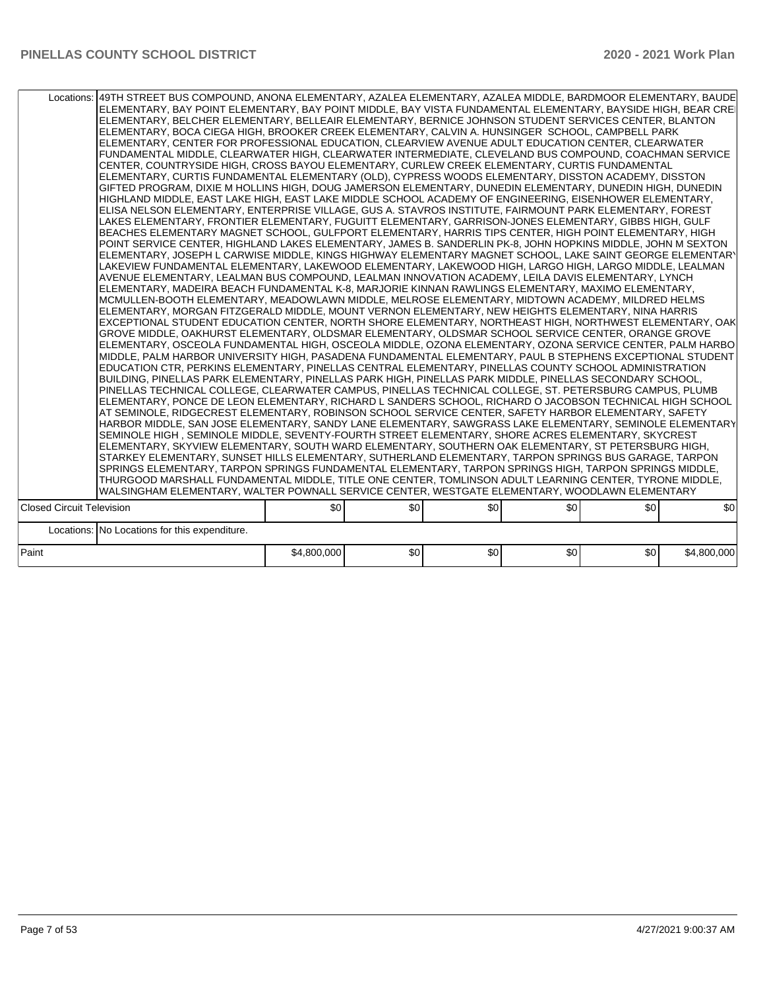|                                  | Locations:   49TH STREET BUS COMPOUND, ANONA ELEMENTARY, AZALEA ELEMENTARY, AZALEA MIDDLE, BARDMOOR ELEMENTARY, BAUDE<br>ELEMENTARY, BAY POINT ELEMENTARY, BAY POINT MIDDLE, BAY VISTA FUNDAMENTAL ELEMENTARY, BAYSIDE HIGH, BEAR CREI<br>ELEMENTARY, BELCHER ELEMENTARY, BELLEAIR ELEMENTARY, BERNICE JOHNSON STUDENT SERVICES CENTER, BLANTON<br>ELEMENTARY, BOCA CIEGA HIGH, BROOKER CREEK ELEMENTARY, CALVIN A. HUNSINGER SCHOOL, CAMPBELL PARK<br>ELEMENTARY, CENTER FOR PROFESSIONAL EDUCATION, CLEARVIEW AVENUE ADULT EDUCATION CENTER, CLEARWATER<br>FUNDAMENTAL MIDDLE, CLEARWATER HIGH, CLEARWATER INTERMEDIATE, CLEVELAND BUS COMPOUND, COACHMAN SERVICE<br>CENTER, COUNTRYSIDE HIGH, CROSS BAYOU ELEMENTARY, CURLEW CREEK ELEMENTARY, CURTIS FUNDAMENTAL<br>ELEMENTARY, CURTIS FUNDAMENTAL ELEMENTARY (OLD), CYPRESS WOODS ELEMENTARY, DISSTON ACADEMY, DISSTON<br>GIFTED PROGRAM, DIXIE M HOLLINS HIGH, DOUG JAMERSON ELEMENTARY, DUNEDIN ELEMENTARY, DUNEDIN HIGH, DUNEDIN<br>HIGHLAND MIDDLE, EAST LAKE HIGH, EAST LAKE MIDDLE SCHOOL ACADEMY OF ENGINEERING, EISENHOWER ELEMENTARY,<br>ELISA NELSON ELEMENTARY. ENTERPRISE VILLAGE. GUS A. STAVROS INSTITUTE. FAIRMOUNT PARK ELEMENTARY. FOREST<br>LAKES ELEMENTARY, FRONTIER ELEMENTARY, FUGUITT ELEMENTARY, GARRISON-JONES ELEMENTARY, GIBBS HIGH, GULF<br>BEACHES ELEMENTARY MAGNET SCHOOL, GULFPORT ELEMENTARY, HARRIS TIPS CENTER, HIGH POINT ELEMENTARY, HIGH<br>POINT SERVICE CENTER, HIGHLAND LAKES ELEMENTARY, JAMES B. SANDERLIN PK-8, JOHN HOPKINS MIDDLE, JOHN M SEXTON<br>ELEMENTARY, JOSEPH L CARWISE MIDDLE, KINGS HIGHWAY ELEMENTARY MAGNET SCHOOL, LAKE SAINT GEORGE ELEMENTARY<br>LAKEVIEW FUNDAMENTAL ELEMENTARY, LAKEWOOD ELEMENTARY, LAKEWOOD HIGH, LARGO HIGH, LARGO MIDDLE, LEALMAN<br>AVENUE ELEMENTARY, LEALMAN BUS COMPOUND, LEALMAN INNOVATION ACADEMY, LEILA DAVIS ELEMENTARY, LYNCH<br>ELEMENTARY, MADEIRA BEACH FUNDAMENTAL K-8, MARJORIE KINNAN RAWLINGS ELEMENTARY, MAXIMO ELEMENTARY,<br>MCMULLEN-BOOTH ELEMENTARY, MEADOWLAWN MIDDLE, MELROSE ELEMENTARY, MIDTOWN ACADEMY, MILDRED HELMS<br>ELEMENTARY, MORGAN FITZGERALD MIDDLE, MOUNT VERNON ELEMENTARY, NEW HEIGHTS ELEMENTARY, NINA HARRIS<br>EXCEPTIONAL STUDENT EDUCATION CENTER, NORTH SHORE ELEMENTARY, NORTHEAST HIGH, NORTHWEST ELEMENTARY, OAK<br>GROVE MIDDLE, OAKHURST ELEMENTARY, OLDSMAR ELEMENTARY, OLDSMAR SCHOOL SERVICE CENTER, ORANGE GROVE<br>ELEMENTARY, OSCEOLA FUNDAMENTAL HIGH, OSCEOLA MIDDLE, OZONA ELEMENTARY, OZONA SERVICE CENTER, PALM HARBO<br>MIDDLE, PALM HARBOR UNIVERSITY HIGH, PASADENA FUNDAMENTAL ELEMENTARY, PAUL B STEPHENS EXCEPTIONAL STUDENT<br>EDUCATION CTR, PERKINS ELEMENTARY, PINELLAS CENTRAL ELEMENTARY, PINELLAS COUNTY SCHOOL ADMINISTRATION<br>BUILDING, PINELLAS PARK ELEMENTARY, PINELLAS PARK HIGH, PINELLAS PARK MIDDLE, PINELLAS SECONDARY SCHOOL,<br>PINELLAS TECHNICAL COLLEGE, CLEARWATER CAMPUS, PINELLAS TECHNICAL COLLEGE, ST. PETERSBURG CAMPUS, PLUMB<br>ELEMENTARY, PONCE DE LEON ELEMENTARY, RICHARD L SANDERS SCHOOL, RICHARD O JACOBSON TECHNICAL HIGH SCHOOL<br>AT SEMINOLE, RIDGECREST ELEMENTARY, ROBINSON SCHOOL SERVICE CENTER, SAFETY HARBOR ELEMENTARY, SAFETY<br>HARBOR MIDDLE, SAN JOSE ELEMENTARY, SANDY LANE ELEMENTARY, SAWGRASS LAKE ELEMENTARY, SEMINOLE ELEMENTARY<br>SEMINOLE HIGH, SEMINOLE MIDDLE, SEVENTY-FOURTH STREET ELEMENTARY, SHORE ACRES ELEMENTARY, SKYCREST<br>ELEMENTARY, SKYVIEW ELEMENTARY, SOUTH WARD ELEMENTARY, SOUTHERN OAK ELEMENTARY, ST PETERSBURG HIGH,<br>STARKEY ELEMENTARY, SUNSET HILLS ELEMENTARY, SUTHERLAND ELEMENTARY, TARPON SPRINGS BUS GARAGE, TARPON<br>SPRINGS ELEMENTARY, TARPON SPRINGS FUNDAMENTAL ELEMENTARY, TARPON SPRINGS HIGH, TARPON SPRINGS MIDDLE,<br>THURGOOD MARSHALL FUNDAMENTAL MIDDLE, TITLE ONE CENTER, TOMLINSON ADULT LEARNING CENTER, TYRONE MIDDLE,<br>WALSINGHAM ELEMENTARY, WALTER POWNALL SERVICE CENTER, WESTGATE ELEMENTARY, WOODLAWN ELEMENTARY |             |     |     |     |     |             |
|----------------------------------|---------------------------------------------------------------------------------------------------------------------------------------------------------------------------------------------------------------------------------------------------------------------------------------------------------------------------------------------------------------------------------------------------------------------------------------------------------------------------------------------------------------------------------------------------------------------------------------------------------------------------------------------------------------------------------------------------------------------------------------------------------------------------------------------------------------------------------------------------------------------------------------------------------------------------------------------------------------------------------------------------------------------------------------------------------------------------------------------------------------------------------------------------------------------------------------------------------------------------------------------------------------------------------------------------------------------------------------------------------------------------------------------------------------------------------------------------------------------------------------------------------------------------------------------------------------------------------------------------------------------------------------------------------------------------------------------------------------------------------------------------------------------------------------------------------------------------------------------------------------------------------------------------------------------------------------------------------------------------------------------------------------------------------------------------------------------------------------------------------------------------------------------------------------------------------------------------------------------------------------------------------------------------------------------------------------------------------------------------------------------------------------------------------------------------------------------------------------------------------------------------------------------------------------------------------------------------------------------------------------------------------------------------------------------------------------------------------------------------------------------------------------------------------------------------------------------------------------------------------------------------------------------------------------------------------------------------------------------------------------------------------------------------------------------------------------------------------------------------------------------------------------------------------------------------------------------------------------------------------------------------------------------------------------------------------------------------------------------------------------------------------------------------------------------------------------------------------------------------------------------------------------------------------------------------------------------------------------------------------------------------------------------------------------------------------------------------------------------------------------------------------------------------------------------------------------------------------------------------------------------------------------------------------------------------------------------------------|-------------|-----|-----|-----|-----|-------------|
| <b>Closed Circuit Television</b> |                                                                                                                                                                                                                                                                                                                                                                                                                                                                                                                                                                                                                                                                                                                                                                                                                                                                                                                                                                                                                                                                                                                                                                                                                                                                                                                                                                                                                                                                                                                                                                                                                                                                                                                                                                                                                                                                                                                                                                                                                                                                                                                                                                                                                                                                                                                                                                                                                                                                                                                                                                                                                                                                                                                                                                                                                                                                                                                                                                                                                                                                                                                                                                                                                                                                                                                                                                                                                                                                                                                                                                                                                                                                                                                                                                                                                                                                                                                                                         | \$0         | \$0 | \$0 | \$0 | \$0 | \$0         |
|                                  |                                                                                                                                                                                                                                                                                                                                                                                                                                                                                                                                                                                                                                                                                                                                                                                                                                                                                                                                                                                                                                                                                                                                                                                                                                                                                                                                                                                                                                                                                                                                                                                                                                                                                                                                                                                                                                                                                                                                                                                                                                                                                                                                                                                                                                                                                                                                                                                                                                                                                                                                                                                                                                                                                                                                                                                                                                                                                                                                                                                                                                                                                                                                                                                                                                                                                                                                                                                                                                                                                                                                                                                                                                                                                                                                                                                                                                                                                                                                                         |             |     |     |     |     |             |
|                                  | Locations: No Locations for this expenditure.                                                                                                                                                                                                                                                                                                                                                                                                                                                                                                                                                                                                                                                                                                                                                                                                                                                                                                                                                                                                                                                                                                                                                                                                                                                                                                                                                                                                                                                                                                                                                                                                                                                                                                                                                                                                                                                                                                                                                                                                                                                                                                                                                                                                                                                                                                                                                                                                                                                                                                                                                                                                                                                                                                                                                                                                                                                                                                                                                                                                                                                                                                                                                                                                                                                                                                                                                                                                                                                                                                                                                                                                                                                                                                                                                                                                                                                                                                           |             |     |     |     |     |             |
| Paint                            |                                                                                                                                                                                                                                                                                                                                                                                                                                                                                                                                                                                                                                                                                                                                                                                                                                                                                                                                                                                                                                                                                                                                                                                                                                                                                                                                                                                                                                                                                                                                                                                                                                                                                                                                                                                                                                                                                                                                                                                                                                                                                                                                                                                                                                                                                                                                                                                                                                                                                                                                                                                                                                                                                                                                                                                                                                                                                                                                                                                                                                                                                                                                                                                                                                                                                                                                                                                                                                                                                                                                                                                                                                                                                                                                                                                                                                                                                                                                                         | \$4,800,000 | \$0 | \$0 | \$0 | \$0 | \$4,800,000 |
|                                  |                                                                                                                                                                                                                                                                                                                                                                                                                                                                                                                                                                                                                                                                                                                                                                                                                                                                                                                                                                                                                                                                                                                                                                                                                                                                                                                                                                                                                                                                                                                                                                                                                                                                                                                                                                                                                                                                                                                                                                                                                                                                                                                                                                                                                                                                                                                                                                                                                                                                                                                                                                                                                                                                                                                                                                                                                                                                                                                                                                                                                                                                                                                                                                                                                                                                                                                                                                                                                                                                                                                                                                                                                                                                                                                                                                                                                                                                                                                                                         |             |     |     |     |     |             |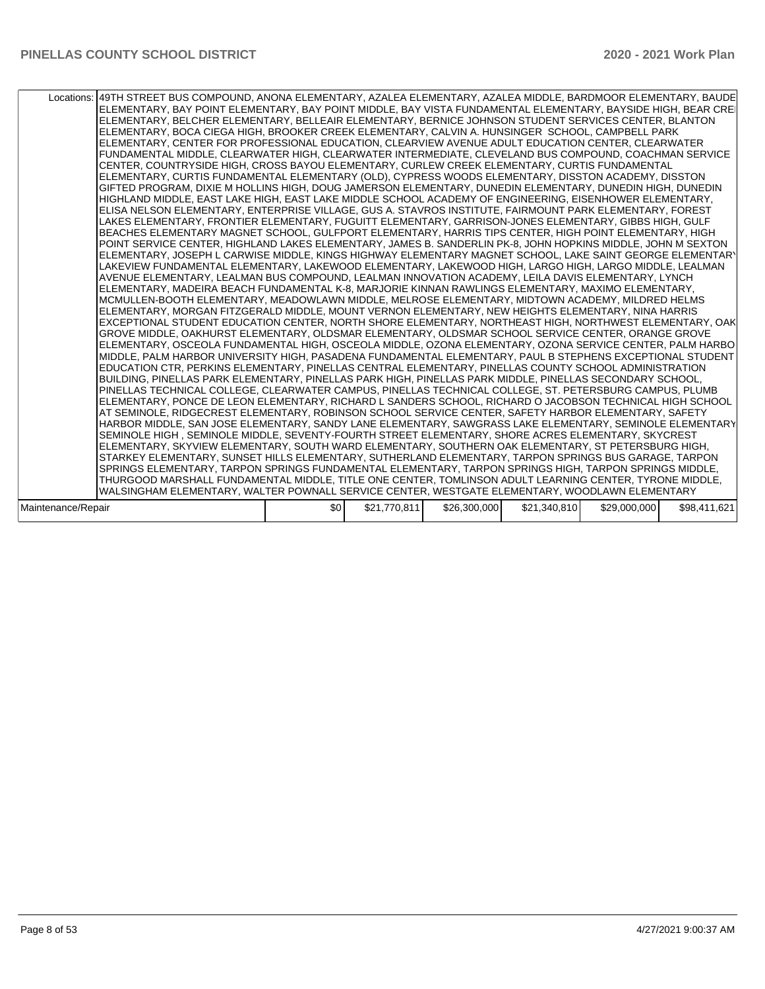| Locations: 49TH STREET BUS COMPOUND, ANONA ELEMENTARY, AZALEA ELEMENTARY, AZALEA MIDDLE, BARDMOOR ELEMENTARY, BAUDE<br>ELEMENTARY, BAY POINT ELEMENTARY, BAY POINT MIDDLE, BAY VISTA FUNDAMENTAL ELEMENTARY, BAYSIDE HIGH, BEAR CREI<br>ELEMENTARY, BELCHER ELEMENTARY, BELLEAIR ELEMENTARY, BERNICE JOHNSON STUDENT SERVICES CENTER, BLANTON<br>ELEMENTARY, BOCA CIEGA HIGH, BROOKER CREEK ELEMENTARY, CALVIN A. HUNSINGER SCHOOL, CAMPBELL PARK<br>ELEMENTARY, CENTER FOR PROFESSIONAL EDUCATION, CLEARVIEW AVENUE ADULT EDUCATION CENTER, CLEARWATER<br>FUNDAMENTAL MIDDLE, CLEARWATER HIGH, CLEARWATER INTERMEDIATE, CLEVELAND BUS COMPOUND, COACHMAN SERVICE<br>CENTER, COUNTRYSIDE HIGH, CROSS BAYOU ELEMENTARY, CURLEW CREEK ELEMENTARY, CURTIS FUNDAMENTAL<br>ELEMENTARY, CURTIS FUNDAMENTAL ELEMENTARY (OLD), CYPRESS WOODS ELEMENTARY, DISSTON ACADEMY, DISSTON<br>GIFTED PROGRAM, DIXIE M HOLLINS HIGH, DOUG JAMERSON ELEMENTARY, DUNEDIN ELEMENTARY, DUNEDIN HIGH, DUNEDIN<br>HIGHLAND MIDDLE. EAST LAKE HIGH. EAST LAKE MIDDLE SCHOOL ACADEMY OF ENGINEERING. EISENHOWER ELEMENTARY.<br>ELISA NELSON ELEMENTARY, ENTERPRISE VILLAGE, GUS A. STAVROS INSTITUTE, FAIRMOUNT PARK ELEMENTARY, FOREST<br>LAKES ELEMENTARY, FRONTIER ELEMENTARY, FUGUITT ELEMENTARY, GARRISON-JONES ELEMENTARY, GIBBS HIGH, GULF<br>BEACHES ELEMENTARY MAGNET SCHOOL, GULFPORT ELEMENTARY, HARRIS TIPS CENTER, HIGH POINT ELEMENTARY, HIGH<br>POINT SERVICE CENTER, HIGHLAND LAKES ELEMENTARY, JAMES B. SANDERLIN PK-8, JOHN HOPKINS MIDDLE, JOHN M SEXTON<br>ELEMENTARY, JOSEPH L CARWISE MIDDLE, KINGS HIGHWAY ELEMENTARY MAGNET SCHOOL, LAKE SAINT GEORGE ELEMENTARY<br>LAKEVIEW FUNDAMENTAL ELEMENTARY, LAKEWOOD ELEMENTARY, LAKEWOOD HIGH, LARGO HIGH, LARGO MIDDLE, LEALMAN<br>AVENUE ELEMENTARY, LEALMAN BUS COMPOUND, LEALMAN INNOVATION ACADEMY, LEILA DAVIS ELEMENTARY, LYNCH<br>ELEMENTARY, MADEIRA BEACH FUNDAMENTAL K-8, MARJORIE KINNAN RAWLINGS ELEMENTARY, MAXIMO ELEMENTARY,<br>MCMULLEN-BOOTH ELEMENTARY, MEADOWLAWN MIDDLE, MELROSE ELEMENTARY, MIDTOWN ACADEMY, MILDRED HELMS<br>ELEMENTARY, MORGAN FITZGERALD MIDDLE, MOUNT VERNON ELEMENTARY, NEW HEIGHTS ELEMENTARY, NINA HARRIS<br>EXCEPTIONAL STUDENT EDUCATION CENTER, NORTH SHORE ELEMENTARY, NORTHEAST HIGH, NORTHWEST ELEMENTARY, OAK<br>GROVE MIDDLE, OAKHURST ELEMENTARY, OLDSMAR ELEMENTARY, OLDSMAR SCHOOL SERVICE CENTER, ORANGE GROVE<br>ELEMENTARY. OSCEOLA FUNDAMENTAL HIGH. OSCEOLA MIDDLE. OZONA ELEMENTARY. OZONA SERVICE CENTER. PALM HARBO<br>MIDDLE, PALM HARBOR UNIVERSITY HIGH, PASADENA FUNDAMENTAL ELEMENTARY, PAUL B STEPHENS EXCEPTIONAL STUDENT<br>EDUCATION CTR, PERKINS ELEMENTARY, PINELLAS CENTRAL ELEMENTARY, PINELLAS COUNTY SCHOOL ADMINISTRATION<br>BUILDING, PINELLAS PARK ELEMENTARY, PINELLAS PARK HIGH, PINELLAS PARK MIDDLE, PINELLAS SECONDARY SCHOOL,<br>PINELLAS TECHNICAL COLLEGE, CLEARWATER CAMPUS, PINELLAS TECHNICAL COLLEGE, ST. PETERSBURG CAMPUS, PLUMB<br>ELEMENTARY, PONCE DE LEON ELEMENTARY, RICHARD L SANDERS SCHOOL, RICHARD O JACOBSON TECHNICAL HIGH SCHOOL<br>AT SEMINOLE, RIDGECREST ELEMENTARY, ROBINSON SCHOOL SERVICE CENTER, SAFETY HARBOR ELEMENTARY, SAFETY<br>HARBOR MIDDLE, SAN JOSE ELEMENTARY, SANDY LANE ELEMENTARY, SAWGRASS LAKE ELEMENTARY, SEMINOLE ELEMENTARY<br>SEMINOLE HIGH, SEMINOLE MIDDLE, SEVENTY-FOURTH STREET ELEMENTARY, SHORE ACRES ELEMENTARY, SKYCREST<br>ELEMENTARY, SKYVIEW ELEMENTARY, SOUTH WARD ELEMENTARY, SOUTHERN OAK ELEMENTARY, ST PETERSBURG HIGH,<br>STARKEY ELEMENTARY, SUNSET HILLS ELEMENTARY, SUTHERLAND ELEMENTARY, TARPON SPRINGS BUS GARAGE, TARPON<br>SPRINGS ELEMENTARY, TARPON SPRINGS FUNDAMENTAL ELEMENTARY, TARPON SPRINGS HIGH, TARPON SPRINGS MIDDLE,<br>THURGOOD MARSHALL FUNDAMENTAL MIDDLE, TITLE ONE CENTER, TOMLINSON ADULT LEARNING CENTER, TYRONE MIDDLE, |     |              |              |              |              |              |
|-----------------------------------------------------------------------------------------------------------------------------------------------------------------------------------------------------------------------------------------------------------------------------------------------------------------------------------------------------------------------------------------------------------------------------------------------------------------------------------------------------------------------------------------------------------------------------------------------------------------------------------------------------------------------------------------------------------------------------------------------------------------------------------------------------------------------------------------------------------------------------------------------------------------------------------------------------------------------------------------------------------------------------------------------------------------------------------------------------------------------------------------------------------------------------------------------------------------------------------------------------------------------------------------------------------------------------------------------------------------------------------------------------------------------------------------------------------------------------------------------------------------------------------------------------------------------------------------------------------------------------------------------------------------------------------------------------------------------------------------------------------------------------------------------------------------------------------------------------------------------------------------------------------------------------------------------------------------------------------------------------------------------------------------------------------------------------------------------------------------------------------------------------------------------------------------------------------------------------------------------------------------------------------------------------------------------------------------------------------------------------------------------------------------------------------------------------------------------------------------------------------------------------------------------------------------------------------------------------------------------------------------------------------------------------------------------------------------------------------------------------------------------------------------------------------------------------------------------------------------------------------------------------------------------------------------------------------------------------------------------------------------------------------------------------------------------------------------------------------------------------------------------------------------------------------------------------------------------------------------------------------------------------------------------------------------------------------------------------------------------------------------------------------------------------------------------------------------------------------------------------------------------------------------------------------------------------------------------------------------------------------------------------------------------------------------------------------------------------------------------------------------------------------------------------------------------------------------------------|-----|--------------|--------------|--------------|--------------|--------------|
| WALSINGHAM ELEMENTARY. WALTER POWNALL SERVICE CENTER. WESTGATE ELEMENTARY. WOODLAWN ELEMENTARY                                                                                                                                                                                                                                                                                                                                                                                                                                                                                                                                                                                                                                                                                                                                                                                                                                                                                                                                                                                                                                                                                                                                                                                                                                                                                                                                                                                                                                                                                                                                                                                                                                                                                                                                                                                                                                                                                                                                                                                                                                                                                                                                                                                                                                                                                                                                                                                                                                                                                                                                                                                                                                                                                                                                                                                                                                                                                                                                                                                                                                                                                                                                                                                                                                                                                                                                                                                                                                                                                                                                                                                                                                                                                                                                                      |     |              |              |              |              |              |
|                                                                                                                                                                                                                                                                                                                                                                                                                                                                                                                                                                                                                                                                                                                                                                                                                                                                                                                                                                                                                                                                                                                                                                                                                                                                                                                                                                                                                                                                                                                                                                                                                                                                                                                                                                                                                                                                                                                                                                                                                                                                                                                                                                                                                                                                                                                                                                                                                                                                                                                                                                                                                                                                                                                                                                                                                                                                                                                                                                                                                                                                                                                                                                                                                                                                                                                                                                                                                                                                                                                                                                                                                                                                                                                                                                                                                                                     |     |              |              |              |              |              |
| Maintenance/Repair                                                                                                                                                                                                                                                                                                                                                                                                                                                                                                                                                                                                                                                                                                                                                                                                                                                                                                                                                                                                                                                                                                                                                                                                                                                                                                                                                                                                                                                                                                                                                                                                                                                                                                                                                                                                                                                                                                                                                                                                                                                                                                                                                                                                                                                                                                                                                                                                                                                                                                                                                                                                                                                                                                                                                                                                                                                                                                                                                                                                                                                                                                                                                                                                                                                                                                                                                                                                                                                                                                                                                                                                                                                                                                                                                                                                                                  | \$0 | \$21,770,811 | \$26,300,000 | \$21,340,810 | \$29,000,000 | \$98,411,621 |
|                                                                                                                                                                                                                                                                                                                                                                                                                                                                                                                                                                                                                                                                                                                                                                                                                                                                                                                                                                                                                                                                                                                                                                                                                                                                                                                                                                                                                                                                                                                                                                                                                                                                                                                                                                                                                                                                                                                                                                                                                                                                                                                                                                                                                                                                                                                                                                                                                                                                                                                                                                                                                                                                                                                                                                                                                                                                                                                                                                                                                                                                                                                                                                                                                                                                                                                                                                                                                                                                                                                                                                                                                                                                                                                                                                                                                                                     |     |              |              |              |              |              |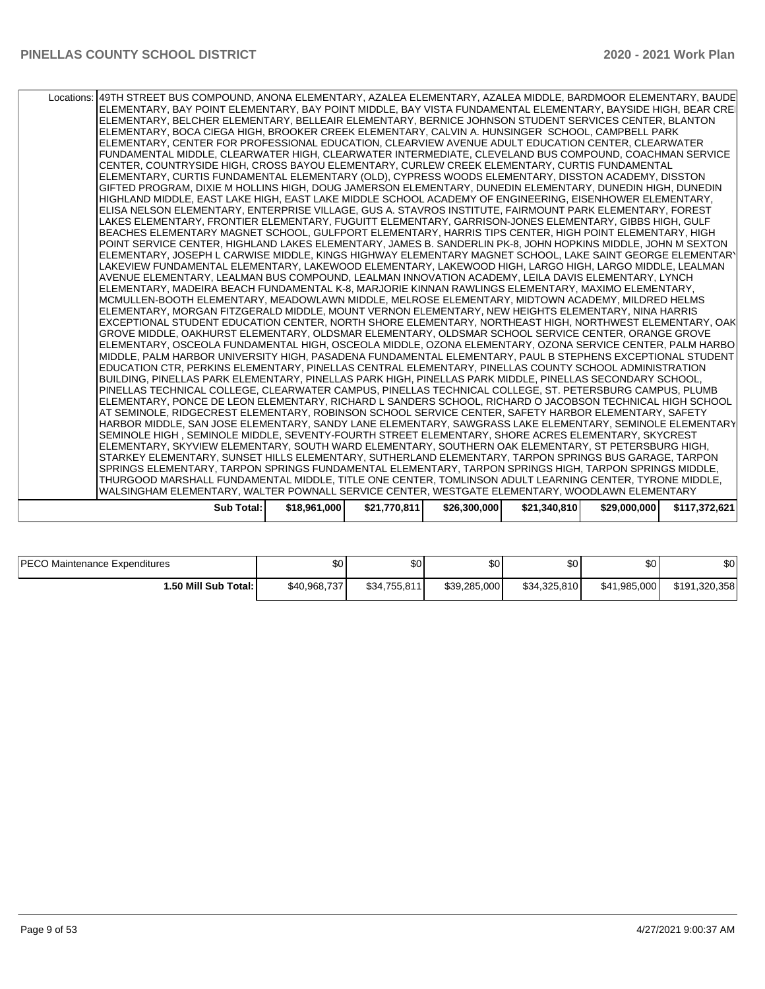| Locations: 49TH STREET BUS COMPOUND, ANONA ELEMENTARY, AZALEA ELEMENTARY, AZALEA MIDDLE, BARDMOOR ELEMENTARY, BAUDE |            |              |              |              |              |              |               |
|---------------------------------------------------------------------------------------------------------------------|------------|--------------|--------------|--------------|--------------|--------------|---------------|
| ELEMENTARY, BAY POINT ELEMENTARY, BAY POINT MIDDLE, BAY VISTA FUNDAMENTAL ELEMENTARY, BAYSIDE HIGH, BEAR CREI       |            |              |              |              |              |              |               |
| ELEMENTARY. BELCHER ELEMENTARY. BELLEAIR ELEMENTARY. BERNICE JOHNSON STUDENT SERVICES CENTER. BLANTON               |            |              |              |              |              |              |               |
| ELEMENTARY, BOCA CIEGA HIGH, BROOKER CREEK ELEMENTARY, CALVIN A. HUNSINGER SCHOOL, CAMPBELL PARK                    |            |              |              |              |              |              |               |
| ELEMENTARY, CENTER FOR PROFESSIONAL EDUCATION, CLEARVIEW AVENUE ADULT EDUCATION CENTER, CLEARWATER                  |            |              |              |              |              |              |               |
| FUNDAMENTAL MIDDLE, CLEARWATER HIGH, CLEARWATER INTERMEDIATE, CLEVELAND BUS COMPOUND, COACHMAN SERVICE              |            |              |              |              |              |              |               |
| CENTER, COUNTRYSIDE HIGH, CROSS BAYOU ELEMENTARY, CURLEW CREEK ELEMENTARY, CURTIS FUNDAMENTAL                       |            |              |              |              |              |              |               |
| ELEMENTARY, CURTIS FUNDAMENTAL ELEMENTARY (OLD), CYPRESS WOODS ELEMENTARY, DISSTON ACADEMY, DISSTON                 |            |              |              |              |              |              |               |
| GIFTED PROGRAM, DIXIE M HOLLINS HIGH, DOUG JAMERSON ELEMENTARY, DUNEDIN ELEMENTARY, DUNEDIN HIGH, DUNEDIN           |            |              |              |              |              |              |               |
| HIGHLAND MIDDLE, EAST LAKE HIGH, EAST LAKE MIDDLE SCHOOL ACADEMY OF ENGINEERING, EISENHOWER ELEMENTARY,             |            |              |              |              |              |              |               |
| ELISA NELSON ELEMENTARY, ENTERPRISE VILLAGE, GUS A. STAVROS INSTITUTE, FAIRMOUNT PARK ELEMENTARY, FOREST            |            |              |              |              |              |              |               |
| LAKES ELEMENTARY, FRONTIER ELEMENTARY, FUGUITT ELEMENTARY, GARRISON-JONES ELEMENTARY, GIBBS HIGH, GULF              |            |              |              |              |              |              |               |
| BEACHES ELEMENTARY MAGNET SCHOOL, GULFPORT ELEMENTARY, HARRIS TIPS CENTER, HIGH POINT ELEMENTARY, HIGH              |            |              |              |              |              |              |               |
| POINT SERVICE CENTER, HIGHLAND LAKES ELEMENTARY, JAMES B. SANDERLIN PK-8, JOHN HOPKINS MIDDLE, JOHN M SEXTON        |            |              |              |              |              |              |               |
| ELEMENTARY, JOSEPH L CARWISE MIDDLE. KINGS HIGHWAY ELEMENTARY MAGNET SCHOOL. LAKE SAINT GEORGE ELEMENTARY           |            |              |              |              |              |              |               |
| LAKEVIEW FUNDAMENTAL ELEMENTARY, LAKEWOOD ELEMENTARY, LAKEWOOD HIGH, LARGO HIGH, LARGO MIDDLE, LEALMAN              |            |              |              |              |              |              |               |
| AVENUE ELEMENTARY. LEALMAN BUS COMPOUND. LEALMAN INNOVATION ACADEMY. LEILA DAVIS ELEMENTARY. LYNCH                  |            |              |              |              |              |              |               |
| ELEMENTARY, MADEIRA BEACH FUNDAMENTAL K-8, MARJORIE KINNAN RAWLINGS ELEMENTARY, MAXIMO ELEMENTARY,                  |            |              |              |              |              |              |               |
| MCMULLEN-BOOTH ELEMENTARY, MEADOWLAWN MIDDLE, MELROSE ELEMENTARY, MIDTOWN ACADEMY, MILDRED HELMS                    |            |              |              |              |              |              |               |
| ELEMENTARY, MORGAN FITZGERALD MIDDLE, MOUNT VERNON ELEMENTARY, NEW HEIGHTS ELEMENTARY, NINA HARRIS                  |            |              |              |              |              |              |               |
| EXCEPTIONAL STUDENT EDUCATION CENTER. NORTH SHORE ELEMENTARY. NORTHEAST HIGH. NORTHWEST ELEMENTARY. OAK             |            |              |              |              |              |              |               |
| GROVE MIDDLE, OAKHURST ELEMENTARY, OLDSMAR ELEMENTARY, OLDSMAR SCHOOL SERVICE CENTER, ORANGE GROVE                  |            |              |              |              |              |              |               |
| ELEMENTARY, OSCEOLA FUNDAMENTAL HIGH, OSCEOLA MIDDLE, OZONA ELEMENTARY, OZONA SERVICE CENTER, PALM HARBO            |            |              |              |              |              |              |               |
| MIDDLE, PALM HARBOR UNIVERSITY HIGH, PASADENA FUNDAMENTAL ELEMENTARY, PAUL B STEPHENS EXCEPTIONAL STUDENT           |            |              |              |              |              |              |               |
| EDUCATION CTR, PERKINS ELEMENTARY, PINELLAS CENTRAL ELEMENTARY, PINELLAS COUNTY SCHOOL ADMINISTRATION               |            |              |              |              |              |              |               |
| BUILDING, PINELLAS PARK ELEMENTARY, PINELLAS PARK HIGH, PINELLAS PARK MIDDLE, PINELLAS SECONDARY SCHOOL,            |            |              |              |              |              |              |               |
| PINELLAS TECHNICAL COLLEGE, CLEARWATER CAMPUS, PINELLAS TECHNICAL COLLEGE, ST. PETERSBURG CAMPUS, PLUMB             |            |              |              |              |              |              |               |
| ELEMENTARY, PONCE DE LEON ELEMENTARY, RICHARD L SANDERS SCHOOL, RICHARD O JACOBSON TECHNICAL HIGH SCHOOL            |            |              |              |              |              |              |               |
| AT SEMINOLE, RIDGECREST ELEMENTARY, ROBINSON SCHOOL SERVICE CENTER, SAFETY HARBOR ELEMENTARY, SAFETY                |            |              |              |              |              |              |               |
| HARBOR MIDDLE, SAN JOSE ELEMENTARY, SANDY LANE ELEMENTARY, SAWGRASS LAKE ELEMENTARY, SEMINOLE ELEMENTARY            |            |              |              |              |              |              |               |
| SEMINOLE HIGH , SEMINOLE MIDDLE, SEVENTY-FOURTH STREET ELEMENTARY, SHORE ACRES ELEMENTARY, SKYCREST                 |            |              |              |              |              |              |               |
| ELEMENTARY, SKYVIEW ELEMENTARY, SOUTH WARD ELEMENTARY, SOUTHERN OAK ELEMENTARY, ST PETERSBURG HIGH,                 |            |              |              |              |              |              |               |
| STARKEY ELEMENTARY, SUNSET HILLS ELEMENTARY, SUTHERLAND ELEMENTARY, TARPON SPRINGS BUS GARAGE, TARPON               |            |              |              |              |              |              |               |
| SPRINGS ELEMENTARY, TARPON SPRINGS FUNDAMENTAL ELEMENTARY, TARPON SPRINGS HIGH, TARPON SPRINGS MIDDLE,              |            |              |              |              |              |              |               |
| THURGOOD MARSHALL FUNDAMENTAL MIDDLE, TITLE ONE CENTER, TOMLINSON ADULT LEARNING CENTER, TYRONE MIDDLE,             |            |              |              |              |              |              |               |
| WALSINGHAM ELEMENTARY, WALTER POWNALL SERVICE CENTER, WESTGATE ELEMENTARY, WOODLAWN ELEMENTARY                      |            |              |              |              |              |              |               |
|                                                                                                                     | Sub Total: | \$18,961,000 | \$21,770,811 | \$26,300,000 | \$21,340,810 | \$29,000,000 | \$117,372,621 |
|                                                                                                                     |            |              |              |              |              |              |               |

| <b>IPECO</b><br>) Maintenance Expenditures | \$0          | ሱሶ<br>ພບ     | \$0          | ሖ<br>Ψ       | ሶስ<br>Ψ      | $\sim$<br>ΦU  |
|--------------------------------------------|--------------|--------------|--------------|--------------|--------------|---------------|
| 1.50 Mill Sub Total: I                     | \$40.968.737 | \$34,755,811 | \$39,285,000 | \$34.325.810 | \$41.985.000 | \$191,320,358 |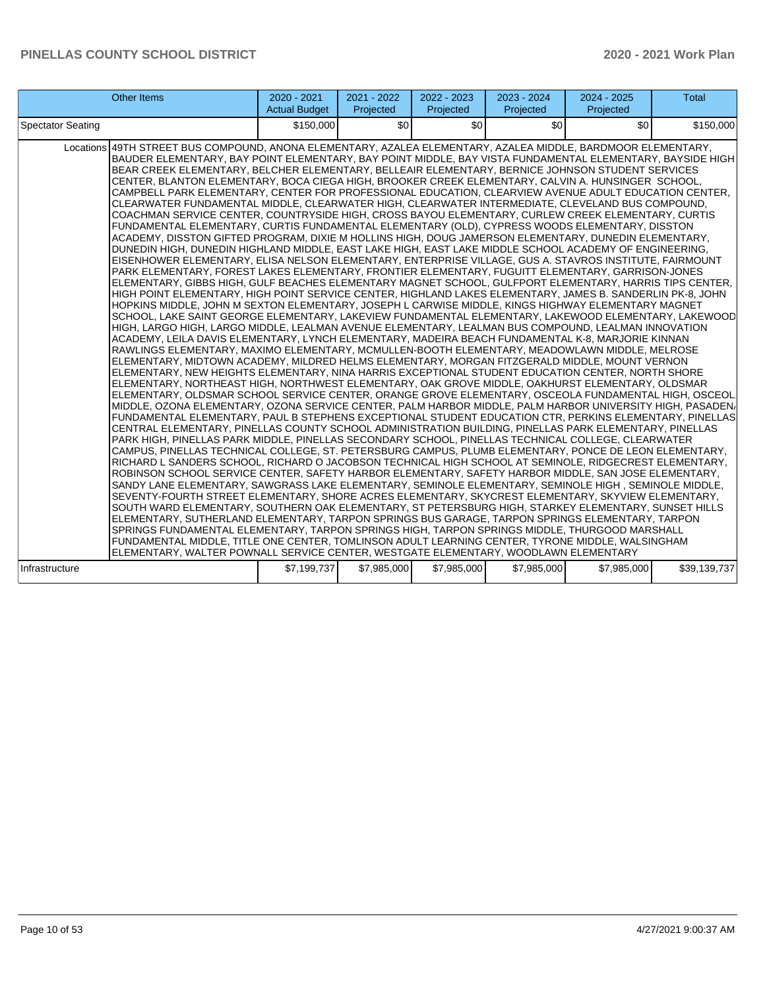| <b>Other Items</b>                                                                                                                                                                                                                                                                                                                                                                                                                                                                                                                                                                                                                                                                                                                                                                                                                                                                                                                                                                                                                                                                                                                                                                                                                                                                                                                                                                                                                                                                                                                                                                                                                                                                                                                                                                                                                                                                                                                                                                                                                                                                                                                                                                                                                                                                                                                                                                                                                                                                                                                                                                                                                                                                                                                                                                                                                                                                                                                                                                                                                                                                                                                                                                                                                                                                                                                                                                                                                                                                                                                                                                                                                                                                                                                                                                                                                                                                                                                                           | 2020 - 2021<br><b>Actual Budget</b> | 2021 - 2022<br>Projected | 2022 - 2023<br>Projected | 2023 - 2024<br>Projected | $2024 - 2025$<br>Projected | <b>Total</b> |
|--------------------------------------------------------------------------------------------------------------------------------------------------------------------------------------------------------------------------------------------------------------------------------------------------------------------------------------------------------------------------------------------------------------------------------------------------------------------------------------------------------------------------------------------------------------------------------------------------------------------------------------------------------------------------------------------------------------------------------------------------------------------------------------------------------------------------------------------------------------------------------------------------------------------------------------------------------------------------------------------------------------------------------------------------------------------------------------------------------------------------------------------------------------------------------------------------------------------------------------------------------------------------------------------------------------------------------------------------------------------------------------------------------------------------------------------------------------------------------------------------------------------------------------------------------------------------------------------------------------------------------------------------------------------------------------------------------------------------------------------------------------------------------------------------------------------------------------------------------------------------------------------------------------------------------------------------------------------------------------------------------------------------------------------------------------------------------------------------------------------------------------------------------------------------------------------------------------------------------------------------------------------------------------------------------------------------------------------------------------------------------------------------------------------------------------------------------------------------------------------------------------------------------------------------------------------------------------------------------------------------------------------------------------------------------------------------------------------------------------------------------------------------------------------------------------------------------------------------------------------------------------------------------------------------------------------------------------------------------------------------------------------------------------------------------------------------------------------------------------------------------------------------------------------------------------------------------------------------------------------------------------------------------------------------------------------------------------------------------------------------------------------------------------------------------------------------------------------------------------------------------------------------------------------------------------------------------------------------------------------------------------------------------------------------------------------------------------------------------------------------------------------------------------------------------------------------------------------------------------------------------------------------------------------------------------------------------------|-------------------------------------|--------------------------|--------------------------|--------------------------|----------------------------|--------------|
| <b>Spectator Seating</b>                                                                                                                                                                                                                                                                                                                                                                                                                                                                                                                                                                                                                                                                                                                                                                                                                                                                                                                                                                                                                                                                                                                                                                                                                                                                                                                                                                                                                                                                                                                                                                                                                                                                                                                                                                                                                                                                                                                                                                                                                                                                                                                                                                                                                                                                                                                                                                                                                                                                                                                                                                                                                                                                                                                                                                                                                                                                                                                                                                                                                                                                                                                                                                                                                                                                                                                                                                                                                                                                                                                                                                                                                                                                                                                                                                                                                                                                                                                                     | \$150,000                           | \$0                      | \$0                      | \$0                      | \$0                        | \$150,000    |
| Locations 49TH STREET BUS COMPOUND, ANONA ELEMENTARY, AZALEA ELEMENTARY, AZALEA MIDDLE, BARDMOOR ELEMENTARY,<br>BAUDER ELEMENTARY, BAY POINT ELEMENTARY, BAY POINT MIDDLE, BAY VISTA FUNDAMENTAL ELEMENTARY, BAYSIDE HIGH<br>BEAR CREEK ELEMENTARY, BELCHER ELEMENTARY, BELLEAIR ELEMENTARY, BERNICE JOHNSON STUDENT SERVICES<br>CENTER, BLANTON ELEMENTARY, BOCA CIEGA HIGH, BROOKER CREEK ELEMENTARY, CALVIN A. HUNSINGER SCHOOL,<br>CAMPBELL PARK ELEMENTARY, CENTER FOR PROFESSIONAL EDUCATION, CLEARVIEW AVENUE ADULT EDUCATION CENTER,<br>CLEARWATER FUNDAMENTAL MIDDLE, CLEARWATER HIGH, CLEARWATER INTERMEDIATE, CLEVELAND BUS COMPOUND,<br>COACHMAN SERVICE CENTER, COUNTRYSIDE HIGH, CROSS BAYOU ELEMENTARY, CURLEW CREEK ELEMENTARY, CURTIS<br>FUNDAMENTAL ELEMENTARY, CURTIS FUNDAMENTAL ELEMENTARY (OLD), CYPRESS WOODS ELEMENTARY, DISSTON<br>ACADEMY, DISSTON GIFTED PROGRAM, DIXIE M HOLLINS HIGH, DOUG JAMERSON ELEMENTARY, DUNEDIN ELEMENTARY,<br>DUNEDIN HIGH, DUNEDIN HIGHLAND MIDDLE, EAST LAKE HIGH, EAST LAKE MIDDLE SCHOOL ACADEMY OF ENGINEERING,<br>EISENHOWER ELEMENTARY, ELISA NELSON ELEMENTARY, ENTERPRISE VILLAGE, GUS A. STAVROS INSTITUTE, FAIRMOUNT<br>PARK ELEMENTARY, FOREST LAKES ELEMENTARY, FRONTIER ELEMENTARY, FUGUITT ELEMENTARY, GARRISON-JONES<br>ELEMENTARY, GIBBS HIGH, GULF BEACHES ELEMENTARY MAGNET SCHOOL, GULFPORT ELEMENTARY, HARRIS TIPS CENTER,<br>HIGH POINT ELEMENTARY, HIGH POINT SERVICE CENTER, HIGHLAND LAKES ELEMENTARY, JAMES B. SANDERLIN PK-8, JOHN<br>HOPKINS MIDDLE, JOHN M SEXTON ELEMENTARY, JOSEPH L CARWISE MIDDLE, KINGS HIGHWAY ELEMENTARY MAGNET<br>SCHOOL, LAKE SAINT GEORGE ELEMENTARY, LAKEVIEW FUNDAMENTAL ELEMENTARY, LAKEWOOD ELEMENTARY, LAKEWOOD<br>HIGH, LARGO HIGH, LARGO MIDDLE, LEALMAN AVENUE ELEMENTARY, LEALMAN BUS COMPOUND, LEALMAN INNOVATION<br>ACADEMY, LEILA DAVIS ELEMENTARY, LYNCH ELEMENTARY, MADEIRA BEACH FUNDAMENTAL K-8, MARJORIE KINNAN <br>RAWLINGS ELEMENTARY, MAXIMO ELEMENTARY, MCMULLEN-BOOTH ELEMENTARY, MEADOWLAWN MIDDLE, MELROSE<br>ELEMENTARY, MIDTOWN ACADEMY, MILDRED HELMS ELEMENTARY, MORGAN FITZGERALD MIDDLE, MOUNT VERNON<br>ELEMENTARY, NEW HEIGHTS ELEMENTARY, NINA HARRIS EXCEPTIONAL STUDENT EDUCATION CENTER, NORTH SHORE<br>ELEMENTARY, NORTHEAST HIGH, NORTHWEST ELEMENTARY, OAK GROVE MIDDLE, OAKHURST ELEMENTARY, OLDSMAR<br>ELEMENTARY, OLDSMAR SCHOOL SERVICE CENTER, ORANGE GROVE ELEMENTARY, OSCEOLA FUNDAMENTAL HIGH, OSCEOL<br>MIDDLE, OZONA ELEMENTARY, OZONA SERVICE CENTER, PALM HARBOR MIDDLE, PALM HARBOR UNIVERSITY HIGH, PASADEN/<br>FUNDAMENTAL ELEMENTARY, PAUL B STEPHENS EXCEPTIONAL STUDENT EDUCATION CTR, PERKINS ELEMENTARY, PINELLAS<br>CENTRAL ELEMENTARY, PINELLAS COUNTY SCHOOL ADMINISTRATION BUILDING, PINELLAS PARK ELEMENTARY, PINELLAS<br>PARK HIGH, PINELLAS PARK MIDDLE, PINELLAS SECONDARY SCHOOL, PINELLAS TECHNICAL COLLEGE, CLEARWATER<br> CAMPUS, PINELLAS TECHNICAL COLLEGE, ST. PETERSBURG CAMPUS, PLUMB ELEMENTARY, PONCE DE LEON ELEMENTARY,<br>RICHARD L SANDERS SCHOOL, RICHARD O JACOBSON TECHNICAL HIGH SCHOOL AT SEMINOLE, RIDGECREST ELEMENTARY,<br>ROBINSON SCHOOL SERVICE CENTER, SAFETY HARBOR ELEMENTARY, SAFETY HARBOR MIDDLE, SAN JOSE ELEMENTARY,<br>SANDY LANE ELEMENTARY, SAWGRASS LAKE ELEMENTARY, SEMINOLE ELEMENTARY, SEMINOLE HIGH, SEMINOLE MIDDLE,<br>SEVENTY-FOURTH STREET ELEMENTARY, SHORE ACRES ELEMENTARY, SKYCREST ELEMENTARY, SKYVIEW ELEMENTARY,<br>SOUTH WARD ELEMENTARY, SOUTHERN OAK ELEMENTARY, ST PETERSBURG HIGH, STARKEY ELEMENTARY, SUNSET HILLS<br>ELEMENTARY, SUTHERLAND ELEMENTARY, TARPON SPRINGS BUS GARAGE, TARPON SPRINGS ELEMENTARY, TARPON<br>SPRINGS FUNDAMENTAL ELEMENTARY, TARPON SPRINGS HIGH, TARPON SPRINGS MIDDLE, THURGOOD MARSHALL<br>FUNDAMENTAL MIDDLE, TITLE ONE CENTER, TOMLINSON ADULT LEARNING CENTER, TYRONE MIDDLE, WALSINGHAM<br>ELEMENTARY, WALTER POWNALL SERVICE CENTER, WESTGATE ELEMENTARY, WOODLAWN ELEMENTARY |                                     |                          |                          |                          |                            |              |
| Infrastructure                                                                                                                                                                                                                                                                                                                                                                                                                                                                                                                                                                                                                                                                                                                                                                                                                                                                                                                                                                                                                                                                                                                                                                                                                                                                                                                                                                                                                                                                                                                                                                                                                                                                                                                                                                                                                                                                                                                                                                                                                                                                                                                                                                                                                                                                                                                                                                                                                                                                                                                                                                                                                                                                                                                                                                                                                                                                                                                                                                                                                                                                                                                                                                                                                                                                                                                                                                                                                                                                                                                                                                                                                                                                                                                                                                                                                                                                                                                                               | \$7,199,737                         | \$7.985.000              | \$7.985.000              | \$7,985,000              | \$7.985.000                | \$39,139,737 |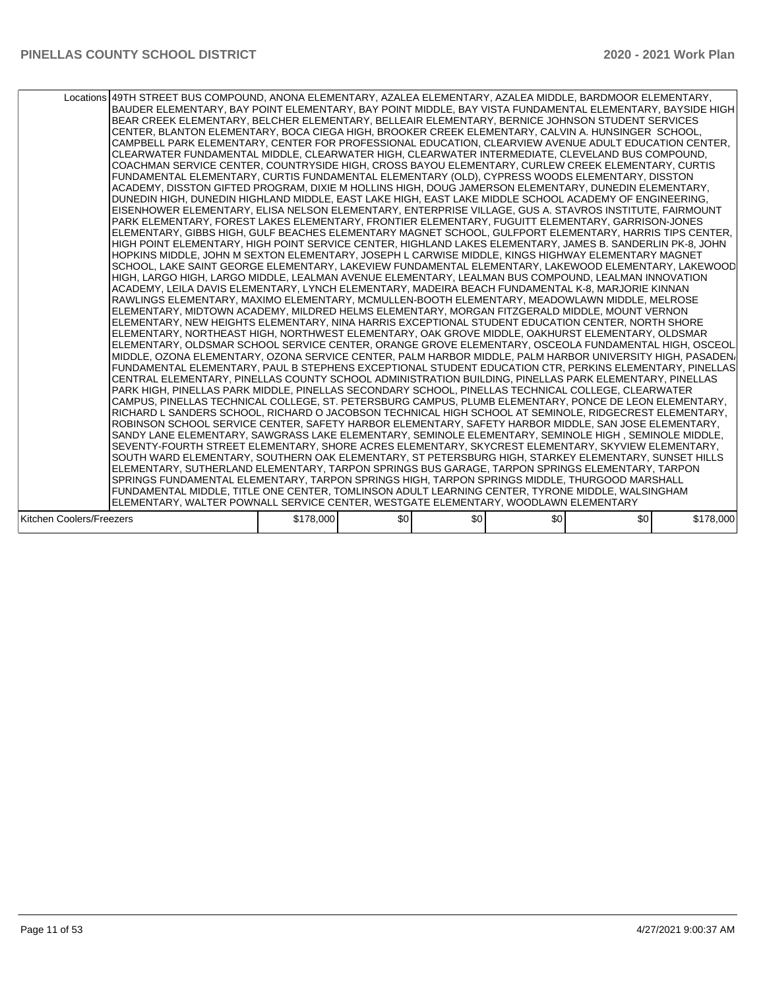|                          | Locations 49TH STREET BUS COMPOUND, ANONA ELEMENTARY, AZALEA ELEMENTARY, AZALEA MIDDLE, BARDMOOR ELEMENTARY,<br>BAUDER ELEMENTARY, BAY POINT ELEMENTARY, BAY POINT MIDDLE, BAY VISTA FUNDAMENTAL ELEMENTARY, BAYSIDE HIGH<br>BEAR CREEK ELEMENTARY, BELCHER ELEMENTARY, BELLEAIR ELEMENTARY, BERNICE JOHNSON STUDENT SERVICES<br>CENTER, BLANTON ELEMENTARY, BOCA CIEGA HIGH, BROOKER CREEK ELEMENTARY, CALVIN A. HUNSINGER SCHOOL,<br>CAMPBELL PARK ELEMENTARY, CENTER FOR PROFESSIONAL EDUCATION, CLEARVIEW AVENUE ADULT EDUCATION CENTER,<br>CLEARWATER FUNDAMENTAL MIDDLE, CLEARWATER HIGH, CLEARWATER INTERMEDIATE, CLEVELAND BUS COMPOUND,<br>COACHMAN SERVICE CENTER, COUNTRYSIDE HIGH, CROSS BAYOU ELEMENTARY, CURLEW CREEK ELEMENTARY, CURTIS<br>FUNDAMENTAL ELEMENTARY, CURTIS FUNDAMENTAL ELEMENTARY (OLD), CYPRESS WOODS ELEMENTARY, DISSTON<br>ACADEMY, DISSTON GIFTED PROGRAM, DIXIE M HOLLINS HIGH, DOUG JAMERSON ELEMENTARY, DUNEDIN ELEMENTARY,<br>DUNEDIN HIGH, DUNEDIN HIGHLAND MIDDLE, EAST LAKE HIGH, EAST LAKE MIDDLE SCHOOL ACADEMY OF ENGINEERING,<br>IEISENHOWER ELEMENTARY. ELISA NELSON ELEMENTARY. ENTERPRISE VILLAGE. GUS A. STAVROS INSTITUTE. FAIRMOUNT<br>PARK ELEMENTARY, FOREST LAKES ELEMENTARY, FRONTIER ELEMENTARY, FUGUITT ELEMENTARY, GARRISON-JONES<br>ELEMENTARY, GIBBS HIGH, GULF BEACHES ELEMENTARY MAGNET SCHOOL, GULFPORT ELEMENTARY, HARRIS TIPS CENTER,<br>HIGH POINT ELEMENTARY, HIGH POINT SERVICE CENTER, HIGHLAND LAKES ELEMENTARY, JAMES B. SANDERLIN PK-8, JOHN<br>HOPKINS MIDDLE, JOHN M SEXTON ELEMENTARY, JOSEPH L CARWISE MIDDLE, KINGS HIGHWAY ELEMENTARY MAGNET<br>SCHOOL, LAKE SAINT GEORGE ELEMENTARY, LAKEVIEW FUNDAMENTAL ELEMENTARY, LAKEWOOD ELEMENTARY, LAKEWOOD<br>HIGH, LARGO HIGH, LARGO MIDDLE, LEALMAN AVENUE ELEMENTARY, LEALMAN BUS COMPOUND, LEALMAN INNOVATION<br>ACADEMY, LEILA DAVIS ELEMENTARY, LYNCH ELEMENTARY, MADEIRA BEACH FUNDAMENTAL K-8, MARJORIE KINNAN <br>RAWLINGS ELEMENTARY, MAXIMO ELEMENTARY, MCMULLEN-BOOTH ELEMENTARY, MEADOWLAWN MIDDLE, MELROSE<br>ELEMENTARY, MIDTOWN ACADEMY, MILDRED HELMS ELEMENTARY, MORGAN FITZGERALD MIDDLE, MOUNT VERNON<br>ELEMENTARY, NEW HEIGHTS ELEMENTARY, NINA HARRIS EXCEPTIONAL STUDENT EDUCATION CENTER, NORTH SHORE<br>ELEMENTARY, NORTHEAST HIGH, NORTHWEST ELEMENTARY, OAK GROVE MIDDLE, OAKHURST ELEMENTARY, OLDSMAR<br>ELEMENTARY, OLDSMAR SCHOOL SERVICE CENTER, ORANGE GROVE ELEMENTARY, OSCEOLA FUNDAMENTAL HIGH, OSCEOL<br>MIDDLE, OZONA ELEMENTARY, OZONA SERVICE CENTER, PALM HARBOR MIDDLE, PALM HARBOR UNIVERSITY HIGH, PASADEN/<br> FUNDAMENTAL ELEMENTARY, PAUL B STEPHENS EXCEPTIONAL STUDENT EDUCATION CTR, PERKINS ELEMENTARY, PINELLAS<br>ICENTRAL ELEMENTARY. PINELLAS COUNTY SCHOOL ADMINISTRATION BUILDING. PINELLAS PARK ELEMENTARY. PINELLAS<br>PARK HIGH, PINELLAS PARK MIDDLE, PINELLAS SECONDARY SCHOOL, PINELLAS TECHNICAL COLLEGE, CLEARWATER<br> CAMPUS, PINELLAS TECHNICAL COLLEGE, ST. PETERSBURG CAMPUS, PLUMB ELEMENTARY, PONCE DE LEON ELEMENTARY,<br>RICHARD L SANDERS SCHOOL, RICHARD O JACOBSON TECHNICAL HIGH SCHOOL AT SEMINOLE, RIDGECREST ELEMENTARY,<br>ROBINSON SCHOOL SERVICE CENTER, SAFETY HARBOR ELEMENTARY, SAFETY HARBOR MIDDLE, SAN JOSE ELEMENTARY,<br>SANDY LANE ELEMENTARY, SAWGRASS LAKE ELEMENTARY, SEMINOLE ELEMENTARY, SEMINOLE HIGH, SEMINOLE MIDDLE,<br>SEVENTY-FOURTH STREET ELEMENTARY, SHORE ACRES ELEMENTARY, SKYCREST ELEMENTARY, SKYVIEW ELEMENTARY,<br>SOUTH WARD ELEMENTARY, SOUTHERN OAK ELEMENTARY, ST PETERSBURG HIGH, STARKEY ELEMENTARY, SUNSET HILLS<br>ELEMENTARY, SUTHERLAND ELEMENTARY, TARPON SPRINGS BUS GARAGE, TARPON SPRINGS ELEMENTARY, TARPON<br>SPRINGS FUNDAMENTAL ELEMENTARY, TARPON SPRINGS HIGH, TARPON SPRINGS MIDDLE, THURGOOD MARSHALL<br>FUNDAMENTAL MIDDLE, TITLE ONE CENTER, TOMLINSON ADULT LEARNING CENTER, TYRONE MIDDLE, WALSINGHAM |           |     |     |     |     |           |
|--------------------------|--------------------------------------------------------------------------------------------------------------------------------------------------------------------------------------------------------------------------------------------------------------------------------------------------------------------------------------------------------------------------------------------------------------------------------------------------------------------------------------------------------------------------------------------------------------------------------------------------------------------------------------------------------------------------------------------------------------------------------------------------------------------------------------------------------------------------------------------------------------------------------------------------------------------------------------------------------------------------------------------------------------------------------------------------------------------------------------------------------------------------------------------------------------------------------------------------------------------------------------------------------------------------------------------------------------------------------------------------------------------------------------------------------------------------------------------------------------------------------------------------------------------------------------------------------------------------------------------------------------------------------------------------------------------------------------------------------------------------------------------------------------------------------------------------------------------------------------------------------------------------------------------------------------------------------------------------------------------------------------------------------------------------------------------------------------------------------------------------------------------------------------------------------------------------------------------------------------------------------------------------------------------------------------------------------------------------------------------------------------------------------------------------------------------------------------------------------------------------------------------------------------------------------------------------------------------------------------------------------------------------------------------------------------------------------------------------------------------------------------------------------------------------------------------------------------------------------------------------------------------------------------------------------------------------------------------------------------------------------------------------------------------------------------------------------------------------------------------------------------------------------------------------------------------------------------------------------------------------------------------------------------------------------------------------------------------------------------------------------------------------------------------------------------------------------------------------------------------------------------------------------------------------------------------------------------------------------------------------------------------------------------------------------------------------------------------------------------------------------------------------------------------------------------------------------------------------------------------------------------------------|-----------|-----|-----|-----|-----|-----------|
|                          | ELEMENTARY, WALTER POWNALL SERVICE CENTER, WESTGATE ELEMENTARY, WOODLAWN ELEMENTARY                                                                                                                                                                                                                                                                                                                                                                                                                                                                                                                                                                                                                                                                                                                                                                                                                                                                                                                                                                                                                                                                                                                                                                                                                                                                                                                                                                                                                                                                                                                                                                                                                                                                                                                                                                                                                                                                                                                                                                                                                                                                                                                                                                                                                                                                                                                                                                                                                                                                                                                                                                                                                                                                                                                                                                                                                                                                                                                                                                                                                                                                                                                                                                                                                                                                                                                                                                                                                                                                                                                                                                                                                                                                                                                                                                                      |           |     |     |     |     |           |
|                          |                                                                                                                                                                                                                                                                                                                                                                                                                                                                                                                                                                                                                                                                                                                                                                                                                                                                                                                                                                                                                                                                                                                                                                                                                                                                                                                                                                                                                                                                                                                                                                                                                                                                                                                                                                                                                                                                                                                                                                                                                                                                                                                                                                                                                                                                                                                                                                                                                                                                                                                                                                                                                                                                                                                                                                                                                                                                                                                                                                                                                                                                                                                                                                                                                                                                                                                                                                                                                                                                                                                                                                                                                                                                                                                                                                                                                                                                          |           |     |     |     |     |           |
| Kitchen Coolers/Freezers |                                                                                                                                                                                                                                                                                                                                                                                                                                                                                                                                                                                                                                                                                                                                                                                                                                                                                                                                                                                                                                                                                                                                                                                                                                                                                                                                                                                                                                                                                                                                                                                                                                                                                                                                                                                                                                                                                                                                                                                                                                                                                                                                                                                                                                                                                                                                                                                                                                                                                                                                                                                                                                                                                                                                                                                                                                                                                                                                                                                                                                                                                                                                                                                                                                                                                                                                                                                                                                                                                                                                                                                                                                                                                                                                                                                                                                                                          | \$178,000 | \$0 | \$0 | \$0 | \$0 | \$178,000 |
|                          |                                                                                                                                                                                                                                                                                                                                                                                                                                                                                                                                                                                                                                                                                                                                                                                                                                                                                                                                                                                                                                                                                                                                                                                                                                                                                                                                                                                                                                                                                                                                                                                                                                                                                                                                                                                                                                                                                                                                                                                                                                                                                                                                                                                                                                                                                                                                                                                                                                                                                                                                                                                                                                                                                                                                                                                                                                                                                                                                                                                                                                                                                                                                                                                                                                                                                                                                                                                                                                                                                                                                                                                                                                                                                                                                                                                                                                                                          |           |     |     |     |     |           |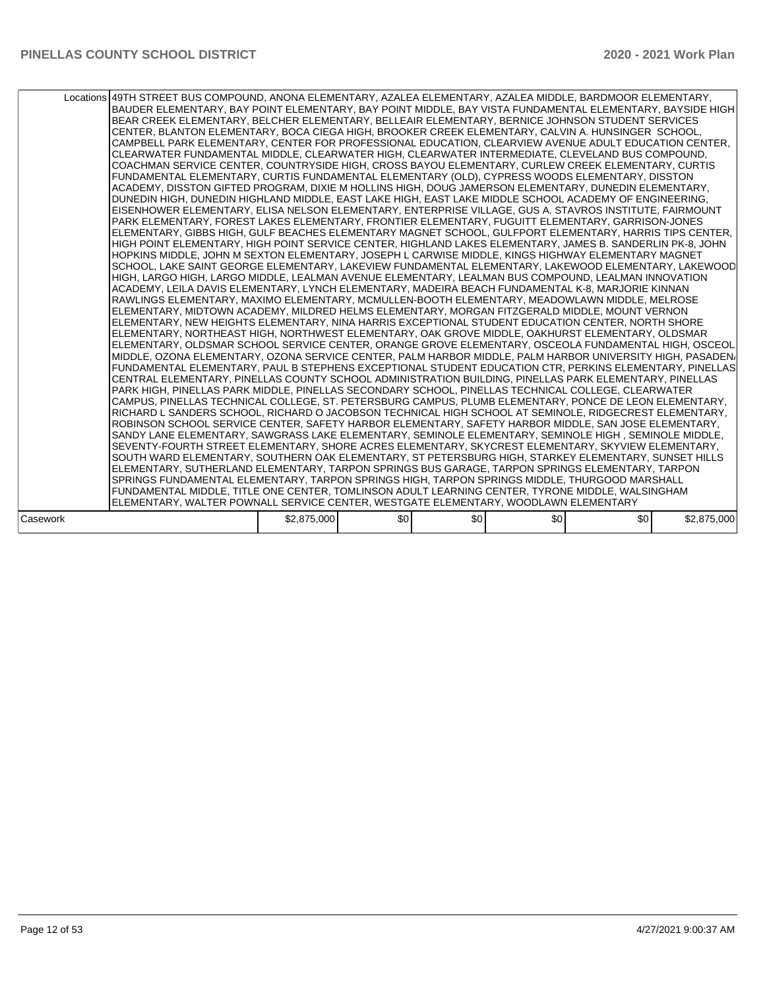|          | Locations 49TH STREET BUS COMPOUND. ANONA ELEMENTARY. AZALEA ELEMENTARY. AZALEA MIDDLE. BARDMOOR ELEMENTARY.<br>BAUDER ELEMENTARY, BAY POINT ELEMENTARY, BAY POINT MIDDLE, BAY VISTA FUNDAMENTAL ELEMENTARY, BAYSIDE HIGH<br>BEAR CREEK ELEMENTARY, BELCHER ELEMENTARY, BELLEAIR ELEMENTARY, BERNICE JOHNSON STUDENT SERVICES<br>CENTER, BLANTON ELEMENTARY, BOCA CIEGA HIGH, BROOKER CREEK ELEMENTARY, CALVIN A. HUNSINGER SCHOOL,<br>CAMPBELL PARK ELEMENTARY, CENTER FOR PROFESSIONAL EDUCATION, CLEARVIEW AVENUE ADULT EDUCATION CENTER,<br>CLEARWATER FUNDAMENTAL MIDDLE, CLEARWATER HIGH, CLEARWATER INTERMEDIATE, CLEVELAND BUS COMPOUND,<br>ICOACHMAN SERVICE CENTER. COUNTRYSIDE HIGH. CROSS BAYOU ELEMENTARY. CURLEW CREEK ELEMENTARY. CURTIS<br>FUNDAMENTAL ELEMENTARY, CURTIS FUNDAMENTAL ELEMENTARY (OLD), CYPRESS WOODS ELEMENTARY, DISSTON<br>ACADEMY, DISSTON GIFTED PROGRAM, DIXIE M HOLLINS HIGH, DOUG JAMERSON ELEMENTARY, DUNEDIN ELEMENTARY,<br>DUNEDIN HIGH, DUNEDIN HIGHLAND MIDDLE, EAST LAKE HIGH, EAST LAKE MIDDLE SCHOOL ACADEMY OF ENGINEERING,<br>EISENHOWER ELEMENTARY, ELISA NELSON ELEMENTARY, ENTERPRISE VILLAGE, GUS A. STAVROS INSTITUTE, FAIRMOUNT<br>PARK ELEMENTARY, FOREST LAKES ELEMENTARY, FRONTIER ELEMENTARY, FUGUITT ELEMENTARY, GARRISON-JONES<br>ELEMENTARY, GIBBS HIGH, GULF BEACHES ELEMENTARY MAGNET SCHOOL, GULFPORT ELEMENTARY, HARRIS TIPS CENTER,<br>HIGH POINT ELEMENTARY, HIGH POINT SERVICE CENTER, HIGHLAND LAKES ELEMENTARY, JAMES B. SANDERLIN PK-8, JOHN<br>HOPKINS MIDDLE, JOHN M SEXTON ELEMENTARY, JOSEPH L CARWISE MIDDLE, KINGS HIGHWAY ELEMENTARY MAGNET<br>SCHOOL, LAKE SAINT GEORGE ELEMENTARY, LAKEVIEW FUNDAMENTAL ELEMENTARY, LAKEWOOD ELEMENTARY, LAKEWOOD<br>HIGH. LARGO HIGH. LARGO MIDDLE. LEALMAN AVENUE ELEMENTARY. LEALMAN BUS COMPOUND. LEALMAN INNOVATION<br>ACADEMY, LEILA DAVIS ELEMENTARY, LYNCH ELEMENTARY, MADEIRA BEACH FUNDAMENTAL K-8, MARJORIE KINNAN <br>RAWLINGS ELEMENTARY, MAXIMO ELEMENTARY, MCMULLEN-BOOTH ELEMENTARY, MEADOWLAWN MIDDLE, MELROSE<br>ELEMENTARY, MIDTOWN ACADEMY, MILDRED HELMS ELEMENTARY, MORGAN FITZGERALD MIDDLE, MOUNT VERNON<br>ELEMENTARY, NEW HEIGHTS ELEMENTARY, NINA HARRIS EXCEPTIONAL STUDENT EDUCATION CENTER, NORTH SHORE<br>ELEMENTARY, NORTHEAST HIGH, NORTHWEST ELEMENTARY, OAK GROVE MIDDLE, OAKHURST ELEMENTARY, OLDSMAR<br>IELEMENTARY, OLDSMAR SCHOOL SERVICE CENTER, ORANGE GROVE ELEMENTARY, OSCEOLA FUNDAMENTAL HIGH, OSCEOL<br>IMIDDLE. OZONA ELEMENTARY. OZONA SERVICE CENTER. PALM HARBOR MIDDLE. PALM HARBOR UNIVERSITY HIGH. PASADEN/<br>FUNDAMENTAL ELEMENTARY, PAUL B STEPHENS EXCEPTIONAL STUDENT EDUCATION CTR, PERKINS ELEMENTARY, PINELLAS<br>CENTRAL ELEMENTARY, PINELLAS COUNTY SCHOOL ADMINISTRATION BUILDING, PINELLAS PARK ELEMENTARY, PINELLAS<br>PARK HIGH, PINELLAS PARK MIDDLE, PINELLAS SECONDARY SCHOOL, PINELLAS TECHNICAL COLLEGE, CLEARWATER<br>ICAMPUS. PINELLAS TECHNICAL COLLEGE. ST. PETERSBURG CAMPUS. PLUMB ELEMENTARY. PONCE DE LEON ELEMENTARY.<br>RICHARD L SANDERS SCHOOL, RICHARD O JACOBSON TECHNICAL HIGH SCHOOL AT SEMINOLE, RIDGECREST ELEMENTARY,<br>ROBINSON SCHOOL SERVICE CENTER, SAFETY HARBOR ELEMENTARY, SAFETY HARBOR MIDDLE, SAN JOSE ELEMENTARY,<br>SANDY LANE ELEMENTARY, SAWGRASS LAKE ELEMENTARY, SEMINOLE ELEMENTARY, SEMINOLE HIGH, SEMINOLE MIDDLE,<br>SEVENTY-FOURTH STREET ELEMENTARY, SHORE ACRES ELEMENTARY, SKYCREST ELEMENTARY, SKYVIEW ELEMENTARY,<br>SOUTH WARD ELEMENTARY. SOUTHERN OAK ELEMENTARY. ST PETERSBURG HIGH. STARKEY ELEMENTARY. SUNSET HILLS<br>ELEMENTARY, SUTHERLAND ELEMENTARY, TARPON SPRINGS BUS GARAGE, TARPON SPRINGS ELEMENTARY, TARPON<br>SPRINGS FUNDAMENTAL ELEMENTARY, TARPON SPRINGS HIGH, TARPON SPRINGS MIDDLE, THURGOOD MARSHALL<br>FUNDAMENTAL MIDDLE, TITLE ONE CENTER, TOMLINSON ADULT LEARNING CENTER, TYRONE MIDDLE, WALSINGHAM<br>ELEMENTARY, WALTER POWNALL SERVICE CENTER, WESTGATE ELEMENTARY, WOODLAWN ELEMENTARY |             |     |     |     |     |             |
|----------|-----------------------------------------------------------------------------------------------------------------------------------------------------------------------------------------------------------------------------------------------------------------------------------------------------------------------------------------------------------------------------------------------------------------------------------------------------------------------------------------------------------------------------------------------------------------------------------------------------------------------------------------------------------------------------------------------------------------------------------------------------------------------------------------------------------------------------------------------------------------------------------------------------------------------------------------------------------------------------------------------------------------------------------------------------------------------------------------------------------------------------------------------------------------------------------------------------------------------------------------------------------------------------------------------------------------------------------------------------------------------------------------------------------------------------------------------------------------------------------------------------------------------------------------------------------------------------------------------------------------------------------------------------------------------------------------------------------------------------------------------------------------------------------------------------------------------------------------------------------------------------------------------------------------------------------------------------------------------------------------------------------------------------------------------------------------------------------------------------------------------------------------------------------------------------------------------------------------------------------------------------------------------------------------------------------------------------------------------------------------------------------------------------------------------------------------------------------------------------------------------------------------------------------------------------------------------------------------------------------------------------------------------------------------------------------------------------------------------------------------------------------------------------------------------------------------------------------------------------------------------------------------------------------------------------------------------------------------------------------------------------------------------------------------------------------------------------------------------------------------------------------------------------------------------------------------------------------------------------------------------------------------------------------------------------------------------------------------------------------------------------------------------------------------------------------------------------------------------------------------------------------------------------------------------------------------------------------------------------------------------------------------------------------------------------------------------------------------------------------------------------------------------------------------------------------------------------------------------------------------------------------------------------------------------------------------------------------------|-------------|-----|-----|-----|-----|-------------|
|          |                                                                                                                                                                                                                                                                                                                                                                                                                                                                                                                                                                                                                                                                                                                                                                                                                                                                                                                                                                                                                                                                                                                                                                                                                                                                                                                                                                                                                                                                                                                                                                                                                                                                                                                                                                                                                                                                                                                                                                                                                                                                                                                                                                                                                                                                                                                                                                                                                                                                                                                                                                                                                                                                                                                                                                                                                                                                                                                                                                                                                                                                                                                                                                                                                                                                                                                                                                                                                                                                                                                                                                                                                                                                                                                                                                                                                                                                                                                                                                 |             |     |     |     |     |             |
| Casework |                                                                                                                                                                                                                                                                                                                                                                                                                                                                                                                                                                                                                                                                                                                                                                                                                                                                                                                                                                                                                                                                                                                                                                                                                                                                                                                                                                                                                                                                                                                                                                                                                                                                                                                                                                                                                                                                                                                                                                                                                                                                                                                                                                                                                                                                                                                                                                                                                                                                                                                                                                                                                                                                                                                                                                                                                                                                                                                                                                                                                                                                                                                                                                                                                                                                                                                                                                                                                                                                                                                                                                                                                                                                                                                                                                                                                                                                                                                                                                 | \$2,875,000 | \$0 | \$0 | \$0 | \$0 | \$2,875,000 |
|          |                                                                                                                                                                                                                                                                                                                                                                                                                                                                                                                                                                                                                                                                                                                                                                                                                                                                                                                                                                                                                                                                                                                                                                                                                                                                                                                                                                                                                                                                                                                                                                                                                                                                                                                                                                                                                                                                                                                                                                                                                                                                                                                                                                                                                                                                                                                                                                                                                                                                                                                                                                                                                                                                                                                                                                                                                                                                                                                                                                                                                                                                                                                                                                                                                                                                                                                                                                                                                                                                                                                                                                                                                                                                                                                                                                                                                                                                                                                                                                 |             |     |     |     |     |             |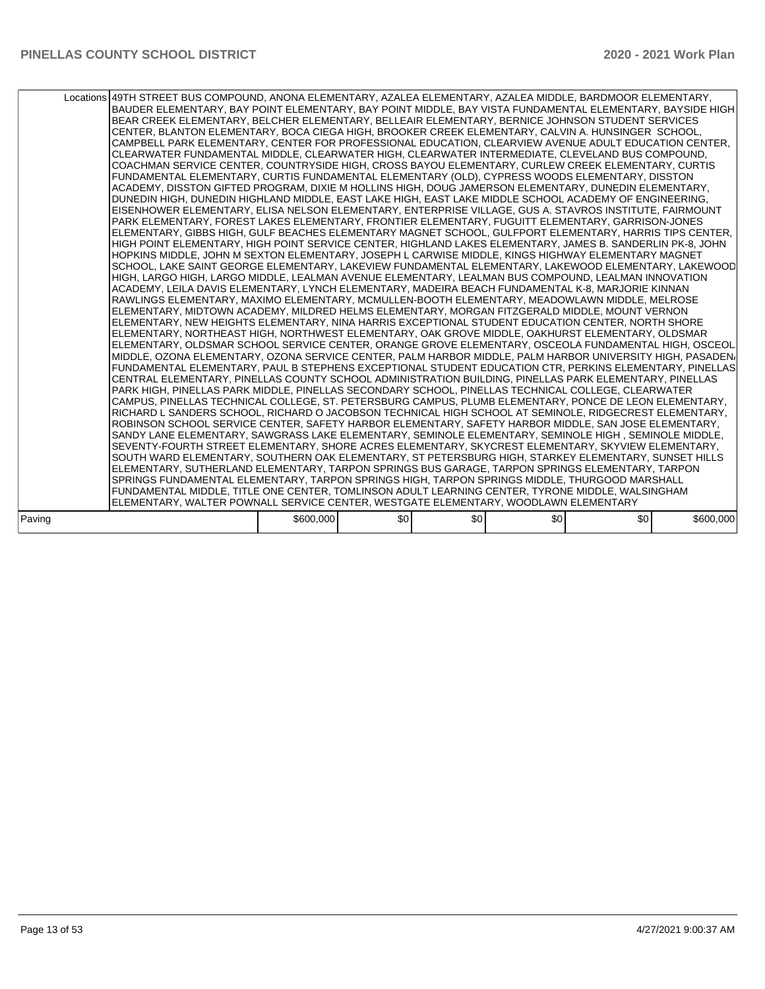|        | Locations 49TH STREET BUS COMPOUND, ANONA ELEMENTARY, AZALEA ELEMENTARY, AZALEA MIDDLE, BARDMOOR ELEMENTARY,<br>BAUDER ELEMENTARY, BAY POINT ELEMENTARY, BAY POINT MIDDLE, BAY VISTA FUNDAMENTAL ELEMENTARY, BAYSIDE HIGH<br>BEAR CREEK ELEMENTARY, BELCHER ELEMENTARY, BELLEAIR ELEMENTARY, BERNICE JOHNSON STUDENT SERVICES<br>CENTER, BLANTON ELEMENTARY, BOCA CIEGA HIGH, BROOKER CREEK ELEMENTARY, CALVIN A. HUNSINGER SCHOOL,<br>CAMPBELL PARK ELEMENTARY, CENTER FOR PROFESSIONAL EDUCATION, CLEARVIEW AVENUE ADULT EDUCATION CENTER,<br>CLEARWATER FUNDAMENTAL MIDDLE, CLEARWATER HIGH, CLEARWATER INTERMEDIATE, CLEVELAND BUS COMPOUND,<br>ICOACHMAN SERVICE CENTER. COUNTRYSIDE HIGH. CROSS BAYOU ELEMENTARY. CURLEW CREEK ELEMENTARY. CURTIS<br>FUNDAMENTAL ELEMENTARY, CURTIS FUNDAMENTAL ELEMENTARY (OLD), CYPRESS WOODS ELEMENTARY, DISSTON<br>ACADEMY, DISSTON GIFTED PROGRAM, DIXIE M HOLLINS HIGH, DOUG JAMERSON ELEMENTARY, DUNEDIN ELEMENTARY,<br>DUNEDIN HIGH, DUNEDIN HIGHLAND MIDDLE, EAST LAKE HIGH, EAST LAKE MIDDLE SCHOOL ACADEMY OF ENGINEERING,<br>EISENHOWER ELEMENTARY, ELISA NELSON ELEMENTARY, ENTERPRISE VILLAGE, GUS A. STAVROS INSTITUTE, FAIRMOUNT<br>PARK ELEMENTARY, FOREST LAKES ELEMENTARY, FRONTIER ELEMENTARY, FUGUITT ELEMENTARY, GARRISON-JONES<br> ELEMENTARY, GIBBS HIGH, GULF BEACHES ELEMENTARY MAGNET SCHOOL, GULFPORT ELEMENTARY, HARRIS TIPS CENTER,<br>HIGH POINT ELEMENTARY, HIGH POINT SERVICE CENTER, HIGHLAND LAKES ELEMENTARY, JAMES B. SANDERLIN PK-8, JOHN<br>HOPKINS MIDDLE, JOHN M SEXTON ELEMENTARY, JOSEPH L CARWISE MIDDLE, KINGS HIGHWAY ELEMENTARY MAGNET<br>SCHOOL, LAKE SAINT GEORGE ELEMENTARY, LAKEVIEW FUNDAMENTAL ELEMENTARY, LAKEWOOD ELEMENTARY, LAKEWOOD<br>HIGH. LARGO HIGH. LARGO MIDDLE. LEALMAN AVENUE ELEMENTARY. LEALMAN BUS COMPOUND. LEALMAN INNOVATION<br>ACADEMY, LEILA DAVIS ELEMENTARY, LYNCH ELEMENTARY, MADEIRA BEACH FUNDAMENTAL K-8, MARJORIE KINNAN <br>RAWLINGS ELEMENTARY, MAXIMO ELEMENTARY, MCMULLEN-BOOTH ELEMENTARY, MEADOWLAWN MIDDLE, MELROSE<br>ELEMENTARY, MIDTOWN ACADEMY, MILDRED HELMS ELEMENTARY, MORGAN FITZGERALD MIDDLE, MOUNT VERNON<br>ELEMENTARY, NEW HEIGHTS ELEMENTARY, NINA HARRIS EXCEPTIONAL STUDENT EDUCATION CENTER, NORTH SHORE<br>ELEMENTARY, NORTHEAST HIGH, NORTHWEST ELEMENTARY, OAK GROVE MIDDLE, OAKHURST ELEMENTARY, OLDSMAR<br>IELEMENTARY, OLDSMAR SCHOOL SERVICE CENTER, ORANGE GROVE ELEMENTARY, OSCEOLA FUNDAMENTAL HIGH, OSCEOL<br>IMIDDLE. OZONA ELEMENTARY. OZONA SERVICE CENTER. PALM HARBOR MIDDLE. PALM HARBOR UNIVERSITY HIGH. PASADEN/<br>FUNDAMENTAL ELEMENTARY, PAUL B STEPHENS EXCEPTIONAL STUDENT EDUCATION CTR, PERKINS ELEMENTARY, PINELLAS<br>CENTRAL ELEMENTARY, PINELLAS COUNTY SCHOOL ADMINISTRATION BUILDING, PINELLAS PARK ELEMENTARY, PINELLAS<br>PARK HIGH, PINELLAS PARK MIDDLE, PINELLAS SECONDARY SCHOOL, PINELLAS TECHNICAL COLLEGE, CLEARWATER<br>ICAMPUS. PINELLAS TECHNICAL COLLEGE. ST. PETERSBURG CAMPUS. PLUMB ELEMENTARY. PONCE DE LEON ELEMENTARY.<br>RICHARD L SANDERS SCHOOL, RICHARD O JACOBSON TECHNICAL HIGH SCHOOL AT SEMINOLE, RIDGECREST ELEMENTARY,<br>ROBINSON SCHOOL SERVICE CENTER, SAFETY HARBOR ELEMENTARY, SAFETY HARBOR MIDDLE, SAN JOSE ELEMENTARY,<br>SANDY LANE ELEMENTARY, SAWGRASS LAKE ELEMENTARY, SEMINOLE ELEMENTARY, SEMINOLE HIGH, SEMINOLE MIDDLE,<br>SEVENTY-FOURTH STREET ELEMENTARY, SHORE ACRES ELEMENTARY, SKYCREST ELEMENTARY, SKYVIEW ELEMENTARY,<br>ISOUTH WARD ELEMENTARY. SOUTHERN OAK ELEMENTARY. ST PETERSBURG HIGH. STARKEY ELEMENTARY. SUNSET HILLS<br>ELEMENTARY, SUTHERLAND ELEMENTARY, TARPON SPRINGS BUS GARAGE, TARPON SPRINGS ELEMENTARY, TARPON<br>SPRINGS FUNDAMENTAL ELEMENTARY, TARPON SPRINGS HIGH, TARPON SPRINGS MIDDLE, THURGOOD MARSHALL<br>FUNDAMENTAL MIDDLE, TITLE ONE CENTER, TOMLINSON ADULT LEARNING CENTER, TYRONE MIDDLE, WALSINGHAM |           |                  |     |     |     |           |
|--------|----------------------------------------------------------------------------------------------------------------------------------------------------------------------------------------------------------------------------------------------------------------------------------------------------------------------------------------------------------------------------------------------------------------------------------------------------------------------------------------------------------------------------------------------------------------------------------------------------------------------------------------------------------------------------------------------------------------------------------------------------------------------------------------------------------------------------------------------------------------------------------------------------------------------------------------------------------------------------------------------------------------------------------------------------------------------------------------------------------------------------------------------------------------------------------------------------------------------------------------------------------------------------------------------------------------------------------------------------------------------------------------------------------------------------------------------------------------------------------------------------------------------------------------------------------------------------------------------------------------------------------------------------------------------------------------------------------------------------------------------------------------------------------------------------------------------------------------------------------------------------------------------------------------------------------------------------------------------------------------------------------------------------------------------------------------------------------------------------------------------------------------------------------------------------------------------------------------------------------------------------------------------------------------------------------------------------------------------------------------------------------------------------------------------------------------------------------------------------------------------------------------------------------------------------------------------------------------------------------------------------------------------------------------------------------------------------------------------------------------------------------------------------------------------------------------------------------------------------------------------------------------------------------------------------------------------------------------------------------------------------------------------------------------------------------------------------------------------------------------------------------------------------------------------------------------------------------------------------------------------------------------------------------------------------------------------------------------------------------------------------------------------------------------------------------------------------------------------------------------------------------------------------------------------------------------------------------------------------------------------------------------------------------------------------------------------------------------------------------------------------------------------------------------------------------------------------------------------------------------------------|-----------|------------------|-----|-----|-----|-----------|
|        | ELEMENTARY, WALTER POWNALL SERVICE CENTER, WESTGATE ELEMENTARY, WOODLAWN ELEMENTARY                                                                                                                                                                                                                                                                                                                                                                                                                                                                                                                                                                                                                                                                                                                                                                                                                                                                                                                                                                                                                                                                                                                                                                                                                                                                                                                                                                                                                                                                                                                                                                                                                                                                                                                                                                                                                                                                                                                                                                                                                                                                                                                                                                                                                                                                                                                                                                                                                                                                                                                                                                                                                                                                                                                                                                                                                                                                                                                                                                                                                                                                                                                                                                                                                                                                                                                                                                                                                                                                                                                                                                                                                                                                                                                                                                                        |           |                  |     |     |     |           |
| Paving |                                                                                                                                                                                                                                                                                                                                                                                                                                                                                                                                                                                                                                                                                                                                                                                                                                                                                                                                                                                                                                                                                                                                                                                                                                                                                                                                                                                                                                                                                                                                                                                                                                                                                                                                                                                                                                                                                                                                                                                                                                                                                                                                                                                                                                                                                                                                                                                                                                                                                                                                                                                                                                                                                                                                                                                                                                                                                                                                                                                                                                                                                                                                                                                                                                                                                                                                                                                                                                                                                                                                                                                                                                                                                                                                                                                                                                                                            | \$600,000 | \$0 <sub>1</sub> | \$0 | \$0 | \$0 | \$600,000 |
|        |                                                                                                                                                                                                                                                                                                                                                                                                                                                                                                                                                                                                                                                                                                                                                                                                                                                                                                                                                                                                                                                                                                                                                                                                                                                                                                                                                                                                                                                                                                                                                                                                                                                                                                                                                                                                                                                                                                                                                                                                                                                                                                                                                                                                                                                                                                                                                                                                                                                                                                                                                                                                                                                                                                                                                                                                                                                                                                                                                                                                                                                                                                                                                                                                                                                                                                                                                                                                                                                                                                                                                                                                                                                                                                                                                                                                                                                                            |           |                  |     |     |     |           |
|        |                                                                                                                                                                                                                                                                                                                                                                                                                                                                                                                                                                                                                                                                                                                                                                                                                                                                                                                                                                                                                                                                                                                                                                                                                                                                                                                                                                                                                                                                                                                                                                                                                                                                                                                                                                                                                                                                                                                                                                                                                                                                                                                                                                                                                                                                                                                                                                                                                                                                                                                                                                                                                                                                                                                                                                                                                                                                                                                                                                                                                                                                                                                                                                                                                                                                                                                                                                                                                                                                                                                                                                                                                                                                                                                                                                                                                                                                            |           |                  |     |     |     |           |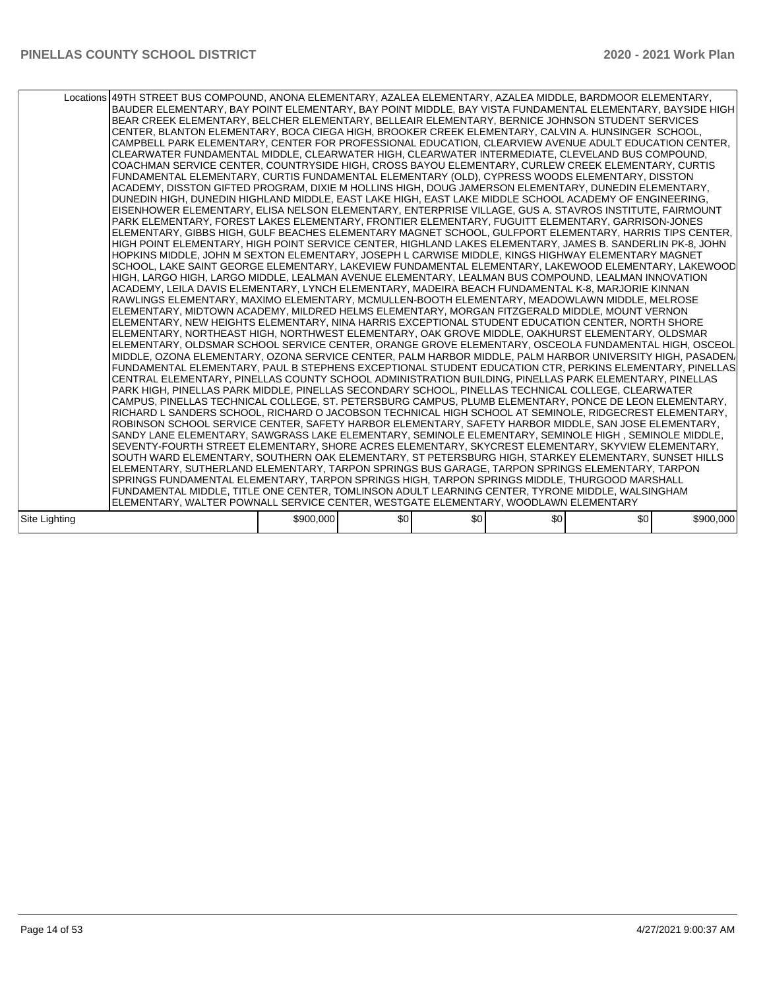|               | Locations 49TH STREET BUS COMPOUND, ANONA ELEMENTARY, AZALEA ELEMENTARY, AZALEA MIDDLE, BARDMOOR ELEMENTARY,<br>BAUDER ELEMENTARY, BAY POINT ELEMENTARY, BAY POINT MIDDLE, BAY VISTA FUNDAMENTAL ELEMENTARY, BAYSIDE HIGH<br>BEAR CREEK ELEMENTARY, BELCHER ELEMENTARY, BELLEAIR ELEMENTARY, BERNICE JOHNSON STUDENT SERVICES<br>CENTER, BLANTON ELEMENTARY, BOCA CIEGA HIGH, BROOKER CREEK ELEMENTARY, CALVIN A. HUNSINGER SCHOOL,<br>CAMPBELL PARK ELEMENTARY, CENTER FOR PROFESSIONAL EDUCATION, CLEARVIEW AVENUE ADULT EDUCATION CENTER,<br>CLEARWATER FUNDAMENTAL MIDDLE, CLEARWATER HIGH, CLEARWATER INTERMEDIATE, CLEVELAND BUS COMPOUND,<br>COACHMAN SERVICE CENTER, COUNTRYSIDE HIGH, CROSS BAYOU ELEMENTARY, CURLEW CREEK ELEMENTARY, CURTIS<br>FUNDAMENTAL ELEMENTARY, CURTIS FUNDAMENTAL ELEMENTARY (OLD), CYPRESS WOODS ELEMENTARY, DISSTON<br>ACADEMY, DISSTON GIFTED PROGRAM, DIXIE M HOLLINS HIGH, DOUG JAMERSON ELEMENTARY, DUNEDIN ELEMENTARY,<br>DUNEDIN HIGH, DUNEDIN HIGHLAND MIDDLE, EAST LAKE HIGH, EAST LAKE MIDDLE SCHOOL ACADEMY OF ENGINEERING,<br>EISENHOWER ELEMENTARY, ELISA NELSON ELEMENTARY, ENTERPRISE VILLAGE, GUS A. STAVROS INSTITUTE, FAIRMOUNT<br>PARK ELEMENTARY, FOREST LAKES ELEMENTARY, FRONTIER ELEMENTARY, FUGUITT ELEMENTARY, GARRISON-JONES<br>ELEMENTARY, GIBBS HIGH, GULF BEACHES ELEMENTARY MAGNET SCHOOL, GULFPORT ELEMENTARY, HARRIS TIPS CENTER,<br>HIGH POINT ELEMENTARY, HIGH POINT SERVICE CENTER, HIGHLAND LAKES ELEMENTARY, JAMES B. SANDERLIN PK-8, JOHN<br>HOPKINS MIDDLE, JOHN M SEXTON ELEMENTARY, JOSEPH L CARWISE MIDDLE, KINGS HIGHWAY ELEMENTARY MAGNET<br>SCHOOL, LAKE SAINT GEORGE ELEMENTARY, LAKEVIEW FUNDAMENTAL ELEMENTARY, LAKEWOOD ELEMENTARY, LAKEWOOD<br>HIGH, LARGO HIGH, LARGO MIDDLE, LEALMAN AVENUE ELEMENTARY, LEALMAN BUS COMPOUND, LEALMAN INNOVATION<br>ACADEMY, LEILA DAVIS ELEMENTARY, LYNCH ELEMENTARY, MADEIRA BEACH FUNDAMENTAL K-8, MARJORIE KINNAN <br>RAWLINGS ELEMENTARY, MAXIMO ELEMENTARY, MCMULLEN-BOOTH ELEMENTARY, MEADOWLAWN MIDDLE, MELROSE<br>ELEMENTARY, MIDTOWN ACADEMY, MILDRED HELMS ELEMENTARY, MORGAN FITZGERALD MIDDLE, MOUNT VERNON<br>ELEMENTARY, NEW HEIGHTS ELEMENTARY, NINA HARRIS EXCEPTIONAL STUDENT EDUCATION CENTER, NORTH SHORE<br>ELEMENTARY, NORTHEAST HIGH, NORTHWEST ELEMENTARY, OAK GROVE MIDDLE, OAKHURST ELEMENTARY, OLDSMAR<br>ELEMENTARY, OLDSMAR SCHOOL SERVICE CENTER, ORANGE GROVE ELEMENTARY, OSCEOLA FUNDAMENTAL HIGH, OSCEOL<br>MIDDLE, OZONA ELEMENTARY, OZONA SERVICE CENTER, PALM HARBOR MIDDLE, PALM HARBOR UNIVERSITY HIGH, PASADEN/<br>FUNDAMENTAL ELEMENTARY, PAUL B STEPHENS EXCEPTIONAL STUDENT EDUCATION CTR, PERKINS ELEMENTARY, PINELLAS<br>CENTRAL ELEMENTARY, PINELLAS COUNTY SCHOOL ADMINISTRATION BUILDING, PINELLAS PARK ELEMENTARY, PINELLAS<br>PARK HIGH, PINELLAS PARK MIDDLE, PINELLAS SECONDARY SCHOOL, PINELLAS TECHNICAL COLLEGE, CLEARWATER<br> CAMPUS, PINELLAS TECHNICAL COLLEGE, ST. PETERSBURG CAMPUS, PLUMB ELEMENTARY, PONCE DE LEON ELEMENTARY,<br>RICHARD L SANDERS SCHOOL, RICHARD O JACOBSON TECHNICAL HIGH SCHOOL AT SEMINOLE, RIDGECREST ELEMENTARY,<br>ROBINSON SCHOOL SERVICE CENTER, SAFETY HARBOR ELEMENTARY, SAFETY HARBOR MIDDLE, SAN JOSE ELEMENTARY,<br>SANDY LANE ELEMENTARY, SAWGRASS LAKE ELEMENTARY, SEMINOLE ELEMENTARY, SEMINOLE HIGH, SEMINOLE MIDDLE,<br>SEVENTY-FOURTH STREET ELEMENTARY, SHORE ACRES ELEMENTARY, SKYCREST ELEMENTARY, SKYVIEW ELEMENTARY,<br>SOUTH WARD ELEMENTARY, SOUTHERN OAK ELEMENTARY, ST PETERSBURG HIGH, STARKEY ELEMENTARY, SUNSET HILLS<br>ELEMENTARY, SUTHERLAND ELEMENTARY, TARPON SPRINGS BUS GARAGE, TARPON SPRINGS ELEMENTARY, TARPON<br>SPRINGS FUNDAMENTAL ELEMENTARY, TARPON SPRINGS HIGH, TARPON SPRINGS MIDDLE, THURGOOD MARSHALL<br>FUNDAMENTAL MIDDLE, TITLE ONE CENTER, TOMLINSON ADULT LEARNING CENTER, TYRONE MIDDLE, WALSINGHAM |           |     |     |     |     |           |
|---------------|-----------------------------------------------------------------------------------------------------------------------------------------------------------------------------------------------------------------------------------------------------------------------------------------------------------------------------------------------------------------------------------------------------------------------------------------------------------------------------------------------------------------------------------------------------------------------------------------------------------------------------------------------------------------------------------------------------------------------------------------------------------------------------------------------------------------------------------------------------------------------------------------------------------------------------------------------------------------------------------------------------------------------------------------------------------------------------------------------------------------------------------------------------------------------------------------------------------------------------------------------------------------------------------------------------------------------------------------------------------------------------------------------------------------------------------------------------------------------------------------------------------------------------------------------------------------------------------------------------------------------------------------------------------------------------------------------------------------------------------------------------------------------------------------------------------------------------------------------------------------------------------------------------------------------------------------------------------------------------------------------------------------------------------------------------------------------------------------------------------------------------------------------------------------------------------------------------------------------------------------------------------------------------------------------------------------------------------------------------------------------------------------------------------------------------------------------------------------------------------------------------------------------------------------------------------------------------------------------------------------------------------------------------------------------------------------------------------------------------------------------------------------------------------------------------------------------------------------------------------------------------------------------------------------------------------------------------------------------------------------------------------------------------------------------------------------------------------------------------------------------------------------------------------------------------------------------------------------------------------------------------------------------------------------------------------------------------------------------------------------------------------------------------------------------------------------------------------------------------------------------------------------------------------------------------------------------------------------------------------------------------------------------------------------------------------------------------------------------------------------------------------------------------------------------------------------------------------------------------------------------|-----------|-----|-----|-----|-----|-----------|
|               | ELEMENTARY, WALTER POWNALL SERVICE CENTER, WESTGATE ELEMENTARY, WOODLAWN ELEMENTARY                                                                                                                                                                                                                                                                                                                                                                                                                                                                                                                                                                                                                                                                                                                                                                                                                                                                                                                                                                                                                                                                                                                                                                                                                                                                                                                                                                                                                                                                                                                                                                                                                                                                                                                                                                                                                                                                                                                                                                                                                                                                                                                                                                                                                                                                                                                                                                                                                                                                                                                                                                                                                                                                                                                                                                                                                                                                                                                                                                                                                                                                                                                                                                                                                                                                                                                                                                                                                                                                                                                                                                                                                                                                                                                                                                                   |           |     |     |     |     |           |
|               |                                                                                                                                                                                                                                                                                                                                                                                                                                                                                                                                                                                                                                                                                                                                                                                                                                                                                                                                                                                                                                                                                                                                                                                                                                                                                                                                                                                                                                                                                                                                                                                                                                                                                                                                                                                                                                                                                                                                                                                                                                                                                                                                                                                                                                                                                                                                                                                                                                                                                                                                                                                                                                                                                                                                                                                                                                                                                                                                                                                                                                                                                                                                                                                                                                                                                                                                                                                                                                                                                                                                                                                                                                                                                                                                                                                                                                                                       |           |     |     |     |     |           |
| Site Lighting |                                                                                                                                                                                                                                                                                                                                                                                                                                                                                                                                                                                                                                                                                                                                                                                                                                                                                                                                                                                                                                                                                                                                                                                                                                                                                                                                                                                                                                                                                                                                                                                                                                                                                                                                                                                                                                                                                                                                                                                                                                                                                                                                                                                                                                                                                                                                                                                                                                                                                                                                                                                                                                                                                                                                                                                                                                                                                                                                                                                                                                                                                                                                                                                                                                                                                                                                                                                                                                                                                                                                                                                                                                                                                                                                                                                                                                                                       | \$900,000 | \$0 | \$0 | \$0 | \$0 | \$900,000 |
|               |                                                                                                                                                                                                                                                                                                                                                                                                                                                                                                                                                                                                                                                                                                                                                                                                                                                                                                                                                                                                                                                                                                                                                                                                                                                                                                                                                                                                                                                                                                                                                                                                                                                                                                                                                                                                                                                                                                                                                                                                                                                                                                                                                                                                                                                                                                                                                                                                                                                                                                                                                                                                                                                                                                                                                                                                                                                                                                                                                                                                                                                                                                                                                                                                                                                                                                                                                                                                                                                                                                                                                                                                                                                                                                                                                                                                                                                                       |           |     |     |     |     |           |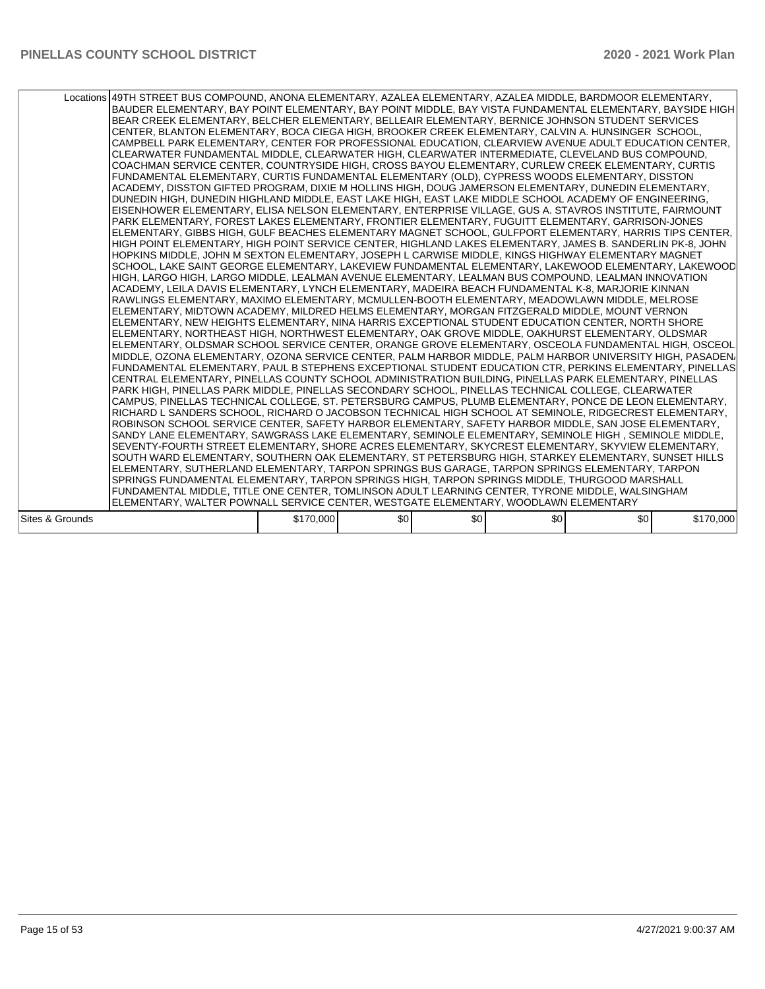|                 | Locations 49TH STREET BUS COMPOUND, ANONA ELEMENTARY, AZALEA ELEMENTARY, AZALEA MIDDLE, BARDMOOR ELEMENTARY,<br>BAUDER ELEMENTARY, BAY POINT ELEMENTARY, BAY POINT MIDDLE, BAY VISTA FUNDAMENTAL ELEMENTARY, BAYSIDE HIGH<br>BEAR CREEK ELEMENTARY, BELCHER ELEMENTARY, BELLEAIR ELEMENTARY, BERNICE JOHNSON STUDENT SERVICES<br>CENTER, BLANTON ELEMENTARY, BOCA CIEGA HIGH, BROOKER CREEK ELEMENTARY, CALVIN A. HUNSINGER SCHOOL,<br>CAMPBELL PARK ELEMENTARY, CENTER FOR PROFESSIONAL EDUCATION, CLEARVIEW AVENUE ADULT EDUCATION CENTER,<br>CLEARWATER FUNDAMENTAL MIDDLE, CLEARWATER HIGH, CLEARWATER INTERMEDIATE, CLEVELAND BUS COMPOUND,<br>COACHMAN SERVICE CENTER, COUNTRYSIDE HIGH, CROSS BAYOU ELEMENTARY, CURLEW CREEK ELEMENTARY, CURTIS<br>FUNDAMENTAL ELEMENTARY, CURTIS FUNDAMENTAL ELEMENTARY (OLD), CYPRESS WOODS ELEMENTARY, DISSTON<br>ACADEMY, DISSTON GIFTED PROGRAM, DIXIE M HOLLINS HIGH, DOUG JAMERSON ELEMENTARY, DUNEDIN ELEMENTARY,<br>DUNEDIN HIGH, DUNEDIN HIGHLAND MIDDLE, EAST LAKE HIGH, EAST LAKE MIDDLE SCHOOL ACADEMY OF ENGINEERING,<br>EISENHOWER ELEMENTARY, ELISA NELSON ELEMENTARY, ENTERPRISE VILLAGE, GUS A. STAVROS INSTITUTE, FAIRMOUNT<br>PARK ELEMENTARY, FOREST LAKES ELEMENTARY, FRONTIER ELEMENTARY, FUGUITT ELEMENTARY, GARRISON-JONES<br>ELEMENTARY, GIBBS HIGH, GULF BEACHES ELEMENTARY MAGNET SCHOOL, GULFPORT ELEMENTARY, HARRIS TIPS CENTER,<br>HIGH POINT ELEMENTARY, HIGH POINT SERVICE CENTER, HIGHLAND LAKES ELEMENTARY, JAMES B. SANDERLIN PK-8, JOHN<br>HOPKINS MIDDLE, JOHN M SEXTON ELEMENTARY, JOSEPH L CARWISE MIDDLE, KINGS HIGHWAY ELEMENTARY MAGNET<br>SCHOOL, LAKE SAINT GEORGE ELEMENTARY, LAKEVIEW FUNDAMENTAL ELEMENTARY, LAKEWOOD ELEMENTARY, LAKEWOOD<br>HIGH, LARGO HIGH, LARGO MIDDLE, LEALMAN AVENUE ELEMENTARY, LEALMAN BUS COMPOUND, LEALMAN INNOVATION<br>ACADEMY, LEILA DAVIS ELEMENTARY, LYNCH ELEMENTARY, MADEIRA BEACH FUNDAMENTAL K-8, MARJORIE KINNAN <br>RAWLINGS ELEMENTARY, MAXIMO ELEMENTARY, MCMULLEN-BOOTH ELEMENTARY, MEADOWLAWN MIDDLE, MELROSE<br>ELEMENTARY, MIDTOWN ACADEMY, MILDRED HELMS ELEMENTARY, MORGAN FITZGERALD MIDDLE, MOUNT VERNON<br>ELEMENTARY, NEW HEIGHTS ELEMENTARY, NINA HARRIS EXCEPTIONAL STUDENT EDUCATION CENTER, NORTH SHORE<br>ELEMENTARY, NORTHEAST HIGH, NORTHWEST ELEMENTARY, OAK GROVE MIDDLE, OAKHURST ELEMENTARY, OLDSMAR<br>ELEMENTARY, OLDSMAR SCHOOL SERVICE CENTER, ORANGE GROVE ELEMENTARY, OSCEOLA FUNDAMENTAL HIGH, OSCEOL<br>MIDDLE, OZONA ELEMENTARY, OZONA SERVICE CENTER, PALM HARBOR MIDDLE, PALM HARBOR UNIVERSITY HIGH, PASADEN/<br>FUNDAMENTAL ELEMENTARY, PAUL B STEPHENS EXCEPTIONAL STUDENT EDUCATION CTR, PERKINS ELEMENTARY, PINELLAS<br>CENTRAL ELEMENTARY, PINELLAS COUNTY SCHOOL ADMINISTRATION BUILDING, PINELLAS PARK ELEMENTARY, PINELLAS<br>PARK HIGH, PINELLAS PARK MIDDLE, PINELLAS SECONDARY SCHOOL, PINELLAS TECHNICAL COLLEGE, CLEARWATER<br> CAMPUS, PINELLAS TECHNICAL COLLEGE, ST. PETERSBURG CAMPUS, PLUMB ELEMENTARY, PONCE DE LEON ELEMENTARY,<br>RICHARD L SANDERS SCHOOL, RICHARD O JACOBSON TECHNICAL HIGH SCHOOL AT SEMINOLE, RIDGECREST ELEMENTARY,<br>ROBINSON SCHOOL SERVICE CENTER, SAFETY HARBOR ELEMENTARY, SAFETY HARBOR MIDDLE, SAN JOSE ELEMENTARY,<br>SANDY LANE ELEMENTARY, SAWGRASS LAKE ELEMENTARY, SEMINOLE ELEMENTARY, SEMINOLE HIGH, SEMINOLE MIDDLE,<br>SEVENTY-FOURTH STREET ELEMENTARY, SHORE ACRES ELEMENTARY, SKYCREST ELEMENTARY, SKYVIEW ELEMENTARY,<br>SOUTH WARD ELEMENTARY, SOUTHERN OAK ELEMENTARY, ST PETERSBURG HIGH, STARKEY ELEMENTARY, SUNSET HILLS<br>IELEMENTARY, SUTHERLAND ELEMENTARY, TARPON SPRINGS BUS GARAGE, TARPON SPRINGS ELEMENTARY, TARPON<br>SPRINGS FUNDAMENTAL ELEMENTARY, TARPON SPRINGS HIGH, TARPON SPRINGS MIDDLE, THURGOOD MARSHALL<br>FUNDAMENTAL MIDDLE, TITLE ONE CENTER, TOMLINSON ADULT LEARNING CENTER, TYRONE MIDDLE, WALSINGHAM |           |     |     |     |     |           |
|-----------------|------------------------------------------------------------------------------------------------------------------------------------------------------------------------------------------------------------------------------------------------------------------------------------------------------------------------------------------------------------------------------------------------------------------------------------------------------------------------------------------------------------------------------------------------------------------------------------------------------------------------------------------------------------------------------------------------------------------------------------------------------------------------------------------------------------------------------------------------------------------------------------------------------------------------------------------------------------------------------------------------------------------------------------------------------------------------------------------------------------------------------------------------------------------------------------------------------------------------------------------------------------------------------------------------------------------------------------------------------------------------------------------------------------------------------------------------------------------------------------------------------------------------------------------------------------------------------------------------------------------------------------------------------------------------------------------------------------------------------------------------------------------------------------------------------------------------------------------------------------------------------------------------------------------------------------------------------------------------------------------------------------------------------------------------------------------------------------------------------------------------------------------------------------------------------------------------------------------------------------------------------------------------------------------------------------------------------------------------------------------------------------------------------------------------------------------------------------------------------------------------------------------------------------------------------------------------------------------------------------------------------------------------------------------------------------------------------------------------------------------------------------------------------------------------------------------------------------------------------------------------------------------------------------------------------------------------------------------------------------------------------------------------------------------------------------------------------------------------------------------------------------------------------------------------------------------------------------------------------------------------------------------------------------------------------------------------------------------------------------------------------------------------------------------------------------------------------------------------------------------------------------------------------------------------------------------------------------------------------------------------------------------------------------------------------------------------------------------------------------------------------------------------------------------------------------------------------------------------------------------------|-----------|-----|-----|-----|-----|-----------|
|                 | ELEMENTARY, WALTER POWNALL SERVICE CENTER, WESTGATE ELEMENTARY, WOODLAWN ELEMENTARY                                                                                                                                                                                                                                                                                                                                                                                                                                                                                                                                                                                                                                                                                                                                                                                                                                                                                                                                                                                                                                                                                                                                                                                                                                                                                                                                                                                                                                                                                                                                                                                                                                                                                                                                                                                                                                                                                                                                                                                                                                                                                                                                                                                                                                                                                                                                                                                                                                                                                                                                                                                                                                                                                                                                                                                                                                                                                                                                                                                                                                                                                                                                                                                                                                                                                                                                                                                                                                                                                                                                                                                                                                                                                                                                                                                    |           |     |     |     |     |           |
|                 |                                                                                                                                                                                                                                                                                                                                                                                                                                                                                                                                                                                                                                                                                                                                                                                                                                                                                                                                                                                                                                                                                                                                                                                                                                                                                                                                                                                                                                                                                                                                                                                                                                                                                                                                                                                                                                                                                                                                                                                                                                                                                                                                                                                                                                                                                                                                                                                                                                                                                                                                                                                                                                                                                                                                                                                                                                                                                                                                                                                                                                                                                                                                                                                                                                                                                                                                                                                                                                                                                                                                                                                                                                                                                                                                                                                                                                                                        |           |     |     |     |     |           |
| Sites & Grounds |                                                                                                                                                                                                                                                                                                                                                                                                                                                                                                                                                                                                                                                                                                                                                                                                                                                                                                                                                                                                                                                                                                                                                                                                                                                                                                                                                                                                                                                                                                                                                                                                                                                                                                                                                                                                                                                                                                                                                                                                                                                                                                                                                                                                                                                                                                                                                                                                                                                                                                                                                                                                                                                                                                                                                                                                                                                                                                                                                                                                                                                                                                                                                                                                                                                                                                                                                                                                                                                                                                                                                                                                                                                                                                                                                                                                                                                                        | \$170,000 | \$0 | \$0 | \$0 | \$0 | \$170,000 |
|                 |                                                                                                                                                                                                                                                                                                                                                                                                                                                                                                                                                                                                                                                                                                                                                                                                                                                                                                                                                                                                                                                                                                                                                                                                                                                                                                                                                                                                                                                                                                                                                                                                                                                                                                                                                                                                                                                                                                                                                                                                                                                                                                                                                                                                                                                                                                                                                                                                                                                                                                                                                                                                                                                                                                                                                                                                                                                                                                                                                                                                                                                                                                                                                                                                                                                                                                                                                                                                                                                                                                                                                                                                                                                                                                                                                                                                                                                                        |           |     |     |     |     |           |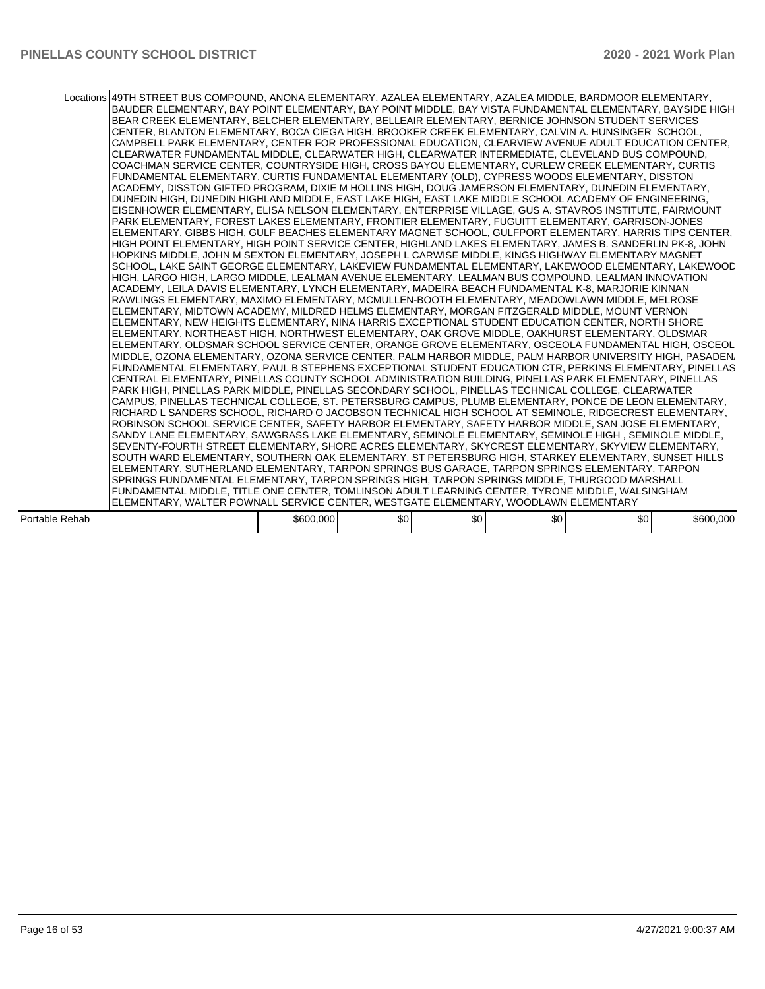|                | Locations 49TH STREET BUS COMPOUND, ANONA ELEMENTARY, AZALEA ELEMENTARY, AZALEA MIDDLE, BARDMOOR ELEMENTARY,<br>BAUDER ELEMENTARY, BAY POINT ELEMENTARY, BAY POINT MIDDLE, BAY VISTA FUNDAMENTAL ELEMENTARY, BAYSIDE HIGH<br>BEAR CREEK ELEMENTARY, BELCHER ELEMENTARY, BELLEAIR ELEMENTARY, BERNICE JOHNSON STUDENT SERVICES<br>CENTER, BLANTON ELEMENTARY, BOCA CIEGA HIGH, BROOKER CREEK ELEMENTARY, CALVIN A. HUNSINGER SCHOOL,<br>CAMPBELL PARK ELEMENTARY, CENTER FOR PROFESSIONAL EDUCATION, CLEARVIEW AVENUE ADULT EDUCATION CENTER,<br>CLEARWATER FUNDAMENTAL MIDDLE, CLEARWATER HIGH, CLEARWATER INTERMEDIATE, CLEVELAND BUS COMPOUND,<br>COACHMAN SERVICE CENTER, COUNTRYSIDE HIGH, CROSS BAYOU ELEMENTARY, CURLEW CREEK ELEMENTARY, CURTIS<br>FUNDAMENTAL ELEMENTARY, CURTIS FUNDAMENTAL ELEMENTARY (OLD), CYPRESS WOODS ELEMENTARY, DISSTON<br>ACADEMY, DISSTON GIFTED PROGRAM, DIXIE M HOLLINS HIGH, DOUG JAMERSON ELEMENTARY, DUNEDIN ELEMENTARY,<br>DUNEDIN HIGH, DUNEDIN HIGHLAND MIDDLE, EAST LAKE HIGH, EAST LAKE MIDDLE SCHOOL ACADEMY OF ENGINEERING,<br>EISENHOWER ELEMENTARY, ELISA NELSON ELEMENTARY, ENTERPRISE VILLAGE, GUS A. STAVROS INSTITUTE, FAIRMOUNT<br>PARK ELEMENTARY, FOREST LAKES ELEMENTARY, FRONTIER ELEMENTARY, FUGUITT ELEMENTARY, GARRISON-JONES<br>ELEMENTARY, GIBBS HIGH, GULF BEACHES ELEMENTARY MAGNET SCHOOL, GULFPORT ELEMENTARY, HARRIS TIPS CENTER,<br>HIGH POINT ELEMENTARY, HIGH POINT SERVICE CENTER, HIGHLAND LAKES ELEMENTARY, JAMES B. SANDERLIN PK-8, JOHN<br>HOPKINS MIDDLE, JOHN M SEXTON ELEMENTARY, JOSEPH L CARWISE MIDDLE, KINGS HIGHWAY ELEMENTARY MAGNET<br>SCHOOL, LAKE SAINT GEORGE ELEMENTARY, LAKEVIEW FUNDAMENTAL ELEMENTARY, LAKEWOOD ELEMENTARY, LAKEWOOD<br>HIGH, LARGO HIGH, LARGO MIDDLE, LEALMAN AVENUE ELEMENTARY, LEALMAN BUS COMPOUND, LEALMAN INNOVATION<br>ACADEMY, LEILA DAVIS ELEMENTARY, LYNCH ELEMENTARY, MADEIRA BEACH FUNDAMENTAL K-8, MARJORIE KINNAN <br>RAWLINGS ELEMENTARY, MAXIMO ELEMENTARY, MCMULLEN-BOOTH ELEMENTARY, MEADOWLAWN MIDDLE, MELROSE<br>ELEMENTARY, MIDTOWN ACADEMY, MILDRED HELMS ELEMENTARY, MORGAN FITZGERALD MIDDLE, MOUNT VERNON<br>ELEMENTARY, NEW HEIGHTS ELEMENTARY, NINA HARRIS EXCEPTIONAL STUDENT EDUCATION CENTER, NORTH SHORE<br>ELEMENTARY, NORTHEAST HIGH, NORTHWEST ELEMENTARY, OAK GROVE MIDDLE, OAKHURST ELEMENTARY, OLDSMAR<br>ELEMENTARY, OLDSMAR SCHOOL SERVICE CENTER, ORANGE GROVE ELEMENTARY, OSCEOLA FUNDAMENTAL HIGH, OSCEOL<br>MIDDLE, OZONA ELEMENTARY, OZONA SERVICE CENTER, PALM HARBOR MIDDLE, PALM HARBOR UNIVERSITY HIGH, PASADEN/<br>FUNDAMENTAL ELEMENTARY, PAUL B STEPHENS EXCEPTIONAL STUDENT EDUCATION CTR, PERKINS ELEMENTARY, PINELLAS<br>CENTRAL ELEMENTARY, PINELLAS COUNTY SCHOOL ADMINISTRATION BUILDING, PINELLAS PARK ELEMENTARY, PINELLAS<br>PARK HIGH. PINELLAS PARK MIDDLE. PINELLAS SECONDARY SCHOOL. PINELLAS TECHNICAL COLLEGE. CLEARWATER<br> CAMPUS, PINELLAS TECHNICAL COLLEGE, ST. PETERSBURG CAMPUS, PLUMB ELEMENTARY, PONCE DE LEON ELEMENTARY,<br>RICHARD L SANDERS SCHOOL, RICHARD O JACOBSON TECHNICAL HIGH SCHOOL AT SEMINOLE, RIDGECREST ELEMENTARY,<br>ROBINSON SCHOOL SERVICE CENTER, SAFETY HARBOR ELEMENTARY, SAFETY HARBOR MIDDLE, SAN JOSE ELEMENTARY,<br>SANDY LANE ELEMENTARY, SAWGRASS LAKE ELEMENTARY, SEMINOLE ELEMENTARY, SEMINOLE HIGH, SEMINOLE MIDDLE,<br>SEVENTY-FOURTH STREET ELEMENTARY, SHORE ACRES ELEMENTARY, SKYCREST ELEMENTARY, SKYVIEW ELEMENTARY,<br>SOUTH WARD ELEMENTARY, SOUTHERN OAK ELEMENTARY, ST PETERSBURG HIGH, STARKEY ELEMENTARY, SUNSET HILLS<br>ELEMENTARY, SUTHERLAND ELEMENTARY, TARPON SPRINGS BUS GARAGE, TARPON SPRINGS ELEMENTARY, TARPON<br>SPRINGS FUNDAMENTAL ELEMENTARY, TARPON SPRINGS HIGH, TARPON SPRINGS MIDDLE, THURGOOD MARSHALL<br>FUNDAMENTAL MIDDLE, TITLE ONE CENTER, TOMLINSON ADULT LEARNING CENTER, TYRONE MIDDLE, WALSINGHAM |           |     |     |     |     |           |
|----------------|-----------------------------------------------------------------------------------------------------------------------------------------------------------------------------------------------------------------------------------------------------------------------------------------------------------------------------------------------------------------------------------------------------------------------------------------------------------------------------------------------------------------------------------------------------------------------------------------------------------------------------------------------------------------------------------------------------------------------------------------------------------------------------------------------------------------------------------------------------------------------------------------------------------------------------------------------------------------------------------------------------------------------------------------------------------------------------------------------------------------------------------------------------------------------------------------------------------------------------------------------------------------------------------------------------------------------------------------------------------------------------------------------------------------------------------------------------------------------------------------------------------------------------------------------------------------------------------------------------------------------------------------------------------------------------------------------------------------------------------------------------------------------------------------------------------------------------------------------------------------------------------------------------------------------------------------------------------------------------------------------------------------------------------------------------------------------------------------------------------------------------------------------------------------------------------------------------------------------------------------------------------------------------------------------------------------------------------------------------------------------------------------------------------------------------------------------------------------------------------------------------------------------------------------------------------------------------------------------------------------------------------------------------------------------------------------------------------------------------------------------------------------------------------------------------------------------------------------------------------------------------------------------------------------------------------------------------------------------------------------------------------------------------------------------------------------------------------------------------------------------------------------------------------------------------------------------------------------------------------------------------------------------------------------------------------------------------------------------------------------------------------------------------------------------------------------------------------------------------------------------------------------------------------------------------------------------------------------------------------------------------------------------------------------------------------------------------------------------------------------------------------------------------------------------------------------------------------------------------------------------|-----------|-----|-----|-----|-----|-----------|
|                | ELEMENTARY, WALTER POWNALL SERVICE CENTER, WESTGATE ELEMENTARY, WOODLAWN ELEMENTARY                                                                                                                                                                                                                                                                                                                                                                                                                                                                                                                                                                                                                                                                                                                                                                                                                                                                                                                                                                                                                                                                                                                                                                                                                                                                                                                                                                                                                                                                                                                                                                                                                                                                                                                                                                                                                                                                                                                                                                                                                                                                                                                                                                                                                                                                                                                                                                                                                                                                                                                                                                                                                                                                                                                                                                                                                                                                                                                                                                                                                                                                                                                                                                                                                                                                                                                                                                                                                                                                                                                                                                                                                                                                                                                                                                                   |           |     |     |     |     |           |
| Portable Rehab |                                                                                                                                                                                                                                                                                                                                                                                                                                                                                                                                                                                                                                                                                                                                                                                                                                                                                                                                                                                                                                                                                                                                                                                                                                                                                                                                                                                                                                                                                                                                                                                                                                                                                                                                                                                                                                                                                                                                                                                                                                                                                                                                                                                                                                                                                                                                                                                                                                                                                                                                                                                                                                                                                                                                                                                                                                                                                                                                                                                                                                                                                                                                                                                                                                                                                                                                                                                                                                                                                                                                                                                                                                                                                                                                                                                                                                                                       | \$600,000 | \$0 | \$0 | \$0 | \$0 | \$600,000 |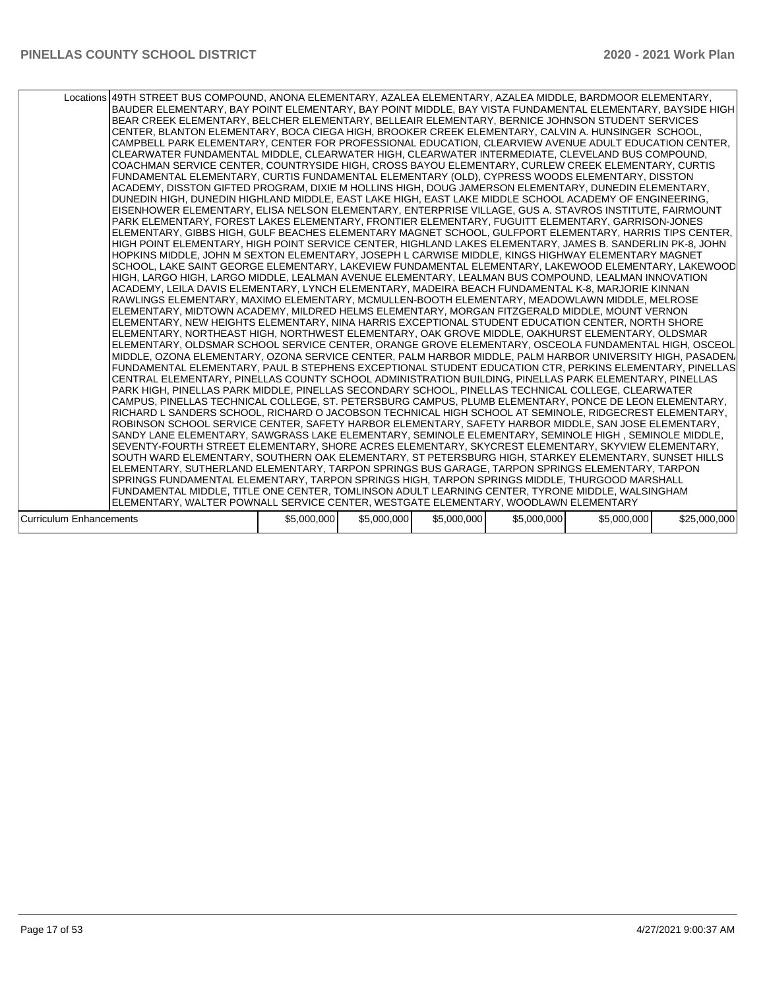|                                | Locations 49TH STREET BUS COMPOUND, ANONA ELEMENTARY, AZALEA ELEMENTARY, AZALEA MIDDLE, BARDMOOR ELEMENTARY,<br>BAUDER ELEMENTARY, BAY POINT ELEMENTARY, BAY POINT MIDDLE, BAY VISTA FUNDAMENTAL ELEMENTARY, BAYSIDE HIGH<br>BEAR CREEK ELEMENTARY, BELCHER ELEMENTARY, BELLEAIR ELEMENTARY, BERNICE JOHNSON STUDENT SERVICES<br>CENTER, BLANTON ELEMENTARY, BOCA CIEGA HIGH, BROOKER CREEK ELEMENTARY, CALVIN A. HUNSINGER SCHOOL,<br>CAMPBELL PARK ELEMENTARY, CENTER FOR PROFESSIONAL EDUCATION, CLEARVIEW AVENUE ADULT EDUCATION CENTER,<br>CLEARWATER FUNDAMENTAL MIDDLE, CLEARWATER HIGH, CLEARWATER INTERMEDIATE, CLEVELAND BUS COMPOUND,<br>COACHMAN SERVICE CENTER, COUNTRYSIDE HIGH, CROSS BAYOU ELEMENTARY, CURLEW CREEK ELEMENTARY, CURTIS <br>FUNDAMENTAL ELEMENTARY, CURTIS FUNDAMENTAL ELEMENTARY (OLD), CYPRESS WOODS ELEMENTARY, DISSTON<br>ACADEMY. DISSTON GIFTED PROGRAM. DIXIE M HOLLINS HIGH. DOUG JAMERSON ELEMENTARY. DUNEDIN ELEMENTARY.<br>DUNEDIN HIGH, DUNEDIN HIGHLAND MIDDLE, EAST LAKE HIGH, EAST LAKE MIDDLE SCHOOL ACADEMY OF ENGINEERING,<br>EISENHOWER ELEMENTARY, ELISA NELSON ELEMENTARY, ENTERPRISE VILLAGE, GUS A. STAVROS INSTITUTE, FAIRMOUNT<br>PARK ELEMENTARY, FOREST LAKES ELEMENTARY, FRONTIER ELEMENTARY, FUGUITT ELEMENTARY, GARRISON-JONES<br>ELEMENTARY, GIBBS HIGH, GULF BEACHES ELEMENTARY MAGNET SCHOOL, GULFPORT ELEMENTARY, HARRIS TIPS CENTER,<br>HIGH POINT ELEMENTARY, HIGH POINT SERVICE CENTER, HIGHLAND LAKES ELEMENTARY, JAMES B. SANDERLIN PK-8, JOHN<br>HOPKINS MIDDLE, JOHN M SEXTON ELEMENTARY, JOSEPH L CARWISE MIDDLE, KINGS HIGHWAY ELEMENTARY MAGNET<br>SCHOOL, LAKE SAINT GEORGE ELEMENTARY, LAKEVIEW FUNDAMENTAL ELEMENTARY, LAKEWOOD ELEMENTARY, LAKEWOOD<br>HIGH, LARGO HIGH, LARGO MIDDLE, LEALMAN AVENUE ELEMENTARY, LEALMAN BUS COMPOUND, LEALMAN INNOVATION<br>ACADEMY, LEILA DAVIS ELEMENTARY, LYNCH ELEMENTARY, MADEIRA BEACH FUNDAMENTAL K-8, MARJORIE KINNAN <br>RAWLINGS ELEMENTARY, MAXIMO ELEMENTARY, MCMULLEN-BOOTH ELEMENTARY, MEADOWLAWN MIDDLE, MELROSE<br>ELEMENTARY, MIDTOWN ACADEMY, MILDRED HELMS ELEMENTARY, MORGAN FITZGERALD MIDDLE, MOUNT VERNON<br>IELEMENTARY. NEW HEIGHTS ELEMENTARY. NINA HARRIS EXCEPTIONAL STUDENT EDUCATION CENTER. NORTH SHORE<br>ELEMENTARY, NORTHEAST HIGH, NORTHWEST ELEMENTARY, OAK GROVE MIDDLE, OAKHURST ELEMENTARY, OLDSMAR<br>ELEMENTARY, OLDSMAR SCHOOL SERVICE CENTER, ORANGE GROVE ELEMENTARY, OSCEOLA FUNDAMENTAL HIGH, OSCEOL<br>MIDDLE, OZONA ELEMENTARY, OZONA SERVICE CENTER, PALM HARBOR MIDDLE, PALM HARBOR UNIVERSITY HIGH, PASADEN/<br> FUNDAMENTAL ELEMENTARY, PAUL B STEPHENS EXCEPTIONAL STUDENT EDUCATION CTR, PERKINS ELEMENTARY, PINELLAS<br>CENTRAL ELEMENTARY, PINELLAS COUNTY SCHOOL ADMINISTRATION BUILDING, PINELLAS PARK ELEMENTARY, PINELLAS<br>PARK HIGH. PINELLAS PARK MIDDLE. PINELLAS SECONDARY SCHOOL. PINELLAS TECHNICAL COLLEGE. CLEARWATER<br>CAMPUS, PINELLAS TECHNICAL COLLEGE, ST. PETERSBURG CAMPUS, PLUMB ELEMENTARY, PONCE DE LEON ELEMENTARY,<br>RICHARD L SANDERS SCHOOL, RICHARD O JACOBSON TECHNICAL HIGH SCHOOL AT SEMINOLE, RIDGECREST ELEMENTARY,<br>ROBINSON SCHOOL SERVICE CENTER, SAFETY HARBOR ELEMENTARY, SAFETY HARBOR MIDDLE, SAN JOSE ELEMENTARY,<br>SANDY LANE ELEMENTARY, SAWGRASS LAKE ELEMENTARY, SEMINOLE ELEMENTARY, SEMINOLE HIGH , SEMINOLE MIDDLE,<br>SEVENTY-FOURTH STREET ELEMENTARY, SHORE ACRES ELEMENTARY, SKYCREST ELEMENTARY, SKYVIEW ELEMENTARY,<br>SOUTH WARD ELEMENTARY, SOUTHERN OAK ELEMENTARY, ST PETERSBURG HIGH, STARKEY ELEMENTARY, SUNSET HILLS<br>ELEMENTARY, SUTHERLAND ELEMENTARY, TARPON SPRINGS BUS GARAGE, TARPON SPRINGS ELEMENTARY, TARPON<br>SPRINGS FUNDAMENTAL ELEMENTARY, TARPON SPRINGS HIGH, TARPON SPRINGS MIDDLE, THURGOOD MARSHALL<br>FUNDAMENTAL MIDDLE, TITLE ONE CENTER, TOMLINSON ADULT LEARNING CENTER, TYRONE MIDDLE, WALSINGHAM |             |             |             |             |             |              |
|--------------------------------|--------------------------------------------------------------------------------------------------------------------------------------------------------------------------------------------------------------------------------------------------------------------------------------------------------------------------------------------------------------------------------------------------------------------------------------------------------------------------------------------------------------------------------------------------------------------------------------------------------------------------------------------------------------------------------------------------------------------------------------------------------------------------------------------------------------------------------------------------------------------------------------------------------------------------------------------------------------------------------------------------------------------------------------------------------------------------------------------------------------------------------------------------------------------------------------------------------------------------------------------------------------------------------------------------------------------------------------------------------------------------------------------------------------------------------------------------------------------------------------------------------------------------------------------------------------------------------------------------------------------------------------------------------------------------------------------------------------------------------------------------------------------------------------------------------------------------------------------------------------------------------------------------------------------------------------------------------------------------------------------------------------------------------------------------------------------------------------------------------------------------------------------------------------------------------------------------------------------------------------------------------------------------------------------------------------------------------------------------------------------------------------------------------------------------------------------------------------------------------------------------------------------------------------------------------------------------------------------------------------------------------------------------------------------------------------------------------------------------------------------------------------------------------------------------------------------------------------------------------------------------------------------------------------------------------------------------------------------------------------------------------------------------------------------------------------------------------------------------------------------------------------------------------------------------------------------------------------------------------------------------------------------------------------------------------------------------------------------------------------------------------------------------------------------------------------------------------------------------------------------------------------------------------------------------------------------------------------------------------------------------------------------------------------------------------------------------------------------------------------------------------------------------------------------------------------------------------------------------------------------------|-------------|-------------|-------------|-------------|-------------|--------------|
|                                | ELEMENTARY, WALTER POWNALL SERVICE CENTER, WESTGATE ELEMENTARY, WOODLAWN ELEMENTARY                                                                                                                                                                                                                                                                                                                                                                                                                                                                                                                                                                                                                                                                                                                                                                                                                                                                                                                                                                                                                                                                                                                                                                                                                                                                                                                                                                                                                                                                                                                                                                                                                                                                                                                                                                                                                                                                                                                                                                                                                                                                                                                                                                                                                                                                                                                                                                                                                                                                                                                                                                                                                                                                                                                                                                                                                                                                                                                                                                                                                                                                                                                                                                                                                                                                                                                                                                                                                                                                                                                                                                                                                                                                                                                                                                                      |             |             |             |             |             |              |
|                                |                                                                                                                                                                                                                                                                                                                                                                                                                                                                                                                                                                                                                                                                                                                                                                                                                                                                                                                                                                                                                                                                                                                                                                                                                                                                                                                                                                                                                                                                                                                                                                                                                                                                                                                                                                                                                                                                                                                                                                                                                                                                                                                                                                                                                                                                                                                                                                                                                                                                                                                                                                                                                                                                                                                                                                                                                                                                                                                                                                                                                                                                                                                                                                                                                                                                                                                                                                                                                                                                                                                                                                                                                                                                                                                                                                                                                                                                          |             |             |             |             |             |              |
| <b>Curriculum Enhancements</b> |                                                                                                                                                                                                                                                                                                                                                                                                                                                                                                                                                                                                                                                                                                                                                                                                                                                                                                                                                                                                                                                                                                                                                                                                                                                                                                                                                                                                                                                                                                                                                                                                                                                                                                                                                                                                                                                                                                                                                                                                                                                                                                                                                                                                                                                                                                                                                                                                                                                                                                                                                                                                                                                                                                                                                                                                                                                                                                                                                                                                                                                                                                                                                                                                                                                                                                                                                                                                                                                                                                                                                                                                                                                                                                                                                                                                                                                                          | \$5,000,000 | \$5,000,000 | \$5,000,000 | \$5,000,000 | \$5,000,000 | \$25,000,000 |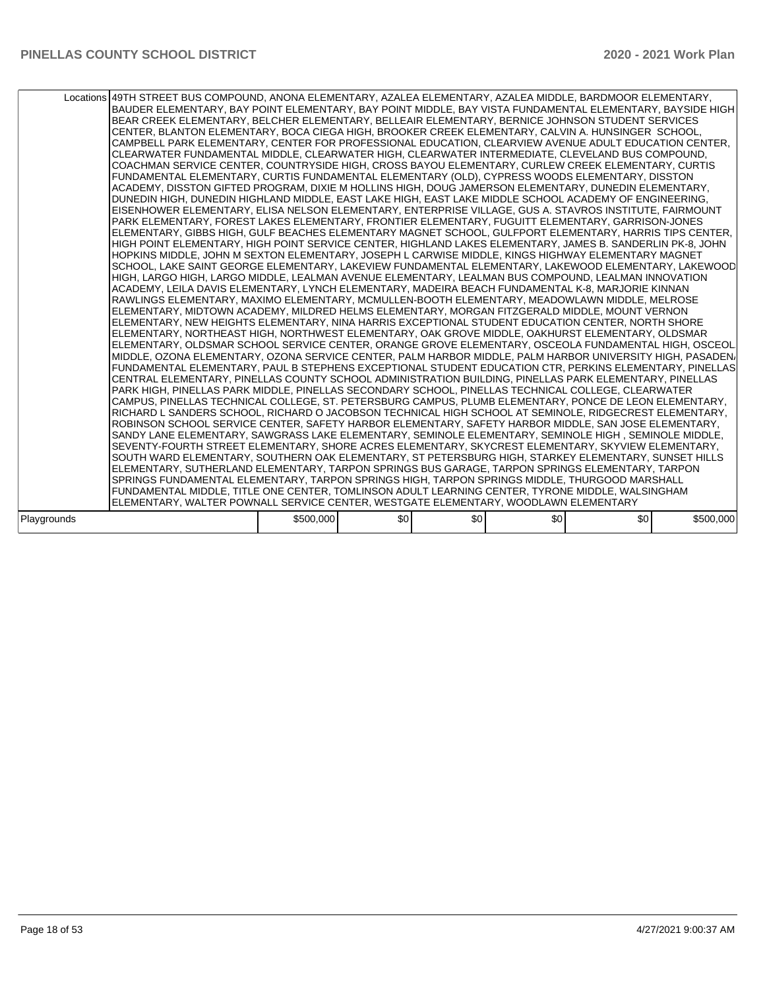|             | Locations 49TH STREET BUS COMPOUND, ANONA ELEMENTARY, AZALEA ELEMENTARY, AZALEA MIDDLE, BARDMOOR ELEMENTARY,<br>BAUDER ELEMENTARY, BAY POINT ELEMENTARY, BAY POINT MIDDLE, BAY VISTA FUNDAMENTAL ELEMENTARY, BAYSIDE HIGH<br>BEAR CREEK ELEMENTARY, BELCHER ELEMENTARY, BELLEAIR ELEMENTARY, BERNICE JOHNSON STUDENT SERVICES<br>CENTER, BLANTON ELEMENTARY, BOCA CIEGA HIGH, BROOKER CREEK ELEMENTARY, CALVIN A. HUNSINGER SCHOOL,<br>CAMPBELL PARK ELEMENTARY, CENTER FOR PROFESSIONAL EDUCATION, CLEARVIEW AVENUE ADULT EDUCATION CENTER,<br>ICLEARWATER FUNDAMENTAL MIDDLE. CLEARWATER HIGH. CLEARWATER INTERMEDIATE. CLEVELAND BUS COMPOUND.<br>COACHMAN SERVICE CENTER, COUNTRYSIDE HIGH, CROSS BAYOU ELEMENTARY, CURLEW CREEK ELEMENTARY, CURTIS<br>FUNDAMENTAL ELEMENTARY, CURTIS FUNDAMENTAL ELEMENTARY (OLD), CYPRESS WOODS ELEMENTARY, DISSTON<br>ACADEMY, DISSTON GIFTED PROGRAM, DIXIE M HOLLINS HIGH, DOUG JAMERSON ELEMENTARY, DUNEDIN ELEMENTARY,<br>DUNEDIN HIGH. DUNEDIN HIGHLAND MIDDLE. EAST LAKE HIGH. EAST LAKE MIDDLE SCHOOL ACADEMY OF ENGINEERING.<br>EISENHOWER ELEMENTARY, ELISA NELSON ELEMENTARY, ENTERPRISE VILLAGE, GUS A. STAVROS INSTITUTE, FAIRMOUNT<br>PARK ELEMENTARY, FOREST LAKES ELEMENTARY, FRONTIER ELEMENTARY, FUGUITT ELEMENTARY, GARRISON-JONES<br>ELEMENTARY, GIBBS HIGH, GULF BEACHES ELEMENTARY MAGNET SCHOOL, GULFPORT ELEMENTARY, HARRIS TIPS CENTER,<br>HIGH POINT ELEMENTARY, HIGH POINT SERVICE CENTER, HIGHLAND LAKES ELEMENTARY, JAMES B. SANDERLIN PK-8, JOHN<br>HOPKINS MIDDLE, JOHN M SEXTON ELEMENTARY, JOSEPH L CARWISE MIDDLE, KINGS HIGHWAY ELEMENTARY MAGNET<br>SCHOOL, LAKE SAINT GEORGE ELEMENTARY, LAKEVIEW FUNDAMENTAL ELEMENTARY, LAKEWOOD ELEMENTARY, LAKEWOOD<br>HIGH, LARGO HIGH, LARGO MIDDLE, LEALMAN AVENUE ELEMENTARY, LEALMAN BUS COMPOUND, LEALMAN INNOVATION<br>ACADEMY, LEILA DAVIS ELEMENTARY, LYNCH ELEMENTARY, MADEIRA BEACH FUNDAMENTAL K-8, MARJORIE KINNAN <br>RAWLINGS ELEMENTARY, MAXIMO ELEMENTARY, MCMULLEN-BOOTH ELEMENTARY, MEADOWLAWN MIDDLE, MELROSE<br>ELEMENTARY, MIDTOWN ACADEMY, MILDRED HELMS ELEMENTARY, MORGAN FITZGERALD MIDDLE, MOUNT VERNON<br>ELEMENTARY, NEW HEIGHTS ELEMENTARY, NINA HARRIS EXCEPTIONAL STUDENT EDUCATION CENTER, NORTH SHORE<br>ELEMENTARY, NORTHEAST HIGH, NORTHWEST ELEMENTARY, OAK GROVE MIDDLE, OAKHURST ELEMENTARY, OLDSMAR<br>ELEMENTARY, OLDSMAR SCHOOL SERVICE CENTER, ORANGE GROVE ELEMENTARY, OSCEOLA FUNDAMENTAL HIGH, OSCEOL<br>IMIDDLE. OZONA ELEMENTARY. OZONA SERVICE CENTER. PALM HARBOR MIDDLE. PALM HARBOR UNIVERSITY HIGH. PASADEN/<br>FUNDAMENTAL ELEMENTARY, PAUL B STEPHENS EXCEPTIONAL STUDENT EDUCATION CTR, PERKINS ELEMENTARY, PINELLAS<br>CENTRAL ELEMENTARY, PINELLAS COUNTY SCHOOL ADMINISTRATION BUILDING, PINELLAS PARK ELEMENTARY, PINELLAS<br>PARK HIGH, PINELLAS PARK MIDDLE, PINELLAS SECONDARY SCHOOL, PINELLAS TECHNICAL COLLEGE, CLEARWATER<br> CAMPUS, PINELLAS TECHNICAL COLLEGE, ST. PETERSBURG CAMPUS, PLUMB ELEMENTARY, PONCE DE LEON ELEMENTARY,<br>RICHARD L SANDERS SCHOOL, RICHARD O JACOBSON TECHNICAL HIGH SCHOOL AT SEMINOLE, RIDGECREST ELEMENTARY,<br>ROBINSON SCHOOL SERVICE CENTER, SAFETY HARBOR ELEMENTARY, SAFETY HARBOR MIDDLE, SAN JOSE ELEMENTARY,<br>SANDY LANE ELEMENTARY, SAWGRASS LAKE ELEMENTARY, SEMINOLE ELEMENTARY, SEMINOLE HIGH, SEMINOLE MIDDLE,<br>SEVENTY-FOURTH STREET ELEMENTARY, SHORE ACRES ELEMENTARY, SKYCREST ELEMENTARY, SKYVIEW ELEMENTARY,<br>SOUTH WARD ELEMENTARY, SOUTHERN OAK ELEMENTARY, ST PETERSBURG HIGH, STARKEY ELEMENTARY, SUNSET HILLS<br>IELEMENTARY, SUTHERLAND ELEMENTARY, TARPON SPRINGS BUS GARAGE, TARPON SPRINGS ELEMENTARY, TARPON<br>SPRINGS FUNDAMENTAL ELEMENTARY, TARPON SPRINGS HIGH, TARPON SPRINGS MIDDLE, THURGOOD MARSHALL<br>FUNDAMENTAL MIDDLE, TITLE ONE CENTER, TOMLINSON ADULT LEARNING CENTER, TYRONE MIDDLE, WALSINGHAM<br>ELEMENTARY, WALTER POWNALL SERVICE CENTER, WESTGATE ELEMENTARY, WOODLAWN ELEMENTARY |           |     |     |     |     |           |
|-------------|-----------------------------------------------------------------------------------------------------------------------------------------------------------------------------------------------------------------------------------------------------------------------------------------------------------------------------------------------------------------------------------------------------------------------------------------------------------------------------------------------------------------------------------------------------------------------------------------------------------------------------------------------------------------------------------------------------------------------------------------------------------------------------------------------------------------------------------------------------------------------------------------------------------------------------------------------------------------------------------------------------------------------------------------------------------------------------------------------------------------------------------------------------------------------------------------------------------------------------------------------------------------------------------------------------------------------------------------------------------------------------------------------------------------------------------------------------------------------------------------------------------------------------------------------------------------------------------------------------------------------------------------------------------------------------------------------------------------------------------------------------------------------------------------------------------------------------------------------------------------------------------------------------------------------------------------------------------------------------------------------------------------------------------------------------------------------------------------------------------------------------------------------------------------------------------------------------------------------------------------------------------------------------------------------------------------------------------------------------------------------------------------------------------------------------------------------------------------------------------------------------------------------------------------------------------------------------------------------------------------------------------------------------------------------------------------------------------------------------------------------------------------------------------------------------------------------------------------------------------------------------------------------------------------------------------------------------------------------------------------------------------------------------------------------------------------------------------------------------------------------------------------------------------------------------------------------------------------------------------------------------------------------------------------------------------------------------------------------------------------------------------------------------------------------------------------------------------------------------------------------------------------------------------------------------------------------------------------------------------------------------------------------------------------------------------------------------------------------------------------------------------------------------------------------------------------------------------------------------------------------------------------------------------------------------------------------------------------|-----------|-----|-----|-----|-----|-----------|
|             |                                                                                                                                                                                                                                                                                                                                                                                                                                                                                                                                                                                                                                                                                                                                                                                                                                                                                                                                                                                                                                                                                                                                                                                                                                                                                                                                                                                                                                                                                                                                                                                                                                                                                                                                                                                                                                                                                                                                                                                                                                                                                                                                                                                                                                                                                                                                                                                                                                                                                                                                                                                                                                                                                                                                                                                                                                                                                                                                                                                                                                                                                                                                                                                                                                                                                                                                                                                                                                                                                                                                                                                                                                                                                                                                                                                                                                                                                                                                                                 |           |     |     |     |     |           |
| Playgrounds |                                                                                                                                                                                                                                                                                                                                                                                                                                                                                                                                                                                                                                                                                                                                                                                                                                                                                                                                                                                                                                                                                                                                                                                                                                                                                                                                                                                                                                                                                                                                                                                                                                                                                                                                                                                                                                                                                                                                                                                                                                                                                                                                                                                                                                                                                                                                                                                                                                                                                                                                                                                                                                                                                                                                                                                                                                                                                                                                                                                                                                                                                                                                                                                                                                                                                                                                                                                                                                                                                                                                                                                                                                                                                                                                                                                                                                                                                                                                                                 | \$500,000 | \$0 | \$0 | \$0 | \$0 | \$500,000 |
|             |                                                                                                                                                                                                                                                                                                                                                                                                                                                                                                                                                                                                                                                                                                                                                                                                                                                                                                                                                                                                                                                                                                                                                                                                                                                                                                                                                                                                                                                                                                                                                                                                                                                                                                                                                                                                                                                                                                                                                                                                                                                                                                                                                                                                                                                                                                                                                                                                                                                                                                                                                                                                                                                                                                                                                                                                                                                                                                                                                                                                                                                                                                                                                                                                                                                                                                                                                                                                                                                                                                                                                                                                                                                                                                                                                                                                                                                                                                                                                                 |           |     |     |     |     |           |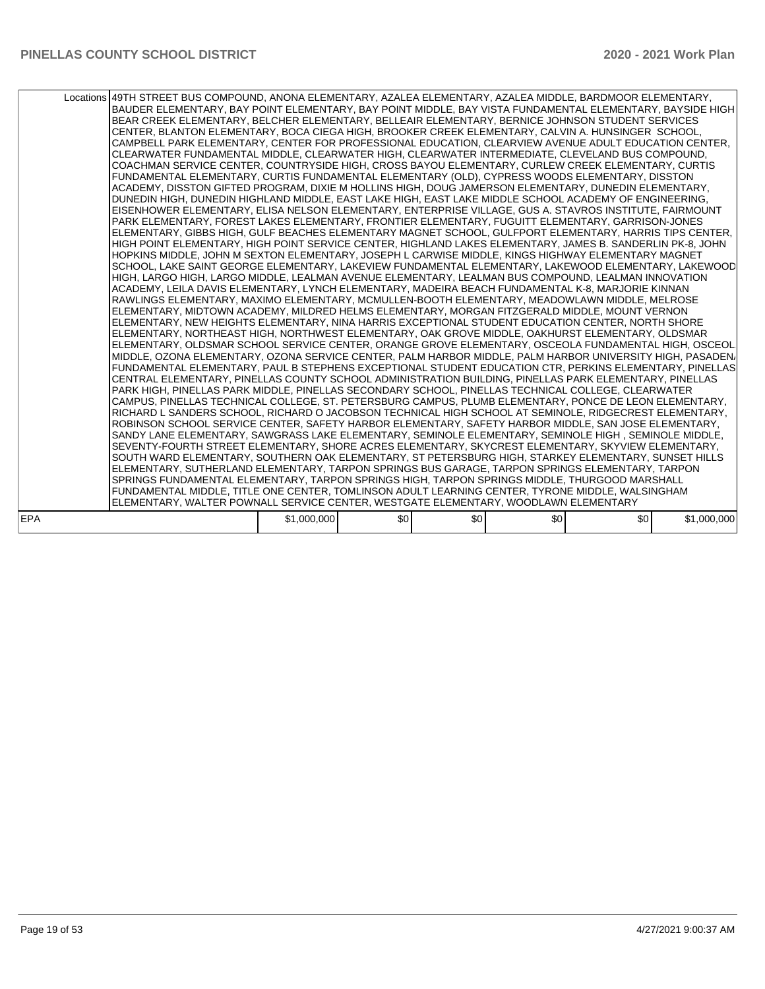| Locations 49TH STREET BUS COMPOUND, ANONA ELEMENTARY, AZALEA ELEMENTARY, AZALEA MIDDLE, BARDMOOR ELEMENTARY, |                                                                                     |     |     |     | BEAR CREEK ELEMENTARY, BELCHER ELEMENTARY, BELLEAIR ELEMENTARY, BERNICE JOHNSON STUDENT SERVICES<br>CENTER, BLANTON ELEMENTARY, BOCA CIEGA HIGH, BROOKER CREEK ELEMENTARY, CALVIN A. HUNSINGER SCHOOL,<br>CAMPBELL PARK ELEMENTARY, CENTER FOR PROFESSIONAL EDUCATION, CLEARVIEW AVENUE ADULT EDUCATION CENTER,<br>CLEARWATER FUNDAMENTAL MIDDLE, CLEARWATER HIGH, CLEARWATER INTERMEDIATE, CLEVELAND BUS COMPOUND,<br>COACHMAN SERVICE CENTER, COUNTRYSIDE HIGH, CROSS BAYOU ELEMENTARY, CURLEW CREEK ELEMENTARY, CURTIS<br>FUNDAMENTAL ELEMENTARY, CURTIS FUNDAMENTAL ELEMENTARY (OLD), CYPRESS WOODS ELEMENTARY, DISSTON<br>ACADEMY, DISSTON GIFTED PROGRAM, DIXIE M HOLLINS HIGH, DOUG JAMERSON ELEMENTARY, DUNEDIN ELEMENTARY,<br>DUNEDIN HIGH, DUNEDIN HIGHLAND MIDDLE, EAST LAKE HIGH, EAST LAKE MIDDLE SCHOOL ACADEMY OF ENGINEERING,<br>EISENHOWER ELEMENTARY, ELISA NELSON ELEMENTARY, ENTERPRISE VILLAGE, GUS A. STAVROS INSTITUTE, FAIRMOUNT<br>PARK ELEMENTARY, FOREST LAKES ELEMENTARY, FRONTIER ELEMENTARY, FUGUITT ELEMENTARY, GARRISON-JONES<br>ELEMENTARY, GIBBS HIGH, GULF BEACHES ELEMENTARY MAGNET SCHOOL, GULFPORT ELEMENTARY, HARRIS TIPS CENTER,<br>HIGH POINT ELEMENTARY, HIGH POINT SERVICE CENTER, HIGHLAND LAKES ELEMENTARY, JAMES B. SANDERLIN PK-8, JOHN<br>HOPKINS MIDDLE, JOHN M SEXTON ELEMENTARY, JOSEPH L CARWISE MIDDLE, KINGS HIGHWAY ELEMENTARY MAGNET<br>HIGH, LARGO HIGH, LARGO MIDDLE, LEALMAN AVENUE ELEMENTARY, LEALMAN BUS COMPOUND, LEALMAN INNOVATION<br>ACADEMY, LEILA DAVIS ELEMENTARY, LYNCH ELEMENTARY, MADEIRA BEACH FUNDAMENTAL K-8, MARJORIE KINNAN <br>RAWLINGS ELEMENTARY, MAXIMO ELEMENTARY, MCMULLEN-BOOTH ELEMENTARY, MEADOWLAWN MIDDLE, MELROSE<br>ELEMENTARY, MIDTOWN ACADEMY, MILDRED HELMS ELEMENTARY, MORGAN FITZGERALD MIDDLE, MOUNT VERNON<br>ELEMENTARY, NEW HEIGHTS ELEMENTARY, NINA HARRIS EXCEPTIONAL STUDENT EDUCATION CENTER, NORTH SHORE<br>ELEMENTARY, NORTHEAST HIGH, NORTHWEST ELEMENTARY, OAK GROVE MIDDLE, OAKHURST ELEMENTARY, OLDSMAR<br>ELEMENTARY, OLDSMAR SCHOOL SERVICE CENTER, ORANGE GROVE ELEMENTARY, OSCEOLA FUNDAMENTAL HIGH, OSCEOL<br>CENTRAL ELEMENTARY, PINELLAS COUNTY SCHOOL ADMINISTRATION BUILDING, PINELLAS PARK ELEMENTARY, PINELLAS<br>PARK HIGH. PINELLAS PARK MIDDLE. PINELLAS SECONDARY SCHOOL. PINELLAS TECHNICAL COLLEGE. CLEARWATER<br> CAMPUS, PINELLAS TECHNICAL COLLEGE, ST. PETERSBURG CAMPUS, PLUMB ELEMENTARY, PONCE DE LEON ELEMENTARY,<br>RICHARD L SANDERS SCHOOL, RICHARD O JACOBSON TECHNICAL HIGH SCHOOL AT SEMINOLE, RIDGECREST ELEMENTARY,<br>ROBINSON SCHOOL SERVICE CENTER, SAFETY HARBOR ELEMENTARY, SAFETY HARBOR MIDDLE, SAN JOSE ELEMENTARY,<br>SANDY LANE ELEMENTARY, SAWGRASS LAKE ELEMENTARY, SEMINOLE ELEMENTARY, SEMINOLE HIGH, SEMINOLE MIDDLE,<br>SEVENTY-FOURTH STREET ELEMENTARY, SHORE ACRES ELEMENTARY, SKYCREST ELEMENTARY, SKYVIEW ELEMENTARY,<br>SOUTH WARD ELEMENTARY, SOUTHERN OAK ELEMENTARY, ST PETERSBURG HIGH, STARKEY ELEMENTARY, SUNSET HILLS<br>ELEMENTARY, SUTHERLAND ELEMENTARY, TARPON SPRINGS BUS GARAGE, TARPON SPRINGS ELEMENTARY, TARPON<br>SPRINGS FUNDAMENTAL ELEMENTARY, TARPON SPRINGS HIGH, TARPON SPRINGS MIDDLE, THURGOOD MARSHALL<br>FUNDAMENTAL MIDDLE, TITLE ONE CENTER, TOMLINSON ADULT LEARNING CENTER, TYRONE MIDDLE, WALSINGHAM | BAUDER ELEMENTARY, BAY POINT ELEMENTARY, BAY POINT MIDDLE, BAY VISTA FUNDAMENTAL ELEMENTARY, BAYSIDE HIGH<br>SCHOOL, LAKE SAINT GEORGE ELEMENTARY, LAKEVIEW FUNDAMENTAL ELEMENTARY, LAKEWOOD ELEMENTARY, LAKEWOOD<br>MIDDLE, OZONA ELEMENTARY, OZONA SERVICE CENTER, PALM HARBOR MIDDLE, PALM HARBOR UNIVERSITY HIGH, PASADEN/<br>FUNDAMENTAL ELEMENTARY, PAUL B STEPHENS EXCEPTIONAL STUDENT EDUCATION CTR, PERKINS ELEMENTARY, PINELLAS |
|--------------------------------------------------------------------------------------------------------------|-------------------------------------------------------------------------------------|-----|-----|-----|----------------------------------------------------------------------------------------------------------------------------------------------------------------------------------------------------------------------------------------------------------------------------------------------------------------------------------------------------------------------------------------------------------------------------------------------------------------------------------------------------------------------------------------------------------------------------------------------------------------------------------------------------------------------------------------------------------------------------------------------------------------------------------------------------------------------------------------------------------------------------------------------------------------------------------------------------------------------------------------------------------------------------------------------------------------------------------------------------------------------------------------------------------------------------------------------------------------------------------------------------------------------------------------------------------------------------------------------------------------------------------------------------------------------------------------------------------------------------------------------------------------------------------------------------------------------------------------------------------------------------------------------------------------------------------------------------------------------------------------------------------------------------------------------------------------------------------------------------------------------------------------------------------------------------------------------------------------------------------------------------------------------------------------------------------------------------------------------------------------------------------------------------------------------------------------------------------------------------------------------------------------------------------------------------------------------------------------------------------------------------------------------------------------------------------------------------------------------------------------------------------------------------------------------------------------------------------------------------------------------------------------------------------------------------------------------------------------------------------------------------------------------------------------------------------------------------------------------------------------------------------------------------------------------------------------------------------------------------------------------------------------------------------------------------------------------------------------------------------------------------------------------------------------------------------------------------------------------------------------------------------------------------------------------------------|-------------------------------------------------------------------------------------------------------------------------------------------------------------------------------------------------------------------------------------------------------------------------------------------------------------------------------------------------------------------------------------------------------------------------------------------|
|                                                                                                              | ELEMENTARY, WALTER POWNALL SERVICE CENTER, WESTGATE ELEMENTARY, WOODLAWN ELEMENTARY |     |     |     |                                                                                                                                                                                                                                                                                                                                                                                                                                                                                                                                                                                                                                                                                                                                                                                                                                                                                                                                                                                                                                                                                                                                                                                                                                                                                                                                                                                                                                                                                                                                                                                                                                                                                                                                                                                                                                                                                                                                                                                                                                                                                                                                                                                                                                                                                                                                                                                                                                                                                                                                                                                                                                                                                                                                                                                                                                                                                                                                                                                                                                                                                                                                                                                                                                                                                                          |                                                                                                                                                                                                                                                                                                                                                                                                                                           |
|                                                                                                              |                                                                                     |     |     |     |                                                                                                                                                                                                                                                                                                                                                                                                                                                                                                                                                                                                                                                                                                                                                                                                                                                                                                                                                                                                                                                                                                                                                                                                                                                                                                                                                                                                                                                                                                                                                                                                                                                                                                                                                                                                                                                                                                                                                                                                                                                                                                                                                                                                                                                                                                                                                                                                                                                                                                                                                                                                                                                                                                                                                                                                                                                                                                                                                                                                                                                                                                                                                                                                                                                                                                          |                                                                                                                                                                                                                                                                                                                                                                                                                                           |
| EPA                                                                                                          | \$1,000,000                                                                         | \$0 | \$0 | \$0 | \$0                                                                                                                                                                                                                                                                                                                                                                                                                                                                                                                                                                                                                                                                                                                                                                                                                                                                                                                                                                                                                                                                                                                                                                                                                                                                                                                                                                                                                                                                                                                                                                                                                                                                                                                                                                                                                                                                                                                                                                                                                                                                                                                                                                                                                                                                                                                                                                                                                                                                                                                                                                                                                                                                                                                                                                                                                                                                                                                                                                                                                                                                                                                                                                                                                                                                                                      | \$1,000,000                                                                                                                                                                                                                                                                                                                                                                                                                               |
|                                                                                                              |                                                                                     |     |     |     |                                                                                                                                                                                                                                                                                                                                                                                                                                                                                                                                                                                                                                                                                                                                                                                                                                                                                                                                                                                                                                                                                                                                                                                                                                                                                                                                                                                                                                                                                                                                                                                                                                                                                                                                                                                                                                                                                                                                                                                                                                                                                                                                                                                                                                                                                                                                                                                                                                                                                                                                                                                                                                                                                                                                                                                                                                                                                                                                                                                                                                                                                                                                                                                                                                                                                                          |                                                                                                                                                                                                                                                                                                                                                                                                                                           |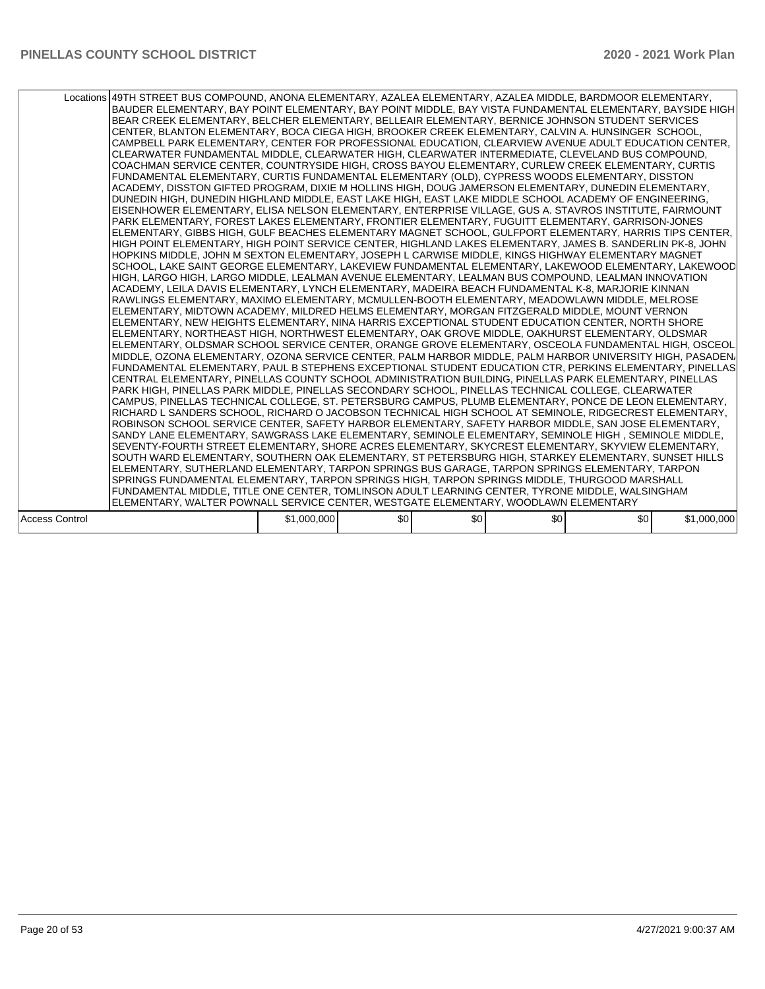|                       | Locations 49TH STREET BUS COMPOUND, ANONA ELEMENTARY, AZALEA ELEMENTARY, AZALEA MIDDLE, BARDMOOR ELEMENTARY,<br>BAUDER ELEMENTARY, BAY POINT ELEMENTARY, BAY POINT MIDDLE, BAY VISTA FUNDAMENTAL ELEMENTARY, BAYSIDE HIGH<br>BEAR CREEK ELEMENTARY, BELCHER ELEMENTARY, BELLEAIR ELEMENTARY, BERNICE JOHNSON STUDENT SERVICES<br>CENTER, BLANTON ELEMENTARY, BOCA CIEGA HIGH, BROOKER CREEK ELEMENTARY, CALVIN A. HUNSINGER SCHOOL,<br>CAMPBELL PARK ELEMENTARY, CENTER FOR PROFESSIONAL EDUCATION, CLEARVIEW AVENUE ADULT EDUCATION CENTER,<br>CLEARWATER FUNDAMENTAL MIDDLE, CLEARWATER HIGH, CLEARWATER INTERMEDIATE, CLEVELAND BUS COMPOUND,<br>COACHMAN SERVICE CENTER, COUNTRYSIDE HIGH, CROSS BAYOU ELEMENTARY, CURLEW CREEK ELEMENTARY, CURTIS<br>FUNDAMENTAL ELEMENTARY, CURTIS FUNDAMENTAL ELEMENTARY (OLD), CYPRESS WOODS ELEMENTARY, DISSTON<br>ACADEMY, DISSTON GIFTED PROGRAM, DIXIE M HOLLINS HIGH, DOUG JAMERSON ELEMENTARY, DUNEDIN ELEMENTARY,<br>DUNEDIN HIGH, DUNEDIN HIGHLAND MIDDLE, EAST LAKE HIGH, EAST LAKE MIDDLE SCHOOL ACADEMY OF ENGINEERING,<br>EISENHOWER ELEMENTARY, ELISA NELSON ELEMENTARY, ENTERPRISE VILLAGE, GUS A. STAVROS INSTITUTE, FAIRMOUNT<br>PARK ELEMENTARY, FOREST LAKES ELEMENTARY, FRONTIER ELEMENTARY, FUGUITT ELEMENTARY, GARRISON-JONES<br>ELEMENTARY, GIBBS HIGH, GULF BEACHES ELEMENTARY MAGNET SCHOOL, GULFPORT ELEMENTARY, HARRIS TIPS CENTER,<br>HIGH POINT ELEMENTARY, HIGH POINT SERVICE CENTER, HIGHLAND LAKES ELEMENTARY, JAMES B. SANDERLIN PK-8, JOHN<br>HOPKINS MIDDLE, JOHN M SEXTON ELEMENTARY, JOSEPH L CARWISE MIDDLE, KINGS HIGHWAY ELEMENTARY MAGNET<br>SCHOOL, LAKE SAINT GEORGE ELEMENTARY, LAKEVIEW FUNDAMENTAL ELEMENTARY, LAKEWOOD ELEMENTARY, LAKEWOOD<br>HIGH, LARGO HIGH, LARGO MIDDLE, LEALMAN AVENUE ELEMENTARY, LEALMAN BUS COMPOUND, LEALMAN INNOVATION<br>ACADEMY, LEILA DAVIS ELEMENTARY, LYNCH ELEMENTARY, MADEIRA BEACH FUNDAMENTAL K-8, MARJORIE KINNAN <br>RAWLINGS ELEMENTARY, MAXIMO ELEMENTARY, MCMULLEN-BOOTH ELEMENTARY, MEADOWLAWN MIDDLE, MELROSE<br>ELEMENTARY, MIDTOWN ACADEMY, MILDRED HELMS ELEMENTARY, MORGAN FITZGERALD MIDDLE, MOUNT VERNON<br>ELEMENTARY, NEW HEIGHTS ELEMENTARY, NINA HARRIS EXCEPTIONAL STUDENT EDUCATION CENTER, NORTH SHORE<br>ELEMENTARY, NORTHEAST HIGH, NORTHWEST ELEMENTARY, OAK GROVE MIDDLE, OAKHURST ELEMENTARY, OLDSMAR<br>ELEMENTARY, OLDSMAR SCHOOL SERVICE CENTER, ORANGE GROVE ELEMENTARY, OSCEOLA FUNDAMENTAL HIGH, OSCEOL<br>MIDDLE, OZONA ELEMENTARY, OZONA SERVICE CENTER, PALM HARBOR MIDDLE, PALM HARBOR UNIVERSITY HIGH, PASADEN/<br>FUNDAMENTAL ELEMENTARY, PAUL B STEPHENS EXCEPTIONAL STUDENT EDUCATION CTR, PERKINS ELEMENTARY, PINELLAS<br>CENTRAL ELEMENTARY, PINELLAS COUNTY SCHOOL ADMINISTRATION BUILDING, PINELLAS PARK ELEMENTARY, PINELLAS<br>PARK HIGH. PINELLAS PARK MIDDLE. PINELLAS SECONDARY SCHOOL. PINELLAS TECHNICAL COLLEGE. CLEARWATER<br> CAMPUS, PINELLAS TECHNICAL COLLEGE, ST. PETERSBURG CAMPUS, PLUMB ELEMENTARY, PONCE DE LEON ELEMENTARY,<br>RICHARD L SANDERS SCHOOL, RICHARD O JACOBSON TECHNICAL HIGH SCHOOL AT SEMINOLE, RIDGECREST ELEMENTARY,<br>ROBINSON SCHOOL SERVICE CENTER, SAFETY HARBOR ELEMENTARY, SAFETY HARBOR MIDDLE, SAN JOSE ELEMENTARY,<br>SANDY LANE ELEMENTARY, SAWGRASS LAKE ELEMENTARY, SEMINOLE ELEMENTARY, SEMINOLE HIGH, SEMINOLE MIDDLE,<br>SEVENTY-FOURTH STREET ELEMENTARY, SHORE ACRES ELEMENTARY, SKYCREST ELEMENTARY, SKYVIEW ELEMENTARY,<br>SOUTH WARD ELEMENTARY, SOUTHERN OAK ELEMENTARY, ST PETERSBURG HIGH, STARKEY ELEMENTARY, SUNSET HILLS<br>ELEMENTARY, SUTHERLAND ELEMENTARY, TARPON SPRINGS BUS GARAGE, TARPON SPRINGS ELEMENTARY, TARPON<br>SPRINGS FUNDAMENTAL ELEMENTARY, TARPON SPRINGS HIGH, TARPON SPRINGS MIDDLE, THURGOOD MARSHALL<br>FUNDAMENTAL MIDDLE, TITLE ONE CENTER, TOMLINSON ADULT LEARNING CENTER, TYRONE MIDDLE, WALSINGHAM |             |     |     |     |     |             |
|-----------------------|-----------------------------------------------------------------------------------------------------------------------------------------------------------------------------------------------------------------------------------------------------------------------------------------------------------------------------------------------------------------------------------------------------------------------------------------------------------------------------------------------------------------------------------------------------------------------------------------------------------------------------------------------------------------------------------------------------------------------------------------------------------------------------------------------------------------------------------------------------------------------------------------------------------------------------------------------------------------------------------------------------------------------------------------------------------------------------------------------------------------------------------------------------------------------------------------------------------------------------------------------------------------------------------------------------------------------------------------------------------------------------------------------------------------------------------------------------------------------------------------------------------------------------------------------------------------------------------------------------------------------------------------------------------------------------------------------------------------------------------------------------------------------------------------------------------------------------------------------------------------------------------------------------------------------------------------------------------------------------------------------------------------------------------------------------------------------------------------------------------------------------------------------------------------------------------------------------------------------------------------------------------------------------------------------------------------------------------------------------------------------------------------------------------------------------------------------------------------------------------------------------------------------------------------------------------------------------------------------------------------------------------------------------------------------------------------------------------------------------------------------------------------------------------------------------------------------------------------------------------------------------------------------------------------------------------------------------------------------------------------------------------------------------------------------------------------------------------------------------------------------------------------------------------------------------------------------------------------------------------------------------------------------------------------------------------------------------------------------------------------------------------------------------------------------------------------------------------------------------------------------------------------------------------------------------------------------------------------------------------------------------------------------------------------------------------------------------------------------------------------------------------------------------------------------------------------------------------------------------------------------|-------------|-----|-----|-----|-----|-------------|
|                       | ELEMENTARY, WALTER POWNALL SERVICE CENTER, WESTGATE ELEMENTARY, WOODLAWN ELEMENTARY                                                                                                                                                                                                                                                                                                                                                                                                                                                                                                                                                                                                                                                                                                                                                                                                                                                                                                                                                                                                                                                                                                                                                                                                                                                                                                                                                                                                                                                                                                                                                                                                                                                                                                                                                                                                                                                                                                                                                                                                                                                                                                                                                                                                                                                                                                                                                                                                                                                                                                                                                                                                                                                                                                                                                                                                                                                                                                                                                                                                                                                                                                                                                                                                                                                                                                                                                                                                                                                                                                                                                                                                                                                                                                                                                                                   |             |     |     |     |     |             |
|                       |                                                                                                                                                                                                                                                                                                                                                                                                                                                                                                                                                                                                                                                                                                                                                                                                                                                                                                                                                                                                                                                                                                                                                                                                                                                                                                                                                                                                                                                                                                                                                                                                                                                                                                                                                                                                                                                                                                                                                                                                                                                                                                                                                                                                                                                                                                                                                                                                                                                                                                                                                                                                                                                                                                                                                                                                                                                                                                                                                                                                                                                                                                                                                                                                                                                                                                                                                                                                                                                                                                                                                                                                                                                                                                                                                                                                                                                                       |             |     |     |     |     |             |
| <b>Access Control</b> |                                                                                                                                                                                                                                                                                                                                                                                                                                                                                                                                                                                                                                                                                                                                                                                                                                                                                                                                                                                                                                                                                                                                                                                                                                                                                                                                                                                                                                                                                                                                                                                                                                                                                                                                                                                                                                                                                                                                                                                                                                                                                                                                                                                                                                                                                                                                                                                                                                                                                                                                                                                                                                                                                                                                                                                                                                                                                                                                                                                                                                                                                                                                                                                                                                                                                                                                                                                                                                                                                                                                                                                                                                                                                                                                                                                                                                                                       | \$1,000,000 | \$0 | \$0 | \$0 | \$0 | \$1,000,000 |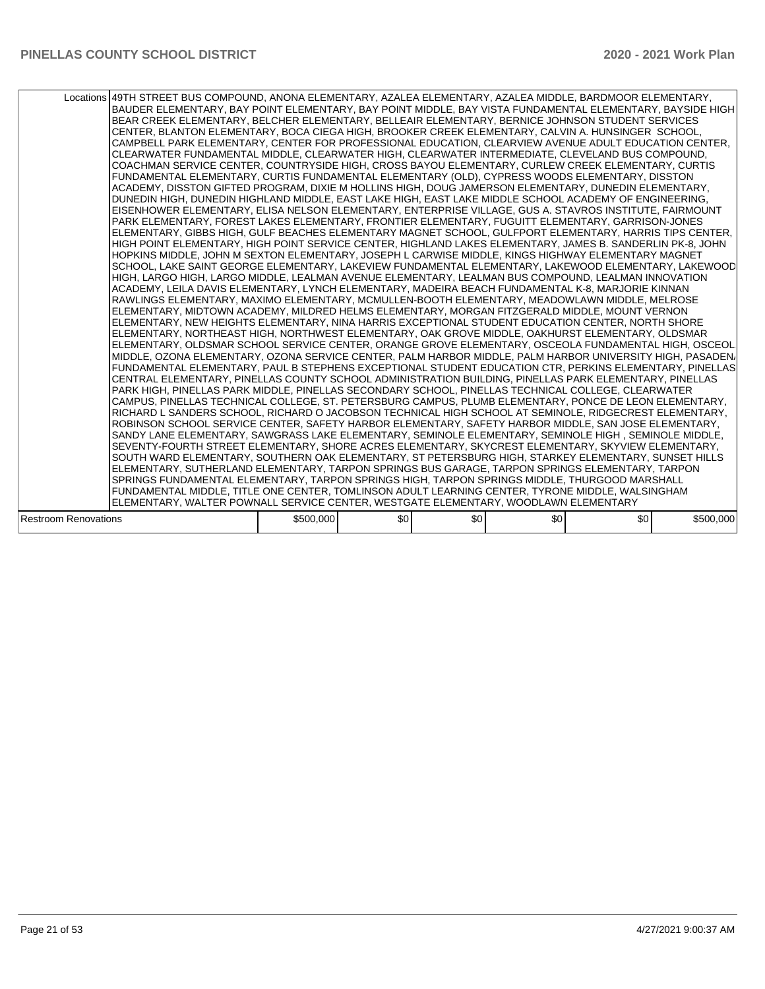|                             | Locations 49TH STREET BUS COMPOUND, ANONA ELEMENTARY, AZALEA ELEMENTARY, AZALEA MIDDLE, BARDMOOR ELEMENTARY,<br>BAUDER ELEMENTARY, BAY POINT ELEMENTARY, BAY POINT MIDDLE, BAY VISTA FUNDAMENTAL ELEMENTARY, BAYSIDE HIGH<br>BEAR CREEK ELEMENTARY, BELCHER ELEMENTARY, BELLEAIR ELEMENTARY, BERNICE JOHNSON STUDENT SERVICES<br>CENTER, BLANTON ELEMENTARY, BOCA CIEGA HIGH, BROOKER CREEK ELEMENTARY, CALVIN A. HUNSINGER SCHOOL,<br>CAMPBELL PARK ELEMENTARY, CENTER FOR PROFESSIONAL EDUCATION, CLEARVIEW AVENUE ADULT EDUCATION CENTER,<br>CLEARWATER FUNDAMENTAL MIDDLE, CLEARWATER HIGH, CLEARWATER INTERMEDIATE, CLEVELAND BUS COMPOUND,<br>COACHMAN SERVICE CENTER, COUNTRYSIDE HIGH, CROSS BAYOU ELEMENTARY, CURLEW CREEK ELEMENTARY, CURTIS<br>FUNDAMENTAL ELEMENTARY, CURTIS FUNDAMENTAL ELEMENTARY (OLD), CYPRESS WOODS ELEMENTARY, DISSTON<br>ACADEMY, DISSTON GIFTED PROGRAM, DIXIE M HOLLINS HIGH, DOUG JAMERSON ELEMENTARY, DUNEDIN ELEMENTARY,<br>DUNEDIN HIGH, DUNEDIN HIGHLAND MIDDLE, EAST LAKE HIGH, EAST LAKE MIDDLE SCHOOL ACADEMY OF ENGINEERING,<br>EISENHOWER ELEMENTARY, ELISA NELSON ELEMENTARY, ENTERPRISE VILLAGE, GUS A. STAVROS INSTITUTE, FAIRMOUNT<br>PARK ELEMENTARY, FOREST LAKES ELEMENTARY, FRONTIER ELEMENTARY, FUGUITT ELEMENTARY, GARRISON-JONES<br>ELEMENTARY, GIBBS HIGH, GULF BEACHES ELEMENTARY MAGNET SCHOOL, GULFPORT ELEMENTARY, HARRIS TIPS CENTER,<br>HIGH POINT ELEMENTARY, HIGH POINT SERVICE CENTER, HIGHLAND LAKES ELEMENTARY, JAMES B. SANDERLIN PK-8, JOHN<br>HOPKINS MIDDLE, JOHN M SEXTON ELEMENTARY, JOSEPH L CARWISE MIDDLE, KINGS HIGHWAY ELEMENTARY MAGNET<br>SCHOOL, LAKE SAINT GEORGE ELEMENTARY, LAKEVIEW FUNDAMENTAL ELEMENTARY, LAKEWOOD ELEMENTARY, LAKEWOOD<br>HIGH, LARGO HIGH, LARGO MIDDLE, LEALMAN AVENUE ELEMENTARY, LEALMAN BUS COMPOUND, LEALMAN INNOVATION<br>ACADEMY, LEILA DAVIS ELEMENTARY, LYNCH ELEMENTARY, MADEIRA BEACH FUNDAMENTAL K-8, MARJORIE KINNAN <br>RAWLINGS ELEMENTARY, MAXIMO ELEMENTARY, MCMULLEN-BOOTH ELEMENTARY, MEADOWLAWN MIDDLE, MELROSE<br>ELEMENTARY, MIDTOWN ACADEMY, MILDRED HELMS ELEMENTARY, MORGAN FITZGERALD MIDDLE, MOUNT VERNON<br>ELEMENTARY, NEW HEIGHTS ELEMENTARY, NINA HARRIS EXCEPTIONAL STUDENT EDUCATION CENTER, NORTH SHORE<br>ELEMENTARY, NORTHEAST HIGH, NORTHWEST ELEMENTARY, OAK GROVE MIDDLE, OAKHURST ELEMENTARY, OLDSMAR<br>ELEMENTARY, OLDSMAR SCHOOL SERVICE CENTER, ORANGE GROVE ELEMENTARY, OSCEOLA FUNDAMENTAL HIGH, OSCEOL<br>MIDDLE, OZONA ELEMENTARY, OZONA SERVICE CENTER, PALM HARBOR MIDDLE, PALM HARBOR UNIVERSITY HIGH, PASADEN/<br> FUNDAMENTAL ELEMENTARY, PAUL B STEPHENS EXCEPTIONAL STUDENT EDUCATION CTR, PERKINS ELEMENTARY, PINELLAS<br>CENTRAL ELEMENTARY, PINELLAS COUNTY SCHOOL ADMINISTRATION BUILDING, PINELLAS PARK ELEMENTARY, PINELLAS<br>PARK HIGH, PINELLAS PARK MIDDLE, PINELLAS SECONDARY SCHOOL, PINELLAS TECHNICAL COLLEGE, CLEARWATER<br>ICAMPUS. PINELLAS TECHNICAL COLLEGE. ST. PETERSBURG CAMPUS. PLUMB ELEMENTARY. PONCE DE LEON ELEMENTARY.<br>RICHARD L SANDERS SCHOOL, RICHARD O JACOBSON TECHNICAL HIGH SCHOOL AT SEMINOLE, RIDGECREST ELEMENTARY,<br>ROBINSON SCHOOL SERVICE CENTER, SAFETY HARBOR ELEMENTARY, SAFETY HARBOR MIDDLE, SAN JOSE ELEMENTARY,<br>SANDY LANE ELEMENTARY, SAWGRASS LAKE ELEMENTARY, SEMINOLE ELEMENTARY, SEMINOLE HIGH, SEMINOLE MIDDLE,<br>SEVENTY-FOURTH STREET ELEMENTARY, SHORE ACRES ELEMENTARY, SKYCREST ELEMENTARY, SKYVIEW ELEMENTARY,<br>SOUTH WARD ELEMENTARY, SOUTHERN OAK ELEMENTARY, ST PETERSBURG HIGH, STARKEY ELEMENTARY, SUNSET HILLS<br>ELEMENTARY, SUTHERLAND ELEMENTARY, TARPON SPRINGS BUS GARAGE, TARPON SPRINGS ELEMENTARY, TARPON<br>SPRINGS FUNDAMENTAL ELEMENTARY, TARPON SPRINGS HIGH, TARPON SPRINGS MIDDLE, THURGOOD MARSHALL<br>FUNDAMENTAL MIDDLE, TITLE ONE CENTER, TOMLINSON ADULT LEARNING CENTER, TYRONE MIDDLE, WALSINGHAM<br>ELEMENTARY, WALTER POWNALL SERVICE CENTER, WESTGATE ELEMENTARY, WOODLAWN ELEMENTARY |           |     |     |     |     |           |
|-----------------------------|---------------------------------------------------------------------------------------------------------------------------------------------------------------------------------------------------------------------------------------------------------------------------------------------------------------------------------------------------------------------------------------------------------------------------------------------------------------------------------------------------------------------------------------------------------------------------------------------------------------------------------------------------------------------------------------------------------------------------------------------------------------------------------------------------------------------------------------------------------------------------------------------------------------------------------------------------------------------------------------------------------------------------------------------------------------------------------------------------------------------------------------------------------------------------------------------------------------------------------------------------------------------------------------------------------------------------------------------------------------------------------------------------------------------------------------------------------------------------------------------------------------------------------------------------------------------------------------------------------------------------------------------------------------------------------------------------------------------------------------------------------------------------------------------------------------------------------------------------------------------------------------------------------------------------------------------------------------------------------------------------------------------------------------------------------------------------------------------------------------------------------------------------------------------------------------------------------------------------------------------------------------------------------------------------------------------------------------------------------------------------------------------------------------------------------------------------------------------------------------------------------------------------------------------------------------------------------------------------------------------------------------------------------------------------------------------------------------------------------------------------------------------------------------------------------------------------------------------------------------------------------------------------------------------------------------------------------------------------------------------------------------------------------------------------------------------------------------------------------------------------------------------------------------------------------------------------------------------------------------------------------------------------------------------------------------------------------------------------------------------------------------------------------------------------------------------------------------------------------------------------------------------------------------------------------------------------------------------------------------------------------------------------------------------------------------------------------------------------------------------------------------------------------------------------------------------------------------------------------------------------------------------------------------------------------------------------------------|-----------|-----|-----|-----|-----|-----------|
| <b>Restroom Renovations</b> |                                                                                                                                                                                                                                                                                                                                                                                                                                                                                                                                                                                                                                                                                                                                                                                                                                                                                                                                                                                                                                                                                                                                                                                                                                                                                                                                                                                                                                                                                                                                                                                                                                                                                                                                                                                                                                                                                                                                                                                                                                                                                                                                                                                                                                                                                                                                                                                                                                                                                                                                                                                                                                                                                                                                                                                                                                                                                                                                                                                                                                                                                                                                                                                                                                                                                                                                                                                                                                                                                                                                                                                                                                                                                                                                                                                                                                                                                                                                                               | \$500,000 | \$0 | \$0 | \$0 | \$0 | \$500,000 |
|                             |                                                                                                                                                                                                                                                                                                                                                                                                                                                                                                                                                                                                                                                                                                                                                                                                                                                                                                                                                                                                                                                                                                                                                                                                                                                                                                                                                                                                                                                                                                                                                                                                                                                                                                                                                                                                                                                                                                                                                                                                                                                                                                                                                                                                                                                                                                                                                                                                                                                                                                                                                                                                                                                                                                                                                                                                                                                                                                                                                                                                                                                                                                                                                                                                                                                                                                                                                                                                                                                                                                                                                                                                                                                                                                                                                                                                                                                                                                                                                               |           |     |     |     |     |           |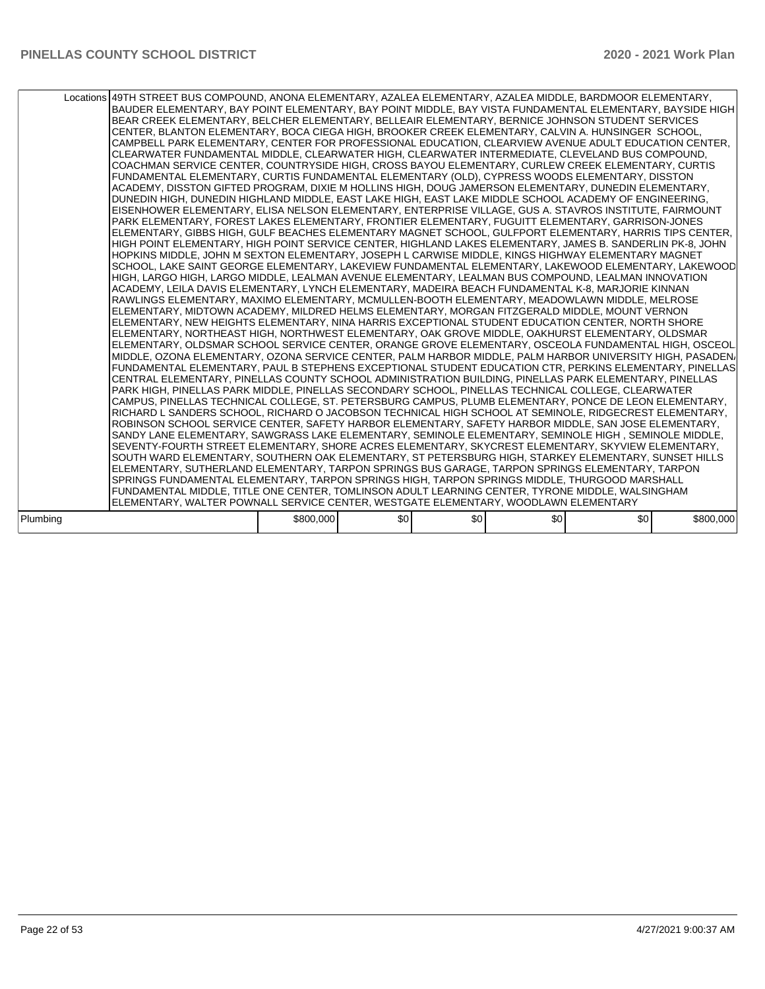|          | Locations 49TH STREET BUS COMPOUND, ANONA ELEMENTARY, AZALEA ELEMENTARY, AZALEA MIDDLE, BARDMOOR ELEMENTARY,<br>BAUDER ELEMENTARY, BAY POINT ELEMENTARY, BAY POINT MIDDLE, BAY VISTA FUNDAMENTAL ELEMENTARY, BAYSIDE HIGH<br>BEAR CREEK ELEMENTARY, BELCHER ELEMENTARY, BELLEAIR ELEMENTARY, BERNICE JOHNSON STUDENT SERVICES<br>CENTER, BLANTON ELEMENTARY, BOCA CIEGA HIGH, BROOKER CREEK ELEMENTARY, CALVIN A. HUNSINGER SCHOOL,<br>CAMPBELL PARK ELEMENTARY, CENTER FOR PROFESSIONAL EDUCATION, CLEARVIEW AVENUE ADULT EDUCATION CENTER,<br>ICLEARWATER FUNDAMENTAL MIDDLE. CLEARWATER HIGH. CLEARWATER INTERMEDIATE. CLEVELAND BUS COMPOUND.<br>ICOACHMAN SERVICE CENTER. COUNTRYSIDE HIGH. CROSS BAYOU ELEMENTARY. CURLEW CREEK ELEMENTARY. CURTIS<br>FUNDAMENTAL ELEMENTARY, CURTIS FUNDAMENTAL ELEMENTARY (OLD), CYPRESS WOODS ELEMENTARY, DISSTON<br>ACADEMY, DISSTON GIFTED PROGRAM, DIXIE M HOLLINS HIGH, DOUG JAMERSON ELEMENTARY, DUNEDIN ELEMENTARY,<br>DUNEDIN HIGH, DUNEDIN HIGHLAND MIDDLE, EAST LAKE HIGH, EAST LAKE MIDDLE SCHOOL ACADEMY OF ENGINEERING,<br>EISENHOWER ELEMENTARY, ELISA NELSON ELEMENTARY, ENTERPRISE VILLAGE, GUS A. STAVROS INSTITUTE, FAIRMOUNT<br>PARK ELEMENTARY, FOREST LAKES ELEMENTARY, FRONTIER ELEMENTARY, FUGUITT ELEMENTARY, GARRISON-JONES<br>ELEMENTARY, GIBBS HIGH, GULF BEACHES ELEMENTARY MAGNET SCHOOL, GULFPORT ELEMENTARY, HARRIS TIPS CENTER,<br>HIGH POINT ELEMENTARY, HIGH POINT SERVICE CENTER, HIGHLAND LAKES ELEMENTARY, JAMES B. SANDERLIN PK-8, JOHN<br>HOPKINS MIDDLE, JOHN M SEXTON ELEMENTARY, JOSEPH L CARWISE MIDDLE, KINGS HIGHWAY ELEMENTARY MAGNET<br>SCHOOL, LAKE SAINT GEORGE ELEMENTARY, LAKEVIEW FUNDAMENTAL ELEMENTARY, LAKEWOOD ELEMENTARY, LAKEWOOD<br>HIGH, LARGO HIGH, LARGO MIDDLE, LEALMAN AVENUE ELEMENTARY, LEALMAN BUS COMPOUND, LEALMAN INNOVATION<br>ACADEMY, LEILA DAVIS ELEMENTARY, LYNCH ELEMENTARY, MADEIRA BEACH FUNDAMENTAL K-8, MARJORIE KINNAN <br>RAWLINGS ELEMENTARY, MAXIMO ELEMENTARY, MCMULLEN-BOOTH ELEMENTARY, MEADOWLAWN MIDDLE, MELROSE<br>ELEMENTARY, MIDTOWN ACADEMY, MILDRED HELMS ELEMENTARY, MORGAN FITZGERALD MIDDLE, MOUNT VERNON<br>ELEMENTARY, NEW HEIGHTS ELEMENTARY, NINA HARRIS EXCEPTIONAL STUDENT EDUCATION CENTER, NORTH SHORE<br>ELEMENTARY, NORTHEAST HIGH, NORTHWEST ELEMENTARY, OAK GROVE MIDDLE, OAKHURST ELEMENTARY, OLDSMAR<br>ELEMENTARY, OLDSMAR SCHOOL SERVICE CENTER, ORANGE GROVE ELEMENTARY, OSCEOLA FUNDAMENTAL HIGH, OSCEOL<br>MIDDLE, OZONA ELEMENTARY, OZONA SERVICE CENTER, PALM HARBOR MIDDLE, PALM HARBOR UNIVERSITY HIGH, PASADEN/<br>FUNDAMENTAL ELEMENTARY. PAUL B STEPHENS EXCEPTIONAL STUDENT EDUCATION CTR. PERKINS ELEMENTARY. PINELLAS<br>ICENTRAL ELEMENTARY. PINELLAS COUNTY SCHOOL ADMINISTRATION BUILDING. PINELLAS PARK ELEMENTARY. PINELLAS<br>PARK HIGH, PINELLAS PARK MIDDLE, PINELLAS SECONDARY SCHOOL, PINELLAS TECHNICAL COLLEGE, CLEARWATER<br> CAMPUS, PINELLAS TECHNICAL COLLEGE, ST. PETERSBURG CAMPUS, PLUMB ELEMENTARY, PONCE DE LEON ELEMENTARY,<br>RICHARD L SANDERS SCHOOL, RICHARD O JACOBSON TECHNICAL HIGH SCHOOL AT SEMINOLE, RIDGECREST ELEMENTARY,<br>ROBINSON SCHOOL SERVICE CENTER, SAFETY HARBOR ELEMENTARY, SAFETY HARBOR MIDDLE, SAN JOSE ELEMENTARY,<br>SANDY LANE ELEMENTARY, SAWGRASS LAKE ELEMENTARY, SEMINOLE ELEMENTARY, SEMINOLE HIGH, SEMINOLE MIDDLE,<br>SEVENTY-FOURTH STREET ELEMENTARY, SHORE ACRES ELEMENTARY, SKYCREST ELEMENTARY, SKYVIEW ELEMENTARY,<br>SOUTH WARD ELEMENTARY, SOUTHERN OAK ELEMENTARY, ST PETERSBURG HIGH, STARKEY ELEMENTARY, SUNSET HILLS<br>ELEMENTARY, SUTHERLAND ELEMENTARY, TARPON SPRINGS BUS GARAGE, TARPON SPRINGS ELEMENTARY, TARPON<br>SPRINGS FUNDAMENTAL ELEMENTARY, TARPON SPRINGS HIGH, TARPON SPRINGS MIDDLE, THURGOOD MARSHALL<br>FUNDAMENTAL MIDDLE, TITLE ONE CENTER, TOMLINSON ADULT LEARNING CENTER, TYRONE MIDDLE, WALSINGHAM |           |                  |     |     |     |           |
|----------|--------------------------------------------------------------------------------------------------------------------------------------------------------------------------------------------------------------------------------------------------------------------------------------------------------------------------------------------------------------------------------------------------------------------------------------------------------------------------------------------------------------------------------------------------------------------------------------------------------------------------------------------------------------------------------------------------------------------------------------------------------------------------------------------------------------------------------------------------------------------------------------------------------------------------------------------------------------------------------------------------------------------------------------------------------------------------------------------------------------------------------------------------------------------------------------------------------------------------------------------------------------------------------------------------------------------------------------------------------------------------------------------------------------------------------------------------------------------------------------------------------------------------------------------------------------------------------------------------------------------------------------------------------------------------------------------------------------------------------------------------------------------------------------------------------------------------------------------------------------------------------------------------------------------------------------------------------------------------------------------------------------------------------------------------------------------------------------------------------------------------------------------------------------------------------------------------------------------------------------------------------------------------------------------------------------------------------------------------------------------------------------------------------------------------------------------------------------------------------------------------------------------------------------------------------------------------------------------------------------------------------------------------------------------------------------------------------------------------------------------------------------------------------------------------------------------------------------------------------------------------------------------------------------------------------------------------------------------------------------------------------------------------------------------------------------------------------------------------------------------------------------------------------------------------------------------------------------------------------------------------------------------------------------------------------------------------------------------------------------------------------------------------------------------------------------------------------------------------------------------------------------------------------------------------------------------------------------------------------------------------------------------------------------------------------------------------------------------------------------------------------------------------------------------------------------------------------------------------------------------------|-----------|------------------|-----|-----|-----|-----------|
|          | ELEMENTARY, WALTER POWNALL SERVICE CENTER, WESTGATE ELEMENTARY, WOODLAWN ELEMENTARY                                                                                                                                                                                                                                                                                                                                                                                                                                                                                                                                                                                                                                                                                                                                                                                                                                                                                                                                                                                                                                                                                                                                                                                                                                                                                                                                                                                                                                                                                                                                                                                                                                                                                                                                                                                                                                                                                                                                                                                                                                                                                                                                                                                                                                                                                                                                                                                                                                                                                                                                                                                                                                                                                                                                                                                                                                                                                                                                                                                                                                                                                                                                                                                                                                                                                                                                                                                                                                                                                                                                                                                                                                                                                                                                                                                      |           |                  |     |     |     |           |
| Plumbing |                                                                                                                                                                                                                                                                                                                                                                                                                                                                                                                                                                                                                                                                                                                                                                                                                                                                                                                                                                                                                                                                                                                                                                                                                                                                                                                                                                                                                                                                                                                                                                                                                                                                                                                                                                                                                                                                                                                                                                                                                                                                                                                                                                                                                                                                                                                                                                                                                                                                                                                                                                                                                                                                                                                                                                                                                                                                                                                                                                                                                                                                                                                                                                                                                                                                                                                                                                                                                                                                                                                                                                                                                                                                                                                                                                                                                                                                          | \$800,000 | \$0 <sub>1</sub> | \$0 | \$0 | \$0 | \$800,000 |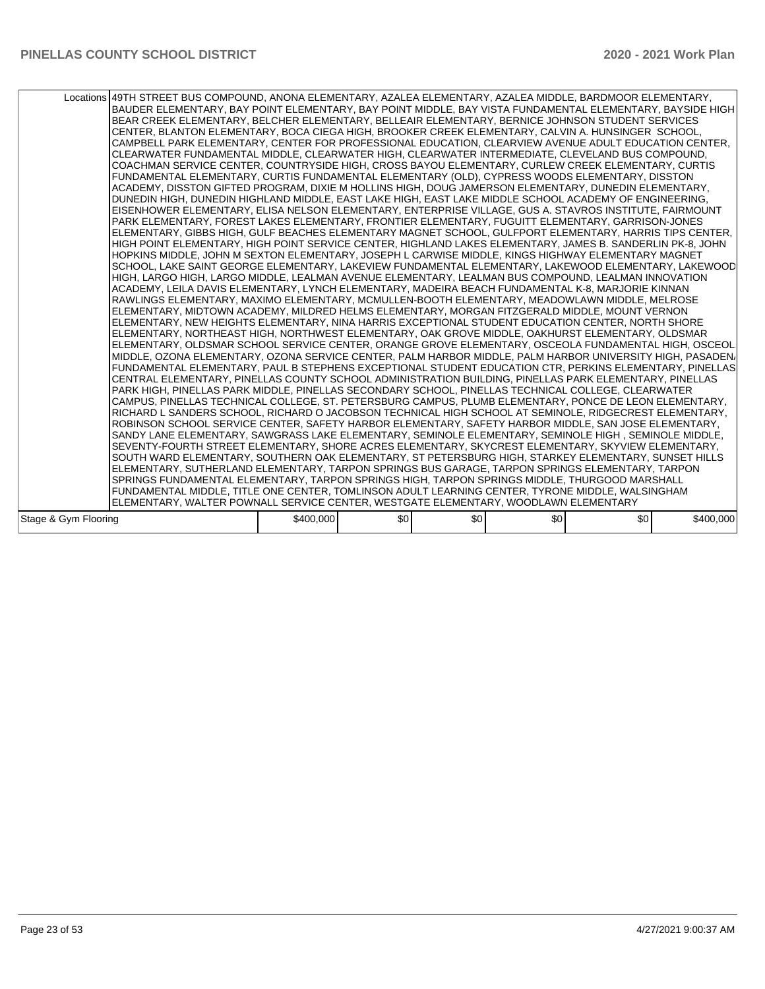|                      | Locations 49TH STREET BUS COMPOUND, ANONA ELEMENTARY, AZALEA ELEMENTARY, AZALEA MIDDLE, BARDMOOR ELEMENTARY,<br>BAUDER ELEMENTARY, BAY POINT ELEMENTARY, BAY POINT MIDDLE, BAY VISTA FUNDAMENTAL ELEMENTARY, BAYSIDE HIGH<br>BEAR CREEK ELEMENTARY, BELCHER ELEMENTARY, BELLEAIR ELEMENTARY, BERNICE JOHNSON STUDENT SERVICES<br>CENTER, BLANTON ELEMENTARY, BOCA CIEGA HIGH, BROOKER CREEK ELEMENTARY, CALVIN A. HUNSINGER SCHOOL,<br>CAMPBELL PARK ELEMENTARY, CENTER FOR PROFESSIONAL EDUCATION, CLEARVIEW AVENUE ADULT EDUCATION CENTER,<br>CLEARWATER FUNDAMENTAL MIDDLE, CLEARWATER HIGH, CLEARWATER INTERMEDIATE, CLEVELAND BUS COMPOUND,<br>COACHMAN SERVICE CENTER, COUNTRYSIDE HIGH, CROSS BAYOU ELEMENTARY, CURLEW CREEK ELEMENTARY, CURTIS<br>FUNDAMENTAL ELEMENTARY, CURTIS FUNDAMENTAL ELEMENTARY (OLD), CYPRESS WOODS ELEMENTARY, DISSTON<br>ACADEMY, DISSTON GIFTED PROGRAM, DIXIE M HOLLINS HIGH, DOUG JAMERSON ELEMENTARY, DUNEDIN ELEMENTARY,<br>DUNEDIN HIGH, DUNEDIN HIGHLAND MIDDLE, EAST LAKE HIGH, EAST LAKE MIDDLE SCHOOL ACADEMY OF ENGINEERING,<br>EISENHOWER ELEMENTARY, ELISA NELSON ELEMENTARY, ENTERPRISE VILLAGE, GUS A. STAVROS INSTITUTE, FAIRMOUNT<br>PARK ELEMENTARY, FOREST LAKES ELEMENTARY, FRONTIER ELEMENTARY, FUGUITT ELEMENTARY, GARRISON-JONES<br>ELEMENTARY, GIBBS HIGH, GULF BEACHES ELEMENTARY MAGNET SCHOOL, GULFPORT ELEMENTARY, HARRIS TIPS CENTER,<br>HIGH POINT ELEMENTARY, HIGH POINT SERVICE CENTER, HIGHLAND LAKES ELEMENTARY, JAMES B. SANDERLIN PK-8, JOHN<br>HOPKINS MIDDLE, JOHN M SEXTON ELEMENTARY, JOSEPH L CARWISE MIDDLE, KINGS HIGHWAY ELEMENTARY MAGNET<br>SCHOOL, LAKE SAINT GEORGE ELEMENTARY, LAKEVIEW FUNDAMENTAL ELEMENTARY, LAKEWOOD ELEMENTARY, LAKEWOOD<br>HIGH, LARGO HIGH, LARGO MIDDLE, LEALMAN AVENUE ELEMENTARY, LEALMAN BUS COMPOUND, LEALMAN INNOVATION<br>ACADEMY, LEILA DAVIS ELEMENTARY, LYNCH ELEMENTARY, MADEIRA BEACH FUNDAMENTAL K-8, MARJORIE KINNAN <br>RAWLINGS ELEMENTARY, MAXIMO ELEMENTARY, MCMULLEN-BOOTH ELEMENTARY, MEADOWLAWN MIDDLE, MELROSE<br>ELEMENTARY, MIDTOWN ACADEMY, MILDRED HELMS ELEMENTARY, MORGAN FITZGERALD MIDDLE, MOUNT VERNON<br>ELEMENTARY, NEW HEIGHTS ELEMENTARY, NINA HARRIS EXCEPTIONAL STUDENT EDUCATION CENTER, NORTH SHORE<br>ELEMENTARY, NORTHEAST HIGH, NORTHWEST ELEMENTARY, OAK GROVE MIDDLE, OAKHURST ELEMENTARY, OLDSMAR<br>ELEMENTARY, OLDSMAR SCHOOL SERVICE CENTER, ORANGE GROVE ELEMENTARY, OSCEOLA FUNDAMENTAL HIGH, OSCEOL<br>MIDDLE, OZONA ELEMENTARY, OZONA SERVICE CENTER, PALM HARBOR MIDDLE, PALM HARBOR UNIVERSITY HIGH, PASADEN/<br>FUNDAMENTAL ELEMENTARY, PAUL B STEPHENS EXCEPTIONAL STUDENT EDUCATION CTR, PERKINS ELEMENTARY, PINELLAS<br>CENTRAL ELEMENTARY, PINELLAS COUNTY SCHOOL ADMINISTRATION BUILDING, PINELLAS PARK ELEMENTARY, PINELLAS<br>PARK HIGH. PINELLAS PARK MIDDLE, PINELLAS SECONDARY SCHOOL, PINELLAS TECHNICAL COLLEGE, CLEARWATER<br>ICAMPUS. PINELLAS TECHNICAL COLLEGE. ST. PETERSBURG CAMPUS. PLUMB ELEMENTARY. PONCE DE LEON ELEMENTARY.<br>RICHARD L SANDERS SCHOOL, RICHARD O JACOBSON TECHNICAL HIGH SCHOOL AT SEMINOLE, RIDGECREST ELEMENTARY,<br>ROBINSON SCHOOL SERVICE CENTER, SAFETY HARBOR ELEMENTARY, SAFETY HARBOR MIDDLE, SAN JOSE ELEMENTARY,<br>SANDY LANE ELEMENTARY, SAWGRASS LAKE ELEMENTARY, SEMINOLE ELEMENTARY, SEMINOLE HIGH, SEMINOLE MIDDLE,<br>SEVENTY-FOURTH STREET ELEMENTARY, SHORE ACRES ELEMENTARY, SKYCREST ELEMENTARY, SKYVIEW ELEMENTARY,<br>SOUTH WARD ELEMENTARY, SOUTHERN OAK ELEMENTARY, ST PETERSBURG HIGH, STARKEY ELEMENTARY, SUNSET HILLS<br>ELEMENTARY, SUTHERLAND ELEMENTARY, TARPON SPRINGS BUS GARAGE, TARPON SPRINGS ELEMENTARY, TARPON<br>SPRINGS FUNDAMENTAL ELEMENTARY, TARPON SPRINGS HIGH, TARPON SPRINGS MIDDLE, THURGOOD MARSHALL<br>FUNDAMENTAL MIDDLE, TITLE ONE CENTER, TOMLINSON ADULT LEARNING CENTER, TYRONE MIDDLE, WALSINGHAM |           |     |     |     |     |           |
|----------------------|-----------------------------------------------------------------------------------------------------------------------------------------------------------------------------------------------------------------------------------------------------------------------------------------------------------------------------------------------------------------------------------------------------------------------------------------------------------------------------------------------------------------------------------------------------------------------------------------------------------------------------------------------------------------------------------------------------------------------------------------------------------------------------------------------------------------------------------------------------------------------------------------------------------------------------------------------------------------------------------------------------------------------------------------------------------------------------------------------------------------------------------------------------------------------------------------------------------------------------------------------------------------------------------------------------------------------------------------------------------------------------------------------------------------------------------------------------------------------------------------------------------------------------------------------------------------------------------------------------------------------------------------------------------------------------------------------------------------------------------------------------------------------------------------------------------------------------------------------------------------------------------------------------------------------------------------------------------------------------------------------------------------------------------------------------------------------------------------------------------------------------------------------------------------------------------------------------------------------------------------------------------------------------------------------------------------------------------------------------------------------------------------------------------------------------------------------------------------------------------------------------------------------------------------------------------------------------------------------------------------------------------------------------------------------------------------------------------------------------------------------------------------------------------------------------------------------------------------------------------------------------------------------------------------------------------------------------------------------------------------------------------------------------------------------------------------------------------------------------------------------------------------------------------------------------------------------------------------------------------------------------------------------------------------------------------------------------------------------------------------------------------------------------------------------------------------------------------------------------------------------------------------------------------------------------------------------------------------------------------------------------------------------------------------------------------------------------------------------------------------------------------------------------------------------------------------------------------------------------------------------|-----------|-----|-----|-----|-----|-----------|
|                      | ELEMENTARY, WALTER POWNALL SERVICE CENTER, WESTGATE ELEMENTARY, WOODLAWN ELEMENTARY                                                                                                                                                                                                                                                                                                                                                                                                                                                                                                                                                                                                                                                                                                                                                                                                                                                                                                                                                                                                                                                                                                                                                                                                                                                                                                                                                                                                                                                                                                                                                                                                                                                                                                                                                                                                                                                                                                                                                                                                                                                                                                                                                                                                                                                                                                                                                                                                                                                                                                                                                                                                                                                                                                                                                                                                                                                                                                                                                                                                                                                                                                                                                                                                                                                                                                                                                                                                                                                                                                                                                                                                                                                                                                                                                                                   |           |     |     |     |     |           |
|                      |                                                                                                                                                                                                                                                                                                                                                                                                                                                                                                                                                                                                                                                                                                                                                                                                                                                                                                                                                                                                                                                                                                                                                                                                                                                                                                                                                                                                                                                                                                                                                                                                                                                                                                                                                                                                                                                                                                                                                                                                                                                                                                                                                                                                                                                                                                                                                                                                                                                                                                                                                                                                                                                                                                                                                                                                                                                                                                                                                                                                                                                                                                                                                                                                                                                                                                                                                                                                                                                                                                                                                                                                                                                                                                                                                                                                                                                                       |           |     |     |     |     |           |
| Stage & Gym Flooring |                                                                                                                                                                                                                                                                                                                                                                                                                                                                                                                                                                                                                                                                                                                                                                                                                                                                                                                                                                                                                                                                                                                                                                                                                                                                                                                                                                                                                                                                                                                                                                                                                                                                                                                                                                                                                                                                                                                                                                                                                                                                                                                                                                                                                                                                                                                                                                                                                                                                                                                                                                                                                                                                                                                                                                                                                                                                                                                                                                                                                                                                                                                                                                                                                                                                                                                                                                                                                                                                                                                                                                                                                                                                                                                                                                                                                                                                       | \$400,000 | \$0 | \$0 | \$0 | \$0 | \$400,000 |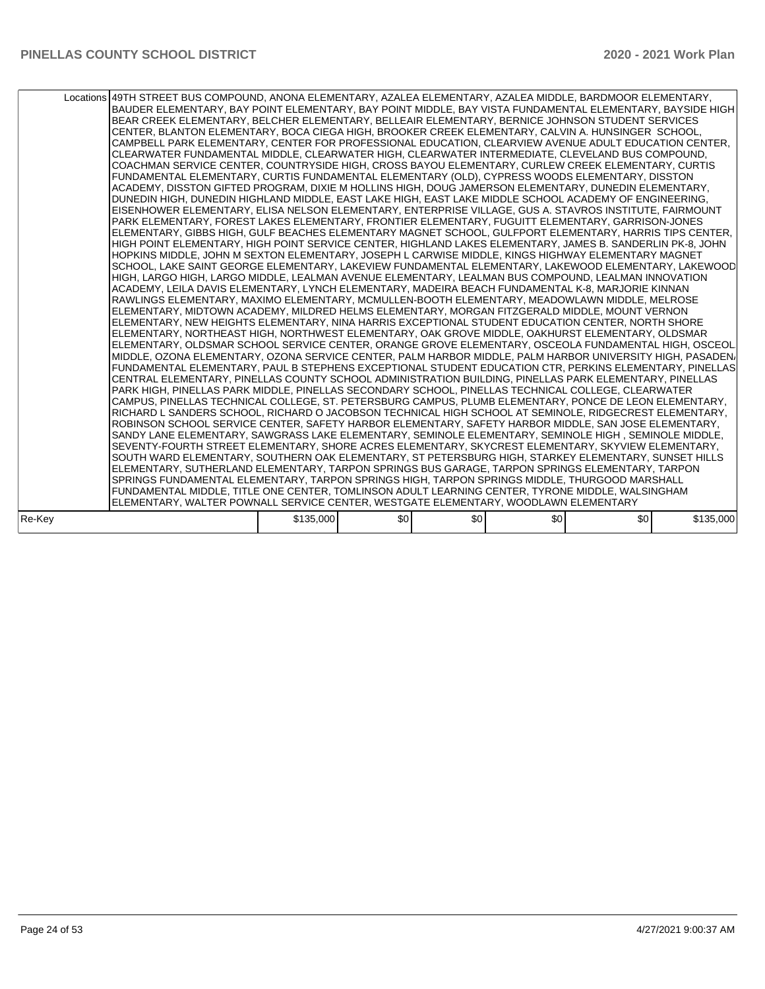|        | Locations 49TH STREET BUS COMPOUND, ANONA ELEMENTARY, AZALEA ELEMENTARY, AZALEA MIDDLE, BARDMOOR ELEMENTARY,<br>BAUDER ELEMENTARY, BAY POINT ELEMENTARY, BAY POINT MIDDLE, BAY VISTA FUNDAMENTAL ELEMENTARY, BAYSIDE HIGH<br>BEAR CREEK ELEMENTARY, BELCHER ELEMENTARY, BELLEAIR ELEMENTARY, BERNICE JOHNSON STUDENT SERVICES<br>CENTER, BLANTON ELEMENTARY, BOCA CIEGA HIGH, BROOKER CREEK ELEMENTARY, CALVIN A. HUNSINGER SCHOOL,<br>CAMPBELL PARK ELEMENTARY, CENTER FOR PROFESSIONAL EDUCATION, CLEARVIEW AVENUE ADULT EDUCATION CENTER,<br>CLEARWATER FUNDAMENTAL MIDDLE, CLEARWATER HIGH, CLEARWATER INTERMEDIATE, CLEVELAND BUS COMPOUND,<br>COACHMAN SERVICE CENTER, COUNTRYSIDE HIGH, CROSS BAYOU ELEMENTARY, CURLEW CREEK ELEMENTARY, CURTIS<br>FUNDAMENTAL ELEMENTARY, CURTIS FUNDAMENTAL ELEMENTARY (OLD), CYPRESS WOODS ELEMENTARY, DISSTON<br>ACADEMY, DISSTON GIFTED PROGRAM, DIXIE M HOLLINS HIGH, DOUG JAMERSON ELEMENTARY, DUNEDIN ELEMENTARY,<br>DUNEDIN HIGH, DUNEDIN HIGHLAND MIDDLE, EAST LAKE HIGH, EAST LAKE MIDDLE SCHOOL ACADEMY OF ENGINEERING,<br>EISENHOWER ELEMENTARY, ELISA NELSON ELEMENTARY, ENTERPRISE VILLAGE, GUS A. STAVROS INSTITUTE, FAIRMOUNT<br>PARK ELEMENTARY, FOREST LAKES ELEMENTARY, FRONTIER ELEMENTARY, FUGUITT ELEMENTARY, GARRISON-JONES<br>ELEMENTARY, GIBBS HIGH, GULF BEACHES ELEMENTARY MAGNET SCHOOL, GULFPORT ELEMENTARY, HARRIS TIPS CENTER,<br>HIGH POINT ELEMENTARY, HIGH POINT SERVICE CENTER, HIGHLAND LAKES ELEMENTARY, JAMES B. SANDERLIN PK-8, JOHN<br>HOPKINS MIDDLE, JOHN M SEXTON ELEMENTARY, JOSEPH L CARWISE MIDDLE, KINGS HIGHWAY ELEMENTARY MAGNET<br>SCHOOL, LAKE SAINT GEORGE ELEMENTARY, LAKEVIEW FUNDAMENTAL ELEMENTARY, LAKEWOOD ELEMENTARY, LAKEWOOD<br>HIGH, LARGO HIGH, LARGO MIDDLE, LEALMAN AVENUE ELEMENTARY, LEALMAN BUS COMPOUND, LEALMAN INNOVATION<br>ACADEMY, LEILA DAVIS ELEMENTARY, LYNCH ELEMENTARY, MADEIRA BEACH FUNDAMENTAL K-8, MARJORIE KINNAN <br>RAWLINGS ELEMENTARY, MAXIMO ELEMENTARY, MCMULLEN-BOOTH ELEMENTARY, MEADOWLAWN MIDDLE, MELROSE<br>ELEMENTARY, MIDTOWN ACADEMY, MILDRED HELMS ELEMENTARY, MORGAN FITZGERALD MIDDLE, MOUNT VERNON<br>ELEMENTARY, NEW HEIGHTS ELEMENTARY, NINA HARRIS EXCEPTIONAL STUDENT EDUCATION CENTER, NORTH SHORE<br>ELEMENTARY, NORTHEAST HIGH, NORTHWEST ELEMENTARY, OAK GROVE MIDDLE, OAKHURST ELEMENTARY, OLDSMAR<br>ELEMENTARY, OLDSMAR SCHOOL SERVICE CENTER, ORANGE GROVE ELEMENTARY, OSCEOLA FUNDAMENTAL HIGH, OSCEOL<br>MIDDLE, OZONA ELEMENTARY, OZONA SERVICE CENTER, PALM HARBOR MIDDLE, PALM HARBOR UNIVERSITY HIGH, PASADEN/<br>FUNDAMENTAL ELEMENTARY, PAUL B STEPHENS EXCEPTIONAL STUDENT EDUCATION CTR, PERKINS ELEMENTARY, PINELLAS<br>CENTRAL ELEMENTARY, PINELLAS COUNTY SCHOOL ADMINISTRATION BUILDING, PINELLAS PARK ELEMENTARY, PINELLAS<br>PARK HIGH, PINELLAS PARK MIDDLE, PINELLAS SECONDARY SCHOOL, PINELLAS TECHNICAL COLLEGE, CLEARWATER<br> CAMPUS, PINELLAS TECHNICAL COLLEGE, ST. PETERSBURG CAMPUS, PLUMB ELEMENTARY, PONCE DE LEON ELEMENTARY,<br>RICHARD L SANDERS SCHOOL, RICHARD O JACOBSON TECHNICAL HIGH SCHOOL AT SEMINOLE, RIDGECREST ELEMENTARY,<br>ROBINSON SCHOOL SERVICE CENTER, SAFETY HARBOR ELEMENTARY, SAFETY HARBOR MIDDLE, SAN JOSE ELEMENTARY,<br>SANDY LANE ELEMENTARY, SAWGRASS LAKE ELEMENTARY, SEMINOLE ELEMENTARY, SEMINOLE HIGH, SEMINOLE MIDDLE,<br>SEVENTY-FOURTH STREET ELEMENTARY, SHORE ACRES ELEMENTARY, SKYCREST ELEMENTARY, SKYVIEW ELEMENTARY,<br>SOUTH WARD ELEMENTARY, SOUTHERN OAK ELEMENTARY, ST PETERSBURG HIGH, STARKEY ELEMENTARY, SUNSET HILLS<br>ELEMENTARY, SUTHERLAND ELEMENTARY, TARPON SPRINGS BUS GARAGE, TARPON SPRINGS ELEMENTARY, TARPON<br>SPRINGS FUNDAMENTAL ELEMENTARY, TARPON SPRINGS HIGH, TARPON SPRINGS MIDDLE, THURGOOD MARSHALL<br>FUNDAMENTAL MIDDLE, TITLE ONE CENTER, TOMLINSON ADULT LEARNING CENTER, TYRONE MIDDLE, WALSINGHAM |           |     |     |     |     |           |
|--------|-----------------------------------------------------------------------------------------------------------------------------------------------------------------------------------------------------------------------------------------------------------------------------------------------------------------------------------------------------------------------------------------------------------------------------------------------------------------------------------------------------------------------------------------------------------------------------------------------------------------------------------------------------------------------------------------------------------------------------------------------------------------------------------------------------------------------------------------------------------------------------------------------------------------------------------------------------------------------------------------------------------------------------------------------------------------------------------------------------------------------------------------------------------------------------------------------------------------------------------------------------------------------------------------------------------------------------------------------------------------------------------------------------------------------------------------------------------------------------------------------------------------------------------------------------------------------------------------------------------------------------------------------------------------------------------------------------------------------------------------------------------------------------------------------------------------------------------------------------------------------------------------------------------------------------------------------------------------------------------------------------------------------------------------------------------------------------------------------------------------------------------------------------------------------------------------------------------------------------------------------------------------------------------------------------------------------------------------------------------------------------------------------------------------------------------------------------------------------------------------------------------------------------------------------------------------------------------------------------------------------------------------------------------------------------------------------------------------------------------------------------------------------------------------------------------------------------------------------------------------------------------------------------------------------------------------------------------------------------------------------------------------------------------------------------------------------------------------------------------------------------------------------------------------------------------------------------------------------------------------------------------------------------------------------------------------------------------------------------------------------------------------------------------------------------------------------------------------------------------------------------------------------------------------------------------------------------------------------------------------------------------------------------------------------------------------------------------------------------------------------------------------------------------------------------------------------------------------------------------------------|-----------|-----|-----|-----|-----|-----------|
|        | ELEMENTARY, WALTER POWNALL SERVICE CENTER, WESTGATE ELEMENTARY, WOODLAWN ELEMENTARY                                                                                                                                                                                                                                                                                                                                                                                                                                                                                                                                                                                                                                                                                                                                                                                                                                                                                                                                                                                                                                                                                                                                                                                                                                                                                                                                                                                                                                                                                                                                                                                                                                                                                                                                                                                                                                                                                                                                                                                                                                                                                                                                                                                                                                                                                                                                                                                                                                                                                                                                                                                                                                                                                                                                                                                                                                                                                                                                                                                                                                                                                                                                                                                                                                                                                                                                                                                                                                                                                                                                                                                                                                                                                                                                                                                   |           |     |     |     |     |           |
|        |                                                                                                                                                                                                                                                                                                                                                                                                                                                                                                                                                                                                                                                                                                                                                                                                                                                                                                                                                                                                                                                                                                                                                                                                                                                                                                                                                                                                                                                                                                                                                                                                                                                                                                                                                                                                                                                                                                                                                                                                                                                                                                                                                                                                                                                                                                                                                                                                                                                                                                                                                                                                                                                                                                                                                                                                                                                                                                                                                                                                                                                                                                                                                                                                                                                                                                                                                                                                                                                                                                                                                                                                                                                                                                                                                                                                                                                                       |           |     |     |     |     |           |
| Re-Kev |                                                                                                                                                                                                                                                                                                                                                                                                                                                                                                                                                                                                                                                                                                                                                                                                                                                                                                                                                                                                                                                                                                                                                                                                                                                                                                                                                                                                                                                                                                                                                                                                                                                                                                                                                                                                                                                                                                                                                                                                                                                                                                                                                                                                                                                                                                                                                                                                                                                                                                                                                                                                                                                                                                                                                                                                                                                                                                                                                                                                                                                                                                                                                                                                                                                                                                                                                                                                                                                                                                                                                                                                                                                                                                                                                                                                                                                                       | \$135,000 | \$0 | \$0 | \$0 | \$0 | \$135,000 |
|        |                                                                                                                                                                                                                                                                                                                                                                                                                                                                                                                                                                                                                                                                                                                                                                                                                                                                                                                                                                                                                                                                                                                                                                                                                                                                                                                                                                                                                                                                                                                                                                                                                                                                                                                                                                                                                                                                                                                                                                                                                                                                                                                                                                                                                                                                                                                                                                                                                                                                                                                                                                                                                                                                                                                                                                                                                                                                                                                                                                                                                                                                                                                                                                                                                                                                                                                                                                                                                                                                                                                                                                                                                                                                                                                                                                                                                                                                       |           |     |     |     |     |           |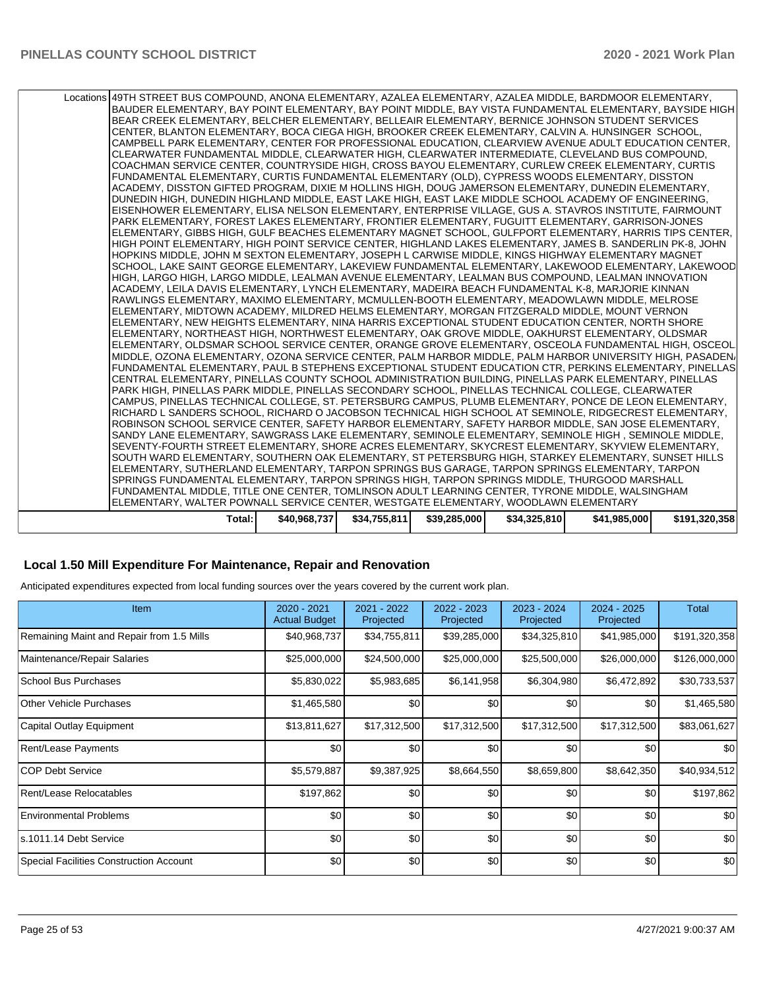| Total:                                                                                                                                                                                                       | \$40,968,737 | \$34,755,811 | \$39,285,000 | \$34,325,810 | \$41,985,000 | \$191,320,358 |
|--------------------------------------------------------------------------------------------------------------------------------------------------------------------------------------------------------------|--------------|--------------|--------------|--------------|--------------|---------------|
| ELEMENTARY, WALTER POWNALL SERVICE CENTER, WESTGATE ELEMENTARY, WOODLAWN ELEMENTARY                                                                                                                          |              |              |              |              |              |               |
| FUNDAMENTAL MIDDLE, TITLE ONE CENTER, TOMLINSON ADULT LEARNING CENTER, TYRONE MIDDLE, WALSINGHAM                                                                                                             |              |              |              |              |              |               |
| SPRINGS FUNDAMENTAL ELEMENTARY, TARPON SPRINGS HIGH, TARPON SPRINGS MIDDLE, THURGOOD MARSHALL                                                                                                                |              |              |              |              |              |               |
| ELEMENTARY, SUTHERLAND ELEMENTARY, TARPON SPRINGS BUS GARAGE, TARPON SPRINGS ELEMENTARY, TARPON                                                                                                              |              |              |              |              |              |               |
| SOUTH WARD ELEMENTARY. SOUTHERN OAK ELEMENTARY. ST PETERSBURG HIGH. STARKEY ELEMENTARY. SUNSET HILLS                                                                                                         |              |              |              |              |              |               |
| SEVENTY-FOURTH STREET ELEMENTARY, SHORE ACRES ELEMENTARY, SKYCREST ELEMENTARY, SKYVIEW ELEMENTARY,                                                                                                           |              |              |              |              |              |               |
| SANDY LANE ELEMENTARY, SAWGRASS LAKE ELEMENTARY, SEMINOLE ELEMENTARY, SEMINOLE HIGH, SEMINOLE MIDDLE,                                                                                                        |              |              |              |              |              |               |
| ROBINSON SCHOOL SERVICE CENTER, SAFETY HARBOR ELEMENTARY, SAFETY HARBOR MIDDLE, SAN JOSE ELEMENTARY,                                                                                                         |              |              |              |              |              |               |
| RICHARD L SANDERS SCHOOL, RICHARD O JACOBSON TECHNICAL HIGH SCHOOL AT SEMINOLE, RIDGECREST ELEMENTARY,                                                                                                       |              |              |              |              |              |               |
| CAMPUS, PINELLAS TECHNICAL COLLEGE, ST. PETERSBURG CAMPUS, PLUMB ELEMENTARY, PONCE DE LEON ELEMENTARY,                                                                                                       |              |              |              |              |              |               |
| CENTRAL ELEMENTARY, PINELLAS COUNTY SCHOOL ADMINISTRATION BUILDING, PINELLAS PARK ELEMENTARY, PINELLAS<br>PARK HIGH, PINELLAS PARK MIDDLE, PINELLAS SECONDARY SCHOOL, PINELLAS TECHNICAL COLLEGE, CLEARWATER |              |              |              |              |              |               |
| FUNDAMENTAL ELEMENTARY, PAUL B STEPHENS EXCEPTIONAL STUDENT EDUCATION CTR, PERKINS ELEMENTARY, PINELLAS                                                                                                      |              |              |              |              |              |               |
| MIDDLE, OZONA ELEMENTARY, OZONA SERVICE CENTER, PALM HARBOR MIDDLE, PALM HARBOR UNIVERSITY HIGH, PASADEN/                                                                                                    |              |              |              |              |              |               |
| ELEMENTARY, OLDSMAR SCHOOL SERVICE CENTER, ORANGE GROVE ELEMENTARY, OSCEOLA FUNDAMENTAL HIGH, OSCEOL                                                                                                         |              |              |              |              |              |               |
| ELEMENTARY, NORTHEAST HIGH, NORTHWEST ELEMENTARY, OAK GROVE MIDDLE, OAKHURST ELEMENTARY, OLDSMAR                                                                                                             |              |              |              |              |              |               |
| ELEMENTARY. NEW HEIGHTS ELEMENTARY. NINA HARRIS EXCEPTIONAL STUDENT EDUCATION CENTER. NORTH SHORE                                                                                                            |              |              |              |              |              |               |
| ELEMENTARY, MIDTOWN ACADEMY, MILDRED HELMS ELEMENTARY, MORGAN FITZGERALD MIDDLE, MOUNT VERNON                                                                                                                |              |              |              |              |              |               |
| RAWLINGS ELEMENTARY, MAXIMO ELEMENTARY, MCMULLEN-BOOTH ELEMENTARY, MEADOWLAWN MIDDLE, MELROSE                                                                                                                |              |              |              |              |              |               |
| ACADEMY, LEILA DAVIS ELEMENTARY, LYNCH ELEMENTARY, MADEIRA BEACH FUNDAMENTAL K-8, MARJORIE KINNAN                                                                                                            |              |              |              |              |              |               |
| HIGH, LARGO HIGH, LARGO MIDDLE, LEALMAN AVENUE ELEMENTARY, LEALMAN BUS COMPOUND, LEALMAN INNOVATION                                                                                                          |              |              |              |              |              |               |
| SCHOOL, LAKE SAINT GEORGE ELEMENTARY, LAKEVIEW FUNDAMENTAL ELEMENTARY, LAKEWOOD ELEMENTARY, LAKEWOOD                                                                                                         |              |              |              |              |              |               |
| HOPKINS MIDDLE, JOHN M SEXTON ELEMENTARY, JOSEPH L CARWISE MIDDLE, KINGS HIGHWAY ELEMENTARY MAGNET                                                                                                           |              |              |              |              |              |               |
| HIGH POINT ELEMENTARY, HIGH POINT SERVICE CENTER, HIGHLAND LAKES ELEMENTARY, JAMES B. SANDERLIN PK-8, JOHN                                                                                                   |              |              |              |              |              |               |
| ELEMENTARY, GIBBS HIGH, GULF BEACHES ELEMENTARY MAGNET SCHOOL, GULFPORT ELEMENTARY, HARRIS TIPS CENTER,                                                                                                      |              |              |              |              |              |               |
| EISENHOWER ELEMENTARY, ELISA NELSON ELEMENTARY, ENTERPRISE VILLAGE, GUS A. STAVROS INSTITUTE, FAIRMOUNT<br>PARK ELEMENTARY, FOREST LAKES ELEMENTARY, FRONTIER ELEMENTARY, FUGUITT ELEMENTARY, GARRISON-JONES |              |              |              |              |              |               |
| DUNEDIN HIGH, DUNEDIN HIGHLAND MIDDLE, EAST LAKE HIGH, EAST LAKE MIDDLE SCHOOL ACADEMY OF ENGINEERING,                                                                                                       |              |              |              |              |              |               |
| ACADEMY, DISSTON GIFTED PROGRAM, DIXIE M HOLLINS HIGH, DOUG JAMERSON ELEMENTARY, DUNEDIN ELEMENTARY,                                                                                                         |              |              |              |              |              |               |
| FUNDAMENTAL ELEMENTARY, CURTIS FUNDAMENTAL ELEMENTARY (OLD), CYPRESS WOODS ELEMENTARY, DISSTON                                                                                                               |              |              |              |              |              |               |
| COACHMAN SERVICE CENTER, COUNTRYSIDE HIGH, CROSS BAYOU ELEMENTARY, CURLEW CREEK ELEMENTARY, CURTIS                                                                                                           |              |              |              |              |              |               |
| CLEARWATER FUNDAMENTAL MIDDLE, CLEARWATER HIGH, CLEARWATER INTERMEDIATE, CLEVELAND BUS COMPOUND,                                                                                                             |              |              |              |              |              |               |
| CAMPBELL PARK ELEMENTARY, CENTER FOR PROFESSIONAL EDUCATION, CLEARVIEW AVENUE ADULT EDUCATION CENTER,                                                                                                        |              |              |              |              |              |               |
| CENTER, BLANTON ELEMENTARY, BOCA CIEGA HIGH, BROOKER CREEK ELEMENTARY, CALVIN A. HUNSINGER SCHOOL,                                                                                                           |              |              |              |              |              |               |
| BEAR CREEK ELEMENTARY, BELCHER ELEMENTARY, BELLEAIR ELEMENTARY, BERNICE JOHNSON STUDENT SERVICES                                                                                                             |              |              |              |              |              |               |
| BAUDER ELEMENTARY, BAY POINT ELEMENTARY, BAY POINT MIDDLE, BAY VISTA FUNDAMENTAL ELEMENTARY, BAYSIDE HIGH                                                                                                    |              |              |              |              |              |               |
| Locations 49TH STREET BUS COMPOUND, ANONA ELEMENTARY, AZALEA ELEMENTARY, AZALEA MIDDLE, BARDMOOR ELEMENTARY,                                                                                                 |              |              |              |              |              |               |
|                                                                                                                                                                                                              |              |              |              |              |              |               |

# **Local 1.50 Mill Expenditure For Maintenance, Repair and Renovation**

Anticipated expenditures expected from local funding sources over the years covered by the current work plan.

| Item                                      | 2020 - 2021<br><b>Actual Budget</b> | 2021 - 2022<br>Projected | 2022 - 2023<br>Projected | 2023 - 2024<br>Projected | $2024 - 2025$<br>Projected | Total         |
|-------------------------------------------|-------------------------------------|--------------------------|--------------------------|--------------------------|----------------------------|---------------|
| Remaining Maint and Repair from 1.5 Mills | \$40,968,737                        | \$34,755,811             | \$39,285,000             | \$34,325,810             | \$41,985,000               | \$191,320,358 |
| Maintenance/Repair Salaries               | \$25,000,000                        | \$24,500,000             | \$25,000,000             | \$25,500,000             | \$26,000,000               | \$126,000,000 |
| <b>School Bus Purchases</b>               | \$5,830,022                         | \$5,983,685              | \$6,141,958              | \$6,304,980              | \$6,472,892                | \$30,733,537  |
| Other Vehicle Purchases                   | \$1,465,580                         | \$0                      | \$0                      | \$0                      | \$0                        | \$1,465,580   |
| Capital Outlay Equipment                  | \$13,811,627                        | \$17,312,500             | \$17,312,500             | \$17,312,500             | \$17,312,500               | \$83,061,627  |
| Rent/Lease Payments                       | \$0                                 | \$0                      | \$0                      | \$0                      | \$0                        | \$0           |
| ICOP Debt Service                         | \$5,579,887                         | \$9,387,925              | \$8,664,550              | \$8,659,800              | \$8,642,350                | \$40,934,512  |
| Rent/Lease Relocatables                   | \$197,862                           | \$0                      | \$0                      | \$0                      | \$0                        | \$197,862     |
| <b>Environmental Problems</b>             | \$0                                 | \$0                      | \$0                      | \$0                      | \$0                        | \$0           |
| ls.1011.14 Debt Service                   | \$0                                 | \$0                      | \$0                      | \$0                      | \$0                        | \$0           |
| Special Facilities Construction Account   | \$0                                 | \$0                      | \$0                      | \$0                      | \$0                        | \$0           |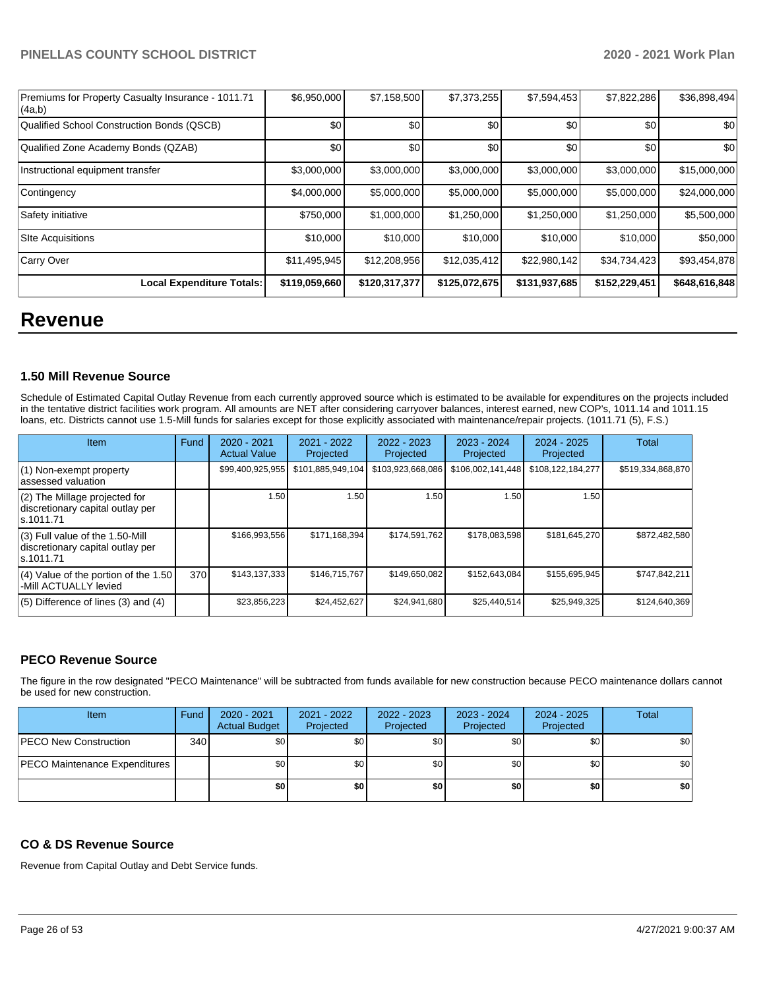| Premiums for Property Casualty Insurance - 1011.71<br>(4a,b) | \$6,950,000   | \$7,158,500   | \$7,373,255   | \$7,594,453   | \$7,822,286   | \$36,898,494  |
|--------------------------------------------------------------|---------------|---------------|---------------|---------------|---------------|---------------|
| Qualified School Construction Bonds (QSCB)                   | \$0           | \$0           | \$0           | \$0           | \$0           | \$0           |
| Qualified Zone Academy Bonds (QZAB)                          | \$0           | \$0           | \$0           | \$0           | \$0           | \$0           |
| Instructional equipment transfer                             | \$3,000,000   | \$3,000,000   | \$3,000,000   | \$3,000,000   | \$3,000,000   | \$15,000,000  |
| Contingency                                                  | \$4,000,000   | \$5,000,000   | \$5,000,000   | \$5,000,000   | \$5,000,000   | \$24,000,000  |
| Safety initiative                                            | \$750,000     | \$1,000,000   | \$1,250,000   | \$1,250,000   | \$1,250,000   | \$5,500,000   |
| <b>Site Acquisitions</b>                                     | \$10,000      | \$10,000      | \$10,000      | \$10,000      | \$10,000      | \$50,000      |
| Carry Over                                                   | \$11,495,945  | \$12,208,956  | \$12,035,412  | \$22,980,142  | \$34,734,423  | \$93,454,878  |
| <b>Local Expenditure Totals:</b>                             | \$119,059,660 | \$120,317,377 | \$125,072,675 | \$131,937,685 | \$152,229,451 | \$648,616,848 |

# **Revenue**

### **1.50 Mill Revenue Source**

Schedule of Estimated Capital Outlay Revenue from each currently approved source which is estimated to be available for expenditures on the projects included in the tentative district facilities work program. All amounts are NET after considering carryover balances, interest earned, new COP's, 1011.14 and 1011.15 loans, etc. Districts cannot use 1.5-Mill funds for salaries except for those explicitly associated with maintenance/repair projects. (1011.71 (5), F.S.)

| <b>Item</b>                                                                         | <b>Fund</b> | $2020 - 2021$<br><b>Actual Value</b> | $2021 - 2022$<br>Projected | 2022 - 2023<br>Projected | 2023 - 2024<br>Projected | $2024 - 2025$<br>Projected | Total             |
|-------------------------------------------------------------------------------------|-------------|--------------------------------------|----------------------------|--------------------------|--------------------------|----------------------------|-------------------|
| $(1)$ Non-exempt property<br>lassessed valuation                                    |             | \$99,400,925,955                     | \$101,885,949,104          | \$103,923,668,086        | \$106,002,141,448        | \$108,122,184,277          | \$519,334,868,870 |
| (2) The Millage projected for<br>discretionary capital outlay per<br>ls.1011.71     |             | 1.50                                 | 1.50                       | 1.50                     | 1.50                     | 1.50                       |                   |
| $(3)$ Full value of the 1.50-Mill<br>discretionary capital outlay per<br>ls.1011.71 |             | \$166,993,556                        | \$171,168,394              | \$174,591,762            | \$178,083,598            | \$181,645,270              | \$872,482,580     |
| $(4)$ Value of the portion of the 1.50<br>-Mill ACTUALLY levied                     | 370         | \$143,137,333                        | \$146,715,767              | \$149,650,082            | \$152,643,084            | \$155,695,945              | \$747,842,211     |
| $(5)$ Difference of lines $(3)$ and $(4)$                                           |             | \$23,856,223                         | \$24,452,627               | \$24,941,680             | \$25,440,514             | \$25,949,325               | \$124,640,369     |

### **PECO Revenue Source**

The figure in the row designated "PECO Maintenance" will be subtracted from funds available for new construction because PECO maintenance dollars cannot be used for new construction.

| Item                                 | Fund         | 2020 - 2021<br><b>Actual Budget</b> | 2021 - 2022<br>Projected | 2022 - 2023<br>Projected | 2023 - 2024<br>Projected | 2024 - 2025<br>Projected | Total |
|--------------------------------------|--------------|-------------------------------------|--------------------------|--------------------------|--------------------------|--------------------------|-------|
| <b>PECO New Construction</b>         | 340 <b>I</b> | \$0                                 | \$0                      | \$0                      | \$0                      | \$0                      | \$0   |
| <b>PECO Maintenance Expenditures</b> |              | \$0                                 | \$0                      | \$0                      | \$0 <sub>1</sub>         | \$0                      | \$0   |
|                                      |              | \$0                                 | \$0                      | \$0                      | \$0                      | \$0                      | \$0   |

### **CO & DS Revenue Source**

Revenue from Capital Outlay and Debt Service funds.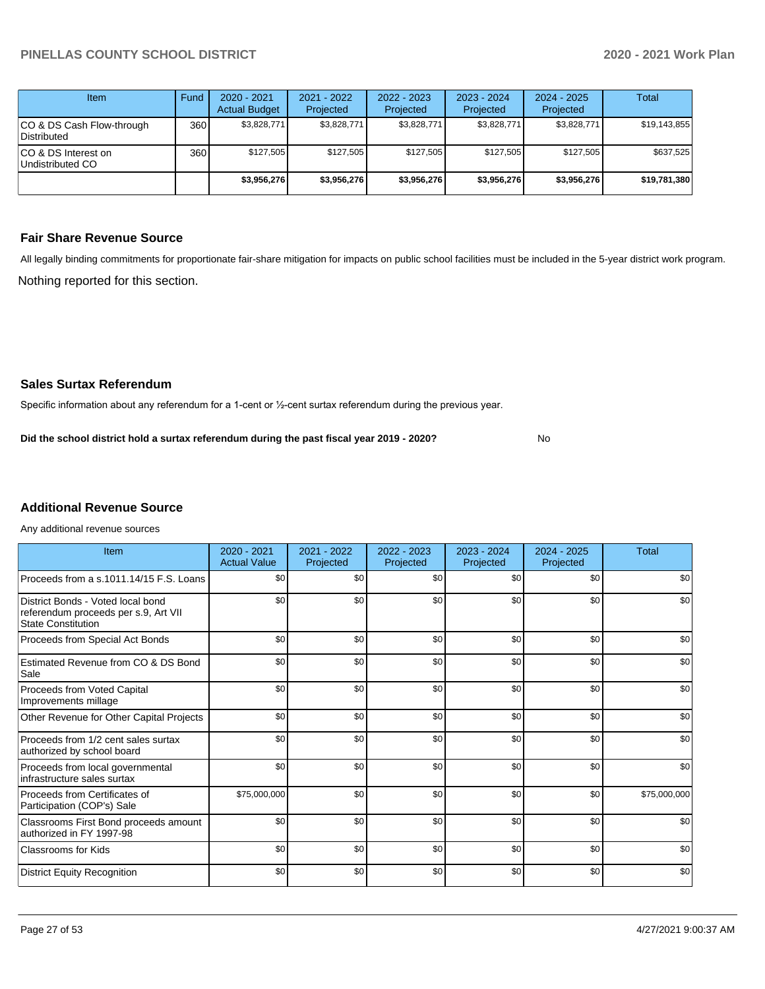| Item                                     | Fund | $2020 - 2021$<br><b>Actual Budget</b> | $2021 - 2022$<br>Projected | $2022 - 2023$<br>Projected | $2023 - 2024$<br>Projected | $2024 - 2025$<br>Projected | Total        |
|------------------------------------------|------|---------------------------------------|----------------------------|----------------------------|----------------------------|----------------------------|--------------|
| CO & DS Cash Flow-through<br>Distributed | 360  | \$3,828,771                           | \$3,828,771                | \$3,828,771                | \$3,828,771                | \$3,828,771                | \$19,143,855 |
| ICO & DS Interest on<br>Undistributed CO | 360  | \$127.505                             | \$127.505                  | \$127.505                  | \$127.505                  | \$127.505                  | \$637,525    |
|                                          |      | \$3,956,276                           | \$3,956,276                | \$3,956,276                | \$3,956,276                | \$3,956,276                | \$19,781,380 |

### **Fair Share Revenue Source**

Nothing reported for this section. All legally binding commitments for proportionate fair-share mitigation for impacts on public school facilities must be included in the 5-year district work program.

No

### **Sales Surtax Referendum**

Specific information about any referendum for a 1-cent or ½-cent surtax referendum during the previous year.

**Did the school district hold a surtax referendum during the past fiscal year 2019 - 2020?**

# **Additional Revenue Source**

Any additional revenue sources

| Item                                                                                                   | 2020 - 2021<br><b>Actual Value</b> | 2021 - 2022<br>Projected | 2022 - 2023<br>Projected | 2023 - 2024<br>Projected | $2024 - 2025$<br>Projected | Total        |
|--------------------------------------------------------------------------------------------------------|------------------------------------|--------------------------|--------------------------|--------------------------|----------------------------|--------------|
| Proceeds from a s.1011.14/15 F.S. Loans                                                                | \$0                                | \$0                      | \$0                      | \$0                      | \$0                        | \$0          |
| District Bonds - Voted local bond<br>referendum proceeds per s.9, Art VII<br><b>State Constitution</b> | \$0                                | \$0                      | \$0                      | \$0                      | \$0                        | \$0          |
| Proceeds from Special Act Bonds                                                                        | \$0                                | \$0                      | \$0                      | \$0                      | \$0                        | \$0          |
| Estimated Revenue from CO & DS Bond<br>Sale                                                            | \$0                                | \$0                      | \$0                      | \$0                      | \$0                        | \$0          |
| Proceeds from Voted Capital<br>Improvements millage                                                    | \$0                                | \$0                      | \$0                      | \$0                      | \$0                        | \$0          |
| Other Revenue for Other Capital Projects                                                               | \$0                                | \$0                      | \$0                      | \$0                      | \$0                        | \$0          |
| Proceeds from 1/2 cent sales surtax<br>authorized by school board                                      | \$0                                | \$0                      | \$0                      | \$0                      | \$0                        | \$0          |
| Proceeds from local governmental<br>infrastructure sales surtax                                        | \$0                                | \$0                      | \$0                      | \$0                      | \$0                        | \$0          |
| Proceeds from Certificates of<br>Participation (COP's) Sale                                            | \$75,000,000                       | \$0                      | \$0                      | \$0                      | \$0                        | \$75,000,000 |
| Classrooms First Bond proceeds amount<br>authorized in FY 1997-98                                      | \$0                                | \$0                      | \$0                      | \$0                      | \$0                        | \$0          |
| <b>Classrooms for Kids</b>                                                                             | \$0                                | \$0                      | \$0                      | \$0                      | \$0                        | \$0          |
| <b>District Equity Recognition</b>                                                                     | \$0                                | \$0                      | \$0                      | \$0                      | \$0                        | \$0          |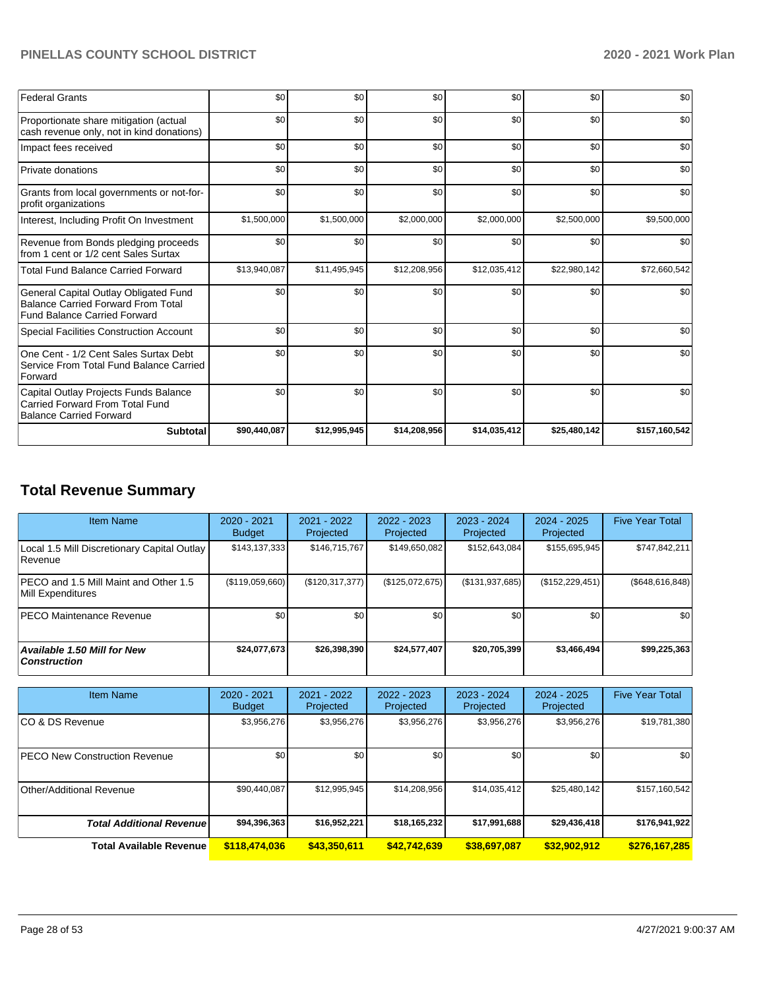| <b>Federal Grants</b>                                                                                                     | \$0          | \$0          | \$0          | \$0          | \$0          | \$0           |
|---------------------------------------------------------------------------------------------------------------------------|--------------|--------------|--------------|--------------|--------------|---------------|
| Proportionate share mitigation (actual<br>cash revenue only, not in kind donations)                                       | \$0          | \$0          | \$0          | \$0          | \$0          | \$0           |
| Impact fees received                                                                                                      | \$0          | \$0          | \$0          | \$0          | \$0          | \$0           |
| Private donations                                                                                                         | \$0          | \$0          | \$0          | \$0          | \$0          | \$0           |
| Grants from local governments or not-for-<br>profit organizations                                                         | \$0          | \$0          | \$0          | \$0          | \$0          | \$0           |
| Interest, Including Profit On Investment                                                                                  | \$1,500,000  | \$1,500,000  | \$2,000,000  | \$2,000,000  | \$2,500,000  | \$9,500,000   |
| Revenue from Bonds pledging proceeds<br>from 1 cent or 1/2 cent Sales Surtax                                              | \$0          | \$0          | \$0          | \$0          | \$0          | \$0           |
| <b>Total Fund Balance Carried Forward</b>                                                                                 | \$13,940,087 | \$11,495,945 | \$12,208,956 | \$12,035,412 | \$22,980,142 | \$72,660,542  |
| General Capital Outlay Obligated Fund<br><b>Balance Carried Forward From Total</b><br><b>Fund Balance Carried Forward</b> | \$0          | \$0          | \$0          | \$0          | \$0          | \$0           |
| <b>Special Facilities Construction Account</b>                                                                            | \$0          | \$0          | \$0          | \$0          | \$0          | \$0           |
| One Cent - 1/2 Cent Sales Surtax Debt<br>Service From Total Fund Balance Carried<br>Forward                               | \$0          | \$0          | \$0          | \$0          | \$0          | \$0           |
| Capital Outlay Projects Funds Balance<br>Carried Forward From Total Fund<br><b>Balance Carried Forward</b>                | \$0          | \$0          | \$0          | \$0          | \$0          | \$0           |
| <b>Subtotal</b>                                                                                                           | \$90,440,087 | \$12,995,945 | \$14,208,956 | \$14,035,412 | \$25,480,142 | \$157,160,542 |

# **Total Revenue Summary**

| <b>Item Name</b>                                           | $2020 - 2021$<br><b>Budget</b> | 2021 - 2022<br>Projected | $2022 - 2023$<br>Projected | 2023 - 2024<br>Projected | 2024 - 2025<br>Projected | <b>Five Year Total</b> |
|------------------------------------------------------------|--------------------------------|--------------------------|----------------------------|--------------------------|--------------------------|------------------------|
| Local 1.5 Mill Discretionary Capital Outlay<br>Revenue     | \$143,137,333                  | \$146.715.767            | \$149,650,082              | \$152,643,084            | \$155.695.945            | \$747,842,211          |
| PECO and 1.5 Mill Maint and Other 1.5<br>Mill Expenditures | (\$119,059,660)                | $(\$120,317,377)$        | (\$125,072,675)            | (\$131,937,685)          | (\$152, 229, 451)        | (\$648,616,848)        |
| <b>IPECO Maintenance Revenue</b>                           | \$0                            | \$0                      | \$0                        | \$0 <sub>1</sub>         | \$0                      | \$0                    |
| <b>Available 1.50 Mill for New</b><br><b>Construction</b>  | \$24.077.673                   | \$26,398,390             | \$24,577,407               | \$20,705,399             | \$3,466,494              | \$99,225,363           |

| <b>Item Name</b>                     | 2020 - 2021<br><b>Budget</b> | $2021 - 2022$<br>Projected | $2022 - 2023$<br>Projected | 2023 - 2024<br>Projected | 2024 - 2025<br>Projected | <b>Five Year Total</b> |
|--------------------------------------|------------------------------|----------------------------|----------------------------|--------------------------|--------------------------|------------------------|
| ICO & DS Revenue                     | \$3,956,276                  | \$3,956,276                | \$3,956,276                | \$3,956,276              | \$3,956,276              | \$19,781,380           |
| <b>PECO New Construction Revenue</b> | \$0                          | \$0                        | \$0                        | \$0                      | \$0                      | \$0                    |
| Other/Additional Revenue             | \$90,440,087                 | \$12,995,945               | \$14,208,956               | \$14,035,412             | \$25,480,142             | \$157,160,542          |
| <b>Total Additional Revenue</b>      | \$94,396,363                 | \$16,952,221               | \$18,165,232               | \$17,991,688             | \$29,436,418             | \$176,941,922          |
| <b>Total Available Revenue</b>       | \$118,474,036                | \$43,350,611               | \$42,742,639               | \$38,697,087             | \$32.902.912             | \$276,167,285          |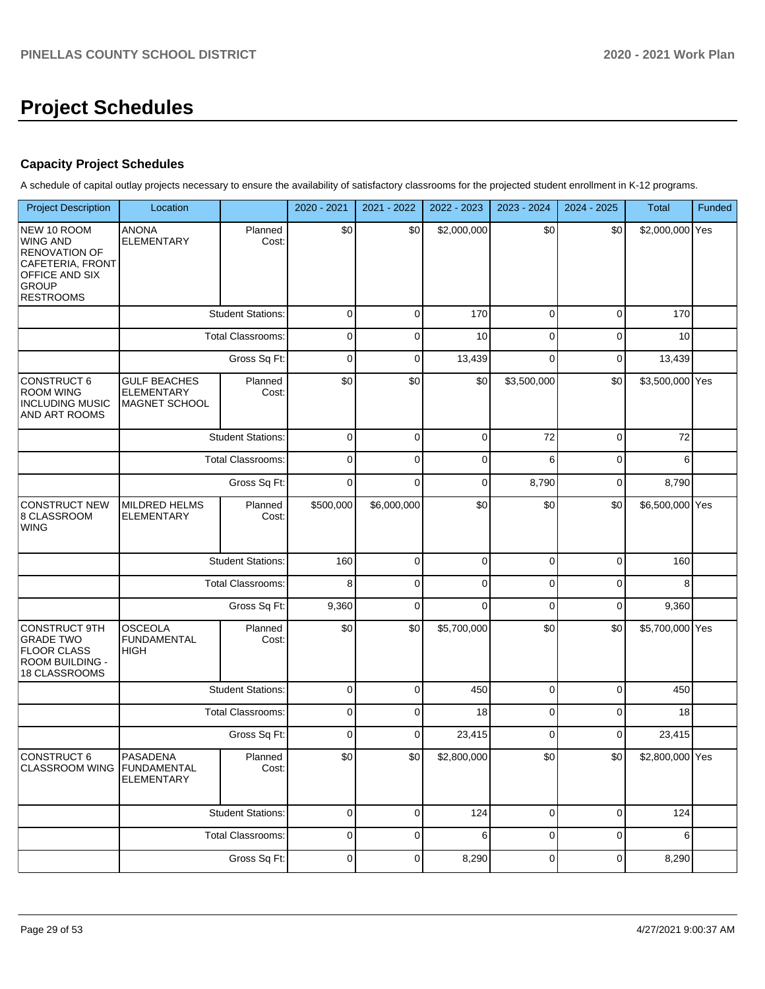# **Project Schedules**

### **Capacity Project Schedules**

A schedule of capital outlay projects necessary to ensure the availability of satisfactory classrooms for the projected student enrollment in K-12 programs.

| <b>Project Description</b>                                                                                                       | Location                                                  |                          | 2020 - 2021    | 2021 - 2022 | 2022 - 2023 | 2023 - 2024    | 2024 - 2025  | Total           | Funded |
|----------------------------------------------------------------------------------------------------------------------------------|-----------------------------------------------------------|--------------------------|----------------|-------------|-------------|----------------|--------------|-----------------|--------|
| NEW 10 ROOM<br><b>WING AND</b><br><b>RENOVATION OF</b><br>CAFETERIA, FRONT<br>OFFICE AND SIX<br><b>GROUP</b><br><b>RESTROOMS</b> | <b>ANONA</b><br><b>ELEMENTARY</b>                         | Planned<br>Cost:         | \$0            | \$0         | \$2,000,000 | \$0            | \$0          | \$2,000,000 Yes |        |
|                                                                                                                                  |                                                           | <b>Student Stations:</b> | 0              | 0           | 170         | $\mathbf 0$    | 0            | 170             |        |
|                                                                                                                                  |                                                           | <b>Total Classrooms:</b> | 0              | 0           | 10          | 0              | $\mathbf 0$  | 10              |        |
|                                                                                                                                  |                                                           | Gross Sq Ft:             | $\mathbf 0$    | 0           | 13,439      | $\mathbf 0$    | $\mathbf 0$  | 13,439          |        |
| <b>CONSTRUCT 6</b><br><b>ROOM WING</b><br><b>INCLUDING MUSIC</b><br>AND ART ROOMS                                                | <b>GULF BEACHES</b><br><b>ELEMENTARY</b><br>MAGNET SCHOOL | Planned<br>Cost:         | \$0            | \$0         | \$0         | \$3,500,000    | \$0          | \$3,500,000 Yes |        |
|                                                                                                                                  |                                                           | <b>Student Stations:</b> | $\pmb{0}$      | 0           | $\pmb{0}$   | 72             | $\pmb{0}$    | 72              |        |
|                                                                                                                                  |                                                           | Total Classrooms:        | 0              | 0           | $\pmb{0}$   | 6              | $\pmb{0}$    | 6               |        |
|                                                                                                                                  |                                                           | Gross Sq Ft:             | $\mathbf 0$    | $\mathbf 0$ | $\pmb{0}$   | 8,790          | $\pmb{0}$    | 8,790           |        |
| <b>CONSTRUCT NEW</b><br>8 CLASSROOM<br><b>WING</b>                                                                               | MILDRED HELMS<br><b>ELEMENTARY</b>                        | Planned<br>Cost:         | \$500,000      | \$6,000,000 | \$0         | \$0            | \$0          | \$6,500,000 Yes |        |
|                                                                                                                                  |                                                           | <b>Student Stations:</b> | 160            | $\mathbf 0$ | $\pmb{0}$   | 0              | $\mathbf 0$  | 160             |        |
|                                                                                                                                  |                                                           | Total Classrooms:        | 8              | 0           | $\mathbf 0$ | 0              | $\mathbf 0$  | 8               |        |
|                                                                                                                                  |                                                           | Gross Sq Ft:             | 9,360          | 0           | $\mathbf 0$ | $\mathbf 0$    | $\mathbf 0$  | 9,360           |        |
| <b>CONSTRUCT 9TH</b><br><b>GRADE TWO</b><br><b>FLOOR CLASS</b><br>ROOM BUILDING -<br>18 CLASSROOMS                               | <b>OSCEOLA</b><br><b>FUNDAMENTAL</b><br><b>HIGH</b>       | Planned<br>Cost:         | \$0            | \$0         | \$5,700,000 | \$0            | \$0          | \$5,700,000 Yes |        |
|                                                                                                                                  |                                                           | <b>Student Stations:</b> | $\mathbf 0$    | $\mathbf 0$ | 450         | $\mathbf{0}$   | $\mathbf 0$  | 450             |        |
|                                                                                                                                  |                                                           | <b>Total Classrooms:</b> | $\overline{0}$ | 0           | 18          | $\mathbf 0$    | $\mathbf 0$  | 18              |        |
|                                                                                                                                  |                                                           | Gross Sq Ft:             | $\mathbf 0$    | 0           | 23,415      | $\mathbf 0$    | $\mathbf 0$  | 23,415          |        |
| CONSTRUCT 6<br>CLASSROOM WING FUNDAMENTAL                                                                                        | PASADENA<br><b>ELEMENTARY</b>                             | Planned<br>Cost:         | \$0            | \$0         | \$2,800,000 | \$0            | \$0          | \$2,800,000 Yes |        |
|                                                                                                                                  |                                                           | <b>Student Stations:</b> | 0              | 0           | 124         | $\overline{0}$ | $\mathbf{0}$ | 124             |        |
|                                                                                                                                  |                                                           | <b>Total Classrooms:</b> | 0              | 0           | 6           | $\overline{0}$ | $\mathbf 0$  | 6               |        |
|                                                                                                                                  |                                                           | Gross Sq Ft:             |                | 0           | 8,290       | $\overline{0}$ | $\mathbf 0$  | 8,290           |        |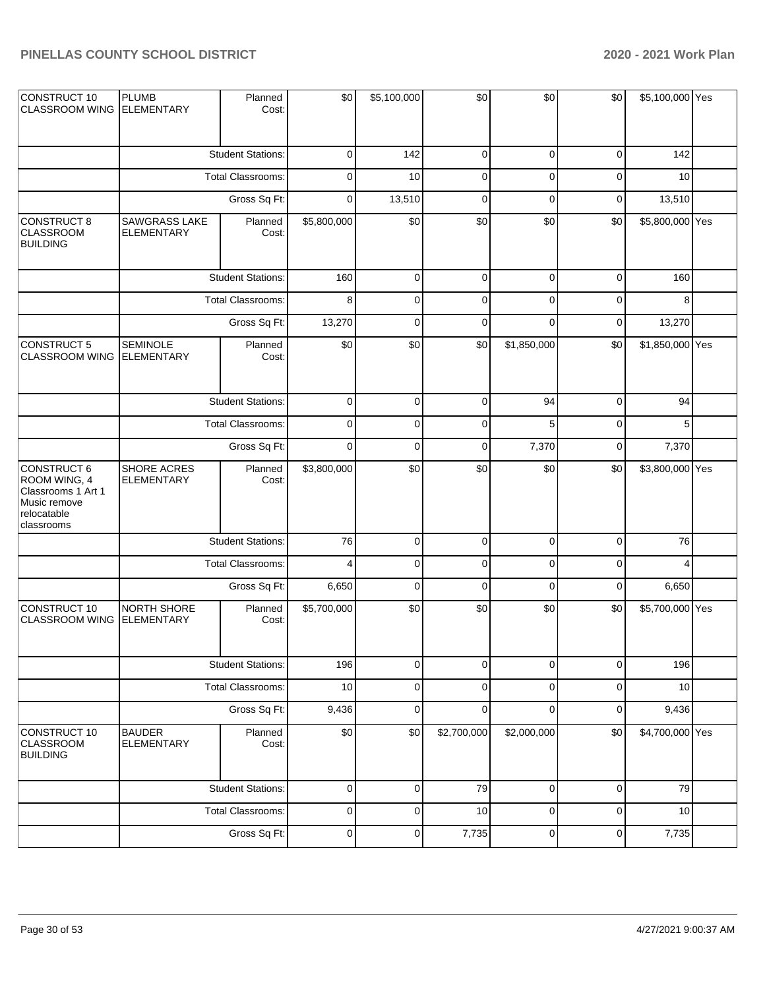| CONSTRUCT 10<br><b>CLASSROOM WING</b>                                                          | <b>PLUMB</b><br><b>ELEMENTARY</b>    | Planned<br>Cost:         | \$0         | \$5,100,000 | \$0                     | \$0         | \$0         | \$5,100,000 Yes |  |
|------------------------------------------------------------------------------------------------|--------------------------------------|--------------------------|-------------|-------------|-------------------------|-------------|-------------|-----------------|--|
|                                                                                                |                                      | <b>Student Stations:</b> | $\mathbf 0$ | 142         | 0                       | 0           | 0           | 142             |  |
|                                                                                                |                                      | <b>Total Classrooms:</b> | 0           | 10          | 0                       | $\mathbf 0$ | 0           | 10              |  |
|                                                                                                |                                      | Gross Sq Ft:             | 0           | 13,510      | 0                       | $\mathbf 0$ | 0           | 13,510          |  |
| <b>CONSTRUCT 8</b><br><b>CLASSROOM</b><br><b>BUILDING</b>                                      | SAWGRASS LAKE<br><b>ELEMENTARY</b>   | Planned<br>Cost:         | \$5,800,000 | \$0         | \$0                     | \$0         | \$0         | \$5,800,000 Yes |  |
|                                                                                                |                                      | <b>Student Stations:</b> | 160         | $\mathbf 0$ | $\pmb{0}$               | $\mathbf 0$ | $\mathbf 0$ | 160             |  |
|                                                                                                |                                      | Total Classrooms:        | 8           | $\mathbf 0$ | 0                       | $\mathbf 0$ | 0           | 8               |  |
|                                                                                                |                                      | Gross Sq Ft:             | 13,270      | $\mathbf 0$ | $\mathbf 0$             | $\Omega$    | 0           | 13,270          |  |
| <b>CONSTRUCT 5</b><br><b>CLASSROOM WING</b>                                                    | <b>SEMINOLE</b><br><b>ELEMENTARY</b> | Planned<br>Cost:         | \$0         | \$0         | \$0                     | \$1,850,000 | \$0         | \$1,850,000 Yes |  |
|                                                                                                |                                      | <b>Student Stations:</b> | 0           | 0           | 0                       | 94          | 0           | 94              |  |
|                                                                                                |                                      | Total Classrooms:        | 0           | 0           | 0                       | 5           | 0           | 5               |  |
|                                                                                                | Gross Sq Ft:                         |                          | $\mathbf 0$ | 0           | 0                       | 7,370       | 0           | 7,370           |  |
| CONSTRUCT 6<br>ROOM WING, 4<br>Classrooms 1 Art 1<br>Music remove<br>relocatable<br>classrooms | SHORE ACRES<br><b>ELEMENTARY</b>     | Planned<br>Cost:         | \$3,800,000 | \$0         | \$0                     | \$0         | \$0         | \$3,800,000 Yes |  |
|                                                                                                |                                      | <b>Student Stations:</b> | 76          | $\pmb{0}$   | $\pmb{0}$               | $\mathbf 0$ | 0           | 76              |  |
|                                                                                                |                                      | Total Classrooms:        | 4           | $\mathbf 0$ | $\mathbf 0$             | $\mathbf 0$ | 0           |                 |  |
|                                                                                                |                                      | Gross Sq Ft:             | 6,650       | $\mathbf 0$ | $\mathbf 0$             | $\mathbf 0$ | 0           | 6,650           |  |
| CONSTRUCT 10<br><b>CLASSROOM WING</b>                                                          | NORTH SHORE<br><b>ELEMENTARY</b>     | Planned<br>Cost:         | \$5,700,000 | \$0         | \$0                     | \$0         | \$0         | \$5,700,000 Yes |  |
|                                                                                                |                                      | <b>Student Stations:</b> | 196         | $\pmb{0}$   | $\mathsf 0$             | $\pmb{0}$   | 0           | 196             |  |
|                                                                                                |                                      | <b>Total Classrooms:</b> | 10          | $\mathsf 0$ | $\mathsf 0$             | $\mathbf 0$ | 0           | 10              |  |
|                                                                                                |                                      | Gross Sq Ft:             | 9,436       | $\pmb{0}$   | $\pmb{0}$               | $\mathbf 0$ | 0           | 9,436           |  |
| CONSTRUCT 10<br><b>CLASSROOM</b><br><b>BUILDING</b>                                            | <b>BAUDER</b><br><b>ELEMENTARY</b>   | Planned<br>Cost:         | \$0         | \$0         | $\overline{$}2,700,000$ | \$2,000,000 | \$0         | \$4,700,000 Yes |  |
|                                                                                                |                                      | <b>Student Stations:</b> | $\mathsf 0$ | $\pmb{0}$   | 79                      | $\mathbf 0$ | 0           | 79              |  |
|                                                                                                |                                      | Total Classrooms:        | $\mathsf 0$ | $\mathsf 0$ | 10                      | $\mathbf 0$ | $\mathsf 0$ | 10              |  |
|                                                                                                |                                      | Gross Sq Ft:             | $\pmb{0}$   | $\pmb{0}$   | 7,735                   | $\pmb{0}$   | 0           | 7,735           |  |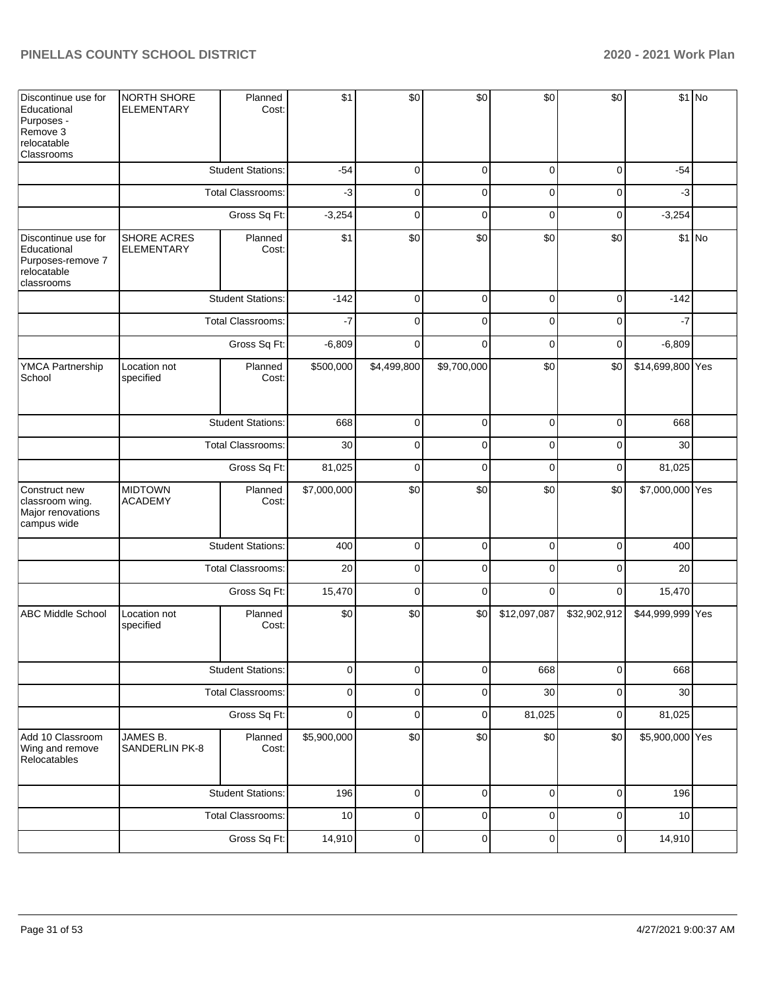| Discontinue use for<br>Educational<br>Purposes -<br>Remove 3<br>relocatable<br>Classrooms | <b>NORTH SHORE</b><br><b>ELEMENTARY</b> | Planned<br>Cost:         | \$1         | \$0         | \$0         | \$0          | \$0          |                  | \$1 No  |
|-------------------------------------------------------------------------------------------|-----------------------------------------|--------------------------|-------------|-------------|-------------|--------------|--------------|------------------|---------|
|                                                                                           |                                         | <b>Student Stations:</b> | $-54$       | 0           | 0           | 0            | 0            | $-54$            |         |
|                                                                                           |                                         | Total Classrooms:        | -3          | 0           | 0           | $\Omega$     | 0            | $-3$             |         |
|                                                                                           |                                         | Gross Sq Ft:             | $-3,254$    | 0           | 0           | 0            | 0            | $-3,254$         |         |
| Discontinue use for<br>Educational<br>Purposes-remove 7<br>relocatable<br>classrooms      | SHORE ACRES<br><b>ELEMENTARY</b>        | Planned<br>Cost:         | \$1         | \$0         | \$0         | \$0          | \$0          |                  | $$1$ No |
|                                                                                           |                                         | <b>Student Stations:</b> | $-142$      | $\mathbf 0$ | $\mathbf 0$ | $\mathbf 0$  | $\mathbf 0$  | $-142$           |         |
|                                                                                           |                                         | Total Classrooms:        | $-7$        | $\Omega$    | $\mathbf 0$ | $\Omega$     | 0            | $-7$             |         |
|                                                                                           | Gross Sq Ft:                            |                          | $-6,809$    | $\Omega$    | $\Omega$    | $\Omega$     | $\mathbf 0$  | $-6,809$         |         |
| <b>YMCA Partnership</b><br>School                                                         | Location not<br>specified               | Planned<br>Cost:         | \$500,000   | \$4,499,800 | \$9,700,000 | \$0          | \$0          | \$14,699,800 Yes |         |
|                                                                                           |                                         | <b>Student Stations:</b> | 668         | 0           | $\mathbf 0$ | $\mathbf 0$  | $\mathbf 0$  | 668              |         |
|                                                                                           |                                         | Total Classrooms:        | 30          | $\Omega$    | $\Omega$    | $\Omega$     | $\Omega$     | 30               |         |
|                                                                                           |                                         | Gross Sq Ft:             | 81,025      | $\Omega$    | $\Omega$    | $\Omega$     | 0            | 81,025           |         |
| Construct new<br>classroom wing.<br>Major renovations<br>campus wide                      | <b>MIDTOWN</b><br><b>ACADEMY</b>        | Planned<br>Cost:         | \$7,000,000 | \$0         | \$0         | \$0          | \$0          | \$7,000,000 Yes  |         |
|                                                                                           |                                         | <b>Student Stations:</b> | 400         | $\mathbf 0$ | $\mathbf 0$ | $\Omega$     | $\mathbf 0$  | 400              |         |
|                                                                                           |                                         | Total Classrooms:        | 20          | 0           | $\mathbf 0$ | 0            | 0            | 20               |         |
|                                                                                           |                                         | Gross Sq Ft:             | 15,470      | $\mathbf 0$ | $\mathbf 0$ | $\Omega$     | $\mathbf 0$  | 15,470           |         |
| <b>ABC Middle School</b>                                                                  | Location not<br>specified               | Planned<br>Cost:         | \$0         | \$0         | \$0         | \$12,097,087 | \$32,902,912 | \$44,999,999 Yes |         |
|                                                                                           |                                         | <b>Student Stations:</b> | 0           | 0           | 0           | 668          | 0            | 668              |         |
|                                                                                           |                                         | Total Classrooms:        | $\pmb{0}$   | 0           | $\mathbf 0$ | 30           | $\mathbf 0$  | 30               |         |
|                                                                                           |                                         | Gross Sq Ft:             | $\mathbf 0$ | 0           | $\mathbf 0$ | 81,025       | 0            | 81,025           |         |
| Add 10 Classroom<br>Wing and remove<br>Relocatables                                       | JAMES B.<br>SANDERLIN PK-8              | Planned<br>Cost:         | \$5,900,000 | \$0         | \$0         | \$0          | \$0          | \$5,900,000 Yes  |         |
|                                                                                           |                                         | <b>Student Stations:</b> | 196         | $\mathbf 0$ | $\pmb{0}$   | $\mathbf 0$  | $\pmb{0}$    | 196              |         |
|                                                                                           |                                         | Total Classrooms:        | 10          | 0           | $\pmb{0}$   | 0            | $\pmb{0}$    | 10               |         |
|                                                                                           |                                         | Gross Sq Ft:             |             | 0           | $\pmb{0}$   | $\pmb{0}$    | $\mathbf 0$  | 14,910           |         |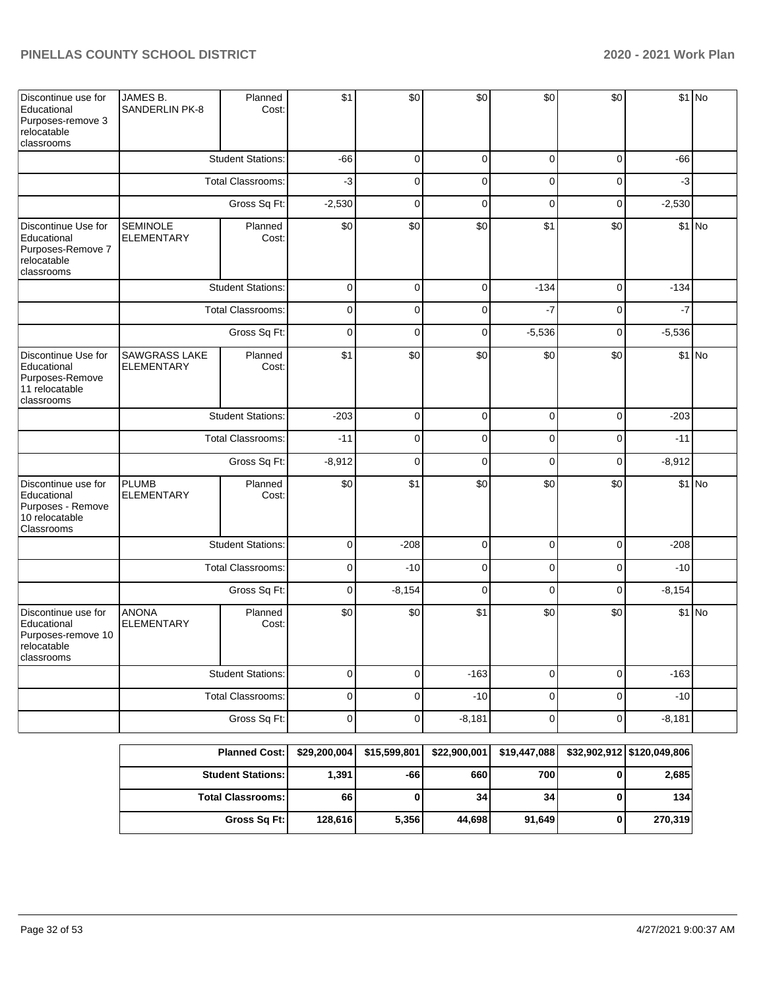| Discontinue use for<br>Educational<br>Purposes-remove 3<br>relocatable<br>classrooms    | JAMES B.<br><b>SANDERLIN PK-8</b>    | Planned<br>Cost:         | \$1          | \$0          | \$0          | \$0          | \$0            |                            | \$1 No  |
|-----------------------------------------------------------------------------------------|--------------------------------------|--------------------------|--------------|--------------|--------------|--------------|----------------|----------------------------|---------|
|                                                                                         |                                      | <b>Student Stations:</b> | $-66$        | $\Omega$     | $\mathbf 0$  | $\mathbf 0$  | $\mathbf 0$    | $-66$                      |         |
|                                                                                         |                                      | <b>Total Classrooms:</b> | $-3$         | 0            | 0            | 0            | 0              | $-3$                       |         |
|                                                                                         |                                      | Gross Sq Ft:             | $-2,530$     | $\Omega$     | 0            | $\mathbf 0$  | 0              | $-2,530$                   |         |
| Discontinue Use for<br>Educational<br>Purposes-Remove 7<br>relocatable<br>classrooms    | <b>SEMINOLE</b><br><b>ELEMENTARY</b> | Planned<br>Cost:         | \$0          | \$0          | \$0          | \$1          | \$0            |                            | $$1$ No |
|                                                                                         | <b>Student Stations:</b>             |                          | 0            | $\mathbf 0$  | $\mathbf 0$  | $-134$       | $\overline{0}$ | $-134$                     |         |
|                                                                                         | Total Classrooms:                    |                          | $\mathbf 0$  | $\Omega$     | $\Omega$     | -7           | $\overline{0}$ | -7                         |         |
|                                                                                         |                                      | Gross Sq Ft:             | $\mathbf 0$  | $\Omega$     | $\Omega$     | $-5,536$     | $\mathbf 0$    | $-5,536$                   |         |
| Discontinue Use for<br>Educational<br>Purposes-Remove<br>11 relocatable<br>classrooms   | SAWGRASS LAKE<br><b>ELEMENTARY</b>   | Planned<br>Cost:         | \$1          | \$0          | \$0          | \$0          | \$0            |                            | $$1$ No |
|                                                                                         | <b>Student Stations:</b>             |                          | $-203$       | 0            | 0            | 0            | $\mathbf 0$    | $-203$                     |         |
|                                                                                         |                                      | <b>Total Classrooms:</b> | $-11$        | 0            | 0            | 0            | 0              | $-11$                      |         |
|                                                                                         |                                      | Gross Sq Ft:             | $-8,912$     | 0            | 0            | 0            | $\mathbf 0$    | $-8,912$                   |         |
| Discontinue use for<br>Educational<br>Purposes - Remove<br>10 relocatable<br>Classrooms | <b>PLUMB</b><br><b>ELEMENTARY</b>    | Planned<br>Cost:         | \$0          | \$1          | \$0          | \$0          | \$0            |                            | $$1$ No |
|                                                                                         |                                      | <b>Student Stations:</b> | $\mathbf 0$  | $-208$       | 0            | $\mathbf 0$  | $\mathbf 0$    | $-208$                     |         |
|                                                                                         |                                      | Total Classrooms:        | $\mathbf 0$  | $-10$        | 0            | 0            | 0              | $-10$                      |         |
|                                                                                         |                                      | Gross Sq Ft:             | $\mathbf 0$  | $-8,154$     | 0            | 0            | 0              | $-8,154$                   |         |
| Discontinue use for<br>Educational<br>Purposes-remove 10<br>relocatable<br>classrooms   | <b>ANONA</b><br><b>ELEMENTARY</b>    | Planned<br>Cost:         | \$0          | \$0          | \$1          | \$0          | \$0            |                            | \$1 No  |
|                                                                                         |                                      | <b>Student Stations:</b> | $\pmb{0}$    | 0            | $-163$       | 0            | $\pmb{0}$      | $-163$                     |         |
|                                                                                         | Total Classrooms:                    |                          | $\pmb{0}$    | 0            | $-10$        | 0            | $\pmb{0}$      | $-10$                      |         |
|                                                                                         | Gross Sq Ft:                         |                          | $\mathsf 0$  | 0            | $-8,181$     | $\pmb{0}$    | $\pmb{0}$      | $-8,181$                   |         |
|                                                                                         |                                      | <b>Planned Cost:</b>     | \$29,200,004 | \$15,599,801 | \$22,900,001 | \$19,447,088 |                | \$32,902,912 \$120,049,806 |         |

| <b>Planned Cost:  </b>   |         | \$29,200,004   \$15,599,801 | \$22,900,001 | \$19,447,088    | \$32,902,912 \$120,049,806 |
|--------------------------|---------|-----------------------------|--------------|-----------------|----------------------------|
| <b>Student Stations:</b> | 1.391   | -66!                        | 660          | 700             | 2,685                      |
| <b>Total Classrooms:</b> | 66      | 0                           | 34           | 34 <sub>l</sub> | 134                        |
| Gross Sq Ft:             | 128,616 | 5,356                       | 44.698       | 91.649          | 270.319                    |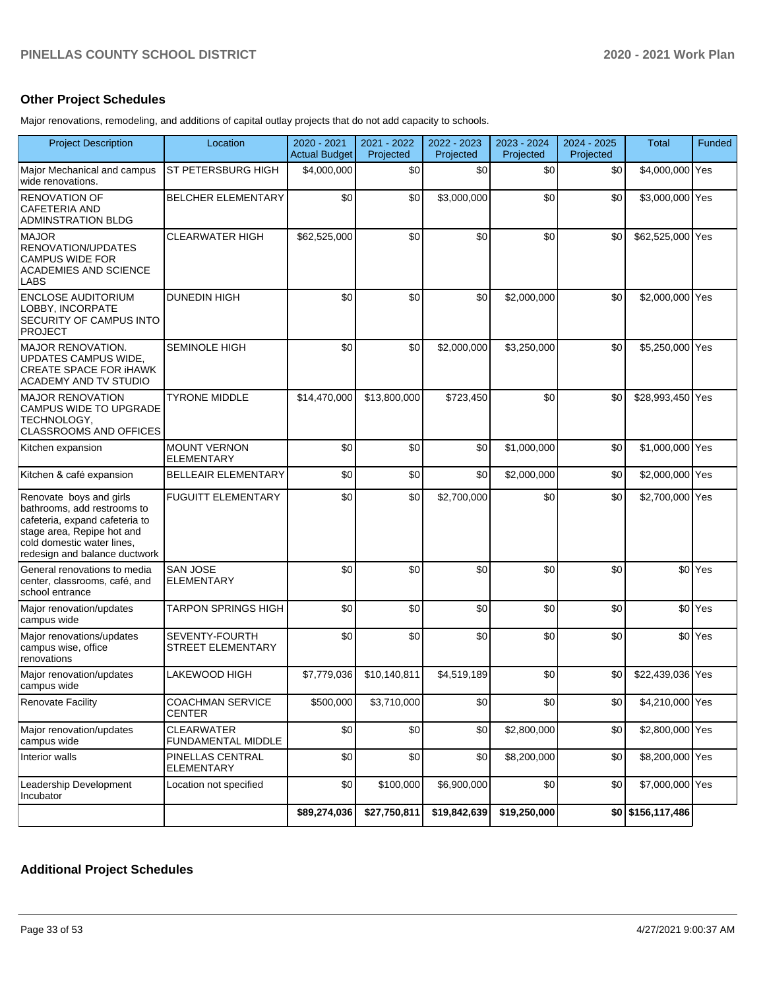### **Other Project Schedules**

Major renovations, remodeling, and additions of capital outlay projects that do not add capacity to schools.

| <b>Project Description</b>                                                                                                                                                            | Location                                 | 2020 - 2021<br><b>Actual Budget</b> | 2021 - 2022<br>Projected | 2022 - 2023<br>Projected | 2023 - 2024<br>Projected | 2024 - 2025<br>Projected | <b>Total</b>          | Funded             |
|---------------------------------------------------------------------------------------------------------------------------------------------------------------------------------------|------------------------------------------|-------------------------------------|--------------------------|--------------------------|--------------------------|--------------------------|-----------------------|--------------------|
| Major Mechanical and campus<br>wide renovations.                                                                                                                                      | ST PETERSBURG HIGH                       | \$4,000,000                         | \$0                      | \$0                      | \$0                      | \$0                      | \$4,000,000 Yes       |                    |
| <b>RENOVATION OF</b><br><b>CAFETERIA AND</b><br><b>ADMINSTRATION BLDG</b>                                                                                                             | <b>BELCHER ELEMENTARY</b>                | \$0                                 | \$0                      | \$3,000,000              | \$0                      | \$0                      | \$3,000,000 Yes       |                    |
| <b>MAJOR</b><br>RENOVATION/UPDATES<br><b>CAMPUS WIDE FOR</b><br><b>ACADEMIES AND SCIENCE</b><br>LABS                                                                                  | <b>CLEARWATER HIGH</b>                   | \$62,525,000                        | \$0                      | \$0                      | \$0                      | \$0                      | \$62,525,000 Yes      |                    |
| <b>ENCLOSE AUDITORIUM</b><br>LOBBY, INCORPATE<br><b>SECURITY OF CAMPUS INTO</b><br><b>PROJECT</b>                                                                                     | <b>DUNEDIN HIGH</b>                      | \$0                                 | \$0                      | \$0                      | \$2,000,000              | \$0                      | \$2,000,000 Yes       |                    |
| <b>MAJOR RENOVATION.</b><br>UPDATES CAMPUS WIDE,<br><b>CREATE SPACE FOR IHAWK</b><br>ACADEMY AND TV STUDIO                                                                            | <b>SEMINOLE HIGH</b>                     | \$0                                 | \$0                      | \$2,000,000              | \$3,250,000              | \$0                      | \$5,250,000 Yes       |                    |
| <b>MAJOR RENOVATION</b><br>CAMPUS WIDE TO UPGRADE<br>TECHNOLOGY,<br><b>CLASSROOMS AND OFFICES</b>                                                                                     | <b>TYRONE MIDDLE</b>                     | \$14,470,000                        | \$13,800,000             | \$723,450                | \$0                      | \$0                      | \$28,993,450 Yes      |                    |
| Kitchen expansion                                                                                                                                                                     | <b>MOUNT VERNON</b><br><b>ELEMENTARY</b> | \$0                                 | \$0                      | \$0                      | \$1,000,000              | \$0                      | \$1,000,000 Yes       |                    |
| Kitchen & café expansion                                                                                                                                                              | <b>BELLEAIR ELEMENTARY</b>               | \$0                                 | \$0                      | \$0                      | \$2,000,000              | \$0                      | \$2,000,000 Yes       |                    |
| Renovate boys and girls<br>bathrooms, add restrooms to<br>cafeteria, expand cafeteria to<br>stage area, Repipe hot and<br>cold domestic water lines,<br>redesign and balance ductwork | <b>FUGUITT ELEMENTARY</b>                | \$0                                 | \$0                      | \$2,700,000              | \$0                      | \$0                      | \$2,700,000 Yes       |                    |
| General renovations to media<br>center, classrooms, café, and<br>school entrance                                                                                                      | <b>SAN JOSE</b><br><b>ELEMENTARY</b>     | \$0                                 | \$0                      | \$0                      | \$0                      | \$0                      |                       | \$0 <sup>Yes</sup> |
| Major renovation/updates<br>campus wide                                                                                                                                               | <b>TARPON SPRINGS HIGH</b>               | \$0                                 | \$0                      | \$0                      | \$0                      | \$0                      |                       | \$0 <sup>Yes</sup> |
| Major renovations/updates<br>campus wise, office<br>renovations                                                                                                                       | SEVENTY-FOURTH<br>STREET ELEMENTARY      | \$0                                 | \$0                      | \$0                      | \$0                      | \$0                      |                       | \$0 <sup>Yes</sup> |
| Major renovation/updates<br>campus wide                                                                                                                                               | LAKEWOOD HIGH                            | \$7,779,036                         | \$10,140,811             | \$4,519,189              | \$0                      | \$0                      | \$22,439,036 Yes      |                    |
| <b>Renovate Facility</b>                                                                                                                                                              | <b>COACHMAN SERVICE</b><br><b>CENTER</b> | \$500,000                           | \$3,710,000              | \$0                      | \$0                      | \$0                      | \$4,210,000 Yes       |                    |
| Major renovation/updates<br>campus wide                                                                                                                                               | <b>CLEARWATER</b><br>FUNDAMENTAL MIDDLE  | \$0                                 | \$0                      | \$0                      | \$2,800,000              | \$0                      | \$2,800,000 Yes       |                    |
| Interior walls                                                                                                                                                                        | PINELLAS CENTRAL<br><b>ELEMENTARY</b>    | \$0                                 | \$0                      | \$0                      | \$8,200,000              | \$0                      | \$8,200,000 Yes       |                    |
| Leadership Development<br>Incubator                                                                                                                                                   | Location not specified                   | \$0                                 | \$100,000                | \$6,900,000              | \$0                      | \$0                      | \$7,000,000 Yes       |                    |
|                                                                                                                                                                                       |                                          | \$89,274,036                        | \$27,750,811             | \$19,842,639             | \$19,250,000             |                          | $$0$ $$156, 117, 486$ |                    |

# **Additional Project Schedules**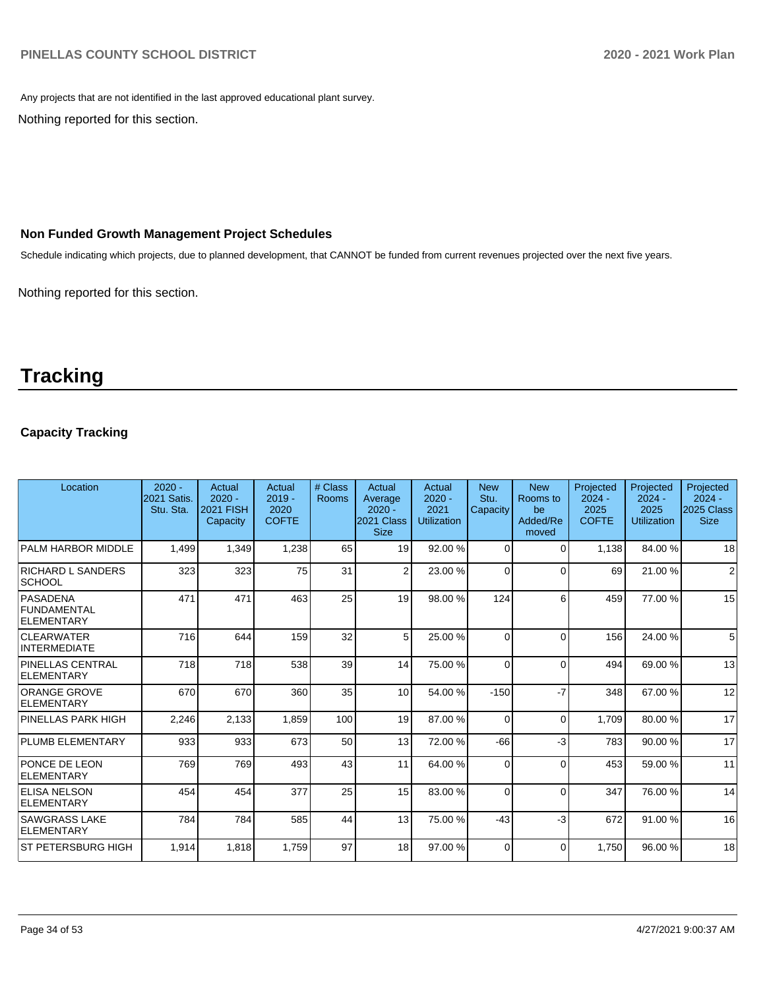Any projects that are not identified in the last approved educational plant survey.

Nothing reported for this section.

### **Non Funded Growth Management Project Schedules**

Schedule indicating which projects, due to planned development, that CANNOT be funded from current revenues projected over the next five years.

Nothing reported for this section.

# **Tracking**

### **Capacity Tracking**

| Location                                            | $2020 -$<br>2021 Satis.<br>Stu. Sta. | Actual<br>$2020 -$<br><b>2021 FISH</b><br>Capacity | Actual<br>$2019 -$<br>2020<br><b>COFTE</b> | # Class<br>Rooms | Actual<br>Average<br>$2020 -$<br>2021 Class<br><b>Size</b> | Actual<br>$2020 -$<br>2021<br><b>Utilization</b> | <b>New</b><br>Stu.<br>Capacity | <b>New</b><br>Rooms to<br>be<br>Added/Re<br>moved | Projected<br>$2024 -$<br>2025<br><b>COFTE</b> | Projected<br>$2024 -$<br>2025<br><b>Utilization</b> | Projected<br>$2024 -$<br>2025 Class<br><b>Size</b> |
|-----------------------------------------------------|--------------------------------------|----------------------------------------------------|--------------------------------------------|------------------|------------------------------------------------------------|--------------------------------------------------|--------------------------------|---------------------------------------------------|-----------------------------------------------|-----------------------------------------------------|----------------------------------------------------|
| PALM HARBOR MIDDLE                                  | 1,499                                | 1,349                                              | 1,238                                      | 65               | 19                                                         | 92.00 %                                          | $\Omega$                       | $\Omega$                                          | 1,138                                         | 84.00 %                                             | 18                                                 |
| <b>RICHARD L SANDERS</b><br> SCHOOL                 | 323                                  | 323                                                | 75                                         | 31               | $\overline{2}$                                             | 23.00 %                                          | $\Omega$                       | $\Omega$                                          | 69                                            | 21.00%                                              | $\overline{2}$                                     |
| <b>PASADENA</b><br>FUNDAMENTAL<br><b>ELEMENTARY</b> | 471                                  | 471                                                | 463                                        | 25               | 19                                                         | 98.00 %                                          | 124                            | 6                                                 | 459                                           | 77.00 %                                             | 15                                                 |
| <b>CLEARWATER</b><br><b>INTERMEDIATE</b>            | 716                                  | 644                                                | 159                                        | 32               | 5 <sup>1</sup>                                             | 25.00 %                                          | $\Omega$                       | $\Omega$                                          | 156                                           | 24.00 %                                             | 5                                                  |
| <b>PINELLAS CENTRAL</b><br>ELEMENTARY               | 718                                  | 718                                                | 538                                        | 39               | 14                                                         | 75.00 %                                          | $\Omega$                       | $\Omega$                                          | 494                                           | 69.00 %                                             | 13                                                 |
| <b>ORANGE GROVE</b><br>ELEMENTARY                   | 670                                  | 670                                                | 360                                        | 35               | 10                                                         | 54.00 %                                          | $-150$                         | $-7$                                              | 348                                           | 67.00 %                                             | 12                                                 |
| PINELLAS PARK HIGH                                  | 2,246                                | 2,133                                              | 1,859                                      | 100              | 19                                                         | 87.00 %                                          | $\Omega$                       | $\Omega$                                          | 1.709                                         | 80.00 %                                             | 17                                                 |
| <b>PLUMB ELEMENTARY</b>                             | 933                                  | 933                                                | 673                                        | 50               | 13                                                         | 72.00 %                                          | $-66$                          | $-3$                                              | 783                                           | 90.00 %                                             | 17                                                 |
| <b>PONCE DE LEON</b><br><b>ELEMENTARY</b>           | 769                                  | 769                                                | 493                                        | 43               | 11                                                         | 64.00%                                           | $\Omega$                       | $\Omega$                                          | 453                                           | 59.00 %                                             | 11                                                 |
| <b>IELISA NELSON</b><br><b>ELEMENTARY</b>           | 454                                  | 454                                                | 377                                        | 25               | 15                                                         | 83.00 %                                          | $\Omega$                       | $\Omega$                                          | 347                                           | 76.00 %                                             | 14                                                 |
| <b>SAWGRASS LAKE</b><br><b>ELEMENTARY</b>           | 784                                  | 784                                                | 585                                        | 44               | 13                                                         | 75.00 %                                          | $-43$                          | $-3$                                              | 672                                           | 91.00 %                                             | 16                                                 |
| ST PETERSBURG HIGH                                  | 1,914                                | 1,818                                              | 1,759                                      | 97               | 18 <sup>1</sup>                                            | 97.00 %                                          | $\Omega$                       | $\Omega$                                          | 1.750                                         | 96.00 %                                             | 18                                                 |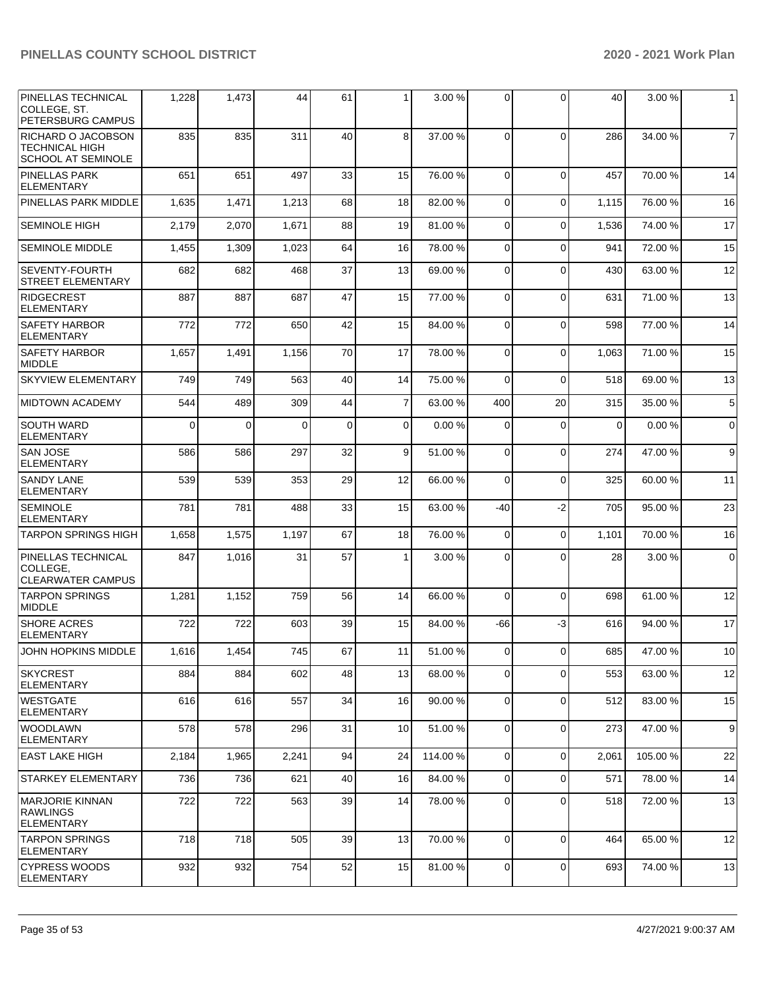| PINELLAS TECHNICAL<br>COLLEGE, ST.<br>PETERSBURG CAMPUS                  | 1,228    | 1,473    | 44       | 61          | 1              | 3.00 %  | $\Omega$     | $\Omega$       | 40          | 3.00%   | $\mathbf{1}$     |
|--------------------------------------------------------------------------|----------|----------|----------|-------------|----------------|---------|--------------|----------------|-------------|---------|------------------|
| RICHARD O JACOBSON<br><b>TECHNICAL HIGH</b><br><b>SCHOOL AT SEMINOLE</b> | 835      | 835      | 311      | 40          | 8              | 37.00 % | $\Omega$     | $\Omega$       | 286         | 34.00 % | $\overline{7}$   |
| PINELLAS PARK<br><b>ELEMENTARY</b>                                       | 651      | 651      | 497      | 33          | 15             | 76.00 % | $\Omega$     | $\Omega$       | 457         | 70.00%  | 14               |
| PINELLAS PARK MIDDLE                                                     | 1,635    | 1,471    | 1,213    | 68          | 18             | 82.00 % | $\Omega$     | $\Omega$       | 1,115       | 76.00 % | 16               |
| <b>SEMINOLE HIGH</b>                                                     | 2,179    | 2,070    | 1,671    | 88          | 19             | 81.00%  | $\Omega$     | $\Omega$       | 1,536       | 74.00 % | 17               |
| <b>SEMINOLE MIDDLE</b>                                                   | 1,455    | 1,309    | 1,023    | 64          | 16             | 78.00 % | $\Omega$     | $\Omega$       | 941         | 72.00 % | 15               |
| SEVENTY-FOURTH<br><b>STREET ELEMENTARY</b>                               | 682      | 682      | 468      | 37          | 13             | 69.00 % | $\Omega$     | $\Omega$       | 430         | 63.00 % | 12               |
| <b>RIDGECREST</b><br><b>ELEMENTARY</b>                                   | 887      | 887      | 687      | 47          | 15             | 77.00 % | $\Omega$     | $\Omega$       | 631         | 71.00 % | 13               |
| <b>SAFETY HARBOR</b><br><b>ELEMENTARY</b>                                | 772      | 772      | 650      | 42          | 15             | 84.00 % | $\Omega$     | $\mathbf 0$    | 598         | 77.00 % | 14               |
| <b>SAFETY HARBOR</b><br>MIDDLE                                           | 1,657    | 1,491    | 1,156    | 70          | 17             | 78.00 % | $\Omega$     | $\Omega$       | 1,063       | 71.00 % | 15               |
| <b>SKYVIEW ELEMENTARY</b>                                                | 749      | 749      | 563      | 40          | 14             | 75.00 % | $\Omega$     | $\Omega$       | 518         | 69.00 % | 13               |
| <b>MIDTOWN ACADEMY</b>                                                   | 544      | 489      | 309      | 44          | $\overline{7}$ | 63.00 % | 400          | 20             | 315         | 35.00 % | 5                |
| <b>SOUTH WARD</b><br><b>ELEMENTARY</b>                                   | $\Omega$ | $\Omega$ | $\Omega$ | $\mathbf 0$ | $\mathbf 0$    | 0.00%   | $\Omega$     | $\mathbf 0$    | $\mathbf 0$ | 0.00%   | $\mathbf 0$      |
| <b>SAN JOSE</b><br><b>ELEMENTARY</b>                                     | 586      | 586      | 297      | 32          | 9              | 51.00 % | $\Omega$     | $\mathbf 0$    | 274         | 47.00 % | 9                |
| <b>SANDY LANE</b><br><b>ELEMENTARY</b>                                   | 539      | 539      | 353      | 29          | 12             | 66.00 % | $\Omega$     | $\Omega$       | 325         | 60.00 % | 11               |
| SEMINOLE<br><b>ELEMENTARY</b>                                            | 781      | 781      | 488      | 33          | 15             | 63.00 % | -40          | $-2$           | 705         | 95.00 % | 23               |
| <b>TARPON SPRINGS HIGH</b>                                               | 1,658    | 1,575    | 1,197    | 67          | 18             | 76.00 % | 0            | $\Omega$       | 1,101       | 70.00 % | 16               |
| <b>PINELLAS TECHNICAL</b><br>COLLEGE,<br><b>CLEARWATER CAMPUS</b>        | 847      | 1,016    | 31       | 57          | $\mathbf{1}$   | 3.00 %  | 0            | $\Omega$       | 28          | 3.00 %  | $\mathbf 0$      |
| <b>TARPON SPRINGS</b><br><b>MIDDLE</b>                                   | 1,281    | 1,152    | 759      | 56          | 14             | 66.00 % | $\Omega$     | $\Omega$       | 698         | 61.00 % | 12               |
| <b>SHORE ACRES</b><br><b>ELEMENTARY</b>                                  | 722      | 722      | 603      | 39          | 15             | 84.00 % | -66          | $-3$           | 616         | 94.00 % | 17               |
| JOHN HOPKINS MIDDLE                                                      | 1,616    | 1,454    | 745      | 67          | 11             | 51.00 % | 0            | $\overline{0}$ | 685         | 47.00%  | $10$             |
| <b>SKYCREST</b><br>ELEMENTARY                                            | 884      | 884      | 602      | 48          | 13             | 68.00 % | 0            | $\Omega$       | 553         | 63.00 % | 12               |
| <b>WESTGATE</b><br><b>ELEMENTARY</b>                                     | 616      | 616      | 557      | 34          | 16             | 90.00 % | $\mathbf 0$  | $\mathbf 0$    | 512         | 83.00 % | 15               |
| <b>WOODLAWN</b><br><b>ELEMENTARY</b>                                     | 578      | 578      | 296      | 31          | 10             | 51.00 % | $\Omega$     | $\mathbf 0$    | 273         | 47.00 % | $\boldsymbol{9}$ |
| EAST LAKE HIGH                                                           | 2,184    | 1,965    | 2,241    | 94          | 24             | 114.00% | 0            | $\mathbf 0$    | 2,061       | 105.00% | 22               |
| STARKEY ELEMENTARY                                                       | 736      | 736      | 621      | 40          | 16             | 84.00%  | 0            | $\mathbf 0$    | 571         | 78.00 % | 14               |
| MARJORIE KINNAN<br><b>RAWLINGS</b><br><b>ELEMENTARY</b>                  | 722      | 722      | 563      | 39          | 14             | 78.00 % | 0            | $\mathbf 0$    | 518         | 72.00 % | 13               |
| <b>TARPON SPRINGS</b><br> ELEMENTARY                                     | 718      | 718      | 505      | 39          | 13             | 70.00 % | $\Omega$     | $\Omega$       | 464         | 65.00 % | 12               |
| <b>CYPRESS WOODS</b><br>ELEMENTARY                                       | 932      | 932      | 754      | 52          | 15             | 81.00%  | $\mathbf{O}$ | $\overline{0}$ | 693         | 74.00%  | 13               |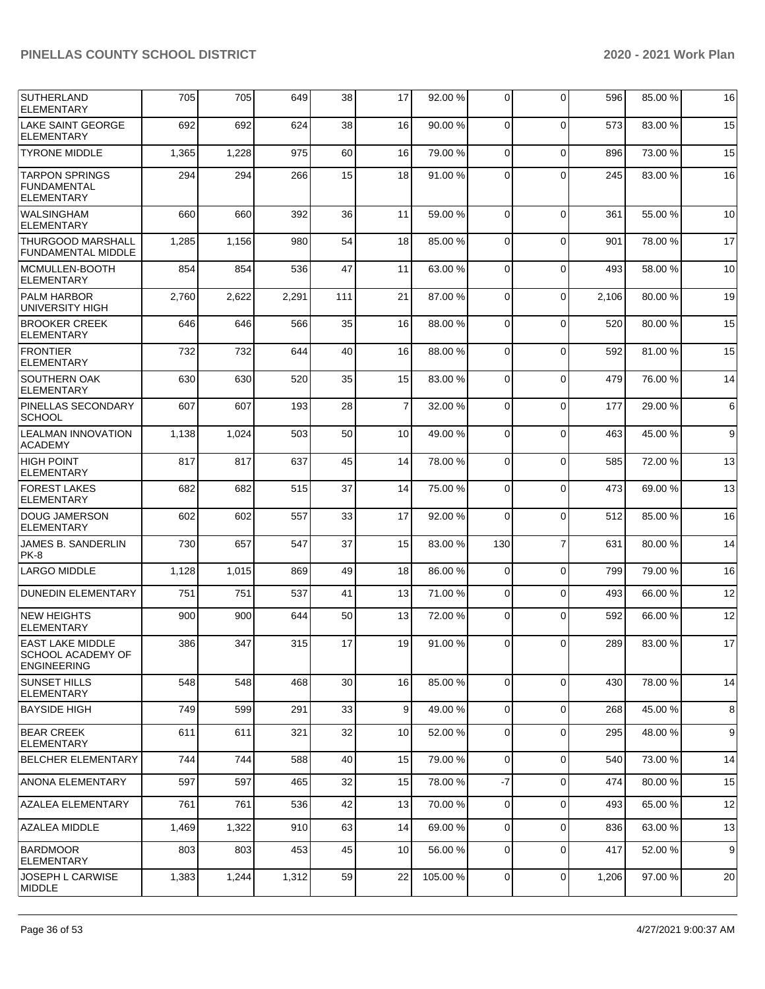| <b>SUTHERLAND</b><br><b>ELEMENTARY</b>                             | 705   | 705   | 649   | 38  | 17 | 92.00 %  | 0              | $\Omega$       | 596   | 85.00 % | 16 |
|--------------------------------------------------------------------|-------|-------|-------|-----|----|----------|----------------|----------------|-------|---------|----|
| LAKE SAINT GEORGE<br><b>ELEMENTARY</b>                             | 692   | 692   | 624   | 38  | 16 | 90.00 %  | 0              | $\Omega$       | 573   | 83.00 % | 15 |
| <b>TYRONE MIDDLE</b>                                               | 1,365 | 1,228 | 975   | 60  | 16 | 79.00 %  | 0              | $\Omega$       | 896   | 73.00 % | 15 |
| <b>TARPON SPRINGS</b><br><b>FUNDAMENTAL</b><br><b>ELEMENTARY</b>   | 294   | 294   | 266   | 15  | 18 | 91.00%   | 0              | $\Omega$       | 245   | 83.00 % | 16 |
| WALSINGHAM<br><b>ELEMENTARY</b>                                    | 660   | 660   | 392   | 36  | 11 | 59.00 %  | $\mathbf 0$    | $\Omega$       | 361   | 55.00 % | 10 |
| <b>THURGOOD MARSHALL</b><br><b>FUNDAMENTAL MIDDLE</b>              | 1,285 | 1,156 | 980   | 54  | 18 | 85.00 %  | 0              | $\Omega$       | 901   | 78.00 % | 17 |
| MCMULLEN-BOOTH<br><b>ELEMENTARY</b>                                | 854   | 854   | 536   | 47  | 11 | 63.00 %  | 0              | $\Omega$       | 493   | 58.00 % | 10 |
| <b>PALM HARBOR</b><br>UNIVERSITY HIGH                              | 2,760 | 2,622 | 2,291 | 111 | 21 | 87.00 %  | $\mathbf 0$    | $\Omega$       | 2,106 | 80.00 % | 19 |
| <b>BROOKER CREEK</b><br><b>ELEMENTARY</b>                          | 646   | 646   | 566   | 35  | 16 | 88.00 %  | 0              | $\Omega$       | 520   | 80.00 % | 15 |
| <b>FRONTIER</b><br><b>ELEMENTARY</b>                               | 732   | 732   | 644   | 40  | 16 | 88.00 %  | 0              | $\Omega$       | 592   | 81.00%  | 15 |
| SOUTHERN OAK<br><b>ELEMENTARY</b>                                  | 630   | 630   | 520   | 35  | 15 | 83.00 %  | $\mathbf 0$    | $\Omega$       | 479   | 76.00%  | 14 |
| PINELLAS SECONDARY<br><b>SCHOOL</b>                                | 607   | 607   | 193   | 28  | 7  | 32.00 %  | 0              | $\Omega$       | 177   | 29.00 % | 6  |
| <b>LEALMAN INNOVATION</b><br><b>ACADEMY</b>                        | 1,138 | 1,024 | 503   | 50  | 10 | 49.00 %  | 0              | $\Omega$       | 463   | 45.00 % | 9  |
| <b>HIGH POINT</b><br><b>ELEMENTARY</b>                             | 817   | 817   | 637   | 45  | 14 | 78.00 %  | $\mathbf 0$    | $\Omega$       | 585   | 72.00 % | 13 |
| <b>FOREST LAKES</b><br>ELEMENTARY                                  | 682   | 682   | 515   | 37  | 14 | 75.00 %  | 0              | $\mathbf 0$    | 473   | 69.00 % | 13 |
| <b>DOUG JAMERSON</b><br><b>ELEMENTARY</b>                          | 602   | 602   | 557   | 33  | 17 | 92.00 %  | 0              | $\Omega$       | 512   | 85.00 % | 16 |
| <b>JAMES B. SANDERLIN</b><br>PK-8                                  | 730   | 657   | 547   | 37  | 15 | 83.00 %  | 130            | $\overline{7}$ | 631   | 80.00 % | 14 |
| <b>LARGO MIDDLE</b>                                                | 1,128 | 1,015 | 869   | 49  | 18 | 86.00 %  | $\mathbf 0$    | $\mathbf 0$    | 799   | 79.00 % | 16 |
| <b>DUNEDIN ELEMENTARY</b>                                          | 751   | 751   | 537   | 41  | 13 | 71.00 %  | 0              | $\mathbf 0$    | 493   | 66.00 % | 12 |
| <b>NEW HEIGHTS</b><br><b>ELEMENTARY</b>                            | 900   | 900   | 644   | 50  | 13 | 72.00 %  | 0              | $\Omega$       | 592   | 66.00 % | 12 |
| <b>EAST LAKE MIDDLE</b><br>SCHOOL ACADEMY OF<br><b>ENGINEERING</b> | 386   | 347   | 315   | 17  | 19 | 91.00 %  | $\overline{0}$ | $\mathbf 0$    | 289   | 83.00 % | 17 |
| <b>SUNSET HILLS</b><br><b>ELEMENTARY</b>                           | 548   | 548   | 468   | 30  | 16 | 85.00 %  | $\mathbf 0$    | $\Omega$       | 430   | 78.00 % | 14 |
| <b>BAYSIDE HIGH</b>                                                | 749   | 599   | 291   | 33  | 9  | 49.00 %  | $\overline{0}$ | $\mathbf 0$    | 268   | 45.00 % | 8  |
| <b>BEAR CREEK</b><br><b>ELEMENTARY</b>                             | 611   | 611   | 321   | 32  | 10 | 52.00 %  | 0              | $\mathbf 0$    | 295   | 48.00 % | 9  |
| <b>BELCHER ELEMENTARY</b>                                          | 744   | 744   | 588   | 40  | 15 | 79.00 %  | $\mathbf 0$    | $\Omega$       | 540   | 73.00 % | 14 |
| <b>ANONA ELEMENTARY</b>                                            | 597   | 597   | 465   | 32  | 15 | 78.00 %  | $-7$           | $\mathbf 0$    | 474   | 80.00 % | 15 |
| <b>AZALEA ELEMENTARY</b>                                           | 761   | 761   | 536   | 42  | 13 | 70.00%   | $\mathbf 0$    | $\Omega$       | 493   | 65.00 % | 12 |
| AZALEA MIDDLE                                                      | 1,469 | 1,322 | 910   | 63  | 14 | 69.00 %  | 0              | $\mathbf 0$    | 836   | 63.00 % | 13 |
| <b>BARDMOOR</b><br><b>ELEMENTARY</b>                               | 803   | 803   | 453   | 45  | 10 | 56.00 %  | 0              | $\mathbf 0$    | 417   | 52.00 % | 9  |
| JOSEPH L CARWISE<br><b>MIDDLE</b>                                  | 1,383 | 1,244 | 1,312 | 59  | 22 | 105.00 % | $\overline{0}$ | $\mathbf 0$    | 1,206 | 97.00 % | 20 |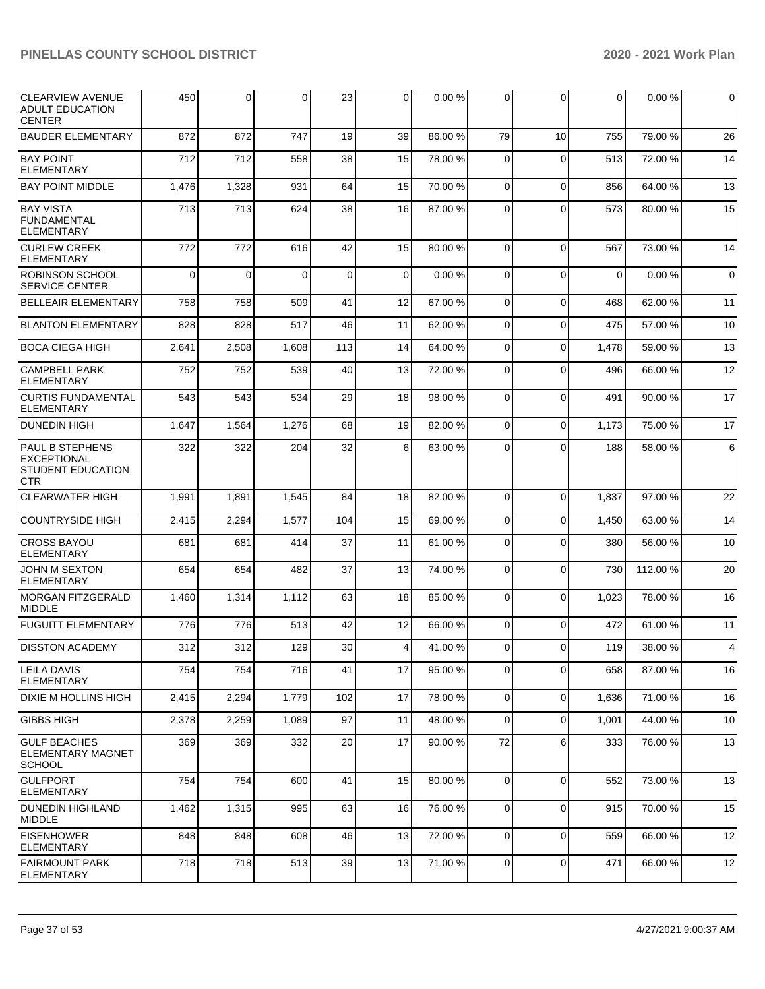| <b>CLEARVIEW AVENUE</b><br><b>ADULT EDUCATION</b><br><b>CENTER</b>                     | 450      | 0        | $\Omega$ | 23          | $\overline{0}$ | 0.00%   | $\Omega$       | 0           | 0           | 0.00%    | $\overline{0}$  |
|----------------------------------------------------------------------------------------|----------|----------|----------|-------------|----------------|---------|----------------|-------------|-------------|----------|-----------------|
| <b>BAUDER ELEMENTARY</b>                                                               | 872      | 872      | 747      | 19          | 39             | 86.00 % | 79             | 10          | 755         | 79.00 %  | 26              |
| <b>BAY POINT</b><br><b>ELEMENTARY</b>                                                  | 712      | 712      | 558      | 38          | 15             | 78.00 % | $\Omega$       | $\Omega$    | 513         | 72.00 %  | 14              |
| <b>BAY POINT MIDDLE</b>                                                                | 1,476    | 1,328    | 931      | 64          | 15             | 70.00%  | $\Omega$       | $\Omega$    | 856         | 64.00 %  | 13              |
| <b>BAY VISTA</b><br><b>FUNDAMENTAL</b><br><b>ELEMENTARY</b>                            | 713      | 713      | 624      | 38          | 16             | 87.00 % | $\Omega$       | $\Omega$    | 573         | 80.00 %  | 15              |
| <b>CURLEW CREEK</b><br>ELEMENTARY                                                      | 772      | 772      | 616      | 42          | 15             | 80.00 % | $\Omega$       | $\Omega$    | 567         | 73.00 %  | 14              |
| <b>ROBINSON SCHOOL</b><br><b>SERVICE CENTER</b>                                        | $\Omega$ | $\Omega$ | $\Omega$ | $\mathbf 0$ | $\Omega$       | 0.00%   | $\Omega$       | $\Omega$    | $\mathbf 0$ | 0.00%    | $\overline{0}$  |
| <b>BELLEAIR ELEMENTARY</b>                                                             | 758      | 758      | 509      | 41          | 12             | 67.00 % | $\Omega$       | $\Omega$    | 468         | 62.00%   | 11              |
| <b>BLANTON ELEMENTARY</b>                                                              | 828      | 828      | 517      | 46          | 11             | 62.00 % | $\Omega$       | $\Omega$    | 475         | 57.00 %  | 10              |
| <b>BOCA CIEGA HIGH</b>                                                                 | 2,641    | 2,508    | 1,608    | 113         | 14             | 64.00%  | $\Omega$       | $\Omega$    | 1,478       | 59.00 %  | 13              |
| <b>CAMPBELL PARK</b><br><b>ELEMENTARY</b>                                              | 752      | 752      | 539      | 40          | 13             | 72.00 % | $\Omega$       | $\Omega$    | 496         | 66.00 %  | 12              |
| <b>CURTIS FUNDAMENTAL</b><br>ELEMENTARY                                                | 543      | 543      | 534      | 29          | 18             | 98.00 % | $\Omega$       | 0           | 491         | 90.00 %  | 17              |
| <b>DUNEDIN HIGH</b>                                                                    | 1,647    | 1,564    | 1,276    | 68          | 19             | 82.00 % | $\Omega$       | $\Omega$    | 1,173       | 75.00 %  | 17              |
| <b>PAUL B STEPHENS</b><br><b>EXCEPTIONAL</b><br><b>STUDENT EDUCATION</b><br><b>CTR</b> | 322      | 322      | 204      | 32          | 6              | 63.00 % | $\Omega$       | $\Omega$    | 188         | 58.00 %  | $6 \mid$        |
| <b>CLEARWATER HIGH</b>                                                                 | 1,991    | 1,891    | 1,545    | 84          | 18             | 82.00 % | $\Omega$       | $\Omega$    | 1,837       | 97.00 %  | 22              |
| <b>COUNTRYSIDE HIGH</b>                                                                | 2,415    | 2,294    | 1,577    | 104         | 15             | 69.00 % | $\Omega$       | $\Omega$    | 1,450       | 63.00 %  | 14              |
| <b>CROSS BAYOU</b><br><b>ELEMENTARY</b>                                                | 681      | 681      | 414      | 37          | 11             | 61.00%  | $\Omega$       | $\Omega$    | 380         | 56.00 %  | 10 <sup>1</sup> |
| <b>JOHN M SEXTON</b><br><b>ELEMENTARY</b>                                              | 654      | 654      | 482      | 37          | 13             | 74.00 % | $\Omega$       | $\Omega$    | 730         | 112.00 % | 20              |
| MORGAN FITZGERALD<br><b>MIDDLE</b>                                                     | 1,460    | 1,314    | 1,112    | 63          | 18             | 85.00 % | $\Omega$       | $\Omega$    | 1,023       | 78.00 %  | 16              |
| <b>FUGUITT ELEMENTARY</b>                                                              | 776      | 776      | 513      | 42          | 12             | 66.00 % | $\Omega$       | $\Omega$    | 472         | 61.00 %  | 11              |
| <b>DISSTON ACADEMY</b>                                                                 | 312      | 312      | 129      | 30          | $\overline{4}$ | 41.00 % | $\Omega$       | $\Omega$    | 119         | 38.00 %  | $\overline{4}$  |
| ILEILA DAVIS<br><b>ELEMENTARY</b>                                                      | 754      | 754      | 716      | 41          | 17             | 95.00 % | 0              | $\Omega$    | 658         | 87.00 %  | 16              |
| <b>DIXIE M HOLLINS HIGH</b>                                                            | 2,415    | 2,294    | 1,779    | 102         | 17             | 78.00 % | $\Omega$       | $\mathbf 0$ | 1,636       | 71.00 %  | 16              |
| <b>GIBBS HIGH</b>                                                                      | 2,378    | 2,259    | 1,089    | 97          | 11             | 48.00 % | $\overline{0}$ | 0           | 1,001       | 44.00 %  | 10 <sup>1</sup> |
| <b>GULF BEACHES</b><br> ELEMENTARY MAGNET<br><b>SCHOOL</b>                             | 369      | 369      | 332      | 20          | 17             | 90.00 % | 72             | 6           | 333         | 76.00 %  | 13              |
| <b>GULFPORT</b><br><b>ELEMENTARY</b>                                                   | 754      | 754      | 600      | 41          | 15             | 80.00 % | $\Omega$       | $\mathbf 0$ | 552         | 73.00 %  | 13              |
| IDUNEDIN HIGHLAND<br>MIDDLE                                                            | 1,462    | 1,315    | 995      | 63          | 16             | 76.00 % | $\overline{0}$ | 0           | 915         | 70.00 %  | 15              |
| <b>EISENHOWER</b><br><b>ELEMENTARY</b>                                                 | 848      | 848      | 608      | 46          | 13             | 72.00 % | $\mathbf 0$    | $\mathbf 0$ | 559         | 66.00 %  | 12              |
| FAIRMOUNT PARK<br><b>ELEMENTARY</b>                                                    | 718      | 718      | 513      | 39          | 13             | 71.00 % | $\Omega$       | 0           | 471         | 66.00 %  | 12              |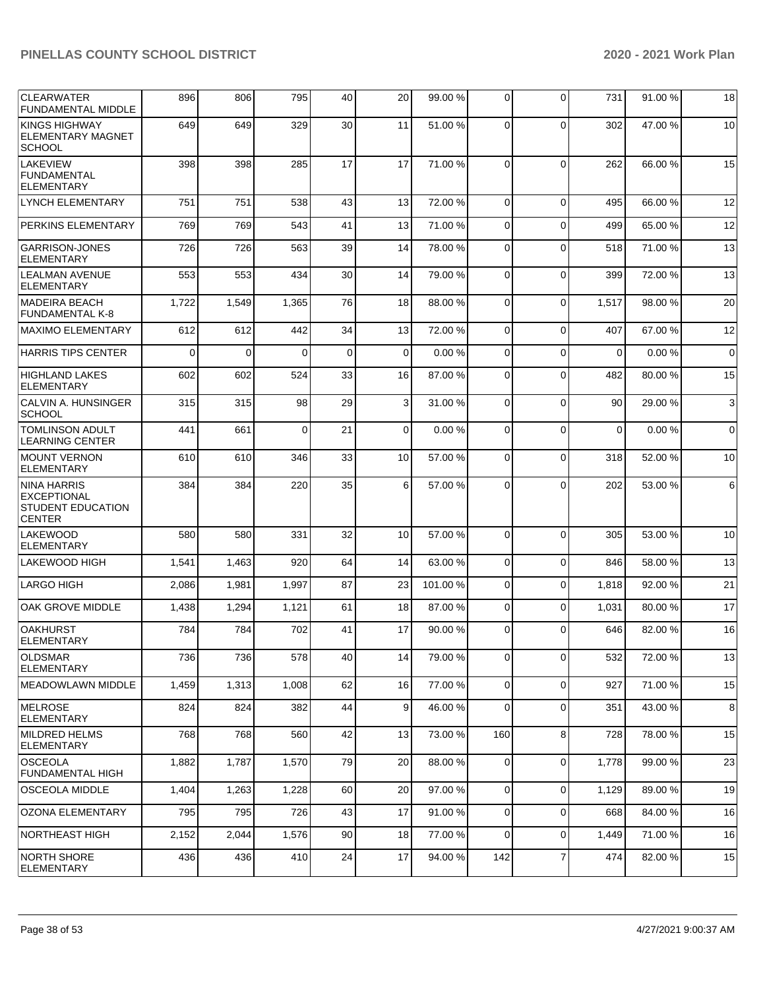| <b>CLEARWATER</b><br><b>FUNDAMENTAL MIDDLE</b>                                        | 896      | 806   | 795      | 40          | 20       | 99.00 %  | 0              | $\Omega$       | 731      | 91.00 % | 18          |
|---------------------------------------------------------------------------------------|----------|-------|----------|-------------|----------|----------|----------------|----------------|----------|---------|-------------|
| KINGS HIGHWAY<br><b>ELEMENTARY MAGNET</b><br><b>SCHOOL</b>                            | 649      | 649   | 329      | 30          | 11       | 51.00 %  | $\Omega$       | $\Omega$       | 302      | 47.00 % | 10          |
| <b>LAKEVIEW</b><br><b>FUNDAMENTAL</b><br><b>ELEMENTARY</b>                            | 398      | 398   | 285      | 17          | 17       | 71.00 %  | $\Omega$       | $\Omega$       | 262      | 66.00 % | 15          |
| <b>LYNCH ELEMENTARY</b>                                                               | 751      | 751   | 538      | 43          | 13       | 72.00 %  | $\mathbf 0$    | $\Omega$       | 495      | 66.00 % | 12          |
| <b>PERKINS ELEMENTARY</b>                                                             | 769      | 769   | 543      | 41          | 13       | 71.00 %  | 0              | $\Omega$       | 499      | 65.00 % | 12          |
| <b>GARRISON-JONES</b><br><b>ELEMENTARY</b>                                            | 726      | 726   | 563      | 39          | 14       | 78.00 %  | 0              | $\Omega$       | 518      | 71.00 % | 13          |
| <b>LEALMAN AVENUE</b><br><b>ELEMENTARY</b>                                            | 553      | 553   | 434      | 30          | 14       | 79.00 %  | $\Omega$       | $\Omega$       | 399      | 72.00 % | 13          |
| <b>IMADEIRA BEACH</b><br><b>FUNDAMENTAL K-8</b>                                       | 1,722    | 1,549 | 1,365    | 76          | 18       | 88.00 %  | $\Omega$       | $\Omega$       | 1,517    | 98.00 % | 20          |
| MAXIMO ELEMENTARY                                                                     | 612      | 612   | 442      | 34          | 13       | 72.00 %  | 0              | $\Omega$       | 407      | 67.00 % | 12          |
| <b>HARRIS TIPS CENTER</b>                                                             | $\Omega$ | 0     | $\Omega$ | $\mathbf 0$ | $\Omega$ | 0.00%    | 0              | $\Omega$       | 0        | 0.00%   | $\mathbf 0$ |
| <b>HIGHLAND LAKES</b><br><b>ELEMENTARY</b>                                            | 602      | 602   | 524      | 33          | 16       | 87.00 %  | 0              | $\Omega$       | 482      | 80.00 % | 15          |
| CALVIN A. HUNSINGER<br><b>SCHOOL</b>                                                  | 315      | 315   | 98       | 29          | 3        | 31.00 %  | $\Omega$       | $\Omega$       | 90       | 29.00 % | 3           |
| <b>TOMLINSON ADULT</b><br><b>LEARNING CENTER</b>                                      | 441      | 661   | $\Omega$ | 21          | $\Omega$ | 0.00%    | $\Omega$       | $\Omega$       | $\Omega$ | 0.00%   | $\mathbf 0$ |
| <b>MOUNT VERNON</b><br><b>ELEMENTARY</b>                                              | 610      | 610   | 346      | 33          | 10       | 57.00 %  | $\Omega$       | $\mathbf 0$    | 318      | 52.00 % | 10          |
| <b>NINA HARRIS</b><br><b>EXCEPTIONAL</b><br><b>STUDENT EDUCATION</b><br><b>CENTER</b> | 384      | 384   | 220      | 35          | 6        | 57.00 %  | 0              | $\Omega$       | 202      | 53.00 % | 6           |
| <b>LAKEWOOD</b><br><b>ELEMENTARY</b>                                                  | 580      | 580   | 331      | 32          | 10       | 57.00 %  | $\Omega$       | $\Omega$       | 305      | 53.00 % | 10          |
| <b>LAKEWOOD HIGH</b>                                                                  | 1,541    | 1,463 | 920      | 64          | 14       | 63.00 %  | 0              | $\Omega$       | 846      | 58.00 % | 13          |
| <b>LARGO HIGH</b>                                                                     | 2,086    | 1,981 | 1,997    | 87          | 23       | 101.00 % | 0              | $\Omega$       | 1,818    | 92.00 % | 21          |
| OAK GROVE MIDDLE                                                                      | 1,438    | 1,294 | 1,121    | 61          | 18       | 87.00 %  | 0              | $\Omega$       | 1,031    | 80.00 % | 17          |
| <b>OAKHURST</b><br><b>ELEMENTARY</b>                                                  | 784      | 784   | 702      | 41          | 17       | 90.00 %  | 0              | $\Omega$       | 646      | 82.00 % | 16          |
| <b>OLDSMAR</b><br><b>ELEMENTARY</b>                                                   | 736      | 736   | 578      | 40          | 14       | 79.00 %  | $\overline{0}$ | $\mathbf 0$    | 532      | 72.00 % | 13          |
| IMEADOWLAWN MIDDLE                                                                    | 1,459    | 1,313 | 1,008    | 62          | 16       | 77.00 %  | $\Omega$       | $\Omega$       | 927      | 71.00 % | 15          |
| MELROSE<br><b>ELEMENTARY</b>                                                          | 824      | 824   | 382      | 44          | 9        | 46.00%   | $\Omega$       | $\Omega$       | 351      | 43.00 % | $\bf8$      |
| MILDRED HELMS<br><b>ELEMENTARY</b>                                                    | 768      | 768   | 560      | 42          | 13       | 73.00 %  | 160            | 8              | 728      | 78.00 % | 15          |
| <b>OSCEOLA</b><br><b>FUNDAMENTAL HIGH</b>                                             | 1,882    | 1,787 | 1,570    | 79          | 20       | 88.00 %  | 0              | $\mathbf 0$    | 1,778    | 99.00 % | 23          |
| <b>OSCEOLA MIDDLE</b>                                                                 | 1,404    | 1,263 | 1,228    | 60          | 20       | 97.00 %  | 0              | $\Omega$       | 1,129    | 89.00 % | 19          |
| <b>OZONA ELEMENTARY</b>                                                               | 795      | 795   | 726      | 43          | 17       | 91.00%   | $\mathbf 0$    | $\Omega$       | 668      | 84.00 % | 16          |
| NORTHEAST HIGH                                                                        | 2,152    | 2,044 | 1,576    | 90          | 18       | 77.00 %  | $\mathbf 0$    | $\mathbf 0$    | 1,449    | 71.00 % | 16          |
| <b>NORTH SHORE</b><br><b>ELEMENTARY</b>                                               | 436      | 436   | 410      | 24          | 17       | 94.00 %  | 142            | $\overline{7}$ | 474      | 82.00 % | 15          |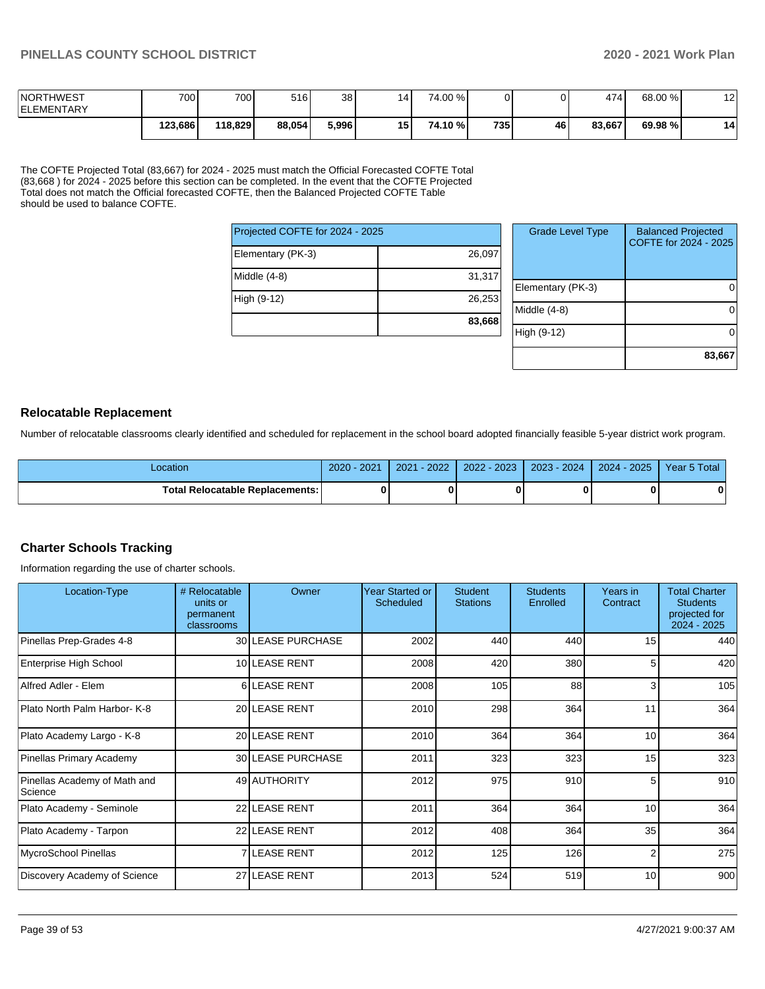| <b>NORTHWEST</b><br><b>IELEMENTARY</b> | 700     | 7001    | 516    | 38    | 14 | 74.00 % |     |    | 474    | 68.00 % | $\overline{ }$<br>. . |
|----------------------------------------|---------|---------|--------|-------|----|---------|-----|----|--------|---------|-----------------------|
|                                        | 123,686 | 118.829 | 88,054 | 5,996 | 15 | 74.10 % | 735 | 46 | 83.667 | 69.98 % | 14                    |

The COFTE Projected Total (83,667) for 2024 - 2025 must match the Official Forecasted COFTE Total (83,668 ) for 2024 - 2025 before this section can be completed. In the event that the COFTE Projected Total does not match the Official forecasted COFTE, then the Balanced Projected COFTE Table should be used to balance COFTE.

| Projected COFTE for 2024 - 2025 |        |   |
|---------------------------------|--------|---|
| Elementary (PK-3)               | 26,097 |   |
| Middle (4-8)                    | 31,317 | F |
| High (9-12)                     | 26,253 |   |
|                                 | 83,668 |   |

| <b>Grade Level Type</b> | <b>Balanced Projected</b><br>COFTE for 2024 - 2025 |
|-------------------------|----------------------------------------------------|
| Elementary (PK-3)       |                                                    |
| Middle (4-8)            |                                                    |
| High (9-12)             |                                                    |
|                         | 83,667                                             |

### **Relocatable Replacement**

Number of relocatable classrooms clearly identified and scheduled for replacement in the school board adopted financially feasible 5-year district work program.

| Location                               | 2021<br>$2020 -$ | $-2022$<br>2021 | 2022 - 2023 | 2023 - 2024 | 2024 - 2025 | Year 5 Total |
|----------------------------------------|------------------|-----------------|-------------|-------------|-------------|--------------|
| <b>Total Relocatable Replacements:</b> |                  |                 |             |             |             | n            |

### **Charter Schools Tracking**

Information regarding the use of charter schools.

| Location-Type                           | # Relocatable<br>units or<br>permanent<br>classrooms | Owner             | <b>Year Started or</b><br><b>Scheduled</b> | <b>Student</b><br><b>Stations</b> | <b>Students</b><br>Enrolled | Years in<br>Contract | <b>Total Charter</b><br><b>Students</b><br>projected for<br>2024 - 2025 |
|-----------------------------------------|------------------------------------------------------|-------------------|--------------------------------------------|-----------------------------------|-----------------------------|----------------------|-------------------------------------------------------------------------|
| Pinellas Prep-Grades 4-8                |                                                      | 30 LEASE PURCHASE | 2002                                       | 440                               | 440                         | 15                   | 440                                                                     |
| Enterprise High School                  |                                                      | 10 LEASE RENT     | 2008                                       | 420                               | 380                         | 5                    | 420                                                                     |
| Alfred Adler - Elem                     |                                                      | 6 LEASE RENT      | 2008                                       | 105                               | 88                          | 3                    | 105                                                                     |
| Plato North Palm Harbor- K-8            |                                                      | 20 LEASE RENT     | 2010                                       | 298                               | 364                         | 11                   | 364                                                                     |
| Plato Academy Largo - K-8               |                                                      | 20 LEASE RENT     | 2010                                       | 364                               | 364                         | 10                   | 364                                                                     |
| Pinellas Primary Academy                |                                                      | 30 LEASE PURCHASE | 2011                                       | 323                               | 323                         | 15                   | 323                                                                     |
| Pinellas Academy of Math and<br>Science |                                                      | 49 AUTHORITY      | 2012                                       | 975                               | 910                         | 5                    | 910                                                                     |
| Plato Academy - Seminole                |                                                      | 22 LEASE RENT     | 2011                                       | 364                               | 364                         | 10                   | 364                                                                     |
| Plato Academy - Tarpon                  |                                                      | 22 LEASE RENT     | 2012                                       | 408                               | 364                         | 35                   | 364                                                                     |
| MycroSchool Pinellas                    |                                                      | 7 LEASE RENT      | 2012                                       | 125                               | 126                         | $\overline{2}$       | 275                                                                     |
| Discovery Academy of Science            |                                                      | 27 LEASE RENT     | 2013                                       | 524                               | 519                         | 10                   | 900                                                                     |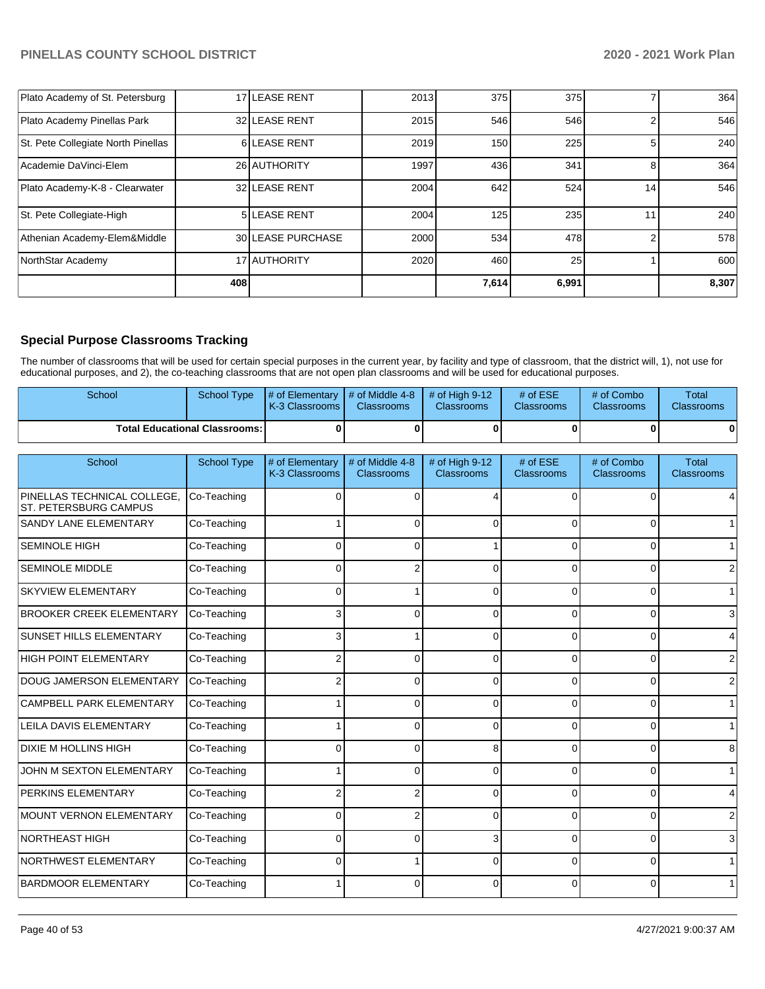| Plato Academy of St. Petersburg    |     | 17 LEASE RENT      | 2013 | 375   | 375   |                 | 364   |
|------------------------------------|-----|--------------------|------|-------|-------|-----------------|-------|
| Plato Academy Pinellas Park        |     | 32 LEASE RENT      | 2015 | 546   | 546   |                 | 546   |
| St. Pete Collegiate North Pinellas |     | 6LEASE RENT        | 2019 | 150   | 225   |                 | 240   |
| Academie DaVinci-Elem              |     | 26 AUTHORITY       | 1997 | 436   | 341   |                 | 364   |
| Plato Academy-K-8 - Clearwater     |     | 32 LEASE RENT      | 2004 | 642   | 524   | 14 <sub>1</sub> | 546   |
| St. Pete Collegiate-High           |     | 5 LEASE RENT       | 2004 | 125   | 235   | 11              | 240   |
| Athenian Academy-Elem&Middle       |     | 30 ILEASE PURCHASE | 2000 | 534   | 478   |                 | 578   |
| NorthStar Academy                  |     | 17 AUTHORITY       | 2020 | 460   | 25    |                 | 600   |
|                                    | 408 |                    |      | 7,614 | 6,991 |                 | 8,307 |

# **Special Purpose Classrooms Tracking**

The number of classrooms that will be used for certain special purposes in the current year, by facility and type of classroom, that the district will, 1), not use for educational purposes, and 2), the co-teaching classrooms that are not open plan classrooms and will be used for educational purposes.

| School                                 | School Type | # of Elementary $\vert \#$ of Middle 4-8 $\vert \#$ of High 9-12<br><b>K-3 Classrooms</b> | <b>Classrooms</b> | <b>Classrooms</b> | # of $ESE$<br>Classrooms | # of Combo<br><b>Classrooms</b> | Total<br><b>Classrooms</b> |
|----------------------------------------|-------------|-------------------------------------------------------------------------------------------|-------------------|-------------------|--------------------------|---------------------------------|----------------------------|
| <b>Total Educational Classrooms: I</b> |             |                                                                                           |                   |                   |                          |                                 | 0                          |

| School                                                      | <b>School Type</b> | # of Elementary<br>K-3 Classrooms | # of Middle 4-8<br><b>Classrooms</b> | # of High 9-12<br><b>Classrooms</b> | # of ESE<br><b>Classrooms</b> | # of Combo<br><b>Classrooms</b> | <b>Total</b><br><b>Classrooms</b> |
|-------------------------------------------------------------|--------------------|-----------------------------------|--------------------------------------|-------------------------------------|-------------------------------|---------------------------------|-----------------------------------|
| PINELLAS TECHNICAL COLLEGE.<br><b>ST. PETERSBURG CAMPUS</b> | Co-Teaching        | $\Omega$                          | $\Omega$                             | 4                                   | $\Omega$                      | $\Omega$                        |                                   |
| <b>SANDY LANE ELEMENTARY</b>                                | Co-Teaching        |                                   | $\Omega$                             | 0                                   | $\Omega$                      | O                               |                                   |
| <b>SEMINOLE HIGH</b>                                        | Co-Teaching        | 0                                 |                                      |                                     | $\Omega$                      | 0                               |                                   |
| <b>SEMINOLE MIDDLE</b>                                      | Co-Teaching        | 0                                 |                                      | 0                                   | $\Omega$                      | 0                               |                                   |
| <b>SKYVIEW ELEMENTARY</b>                                   | Co-Teaching        | 0                                 |                                      | $\Omega$                            | $\Omega$                      | 0                               |                                   |
| <b>BROOKER CREEK ELEMENTARY</b>                             | Co-Teaching        | 3                                 |                                      | n                                   |                               |                                 |                                   |
| <b>SUNSET HILLS ELEMENTARY</b>                              | Co-Teaching        | 3                                 |                                      | n                                   | ∩                             | $\Omega$                        |                                   |
| HIGH POINT ELEMENTARY                                       | Co-Teaching        | $\mathfrak{p}$                    | ∩                                    | $\Omega$                            | $\Omega$                      | $\Omega$                        |                                   |
| <b>DOUG JAMERSON ELEMENTARY</b>                             | Co-Teaching        | 2                                 | <sup>0</sup>                         | $\Omega$                            | $\Omega$                      | 0                               |                                   |
| CAMPBELL PARK ELEMENTARY                                    | Co-Teaching        |                                   | ∩                                    | 0                                   | ∩                             | 0                               |                                   |
| LEILA DAVIS ELEMENTARY                                      | Co-Teaching        |                                   | 0                                    | 0                                   | $\Omega$                      | 0                               |                                   |
| <b>DIXIE M HOLLINS HIGH</b>                                 | Co-Teaching        | $\Omega$                          | $\Omega$                             | 8                                   | $\Omega$                      | 0                               | 8                                 |
| JOHN M SEXTON ELEMENTARY                                    | Co-Teaching        |                                   | 0                                    | 0                                   | ∩                             | 0                               |                                   |
| PERKINS ELEMENTARY                                          | Co-Teaching        |                                   |                                      | ŋ                                   |                               | 0                               |                                   |
| MOUNT VERNON ELEMENTARY                                     | Co-Teaching        | 0                                 |                                      | ŋ                                   | ∩                             | $\Omega$                        |                                   |
| NORTHEAST HIGH                                              | Co-Teaching        | 0                                 |                                      | 3                                   | $\Omega$                      | 0                               |                                   |
| NORTHWEST ELEMENTARY                                        | Co-Teaching        | U                                 |                                      | O                                   | $\Omega$                      | 0                               |                                   |
| <b>BARDMOOR ELEMENTARY</b>                                  | Co-Teaching        |                                   | <sup>0</sup>                         | $\Omega$                            | $\Omega$                      | 0                               |                                   |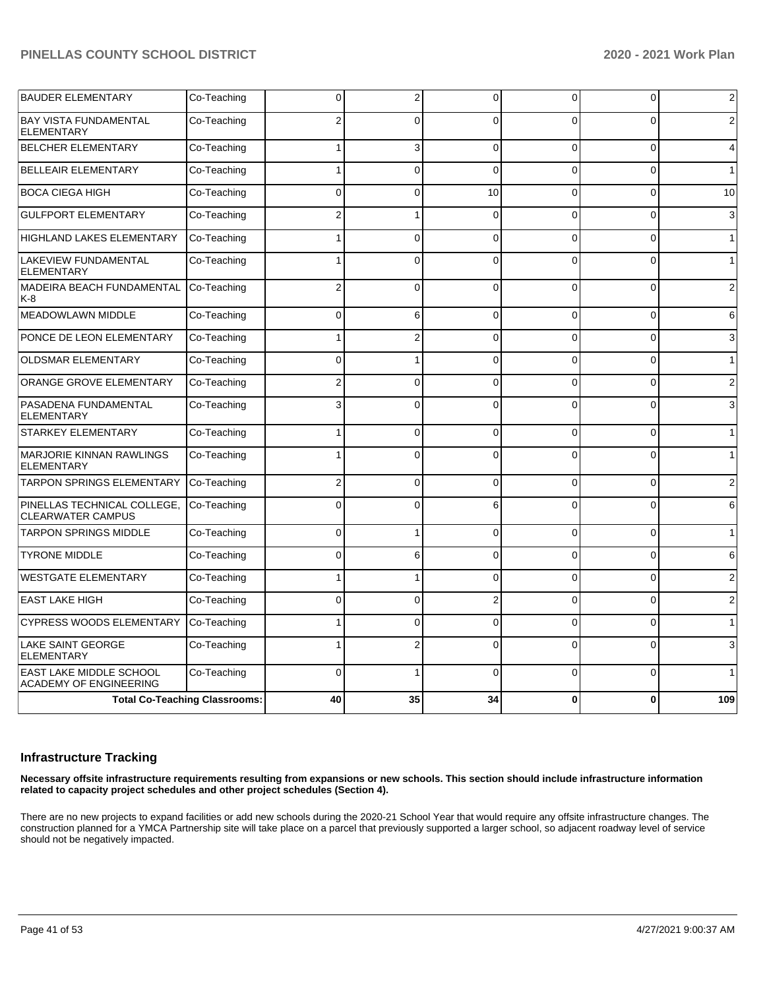| <b>BAUDER ELEMENTARY</b>                                        | Co-Teaching                          | 0              | 2              | $\Omega$       | 0        | 0        | $\mathbf{2}$   |
|-----------------------------------------------------------------|--------------------------------------|----------------|----------------|----------------|----------|----------|----------------|
| <b>BAY VISTA FUNDAMENTAL</b><br><b>ELEMENTARY</b>               | Co-Teaching                          |                | $\Omega$       | $\Omega$       | $\Omega$ | O        | 2              |
| <b>BELCHER ELEMENTARY</b>                                       | Co-Teaching                          |                | 3              | $\Omega$       | 0        | 0        | $\overline{4}$ |
| <b>BELLEAIR ELEMENTARY</b>                                      | Co-Teaching                          |                | $\Omega$       | $\Omega$       | $\Omega$ | $\Omega$ | $\mathbf{1}$   |
| <b>BOCA CIEGA HIGH</b>                                          | Co-Teaching                          | 0              | 0              | 10             | 0        | $\Omega$ | 10             |
| <b>GULFPORT ELEMENTARY</b>                                      | Co-Teaching                          | $\overline{2}$ | 1              | $\Omega$       | 0        | $\Omega$ | 3              |
| <b>HIGHLAND LAKES ELEMENTARY</b>                                | Co-Teaching                          |                | $\overline{0}$ | $\Omega$       | 0        | $\Omega$ | $\mathbf{1}$   |
| <b>LAKEVIEW FUNDAMENTAL</b><br><b>ELEMENTARY</b>                | Co-Teaching                          |                | $\Omega$       | $\Omega$       | $\Omega$ | O        | $\mathbf{1}$   |
| MADEIRA BEACH FUNDAMENTAL<br>K-8                                | Co-Teaching                          | $\overline{2}$ | $\mathbf{0}$   | $\Omega$       | 0        | $\Omega$ | 2              |
| MEADOWLAWN MIDDLE                                               | Co-Teaching                          | $\Omega$       | 6              | $\Omega$       | $\Omega$ | $\Omega$ | 6              |
| PONCE DE LEON ELEMENTARY                                        | Co-Teaching                          |                | $\overline{2}$ | $\Omega$       | $\Omega$ | $\Omega$ | 3              |
| <b>OLDSMAR ELEMENTARY</b>                                       | Co-Teaching                          | 0              |                | $\Omega$       | 0        | $\Omega$ | $\mathbf{1}$   |
| ORANGE GROVE ELEMENTARY                                         | Co-Teaching                          | 2              | $\overline{0}$ | $\Omega$       | 0        | $\Omega$ | $\overline{2}$ |
| PASADENA FUNDAMENTAL<br><b>ELEMENTARY</b>                       | Co-Teaching                          | 3              | $\Omega$       | $\Omega$       | $\Omega$ | $\Omega$ | 3              |
| STARKEY ELEMENTARY                                              | Co-Teaching                          |                | 0              | $\Omega$       | 0        | 0        | $\mathbf{1}$   |
| <b>MARJORIE KINNAN RAWLINGS</b><br><b>ELEMENTARY</b>            | Co-Teaching                          |                | $\Omega$       | $\Omega$       | $\Omega$ | $\Omega$ | $\mathbf{1}$   |
| <b>TARPON SPRINGS ELEMENTARY</b>                                | Co-Teaching                          | 2              | 0              | $\Omega$       | 0        | $\Omega$ | 2              |
| PINELLAS TECHNICAL COLLEGE,<br><b>CLEARWATER CAMPUS</b>         | Co-Teaching                          | $\Omega$       | $\Omega$       | 6              | 0        | $\Omega$ | 6              |
| <b>TARPON SPRINGS MIDDLE</b>                                    | Co-Teaching                          | 0              | 1              | $\Omega$       | 0        | $\Omega$ | $\mathbf{1}$   |
| <b>TYRONE MIDDLE</b>                                            | Co-Teaching                          | 0              | 6              | $\mathbf 0$    | 0        | 0        | 6              |
| <b>WESTGATE ELEMENTARY</b>                                      | Co-Teaching                          |                |                | $\Omega$       | $\Omega$ | $\Omega$ | 2              |
| <b>EAST LAKE HIGH</b>                                           | Co-Teaching                          | 0              | $\Omega$       | $\overline{2}$ | 0        | $\Omega$ | $\overline{2}$ |
| <b>CYPRESS WOODS ELEMENTARY</b>                                 | Co-Teaching                          |                | 0              | $\Omega$       | $\Omega$ | $\Omega$ | $\mathbf{1}$   |
| <b>LAKE SAINT GEORGE</b><br><b>ELEMENTARY</b>                   | Co-Teaching                          |                | 2              | $\Omega$       | $\Omega$ | $\Omega$ | 3              |
| <b>EAST LAKE MIDDLE SCHOOL</b><br><b>ACADEMY OF ENGINEERING</b> | Co-Teaching                          | 0              |                | $\Omega$       | $\Omega$ | $\Omega$ | 1              |
|                                                                 | <b>Total Co-Teaching Classrooms:</b> | 40             | 35             | 34             | 0        | 0        | 109            |

### **Infrastructure Tracking**

**Necessary offsite infrastructure requirements resulting from expansions or new schools. This section should include infrastructure information related to capacity project schedules and other project schedules (Section 4).** 

There are no new projects to expand facilities or add new schools during the 2020-21 School Year that would require any offsite infrastructure changes. The construction planned for a YMCA Partnership site will take place on a parcel that previously supported a larger school, so adjacent roadway level of service should not be negatively impacted.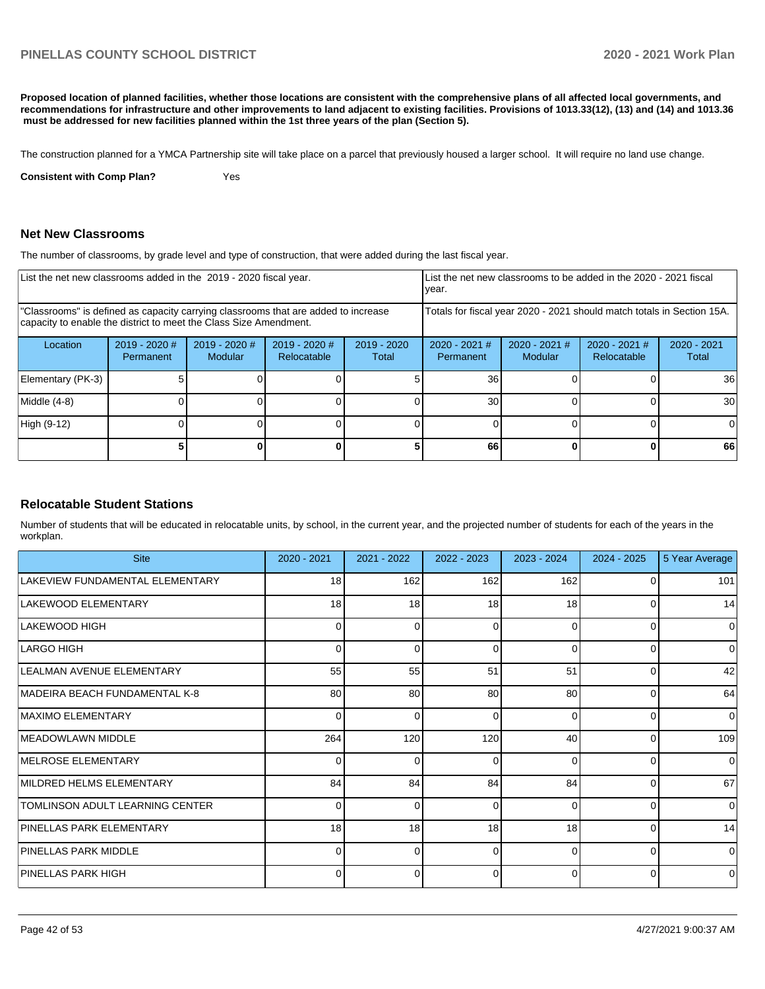**Proposed location of planned facilities, whether those locations are consistent with the comprehensive plans of all affected local governments, and recommendations for infrastructure and other improvements to land adjacent to existing facilities. Provisions of 1013.33(12), (13) and (14) and 1013.36 must be addressed for new facilities planned within the 1st three years of the plan (Section 5).** 

The construction planned for a YMCA Partnership site will take place on a parcel that previously housed a larger school. It will require no land use change.

**Consistent with Comp Plan?** Yes

### **Net New Classrooms**

The number of classrooms, by grade level and type of construction, that were added during the last fiscal year.

| List the net new classrooms added in the 2019 - 2020 fiscal year.                                                                                       |                              |                                 |                                |                        | List the net new classrooms to be added in the 2020 - 2021 fiscal<br>year. |                            |                                                                        |                        |
|---------------------------------------------------------------------------------------------------------------------------------------------------------|------------------------------|---------------------------------|--------------------------------|------------------------|----------------------------------------------------------------------------|----------------------------|------------------------------------------------------------------------|------------------------|
| "Classrooms" is defined as capacity carrying classrooms that are added to increase<br>capacity to enable the district to meet the Class Size Amendment. |                              |                                 |                                |                        |                                                                            |                            | Totals for fiscal year 2020 - 2021 should match totals in Section 15A. |                        |
| Location                                                                                                                                                | $2019 - 2020$ #<br>Permanent | 2019 - 2020 #<br><b>Modular</b> | $2019 - 2020$ #<br>Relocatable | $2019 - 2020$<br>Total | $2020 - 2021$ #<br>Permanent                                               | $2020 - 2021$ #<br>Modular | $2020 - 2021$ #<br>Relocatable                                         | $2020 - 2021$<br>Total |
| Elementary (PK-3)                                                                                                                                       |                              |                                 |                                |                        | 36                                                                         |                            |                                                                        | 36                     |
| Middle (4-8)                                                                                                                                            |                              |                                 |                                |                        | 30                                                                         |                            |                                                                        | 30                     |
| High (9-12)                                                                                                                                             |                              |                                 |                                |                        |                                                                            |                            |                                                                        | 0                      |
|                                                                                                                                                         |                              |                                 |                                |                        | 66                                                                         |                            |                                                                        | 66                     |

### **Relocatable Student Stations**

Number of students that will be educated in relocatable units, by school, in the current year, and the projected number of students for each of the years in the workplan.

| <b>Site</b>                     | 2020 - 2021     | 2021 - 2022     | 2022 - 2023 | 2023 - 2024 | 2024 - 2025 | 5 Year Average |
|---------------------------------|-----------------|-----------------|-------------|-------------|-------------|----------------|
| LAKEVIEW FUNDAMENTAL ELEMENTARY | 18              | 162             | 162         | 162         |             | 101            |
| LAKEWOOD ELEMENTARY             | 18              | 18              | 18          | 18          | 0           | 14             |
| LAKEWOOD HIGH                   | O               | $\Omega$        | 0           | $\Omega$    | $\Omega$    | $\Omega$       |
| LARGO HIGH                      | 0               | $\Omega$        | 0           | 0           | $\Omega$    | 0              |
| LEALMAN AVENUE ELEMENTARY       | 55              | 55              | 51          | 51          | $\Omega$    | 42             |
| MADEIRA BEACH FUNDAMENTAL K-8   | 80              | 80              | 80          | 80          | $\Omega$    | 64             |
| MAXIMO ELEMENTARY               | n               | $\Omega$        | $\Omega$    | $\Omega$    | $\Omega$    | $\Omega$       |
| MEADOWLAWN MIDDLE               | 264             | 120             | 120         | 40          | $\Omega$    | 109            |
| MELROSE ELEMENTARY              |                 | O               | $\Omega$    | $\Omega$    | $\Omega$    | 0              |
| MILDRED HELMS ELEMENTARY        | 84              | 84              | 84          | 84          | $\Omega$    | 67             |
| TOMLINSON ADULT LEARNING CENTER | ∩               | $\Omega$        | $\Omega$    | $\Omega$    | $\Omega$    | $\Omega$       |
| <b>PINELLAS PARK ELEMENTARY</b> | 18 <sup>l</sup> | 18 <sup>1</sup> | 18          | 18          | $\Omega$    | 14             |
| PINELLAS PARK MIDDLE            | ∩               | $\Omega$        | $\Omega$    | $\Omega$    | $\Omega$    | $\Omega$       |
| PINELLAS PARK HIGH              |                 | 0               | 0           | 0           | $\Omega$    | $\Omega$       |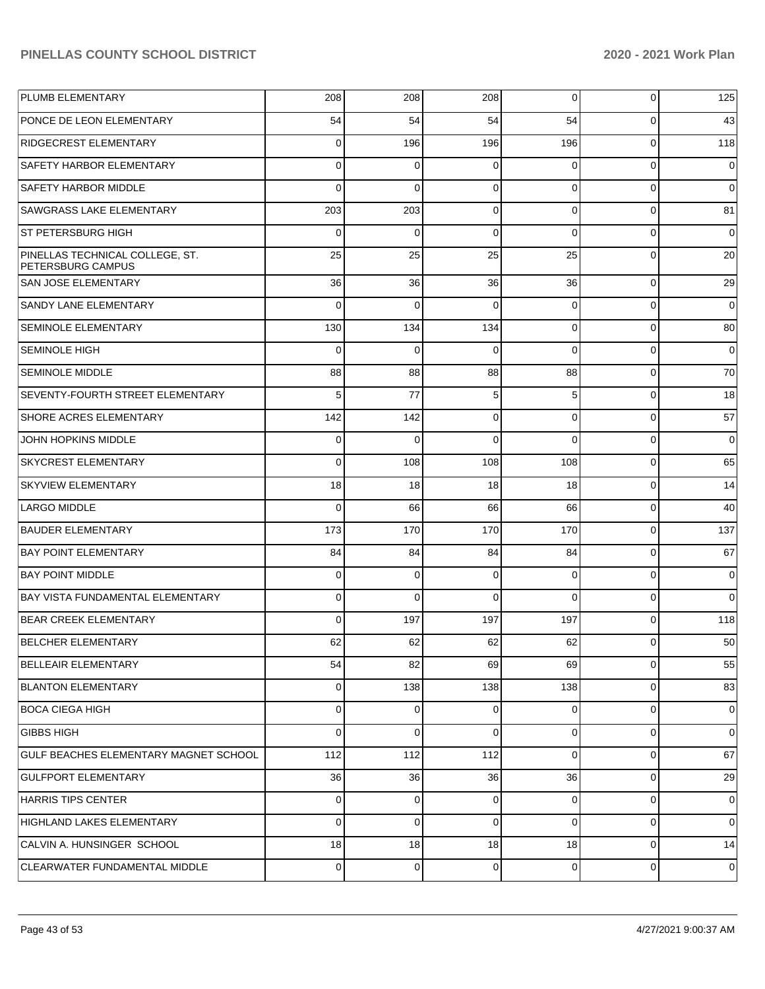| PLUMB ELEMENTARY                                     | 208         | 208            | 208         | $\overline{0}$ | $\mathbf 0$ | 125            |
|------------------------------------------------------|-------------|----------------|-------------|----------------|-------------|----------------|
| <b>PONCE DE LEON ELEMENTARY</b>                      | 54          | 54             | 54          | 54             | 0           | 43             |
| <b>RIDGECREST ELEMENTARY</b>                         | 0           | 196            | 196         | 196            | $\mathbf 0$ | 118            |
| SAFETY HARBOR ELEMENTARY                             | 0           | 0              | $\Omega$    | $\Omega$       | $\mathbf 0$ | $\mathbf 0$    |
| <b>SAFETY HARBOR MIDDLE</b>                          | $\Omega$    | $\Omega$       | $\Omega$    | $\Omega$       | $\Omega$    | $\mathbf 0$    |
| SAWGRASS LAKE ELEMENTARY                             | 203         | 203            | $\Omega$    | $\Omega$       | $\mathbf 0$ | 81             |
| ST PETERSBURG HIGH                                   | 0           | 0              | $\Omega$    | $\Omega$       | $\mathbf 0$ | $\mathbf 0$    |
| PINELLAS TECHNICAL COLLEGE, ST.<br>PETERSBURG CAMPUS | 25          | 25             | 25          | 25             | $\Omega$    | 20             |
| SAN JOSE ELEMENTARY                                  | 36          | 36             | 36          | 36             | $\Omega$    | 29             |
| <b>SANDY LANE ELEMENTARY</b>                         | $\mathbf 0$ | $\Omega$       | $\Omega$    | $\Omega$       | $\Omega$    | $\mathbf 0$    |
| <b>SEMINOLE ELEMENTARY</b>                           | 130         | 134            | 134         | $\Omega$       | 0           | 80             |
| <b>SEMINOLE HIGH</b>                                 | $\mathbf 0$ | $\mathbf 0$    | $\Omega$    | $\Omega$       | $\mathbf 0$ | $\mathbf 0$    |
| <b>SEMINOLE MIDDLE</b>                               | 88          | 88             | 88          | 88             | 0           | 70             |
| SEVENTY-FOURTH STREET ELEMENTARY                     | 5           | 77             | 5           | 5              | 0           | 18             |
| <b>SHORE ACRES ELEMENTARY</b>                        | 142         | 142            | $\Omega$    | $\Omega$       | 0           | 57             |
| JOHN HOPKINS MIDDLE                                  | $\mathbf 0$ | $\Omega$       | $\Omega$    | $\Omega$       | $\mathbf 0$ | $\mathbf 0$    |
| SKYCREST ELEMENTARY                                  | $\mathbf 0$ | 108            | 108         | 108            | 0           | 65             |
| <b>SKYVIEW ELEMENTARY</b>                            | 18          | 18             | 18          | 18             | $\mathbf 0$ | 14             |
| LARGO MIDDLE                                         | $\mathbf 0$ | 66             | 66          | 66             | 0           | 40             |
| <b>BAUDER ELEMENTARY</b>                             | 173         | 170            | 170         | 170            | $\mathbf 0$ | 137            |
| <b>BAY POINT ELEMENTARY</b>                          | 84          | 84             | 84          | 84             | $\mathbf 0$ | 67             |
| <b>BAY POINT MIDDLE</b>                              | $\mathbf 0$ | $\mathbf 0$    | $\Omega$    | $\Omega$       | $\mathbf 0$ | $\mathbf 0$    |
| <b>BAY VISTA FUNDAMENTAL ELEMENTARY</b>              | $\mathbf 0$ | $\mathbf 0$    | $\Omega$    | $\Omega$       | $\mathbf 0$ | $\mathbf 0$    |
| <b>BEAR CREEK ELEMENTARY</b>                         | $\mathbf 0$ | 197            | 197         | 197            | $\mathbf 0$ | 118            |
| <b>BELCHER ELEMENTARY</b>                            | 62          | 62             | 62          | 62             | 0           | 50             |
| <b>BELLEAIR ELEMENTARY</b>                           | 54          | 82             | 69          | 69             | 0           | 55             |
| <b>BLANTON ELEMENTARY</b>                            | $\mathbf 0$ | 138            | 138         | 138            | $\mathbf 0$ | 83             |
| <b>BOCA CIEGA HIGH</b>                               | $\mathbf 0$ | $\overline{0}$ | $\Omega$    | $\Omega$       | $\mathbf 0$ | 0              |
| <b>GIBBS HIGH</b>                                    | $\mathbf 0$ | $\mathbf 0$    | $\Omega$    | $\Omega$       | $\mathbf 0$ | 0              |
| GULF BEACHES ELEMENTARY MAGNET SCHOOL                | 112         | 112            | 112         | $\Omega$       | 0           | 67             |
| <b>GULFPORT ELEMENTARY</b>                           | 36          | 36             | 36          | 36             | $\mathbf 0$ | 29             |
| <b>HARRIS TIPS CENTER</b>                            | $\mathbf 0$ | $\overline{0}$ | $\Omega$    | $\Omega$       | $\mathbf 0$ | 0              |
| HIGHLAND LAKES ELEMENTARY                            | $\mathbf 0$ | $\overline{0}$ | $\Omega$    | $\Omega$       | $\mathbf 0$ | $\mathbf 0$    |
| CALVIN A. HUNSINGER SCHOOL                           | 18          | 18             | 18          | 18             | 0           | 14             |
| CLEARWATER FUNDAMENTAL MIDDLE                        | $\mathbf 0$ | $\overline{0}$ | $\mathbf 0$ | $\overline{0}$ | $\mathbf 0$ | $\overline{0}$ |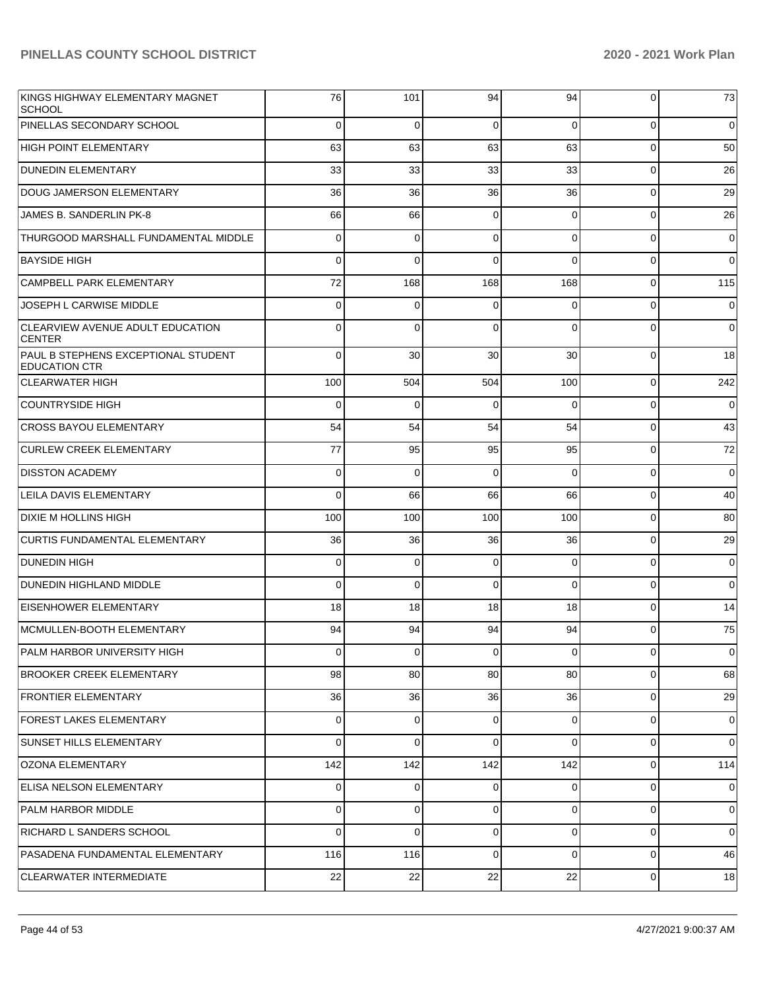| KINGS HIGHWAY ELEMENTARY MAGNET<br><b>SCHOOL</b>            | 76          | 101            | 94       | 94             | 0           | 73          |
|-------------------------------------------------------------|-------------|----------------|----------|----------------|-------------|-------------|
| PINELLAS SECONDARY SCHOOL                                   | $\Omega$    | $\Omega$       | $\Omega$ | $\Omega$       | $\mathbf 0$ | $\mathbf 0$ |
| <b>HIGH POINT ELEMENTARY</b>                                | 63          | 63             | 63       | 63             | $\mathbf 0$ | 50          |
| <b>DUNEDIN ELEMENTARY</b>                                   | 33          | 33             | 33       | 33             | $\mathbf 0$ | 26          |
| DOUG JAMERSON ELEMENTARY                                    | 36          | 36             | 36       | 36             | $\mathbf 0$ | 29          |
| JAMES B. SANDERLIN PK-8                                     | 66          | 66             | $\Omega$ | $\Omega$       | $\mathbf 0$ | 26          |
| THURGOOD MARSHALL FUNDAMENTAL MIDDLE                        | $\Omega$    | $\mathbf 0$    | $\Omega$ | $\Omega$       | $\Omega$    | $\mathbf 0$ |
| <b>BAYSIDE HIGH</b>                                         | $\Omega$    | $\Omega$       | $\Omega$ | $\Omega$       | $\Omega$    | $\mathbf 0$ |
| CAMPBELL PARK ELEMENTARY                                    | 72          | 168            | 168      | 168            | $\mathbf 0$ | 115         |
| JOSEPH L CARWISE MIDDLE                                     | $\Omega$    | $\mathbf 0$    | $\Omega$ | $\Omega$       | $\Omega$    | $\mathbf 0$ |
| CLEARVIEW AVENUE ADULT EDUCATION<br><b>CENTER</b>           | $\Omega$    | $\Omega$       | $\Omega$ | $\Omega$       | $\Omega$    | $\mathbf 0$ |
| PAUL B STEPHENS EXCEPTIONAL STUDENT<br><b>EDUCATION CTR</b> | 0           | 30             | 30       | 30             | 0           | 18          |
| <b>CLEARWATER HIGH</b>                                      | 100         | 504            | 504      | 100            | $\Omega$    | 242         |
| <b>COUNTRYSIDE HIGH</b>                                     | $\Omega$    | $\mathbf 0$    | $\Omega$ | $\Omega$       | $\Omega$    | $\mathbf 0$ |
| <b>CROSS BAYOU ELEMENTARY</b>                               | 54          | 54             | 54       | 54             | $\Omega$    | 43          |
| <b>CURLEW CREEK ELEMENTARY</b>                              | 77          | 95             | 95       | 95             | $\Omega$    | 72          |
| <b>DISSTON ACADEMY</b>                                      | $\Omega$    | $\Omega$       | $\Omega$ | $\Omega$       | $\Omega$    | $\mathbf 0$ |
| <b>LEILA DAVIS ELEMENTARY</b>                               | $\Omega$    | 66             | 66       | 66             | $\Omega$    | 40          |
| <b>DIXIE M HOLLINS HIGH</b>                                 | 100         | 100            | 100      | 100            | $\Omega$    | 80          |
| <b>CURTIS FUNDAMENTAL ELEMENTARY</b>                        | 36          | 36             | 36       | 36             | $\Omega$    | 29          |
| <b>DUNEDIN HIGH</b>                                         | $\Omega$    | $\mathbf 0$    | $\Omega$ | 0              | $\Omega$    | $\mathbf 0$ |
| <b>DUNEDIN HIGHLAND MIDDLE</b>                              | $\Omega$    | $\mathbf 0$    | $\Omega$ | $\Omega$       | $\Omega$    | $\mathbf 0$ |
| <b>EISENHOWER ELEMENTARY</b>                                | 18          | 18             | 18       | 18             | $\Omega$    | 14          |
| MCMULLEN-BOOTH ELEMENTARY                                   | 94          | 94             | 94       | 94             | $\Omega$    | 75          |
| PALM HARBOR UNIVERSITY HIGH                                 | υ           | $\pmb{0}$      | 0        | $\overline{0}$ | 0           | $\mathbf 0$ |
| <b>BROOKER CREEK ELEMENTARY</b>                             | 98          | 80             | 80       | 80             | $\mathbf 0$ | 68          |
| <b>FRONTIER ELEMENTARY</b>                                  | 36          | 36             | 36       | 36             | $\mathbf 0$ | 29          |
| <b>FOREST LAKES ELEMENTARY</b>                              | $\mathbf 0$ | $\overline{0}$ | $\Omega$ | $\Omega$       | $\Omega$    | 0           |
| <b>SUNSET HILLS ELEMENTARY</b>                              | $\Omega$    | $\mathbf 0$    | $\Omega$ | $\Omega$       | 0           | $\mathbf 0$ |
| OZONA ELEMENTARY                                            | 142         | 142            | 142      | 142            | 0           | 114         |
| <b>ELISA NELSON ELEMENTARY</b>                              | $\mathbf 0$ | $\mathbf 0$    | $\Omega$ | $\Omega$       | $\mathbf 0$ | $\mathbf 0$ |
| PALM HARBOR MIDDLE                                          | $\mathbf 0$ | $\overline{0}$ | $\Omega$ | $\Omega$       | $\Omega$    | $\mathbf 0$ |
| RICHARD L SANDERS SCHOOL                                    | $\Omega$    | $\mathbf 0$    | $\Omega$ | $\Omega$       | $\mathbf 0$ | $\mathbf 0$ |
| PASADENA FUNDAMENTAL ELEMENTARY                             | 116         | 116            | $\Omega$ | $\Omega$       | $\mathbf 0$ | 46          |
| <b>CLEARWATER INTERMEDIATE</b>                              | 22          | 22             | 22       | 22             | $\mathbf 0$ | 18          |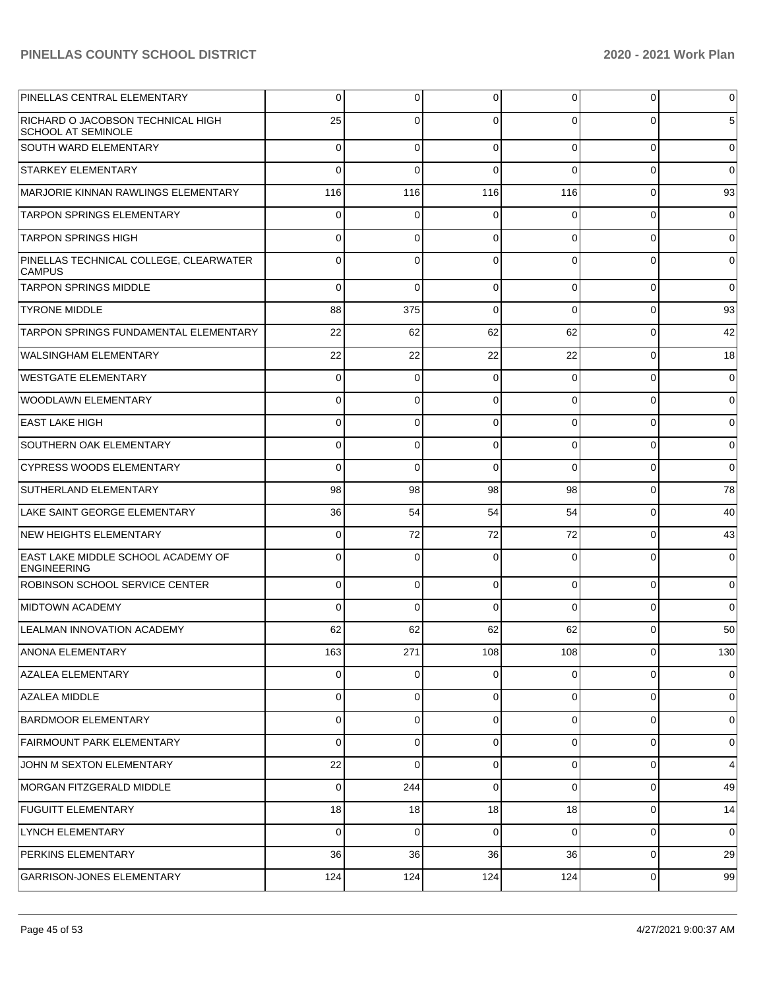| PINELLAS CENTRAL ELEMENTARY                                    | 0           | 0           | 0        | 0           | $\overline{0}$ | $\overline{0}$  |
|----------------------------------------------------------------|-------------|-------------|----------|-------------|----------------|-----------------|
| RICHARD O JACOBSON TECHNICAL HIGH<br><b>SCHOOL AT SEMINOLE</b> | 25          | 0           | $\Omega$ | 0           | $\Omega$       | $5\phantom{.0}$ |
| <b>SOUTH WARD ELEMENTARY</b>                                   | $\mathbf 0$ | $\mathbf 0$ | $\Omega$ | $\Omega$    | $\overline{0}$ | $\mathbf 0$     |
| <b>STARKEY ELEMENTARY</b>                                      | 0           | $\Omega$    | $\Omega$ | $\Omega$    | $\overline{0}$ | $\overline{0}$  |
| MARJORIE KINNAN RAWLINGS ELEMENTARY                            | 116         | 116         | 116      | 116         | $\overline{0}$ | 93              |
| <b>TARPON SPRINGS ELEMENTARY</b>                               | $\mathbf 0$ | $\mathbf 0$ | $\Omega$ | $\Omega$    | $\overline{0}$ | $\mathbf 0$     |
| <b>TARPON SPRINGS HIGH</b>                                     | 0           | 0           | $\Omega$ | $\Omega$    | $\overline{0}$ | $\overline{0}$  |
| PINELLAS TECHNICAL COLLEGE, CLEARWATER<br><b>CAMPUS</b>        | 0           | $\Omega$    | $\Omega$ | 0           | 0              | $\overline{0}$  |
| <b>TARPON SPRINGS MIDDLE</b>                                   | 0           | $\Omega$    | $\Omega$ | 0           | 0              | $\overline{0}$  |
| <b>TYRONE MIDDLE</b>                                           | 88          | 375         | $\Omega$ | 0           | 0              | 93              |
| TARPON SPRINGS FUNDAMENTAL ELEMENTARY                          | 22          | 62          | 62       | 62          | 0              | 42              |
| <b>WALSINGHAM ELEMENTARY</b>                                   | 22          | 22          | 22       | 22          | 0              | 18              |
| <b>WESTGATE ELEMENTARY</b>                                     | 0           | $\Omega$    | $\Omega$ | 0           | 0              | $\overline{0}$  |
| <b>WOODLAWN ELEMENTARY</b>                                     | 0           | 0           | $\Omega$ | 0           | $\Omega$       | $\overline{0}$  |
| <b>EAST LAKE HIGH</b>                                          | 0           | 0           | $\Omega$ | 0           | 0              | $\overline{0}$  |
| SOUTHERN OAK ELEMENTARY                                        | 0           | 0           | $\Omega$ | 0           | 0              | $\overline{0}$  |
| <b>CYPRESS WOODS ELEMENTARY</b>                                | 0           | $\Omega$    | $\Omega$ | 0           | 0              | $\overline{0}$  |
| <b>SUTHERLAND ELEMENTARY</b>                                   | 98          | 98          | 98       | 98          | 0              | 78              |
| LAKE SAINT GEORGE ELEMENTARY                                   | 36          | 54          | 54       | 54          | 0              | 40              |
| NEW HEIGHTS ELEMENTARY                                         | 0           | 72          | 72       | 72          | 0              | 43              |
| EAST LAKE MIDDLE SCHOOL ACADEMY OF<br><b>ENGINEERING</b>       | 0           | $\Omega$    | $\Omega$ | 0           | 0              | $\mathbf 0$     |
| <b>ROBINSON SCHOOL SERVICE CENTER</b>                          | $\mathbf 0$ | 0           | $\Omega$ | $\Omega$    | $\overline{0}$ | $\overline{0}$  |
| <b>MIDTOWN ACADEMY</b>                                         | 0           | $\Omega$    | $\Omega$ | $\Omega$    | $\Omega$       | $\overline{0}$  |
| <b>LEALMAN INNOVATION ACADEMY</b>                              | 62          | 62          | 62       | 62          | $\overline{0}$ | 50              |
| ANONA ELEMENTARY                                               | 163         | 271         | 108      | 108         | υ              | 130             |
| AZALEA ELEMENTARY                                              | 0           | 0           | $\Omega$ | $\Omega$    | $\overline{0}$ | $\mathbf 0$     |
| <b>AZALEA MIDDLE</b>                                           | $\mathbf 0$ | 0           | $\Omega$ | $\mathbf 0$ | $\overline{0}$ | $\mathbf 0$     |
| <b>BARDMOOR ELEMENTARY</b>                                     | 0           | 0           | $\Omega$ | $\mathbf 0$ | $\overline{0}$ | $\mathbf 0$     |
| <b>FAIRMOUNT PARK ELEMENTARY</b>                               | 0           | 0           | $\Omega$ | $\Omega$    | $\overline{0}$ | $\mathbf 0$     |
| JOHN M SEXTON ELEMENTARY                                       | 22          | $\Omega$    | $\Omega$ | $\mathbf 0$ | $\overline{0}$ | $\overline{4}$  |
| MORGAN FITZGERALD MIDDLE                                       | $\mathbf 0$ | 244         | $\Omega$ | $\Omega$    | $\overline{0}$ | 49              |
| <b>FUGUITT ELEMENTARY</b>                                      | 18          | 18          | 18       | 18          | $\overline{0}$ | 14              |
| LYNCH ELEMENTARY                                               | $\mathbf 0$ | 0           | $\Omega$ | $\Omega$    | $\overline{0}$ | $\overline{0}$  |
| PERKINS ELEMENTARY                                             | 36          | 36          | 36       | 36          | $\overline{0}$ | 29              |
| GARRISON-JONES ELEMENTARY                                      | 124         | 124         | 124      | 124         | $\overline{0}$ | 99              |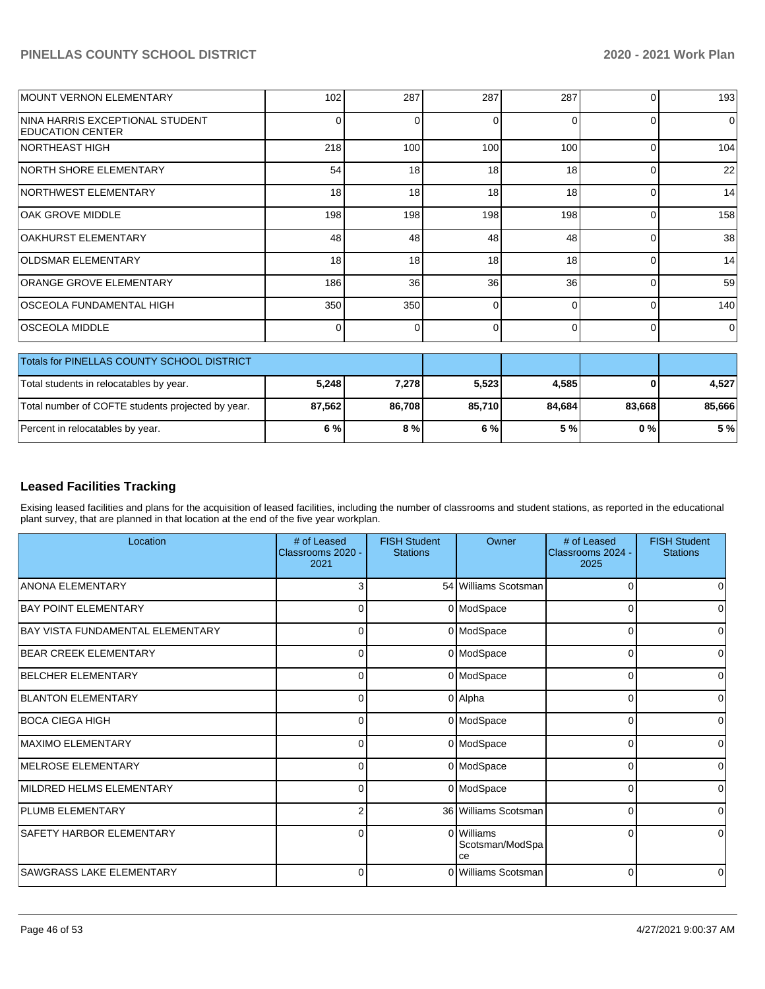| MOUNT VERNON ELEMENTARY                                    | 102      | 287      | 287             | 287      | 0        | 193      |
|------------------------------------------------------------|----------|----------|-----------------|----------|----------|----------|
| NINA HARRIS EXCEPTIONAL STUDENT<br><b>EDUCATION CENTER</b> | 0        | $\Omega$ | 0               | ſ        | 0        | $\Omega$ |
| <b>NORTHEAST HIGH</b>                                      | 218      | 100      | 100             | 100      | 0        | 104      |
| NORTH SHORE ELEMENTARY                                     | 54       | 18       | 18 <sup>1</sup> | 18       | $\Omega$ | 22       |
| NORTHWEST ELEMENTARY                                       | 18       | 18       | 18              | 18       | $\Omega$ | 14       |
| <b>OAK GROVE MIDDLE</b>                                    | 198      | 198      | 198             | 198      | 0        | 158      |
| OAKHURST ELEMENTARY                                        | 48       | 48       | 48              | 48       | $\Omega$ | 38       |
| <b>OLDSMAR ELEMENTARY</b>                                  | 18       | 18       | 18              | 18       | $\Omega$ | 14       |
| ORANGE GROVE ELEMENTARY                                    | 186      | 36       | 36              | 36       | $\Omega$ | 59       |
| OSCEOLA FUNDAMENTAL HIGH                                   | 350      | 350      | 0               | $\Omega$ | $\Omega$ | 140      |
| <b>OSCEOLA MIDDLE</b>                                      | $\Omega$ | $\Omega$ | 0               | 0        | 0        | 0        |
| Totals for PINELLAS COUNTY SCHOOL DISTRICT                 |          |          |                 |          |          |          |
| Total students in relocatables by year.                    | 5,248    | 7,278    | 5,523           | 4,585    | 0        | 4,527    |
| Total number of COFTE students projected by year.          | 87,562   | 86,708   | 85,710          | 84,684   | 83,668   | 85,666   |
| Percent in relocatables by year.                           | 6 %      | 8 %      | 6 %             | 5 %      | 0%       | 5 %      |

# **Leased Facilities Tracking**

Exising leased facilities and plans for the acquisition of leased facilities, including the number of classrooms and student stations, as reported in the educational plant survey, that are planned in that location at the end of the five year workplan.

| Location                                | # of Leased<br>Classrooms 2020 -<br>2021 | <b>FISH Student</b><br><b>Stations</b> | Owner                               | # of Leased<br>Classrooms 2024 -<br>2025 | <b>FISH Student</b><br><b>Stations</b> |
|-----------------------------------------|------------------------------------------|----------------------------------------|-------------------------------------|------------------------------------------|----------------------------------------|
| <b>ANONA ELEMENTARY</b>                 |                                          |                                        | 54 Williams Scotsman                | $\Omega$                                 |                                        |
| <b>BAY POINT ELEMENTARY</b>             | 0                                        |                                        | 0 ModSpace                          | 0                                        | 0                                      |
| <b>BAY VISTA FUNDAMENTAL ELEMENTARY</b> | $\Omega$                                 |                                        | 0 ModSpace                          | 0                                        | $\Omega$                               |
| <b>BEAR CREEK ELEMENTARY</b>            | 0                                        |                                        | 0 ModSpace                          | 0                                        | 0                                      |
| BELCHER ELEMENTARY                      | $\Omega$                                 |                                        | 0 ModSpace                          | $\Omega$                                 | 0                                      |
| <b>BLANTON ELEMENTARY</b>               | $\Omega$                                 |                                        | 0 Alpha                             | 0                                        | $\Omega$                               |
| <b>BOCA CIEGA HIGH</b>                  | 0                                        |                                        | 0 ModSpace                          | 0                                        | 0                                      |
| <b>IMAXIMO ELEMENTARY</b>               | $\Omega$                                 |                                        | 0 ModSpace                          | $\Omega$                                 | $\Omega$                               |
| MELROSE ELEMENTARY                      | $\Omega$                                 |                                        | 0 ModSpace                          | 0                                        |                                        |
| MILDRED HELMS ELEMENTARY                | 0                                        |                                        | 0 ModSpace                          | 0                                        | 0                                      |
| <b>PLUMB ELEMENTARY</b>                 | 2                                        |                                        | 36 Williams Scotsman                | 0                                        | $\Omega$                               |
| <b>SAFETY HARBOR ELEMENTARY</b>         | C                                        |                                        | 0 Williams<br>Scotsman/ModSpa<br>ce | 0                                        | 0                                      |
| <b>SAWGRASS LAKE ELEMENTARY</b>         | $\Omega$                                 |                                        | 0 Williams Scotsman                 | $\Omega$                                 | 0                                      |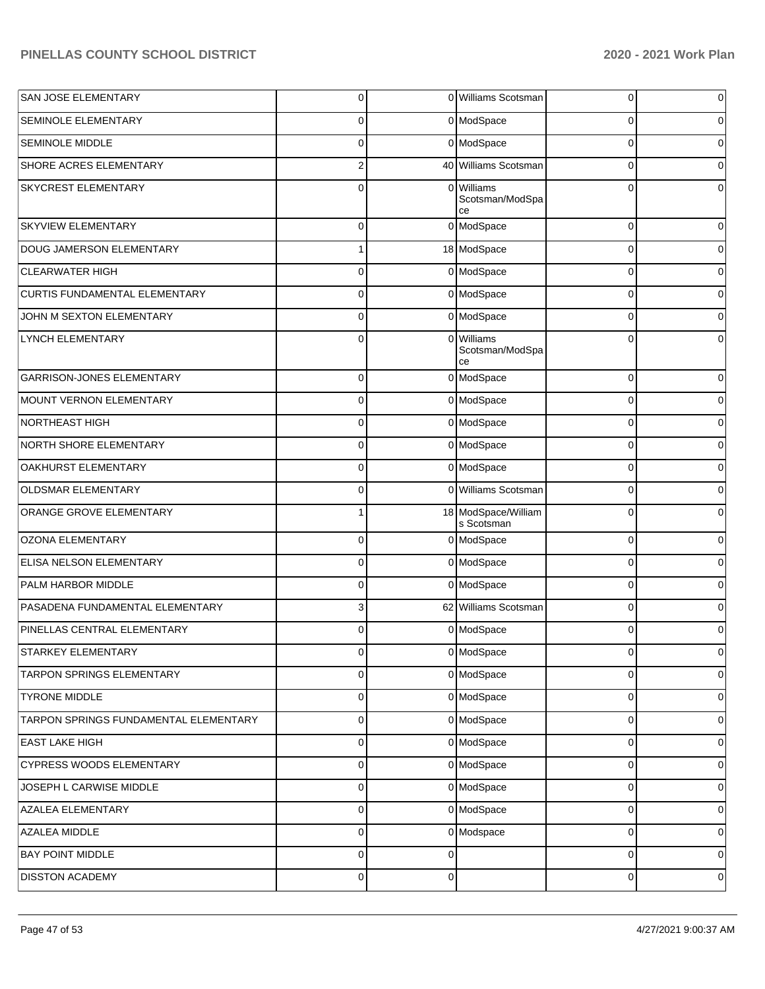| SAN JOSE ELEMENTARY                   | $\overline{0}$ |             | 0 Williams Scotsman                 | 0            | $\mathbf 0$    |
|---------------------------------------|----------------|-------------|-------------------------------------|--------------|----------------|
| <b>SEMINOLE ELEMENTARY</b>            | $\mathbf 0$    |             | 0 ModSpace                          | 0            | $\overline{0}$ |
| SEMINOLE MIDDLE                       | 0              |             | 0 ModSpace                          | $\Omega$     | $\overline{0}$ |
| SHORE ACRES ELEMENTARY                | 2              |             | 40 Williams Scotsman                | $\Omega$     | $\overline{0}$ |
| SKYCREST ELEMENTARY                   | 0              |             | 0 Williams<br>Scotsman/ModSpa<br>ce | $\Omega$     | 0              |
| SKYVIEW ELEMENTARY                    | $\mathbf 0$    |             | 0 ModSpace                          | 0            | 0              |
| DOUG JAMERSON ELEMENTARY              |                |             | 18 ModSpace                         | 0            | 0              |
| <b>CLEARWATER HIGH</b>                | $\mathbf 0$    |             | 0 ModSpace                          | 0            | 0              |
| CURTIS FUNDAMENTAL ELEMENTARY         | $\mathbf 0$    |             | 0 ModSpace                          | 0            | 0              |
| JOHN M SEXTON ELEMENTARY              | $\overline{0}$ |             | 0 ModSpace                          | 0            | 0              |
| <b>LYNCH ELEMENTARY</b>               | 0              | $\Omega$    | Williams<br>Scotsman/ModSpa<br>ce   | 0            | 0              |
| GARRISON-JONES ELEMENTARY             | 0              |             | 0 ModSpace                          | $\Omega$     | 0              |
| MOUNT VERNON ELEMENTARY               | 0              |             | 0 ModSpace                          | 0            | $\overline{0}$ |
| <b>NORTHEAST HIGH</b>                 | 0              |             | 0 ModSpace                          | $\Omega$     | $\overline{0}$ |
| NORTH SHORE ELEMENTARY                | 0              |             | 0 ModSpace                          | 0            | $\overline{0}$ |
| OAKHURST ELEMENTARY                   | 0              |             | 0 ModSpace                          | $\Omega$     | 0              |
| OLDSMAR ELEMENTARY                    | 0              |             | 0 Williams Scotsman                 | 0            | 0              |
| ORANGE GROVE ELEMENTARY               | 1              |             | 18 ModSpace/William<br>s Scotsman   | $\Omega$     | $\overline{0}$ |
| <b>OZONA ELEMENTARY</b>               | 0              |             | 0 ModSpace                          | 0            | $\mathbf 0$    |
| ELISA NELSON ELEMENTARY               | $\mathbf 0$    |             | 0 ModSpace                          | $\Omega$     | $\overline{0}$ |
| PALM HARBOR MIDDLE                    | 0              |             | 0 ModSpace                          | 0            | $\overline{0}$ |
| PASADENA FUNDAMENTAL ELEMENTARY       | 3              |             | 62 Williams Scotsman                | $\Omega$     | $\overline{0}$ |
| PINELLAS CENTRAL ELEMENTARY           | $\mathbf 0$    |             | 0 ModSpace                          | 0            | $\overline{0}$ |
| STARKEY ELEMENTARY                    | υı             |             | 0 ModSpace                          | <sub>U</sub> | 0              |
| TARPON SPRINGS ELEMENTARY             | $\overline{0}$ |             | 0 ModSpace                          | $\Omega$     | $\overline{0}$ |
| <b>TYRONE MIDDLE</b>                  | $\overline{0}$ |             | 0 ModSpace                          | 0            | $\mathbf 0$    |
| TARPON SPRINGS FUNDAMENTAL ELEMENTARY | $\overline{0}$ |             | 0 ModSpace                          | 0            | $\overline{0}$ |
| <b>EAST LAKE HIGH</b>                 | $\overline{0}$ |             | 0 ModSpace                          | 0            | $\mathbf 0$    |
| CYPRESS WOODS ELEMENTARY              | $\overline{0}$ |             | 0 ModSpace                          | 0            | $\overline{0}$ |
| JOSEPH L CARWISE MIDDLE               | $\overline{0}$ |             | 0 ModSpace                          | 0            | $\mathbf 0$    |
| <b>AZALEA ELEMENTARY</b>              | $\overline{0}$ |             | 0 ModSpace                          | 0            | $\overline{0}$ |
| AZALEA MIDDLE                         | $\overline{0}$ |             | 0 Modspace                          | 0            | $\mathbf 0$    |
| <b>BAY POINT MIDDLE</b>               | $\overline{0}$ | $\Omega$    |                                     | $\Omega$     | 0              |
| DISSTON ACADEMY                       | $\overline{0}$ | $\mathbf 0$ |                                     | 0            | 0              |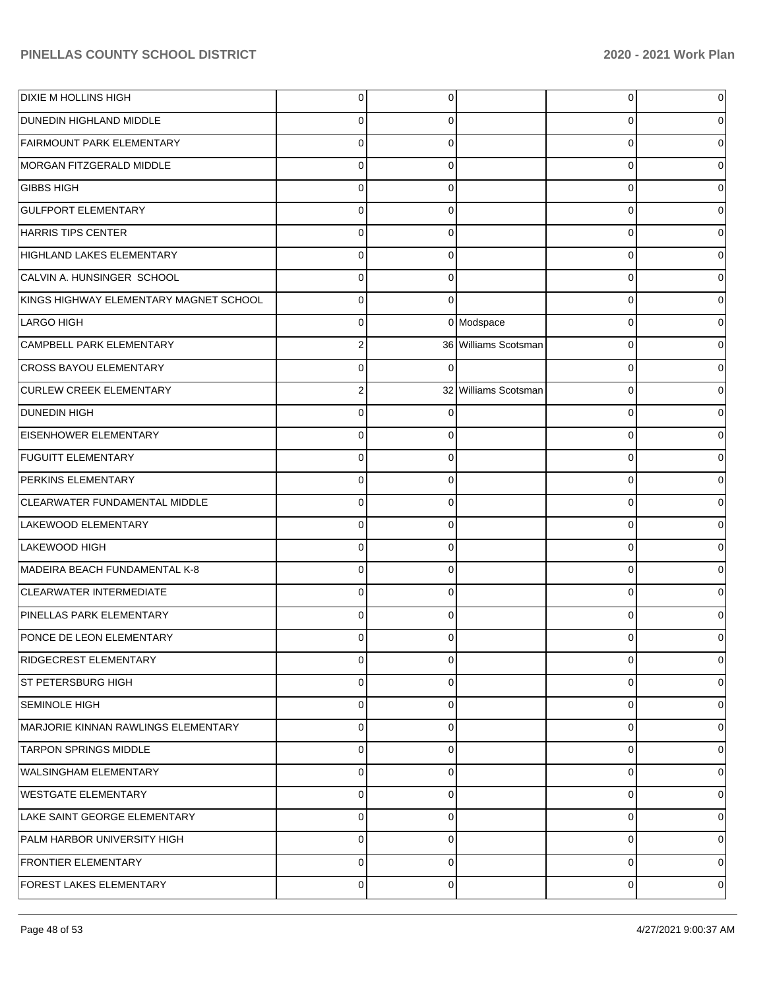| DIXIE M HOLLINS HIGH                   | $\overline{0}$ | $\Omega$ |                      | 0 | 0              |
|----------------------------------------|----------------|----------|----------------------|---|----------------|
| <b>DUNEDIN HIGHLAND MIDDLE</b>         | $\Omega$       | 0        |                      | 0 | 0              |
| <b>FAIRMOUNT PARK ELEMENTARY</b>       | $\Omega$       | $\Omega$ |                      | 0 | 0              |
| MORGAN FITZGERALD MIDDLE               | $\Omega$       | $\Omega$ |                      | 0 | 0              |
| <b>GIBBS HIGH</b>                      | $\Omega$       | $\Omega$ |                      | 0 | 0              |
| <b>GULFPORT ELEMENTARY</b>             | $\Omega$       | $\Omega$ |                      | 0 | 0              |
| HARRIS TIPS CENTER                     | $\Omega$       | $\Omega$ |                      | 0 | 0              |
| <b>HIGHLAND LAKES ELEMENTARY</b>       | $\Omega$       | $\Omega$ |                      | 0 | 0              |
| CALVIN A. HUNSINGER SCHOOL             | $\Omega$       | $\Omega$ |                      | 0 | 0              |
| KINGS HIGHWAY ELEMENTARY MAGNET SCHOOL | $\overline{0}$ | $\Omega$ |                      | 0 | 0              |
| LARGO HIGH                             | $\Omega$       |          | 0 Modspace           | 0 | 0              |
| CAMPBELL PARK ELEMENTARY               | 2              |          | 36 Williams Scotsman | 0 | 0              |
| CROSS BAYOU ELEMENTARY                 | $\Omega$       |          |                      | 0 | 0              |
| <b>CURLEW CREEK ELEMENTARY</b>         | 2              |          | 32 Williams Scotsman | 0 | 0              |
| <b>DUNEDIN HIGH</b>                    | $\Omega$       |          |                      | 0 | 0              |
| <b>EISENHOWER ELEMENTARY</b>           | $\Omega$       | $\Omega$ |                      | 0 | 0              |
| <b>FUGUITT ELEMENTARY</b>              | $\Omega$       | $\Omega$ |                      | 0 | 0              |
| PERKINS ELEMENTARY                     | $\Omega$       | $\Omega$ |                      | 0 | 0              |
| CLEARWATER FUNDAMENTAL MIDDLE          | $\Omega$       | $\Omega$ |                      | 0 | 0              |
| LAKEWOOD ELEMENTARY                    | $\Omega$       | $\Omega$ |                      | 0 | 0              |
| LAKEWOOD HIGH                          | $\Omega$       | $\Omega$ |                      | 0 | 0              |
| MADEIRA BEACH FUNDAMENTAL K-8          | $\Omega$       | $\Omega$ |                      | 0 | 0              |
| CLEARWATER INTERMEDIATE                | $\Omega$       | $\Omega$ |                      | 0 | 0              |
| PINELLAS PARK ELEMENTARY               | $\Omega$       | $\Omega$ |                      | 0 | O              |
| PONCE DE LEON ELEMENTARY               | 0              |          |                      |   | O              |
| RIDGECREST ELEMENTARY                  | $\overline{0}$ | $\Omega$ |                      | 0 | $\overline{0}$ |
| ST PETERSBURG HIGH                     | $\overline{0}$ | $\Omega$ |                      | 0 | $\overline{0}$ |
| SEMINOLE HIGH                          | $\overline{0}$ | $\Omega$ |                      | 0 | 0              |
| MARJORIE KINNAN RAWLINGS ELEMENTARY    | $\overline{0}$ | $\Omega$ |                      | 0 | $\overline{0}$ |
| <b>TARPON SPRINGS MIDDLE</b>           | $\overline{0}$ | $\Omega$ |                      | 0 | 0              |
| WALSINGHAM ELEMENTARY                  | $\overline{0}$ | $\Omega$ |                      | 0 | $\overline{0}$ |
| <b>WESTGATE ELEMENTARY</b>             | $\overline{0}$ | $\Omega$ |                      | 0 | 0              |
| LAKE SAINT GEORGE ELEMENTARY           | $\overline{0}$ | $\Omega$ |                      | 0 | $\overline{0}$ |
| PALM HARBOR UNIVERSITY HIGH            | $\overline{0}$ | $\Omega$ |                      | 0 | 0              |
| FRONTIER ELEMENTARY                    | $\overline{0}$ | $\Omega$ |                      | 0 | $\overline{0}$ |
| FOREST LAKES ELEMENTARY                | $\overline{0}$ | $\Omega$ |                      | 0 | 0              |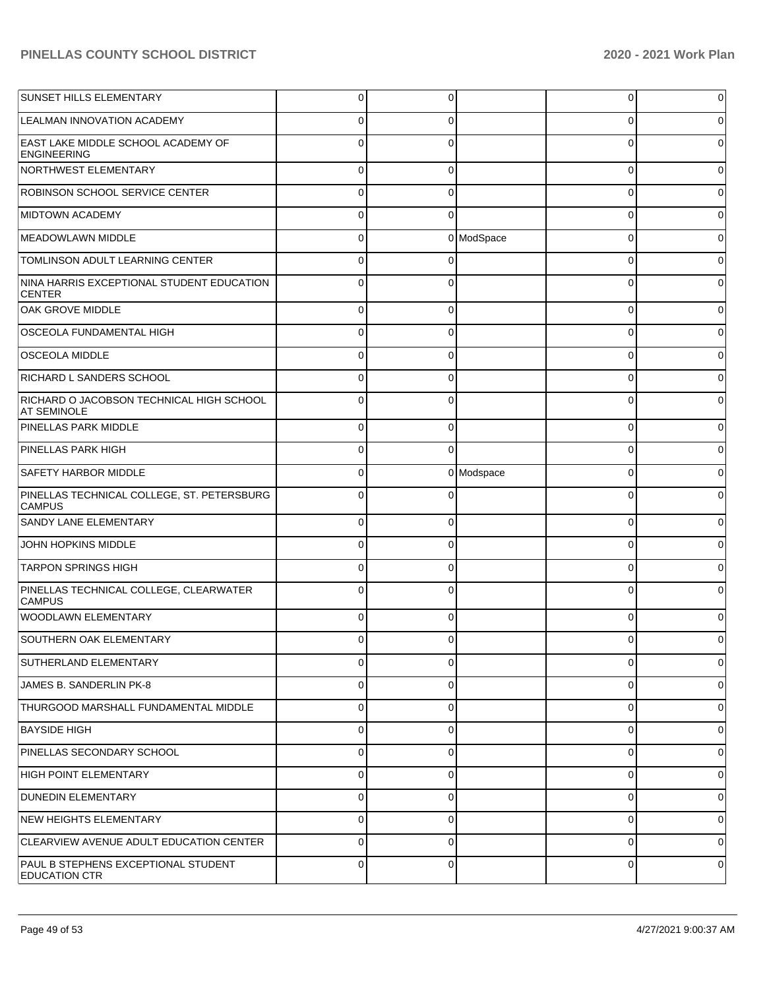| <b>SUNSET HILLS ELEMENTARY</b>                                  | $\overline{0}$ | 0        |            | 0        | $\overline{0}$ |
|-----------------------------------------------------------------|----------------|----------|------------|----------|----------------|
| <b>LEALMAN INNOVATION ACADEMY</b>                               | 0              | $\Omega$ |            | 0        | 0              |
| <b>EAST LAKE MIDDLE SCHOOL ACADEMY OF</b><br><b>ENGINEERING</b> | $\Omega$       | $\Omega$ |            | C        | 0              |
| NORTHWEST ELEMENTARY                                            | $\overline{0}$ | $\Omega$ |            | $\Omega$ | $\overline{0}$ |
| ROBINSON SCHOOL SERVICE CENTER                                  | $\Omega$       | $\Omega$ |            | $\Omega$ | $\Omega$       |
| <b>MIDTOWN ACADEMY</b>                                          | $\Omega$       | $\Omega$ |            | $\Omega$ | $\overline{0}$ |
| <b>MEADOWLAWN MIDDLE</b>                                        | $\overline{0}$ |          | 0 ModSpace | $\Omega$ | $\Omega$       |
| TOMLINSON ADULT LEARNING CENTER                                 | $\Omega$       | $\Omega$ |            | $\Omega$ | 0              |
| NINA HARRIS EXCEPTIONAL STUDENT EDUCATION<br><b>CENTER</b>      | $\Omega$       | $\Omega$ |            | $\Omega$ | 0              |
| OAK GROVE MIDDLE                                                | 0              | $\Omega$ |            | 0        | 0              |
| OSCEOLA FUNDAMENTAL HIGH                                        | 0              | $\Omega$ |            | 0        | 0              |
| <b>OSCEOLA MIDDLE</b>                                           | 0              | $\Omega$ |            | C        | 0              |
| RICHARD L SANDERS SCHOOL                                        | 0              | $\Omega$ |            | 0        | 0              |
| RICHARD O JACOBSON TECHNICAL HIGH SCHOOL<br><b>AT SEMINOLE</b>  | $\Omega$       | $\Omega$ |            | C        | 0              |
| <b>PINELLAS PARK MIDDLE</b>                                     | $\Omega$       | $\Omega$ |            | $\Omega$ | $\mathbf 0$    |
| <b>PINELLAS PARK HIGH</b>                                       | $\Omega$       | $\Omega$ |            | $\Omega$ | 0              |
| <b>SAFETY HARBOR MIDDLE</b>                                     | $\Omega$       |          | 0 Modspace | $\Omega$ | 0              |
| PINELLAS TECHNICAL COLLEGE, ST. PETERSBURG<br><b>CAMPUS</b>     | $\Omega$       | $\Omega$ |            | $\Omega$ | 0              |
| <b>SANDY LANE ELEMENTARY</b>                                    | $\Omega$       | $\Omega$ |            | $\Omega$ | $\overline{0}$ |
| JOHN HOPKINS MIDDLE                                             | $\Omega$       | $\Omega$ |            | $\Omega$ | $\overline{0}$ |
| <b>TARPON SPRINGS HIGH</b>                                      | $\Omega$       | $\Omega$ |            | $\Omega$ | $\Omega$       |
| PINELLAS TECHNICAL COLLEGE, CLEARWATER<br><b>CAMPUS</b>         | 0              | $\Omega$ |            | $\Omega$ | 0              |
| <b>WOODLAWN ELEMENTARY</b>                                      | 0              | $\Omega$ |            | 0        | O              |
| <b>SOUTHERN OAK ELEMENTARY</b>                                  | 0              | ∩        |            |          | 0              |
| SUTHERLAND ELEMENTARY                                           | 0              | $\Omega$ |            | 0        | 0              |
| JAMES B. SANDERLIN PK-8                                         | 0              | $\Omega$ |            | 0        | 0              |
| THURGOOD MARSHALL FUNDAMENTAL MIDDLE                            | 0              | $\Omega$ |            | 0        | 0              |
| <b>BAYSIDE HIGH</b>                                             | 0              | $\Omega$ |            | 0        | 0              |
| PINELLAS SECONDARY SCHOOL                                       | 0              | $\Omega$ |            | 0        | 0              |
| <b>HIGH POINT ELEMENTARY</b>                                    | 0              | 0        |            | 0        | $\overline{0}$ |
| <b>DUNEDIN ELEMENTARY</b>                                       | 0              | $\Omega$ |            | 0        | 0              |
| NEW HEIGHTS ELEMENTARY                                          | 0              | 0        |            | 0        | $\overline{0}$ |
| CLEARVIEW AVENUE ADULT EDUCATION CENTER                         | 0              | $\Omega$ |            | 0        | $\overline{0}$ |
| PAUL B STEPHENS EXCEPTIONAL STUDENT<br><b>EDUCATION CTR</b>     | $\overline{0}$ | 0        |            | 0        | 0              |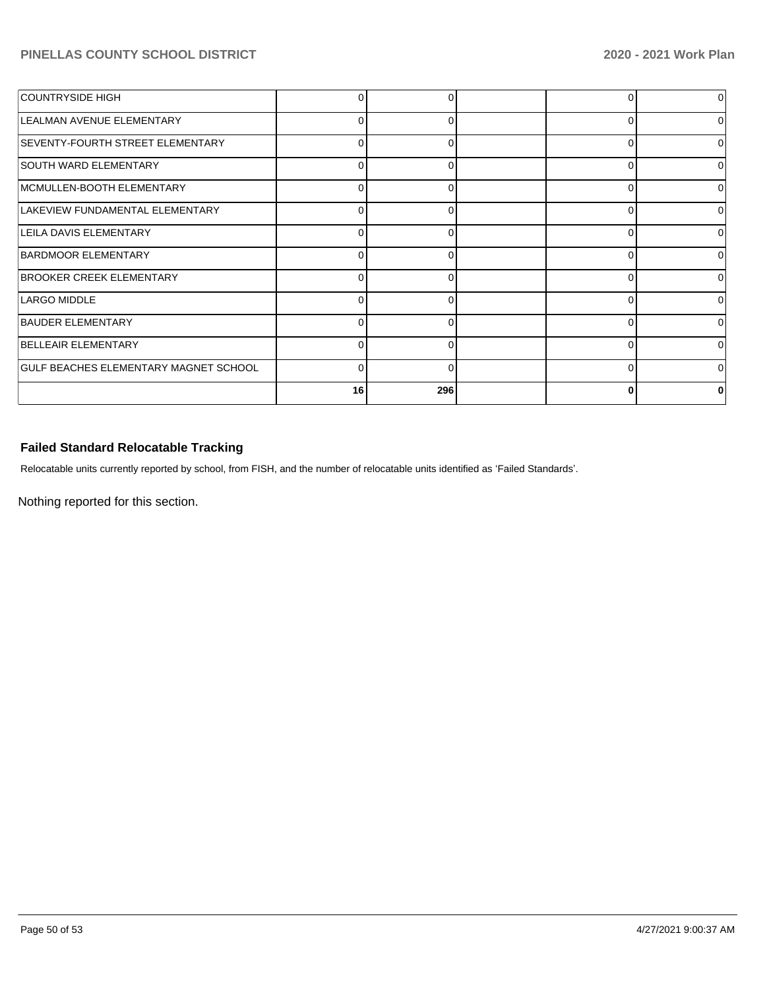| COUNTRYSIDE HIGH                             |          |              | O        |   |
|----------------------------------------------|----------|--------------|----------|---|
| LEALMAN AVENUE ELEMENTARY                    | 0        | 0            | $\Omega$ |   |
| SEVENTY-FOURTH STREET ELEMENTARY             | U        |              | 0        |   |
| <b>SOUTH WARD ELEMENTARY</b>                 | $\Omega$ |              | $\Omega$ |   |
| MCMULLEN-BOOTH ELEMENTARY                    | 0        | 0            | 0        |   |
| LAKEVIEW FUNDAMENTAL ELEMENTARY              | U        |              | 0        |   |
| LEILA DAVIS ELEMENTARY                       | $\Omega$ | O            | $\Omega$ |   |
| BARDMOOR ELEMENTARY                          | $\Omega$ |              | $\Omega$ |   |
| <b>BROOKER CREEK ELEMENTARY</b>              | U        |              | 0        | ∩ |
| LARGO MIDDLE                                 | 0        | O            | $\Omega$ |   |
| <b>BAUDER ELEMENTARY</b>                     | 0        |              | $\Omega$ |   |
| BELLEAIR ELEMENTARY                          | U        |              | 0        | U |
| <b>GULF BEACHES ELEMENTARY MAGNET SCHOOL</b> | $\Omega$ | <sup>0</sup> | $\Omega$ |   |
|                                              | 16       | 296          | $\bf{0}$ |   |

# **Failed Standard Relocatable Tracking**

Relocatable units currently reported by school, from FISH, and the number of relocatable units identified as 'Failed Standards'.

Nothing reported for this section.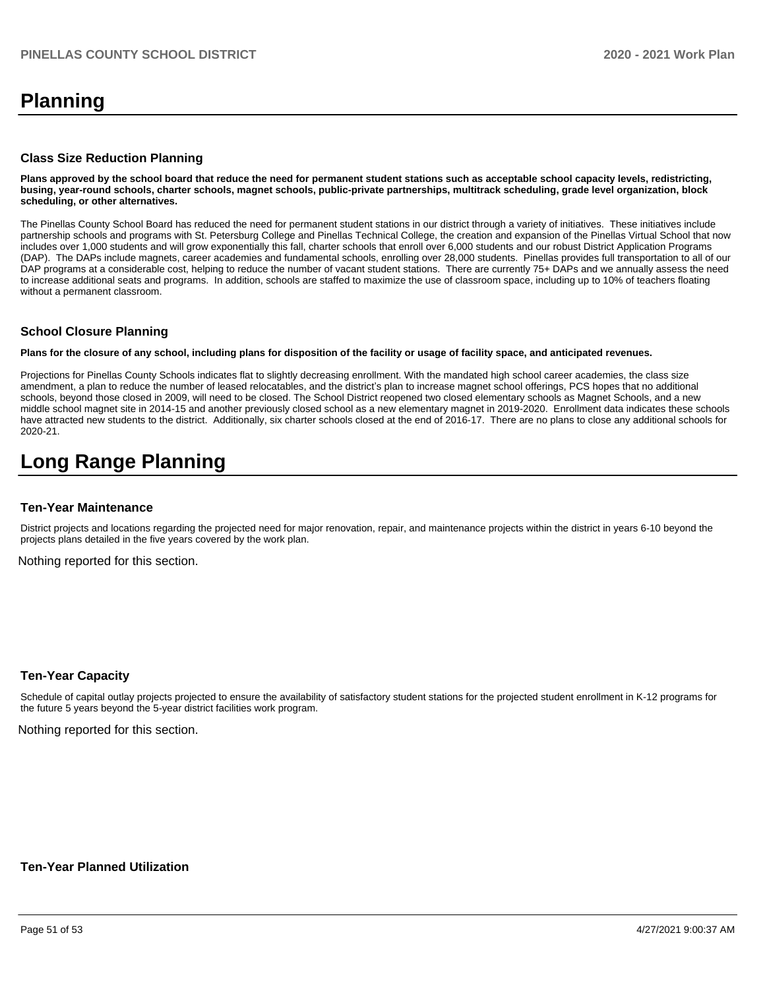# **Planning**

### **Class Size Reduction Planning**

**Plans approved by the school board that reduce the need for permanent student stations such as acceptable school capacity levels, redistricting, busing, year-round schools, charter schools, magnet schools, public-private partnerships, multitrack scheduling, grade level organization, block scheduling, or other alternatives.**

The Pinellas County School Board has reduced the need for permanent student stations in our district through a variety of initiatives. These initiatives include partnership schools and programs with St. Petersburg College and Pinellas Technical College, the creation and expansion of the Pinellas Virtual School that now includes over 1,000 students and will grow exponentially this fall, charter schools that enroll over 6,000 students and our robust District Application Programs (DAP). The DAPs include magnets, career academies and fundamental schools, enrolling over 28,000 students. Pinellas provides full transportation to all of our DAP programs at a considerable cost, helping to reduce the number of vacant student stations. There are currently 75+ DAPs and we annually assess the need to increase additional seats and programs. In addition, schools are staffed to maximize the use of classroom space, including up to 10% of teachers floating without a permanent classroom.

### **School Closure Planning**

**Plans for the closure of any school, including plans for disposition of the facility or usage of facility space, and anticipated revenues.** 

Projections for Pinellas County Schools indicates flat to slightly decreasing enrollment. With the mandated high school career academies, the class size amendment, a plan to reduce the number of leased relocatables, and the district's plan to increase magnet school offerings, PCS hopes that no additional schools, beyond those closed in 2009, will need to be closed. The School District reopened two closed elementary schools as Magnet Schools, and a new middle school magnet site in 2014-15 and another previously closed school as a new elementary magnet in 2019-2020. Enrollment data indicates these schools have attracted new students to the district. Additionally, six charter schools closed at the end of 2016-17. There are no plans to close any additional schools for 2020-21.

# **Long Range Planning**

### **Ten-Year Maintenance**

District projects and locations regarding the projected need for major renovation, repair, and maintenance projects within the district in years 6-10 beyond the projects plans detailed in the five years covered by the work plan.

Nothing reported for this section.

### **Ten-Year Capacity**

Schedule of capital outlay projects projected to ensure the availability of satisfactory student stations for the projected student enrollment in K-12 programs for the future 5 years beyond the 5-year district facilities work program.

Nothing reported for this section.

### **Ten-Year Planned Utilization**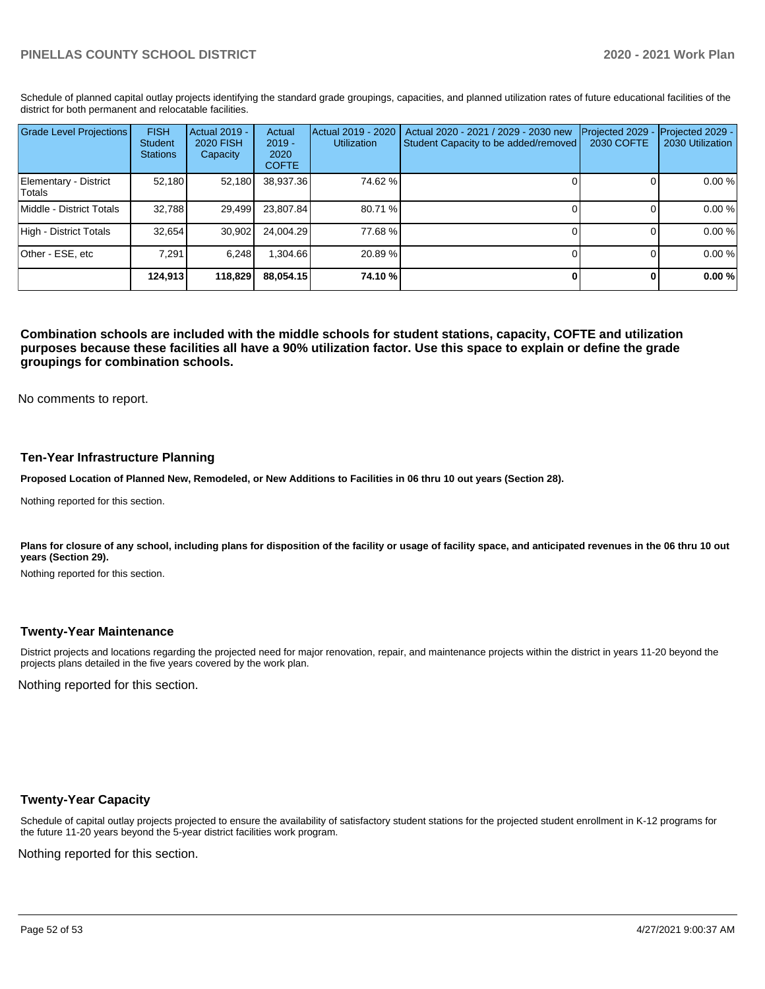Schedule of planned capital outlay projects identifying the standard grade groupings, capacities, and planned utilization rates of future educational facilities of the district for both permanent and relocatable facilities.

| <b>Grade Level Projections</b>  | <b>FISH</b><br>Student<br><b>Stations</b> | <b>Actual 2019 -</b><br><b>2020 FISH</b><br>Capacity | Actual<br>$2019 -$<br>2020<br><b>COFTE</b> | Actual 2019 - 2020<br><b>Utilization</b> | Actual 2020 - 2021 / 2029 - 2030 new<br>Student Capacity to be added/removed | Projected 2029<br>2030 COFTE | Projected 2029 -<br>2030 Utilization |
|---------------------------------|-------------------------------------------|------------------------------------------------------|--------------------------------------------|------------------------------------------|------------------------------------------------------------------------------|------------------------------|--------------------------------------|
| Elementary - District<br>Totals | 52.180                                    | 52,180                                               | 38,937.36                                  | 74.62%                                   |                                                                              |                              | 0.00 %                               |
| Middle - District Totals        | 32.788                                    | 29.499                                               | 23.807.84                                  | 80.71 %                                  |                                                                              |                              | 0.00 %                               |
| High - District Totals          | 32.654                                    | 30,902                                               | 24.004.29                                  | 77.68%                                   |                                                                              |                              | 0.00 %                               |
| Other - ESE, etc                | 7.291                                     | 6.248                                                | 304.66                                     | 20.89 %                                  |                                                                              |                              | 0.00 %                               |
|                                 | 124.913                                   | 118,829                                              | 88.054.15                                  | 74.10 %                                  |                                                                              |                              | 0.00%                                |

**Combination schools are included with the middle schools for student stations, capacity, COFTE and utilization purposes because these facilities all have a 90% utilization factor. Use this space to explain or define the grade groupings for combination schools.** 

No comments to report.

### **Ten-Year Infrastructure Planning**

**Proposed Location of Planned New, Remodeled, or New Additions to Facilities in 06 thru 10 out years (Section 28).**

Nothing reported for this section.

Plans for closure of any school, including plans for disposition of the facility or usage of facility space, and anticipated revenues in the 06 thru 10 out **years (Section 29).**

Nothing reported for this section.

### **Twenty-Year Maintenance**

District projects and locations regarding the projected need for major renovation, repair, and maintenance projects within the district in years 11-20 beyond the projects plans detailed in the five years covered by the work plan.

Nothing reported for this section.

### **Twenty-Year Capacity**

Schedule of capital outlay projects projected to ensure the availability of satisfactory student stations for the projected student enrollment in K-12 programs for the future 11-20 years beyond the 5-year district facilities work program.

Nothing reported for this section.